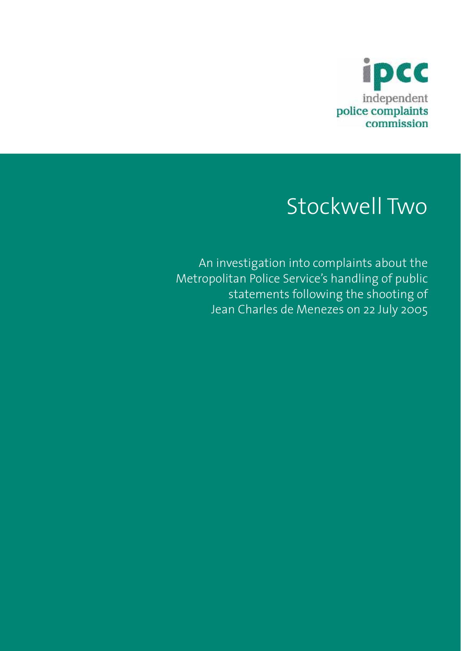

# Stockwell Two

An investigation into complaints about the Metropolitan Police Service's handling of public statements following the shooting of Jean Charles de Menezes on 22 July 2005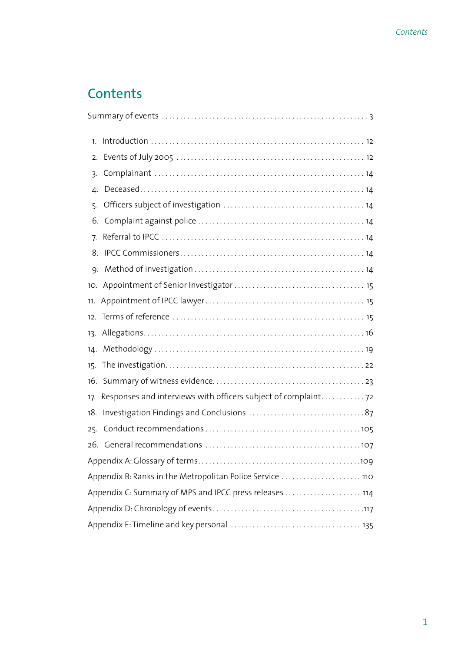# **Contents**

| 1.                                                      |                                                                |  |
|---------------------------------------------------------|----------------------------------------------------------------|--|
| 2.                                                      |                                                                |  |
| 3.                                                      |                                                                |  |
| 4.                                                      |                                                                |  |
| 5.                                                      |                                                                |  |
|                                                         |                                                                |  |
| 7.                                                      |                                                                |  |
| 8.                                                      |                                                                |  |
| 9.                                                      |                                                                |  |
|                                                         |                                                                |  |
| 11.                                                     |                                                                |  |
|                                                         |                                                                |  |
| 13.                                                     |                                                                |  |
|                                                         |                                                                |  |
|                                                         |                                                                |  |
|                                                         |                                                                |  |
| 17.                                                     | Responses and interviews with officers subject of complaint 72 |  |
| 18.                                                     |                                                                |  |
| 25.                                                     |                                                                |  |
|                                                         |                                                                |  |
|                                                         |                                                                |  |
|                                                         | Appendix B: Ranks in the Metropolitan Police Service  110      |  |
| Appendix C: Summary of MPS and IPCC press releases  114 |                                                                |  |
|                                                         |                                                                |  |
|                                                         |                                                                |  |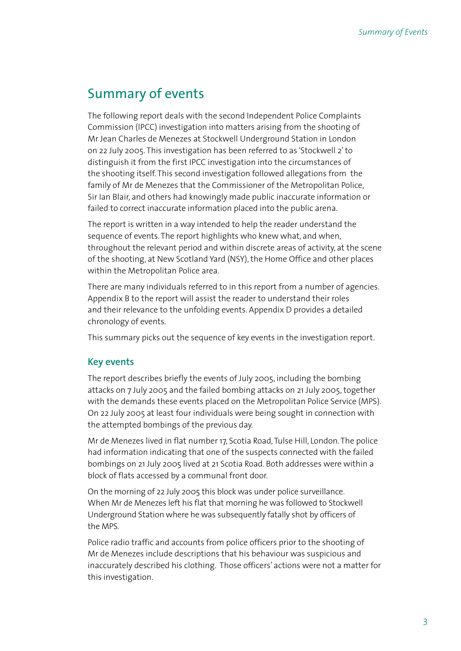# Summary of events

The following report deals with the second Independent Police Complaints Commission (IPCC) investigation into matters arising from the shooting of Mr Jean Charles de Menezes at Stockwell Underground Station in London on 22 July 2005. This investigation has been referred to as 'Stockwell 2' to distinguish it from the first IPCC investigation into the circumstances of the shooting itself. This second investigation followed allegations from the family of Mr de Menezes that the Commissioner of the Metropolitan Police, Sir Ian Blair, and others had knowingly made public inaccurate information or failed to correct inaccurate information placed into the public arena.

The report is written in a way intended to help the reader understand the sequence of events. The report highlights who knew what, and when, throughout the relevant period and within discrete areas of activity, at the scene of the shooting, at New Scotland Yard (NSY), the Home Office and other places within the Metropolitan Police area.

There are many individuals referred to in this report from a number of agencies. Appendix B to the report will assist the reader to understand their roles and their relevance to the unfolding events. Appendix D provides a detailed chronology of events.

This summary picks out the sequence of key events in the investigation report.

# **Key events**

The report describes briefly the events of July 2005, including the bombing attacks on 7 July 2005 and the failed bombing attacks on 21 July 2005, together with the demands these events placed on the Metropolitan Police Service (MPS). On 22 July 2005 at least four individuals were being sought in connection with the attempted bombings of the previous day.

Mr de Menezes lived in flat number 17, Scotia Road, Tulse Hill, London. The police had information indicating that one of the suspects connected with the failed bombings on 21 July 2005 lived at 21 Scotia Road. Both addresses were within a block of flats accessed by a communal front door.

On the morning of 22 July 2005 this block was under police surveillance. When Mr de Menezes left his flat that morning he was followed to Stockwell Underground Station where he was subsequently fatally shot by officers of the MPS.

Police radio traffic and accounts from police officers prior to the shooting of Mr de Menezes include descriptions that his behaviour was suspicious and inaccurately described his clothing. Those officers' actions were not a matter for this investigation.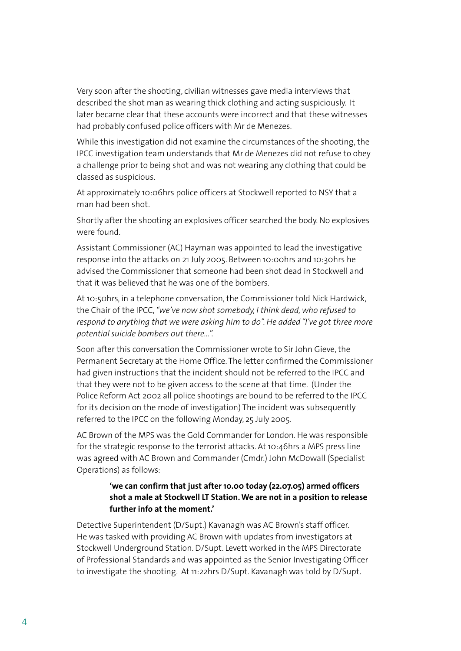Very soon after the shooting, civilian witnesses gave media interviews that described the shot man as wearing thick clothing and acting suspiciously. It later became clear that these accounts were incorrect and that these witnesses had probably confused police officers with Mr de Menezes.

While this investigation did not examine the circumstances of the shooting, the IPCC investigation team understands that Mr de Menezes did not refuse to obey a challenge prior to being shot and was not wearing any clothing that could be classed as suspicious.

At approximately 10:06hrs police officers at Stockwell reported to NSY that a man had been shot.

Shortly after the shooting an explosives officer searched the body. No explosives were found.

Assistant Commissioner (AC) Hayman was appointed to lead the investigative response into the attacks on 21 July 2005. Between 10:00hrs and 10:30hrs he advised the Commissioner that someone had been shot dead in Stockwell and that it was believed that he was one of the bombers.

At 10:50hrs, in a telephone conversation, the Commissioner told Nick Hardwick, the Chair of the IPCC, *"we've now shot somebody, I think dead, who refused to respond to anything that we were asking him to do". He added "I've got three more potential suicide bombers out there...".*

Soon after this conversation the Commissioner wrote to Sir John Gieve, the Permanent Secretary at the Home Office. The letter confirmed the Commissioner had given instructions that the incident should not be referred to the IPCC and that they were not to be given access to the scene at that time. (Under the Police Reform Act 2002 all police shootings are bound to be referred to the IPCC for its decision on the mode of investigation) The incident was subsequently referred to the IPCC on the following Monday, 25 July 2005.

AC Brown of the MPS was the Gold Commander for London. He was responsible for the strategic response to the terrorist attacks. At 10:46hrs a MPS press line was agreed with AC Brown and Commander (Cmdr.) John McDowall (Specialist Operations) as follows:

# **'we can confirm that just after 10.00 today (22.07.05) armed officers shot a male at Stockwell LT Station. We are not in a position to release further info at the moment.'**

Detective Superintendent (D/Supt.) Kavanagh was AC Brown's staff officer. He was tasked with providing AC Brown with updates from investigators at Stockwell Underground Station. D/Supt. Levett worked in the MPS Directorate of Professional Standards and was appointed as the Senior Investigating Officer to investigate the shooting. At 11:22hrs D/Supt. Kavanagh was told by D/Supt.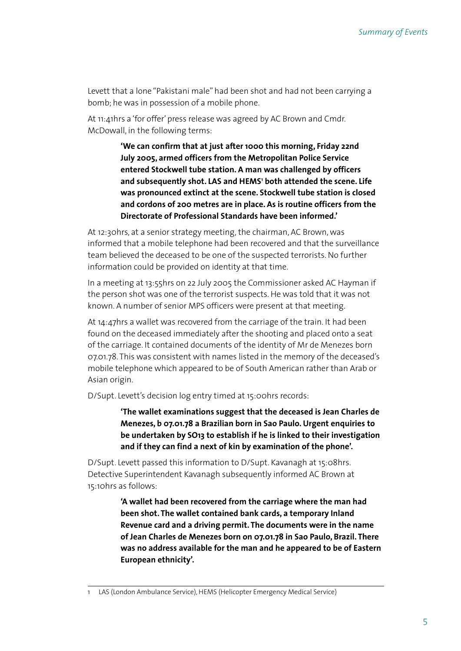Levett that a lone "Pakistani male" had been shot and had not been carrying a bomb; he was in possession of a mobile phone.

At 11:41hrs a 'for offer' press release was agreed by AC Brown and Cmdr. McDowall, in the following terms:

> **'We can confirm that at just after 1000 this morning, Friday 22nd July 2005, armed officers from the Metropolitan Police Service entered Stockwell tube station. A man was challenged by officers**  and subsequently shot. LAS and HEMS<sup>1</sup> both attended the scene. Life **was pronounced extinct at the scene. Stockwell tube station is closed and cordons of 200 metres are in place. As is routine officers from the Directorate of Professional Standards have been informed.'**

At 12:30hrs, at a senior strategy meeting, the chairman, AC Brown, was informed that a mobile telephone had been recovered and that the surveillance team believed the deceased to be one of the suspected terrorists. No further information could be provided on identity at that time.

In a meeting at 13:55hrs on 22 July 2005 the Commissioner asked AC Hayman if the person shot was one of the terrorist suspects. He was told that it was not known. A number of senior MPS officers were present at that meeting.

At 14:47hrs a wallet was recovered from the carriage of the train. It had been found on the deceased immediately after the shooting and placed onto a seat of the carriage. It contained documents of the identity of Mr de Menezes born 07.01.78. This was consistent with names listed in the memory of the deceased's mobile telephone which appeared to be of South American rather than Arab or Asian origin.

D/Supt. Levett's decision log entry timed at 15:00hrs records:

**'The wallet examinations suggest that the deceased is Jean Charles de Menezes, b 07.01.78 a Brazilian born in Sao Paulo. Urgent enquiries to be undertaken by SO13 to establish if he is linked to their investigation and if they can find a next of kin by examination of the phone'.**

D/Supt. Levett passed this information to D/Supt. Kavanagh at 15:08hrs. Detective Superintendent Kavanagh subsequently informed AC Brown at 15:10hrs as follows:

> **'A wallet had been recovered from the carriage where the man had been shot. The wallet contained bank cards, a temporary Inland Revenue card and a driving permit. The documents were in the name of Jean Charles de Menezes born on 07.01.78 in Sao Paulo, Brazil. There was no address available for the man and he appeared to be of Eastern European ethnicity'.**

<sup>1</sup> LAS (London Ambulance Service), HEMS (Helicopter Emergency Medical Service)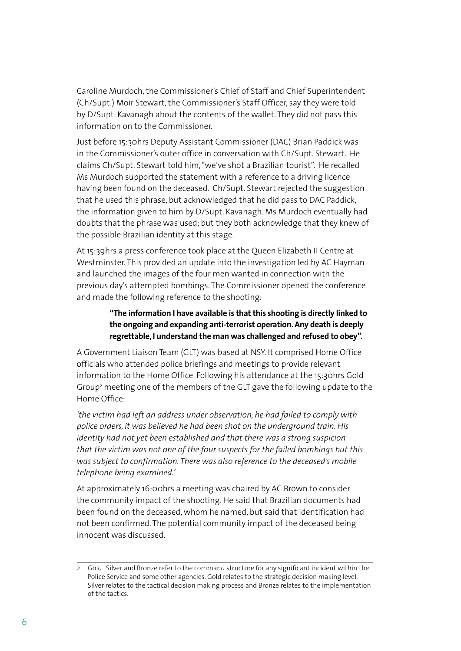Caroline Murdoch, the Commissioner's Chief of Staff and Chief Superintendent (Ch/Supt.) Moir Stewart, the Commissioner's Staff Officer, say they were told by D/Supt. Kavanagh about the contents of the wallet. They did not pass this information on to the Commissioner.

Just before 15:30hrs Deputy Assistant Commissioner (DAC) Brian Paddick was in the Commissioner's outer office in conversation with Ch/Supt. Stewart. He claims Ch/Supt. Stewart told him, "we've shot a Brazilian tourist". He recalled Ms Murdoch supported the statement with a reference to a driving licence having been found on the deceased. Ch/Supt. Stewart rejected the suggestion that he used this phrase, but acknowledged that he did pass to DAC Paddick, the information given to him by D/Supt. Kavanagh. Ms Murdoch eventually had doubts that the phrase was used; but they both acknowledge that they knew of the possible Brazilian identity at this stage.

At 15:39hrs a press conference took place at the Queen Elizabeth II Centre at Westminster. This provided an update into the investigation led by AC Hayman and launched the images of the four men wanted in connection with the previous day's attempted bombings. The Commissioner opened the conference and made the following reference to the shooting:

# **"The information I have available is that this shooting is directly linked to the ongoing and expanding anti-terrorist operation. Any death is deeply regrettable, I understand the man was challenged and refused to obey".**

A Government Liaison Team (GLT) was based at NSY. It comprised Home Office officials who attended police briefings and meetings to provide relevant information to the Home Office. Following his attendance at the 15:30hrs Gold Group2 meeting one of the members of the GLT gave the following update to the Home Office:

*'the victim had left an address under observation, he had failed to comply with police orders, it was believed he had been shot on the underground train. His identity had not yet been established and that there was a strong suspicion that the victim was not one of the four suspects for the failed bombings but this was subject to confirmation. There was also reference to the deceased's mobile telephone being examined.'*

At approximately 16:00hrs a meeting was chaired by AC Brown to consider the community impact of the shooting. He said that Brazilian documents had been found on the deceased, whom he named, but said that identification had not been confirmed. The potential community impact of the deceased being innocent was discussed.

<sup>2</sup> Gold , Silver and Bronze refer to the command structure for any significant incident within the Police Service and some other agencies. Gold relates to the strategic decision making level. Silver relates to the tactical decision making process and Bronze relates to the implementation of the tactics.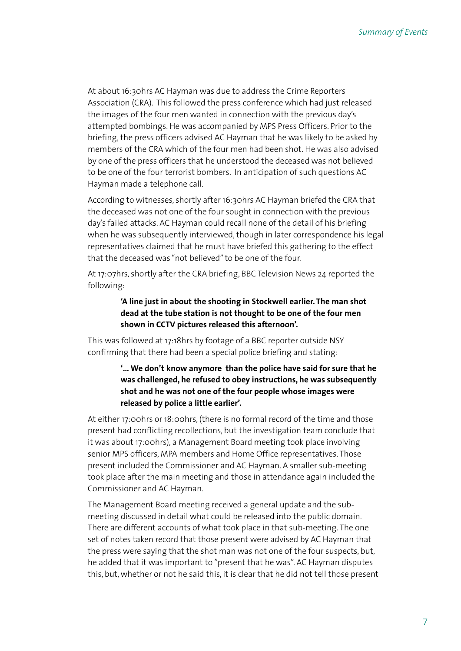At about 16:30hrs AC Hayman was due to address the Crime Reporters Association (CRA). This followed the press conference which had just released the images of the four men wanted in connection with the previous day's attempted bombings. He was accompanied by MPS Press Officers. Prior to the briefing, the press officers advised AC Hayman that he was likely to be asked by members of the CRA which of the four men had been shot. He was also advised by one of the press officers that he understood the deceased was not believed to be one of the four terrorist bombers. In anticipation of such questions AC Hayman made a telephone call.

According to witnesses, shortly after 16:30hrs AC Hayman briefed the CRA that the deceased was not one of the four sought in connection with the previous day's failed attacks. AC Hayman could recall none of the detail of his briefing when he was subsequently interviewed, though in later correspondence his legal representatives claimed that he must have briefed this gathering to the effect that the deceased was "not believed" to be one of the four.

At 17:07hrs, shortly after the CRA briefing, BBC Television News 24 reported the following:

# **'A line just in about the shooting in Stockwell earlier. The man shot dead at the tube station is not thought to be one of the four men shown in CCTV pictures released this afternoon'.**

This was followed at 17:18hrs by footage of a BBC reporter outside NSY confirming that there had been a special police briefing and stating:

# **'… We don't know anymore than the police have said for sure that he was challenged, he refused to obey instructions, he was subsequently shot and he was not one of the four people whose images were released by police a little earlier'.**

At either 17:00hrs or 18:00hrs, (there is no formal record of the time and those present had conflicting recollections, but the investigation team conclude that it was about 17:00hrs), a Management Board meeting took place involving senior MPS officers, MPA members and Home Office representatives. Those present included the Commissioner and AC Hayman. A smaller sub-meeting took place after the main meeting and those in attendance again included the Commissioner and AC Hayman.

The Management Board meeting received a general update and the submeeting discussed in detail what could be released into the public domain. There are different accounts of what took place in that sub-meeting. The one set of notes taken record that those present were advised by AC Hayman that the press were saying that the shot man was not one of the four suspects, but, he added that it was important to "present that he was". AC Hayman disputes this, but, whether or not he said this, it is clear that he did not tell those present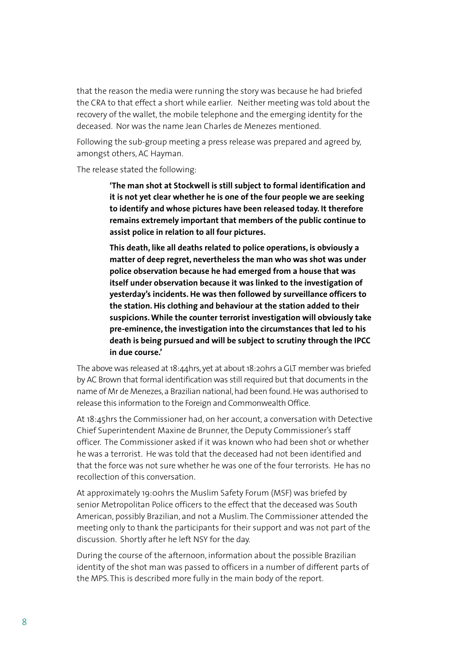that the reason the media were running the story was because he had briefed the CRA to that effect a short while earlier. Neither meeting was told about the recovery of the wallet, the mobile telephone and the emerging identity for the deceased. Nor was the name Jean Charles de Menezes mentioned.

Following the sub-group meeting a press release was prepared and agreed by, amongst others, AC Hayman.

The release stated the following:

**'The man shot at Stockwell is still subject to formal identification and it is not yet clear whether he is one of the four people we are seeking to identify and whose pictures have been released today. It therefore remains extremely important that members of the public continue to assist police in relation to all four pictures.** 

**This death, like all deaths related to police operations, is obviously a matter of deep regret, nevertheless the man who was shot was under police observation because he had emerged from a house that was itself under observation because it was linked to the investigation of yesterday's incidents. He was then followed by surveillance officers to the station. His clothing and behaviour at the station added to their suspicions. While the counter terrorist investigation will obviously take pre-eminence, the investigation into the circumstances that led to his death is being pursued and will be subject to scrutiny through the IPCC in due course.'**

The above was released at 18:44hrs, yet at about 18:20hrs a GLT member was briefed by AC Brown that formal identification was still required but that documents in the name of Mr de Menezes, a Brazilian national, had been found. He was authorised to release this information to the Foreign and Commonwealth Office.

At 18:45hrs the Commissioner had, on her account, a conversation with Detective Chief Superintendent Maxine de Brunner, the Deputy Commissioner's staff officer. The Commissioner asked if it was known who had been shot or whether he was a terrorist. He was told that the deceased had not been identified and that the force was not sure whether he was one of the four terrorists. He has no recollection of this conversation.

At approximately 19:00hrs the Muslim Safety Forum (MSF) was briefed by senior Metropolitan Police officers to the effect that the deceased was South American, possibly Brazilian, and not a Muslim. The Commissioner attended the meeting only to thank the participants for their support and was not part of the discussion. Shortly after he left NSY for the day.

During the course of the afternoon, information about the possible Brazilian identity of the shot man was passed to officers in a number of different parts of the MPS. This is described more fully in the main body of the report.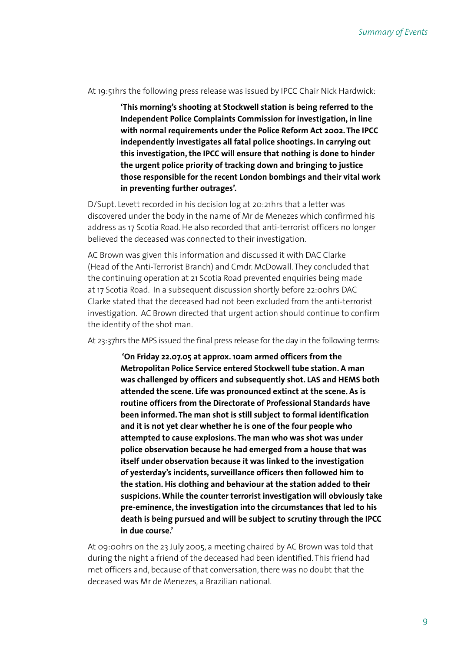At 19:51hrs the following press release was issued by IPCC Chair Nick Hardwick:

**'This morning's shooting at Stockwell station is being referred to the Independent Police Complaints Commission for investigation, in line with normal requirements under the Police Reform Act 2002. The IPCC independently investigates all fatal police shootings. In carrying out this investigation, the IPCC will ensure that nothing is done to hinder the urgent police priority of tracking down and bringing to justice those responsible for the recent London bombings and their vital work in preventing further outrages'.**

D/Supt. Levett recorded in his decision log at 20:21hrs that a letter was discovered under the body in the name of Mr de Menezes which confirmed his address as 17 Scotia Road. He also recorded that anti-terrorist officers no longer believed the deceased was connected to their investigation.

AC Brown was given this information and discussed it with DAC Clarke (Head of the Anti-Terrorist Branch) and Cmdr. McDowall. They concluded that the continuing operation at 21 Scotia Road prevented enquiries being made at 17 Scotia Road. In a subsequent discussion shortly before 22:00hrs DAC Clarke stated that the deceased had not been excluded from the anti-terrorist investigation. AC Brown directed that urgent action should continue to confirm the identity of the shot man.

At 23:37hrs the MPS issued the final press release for the day in the following terms:

 **'On Friday 22.07.05 at approx. 10am armed officers from the Metropolitan Police Service entered Stockwell tube station. A man was challenged by officers and subsequently shot. LAS and HEMS both attended the scene. Life was pronounced extinct at the scene. As is routine officers from the Directorate of Professional Standards have been informed. The man shot is still subject to formal identification and it is not yet clear whether he is one of the four people who attempted to cause explosions. The man who was shot was under police observation because he had emerged from a house that was itself under observation because it was linked to the investigation of yesterday's incidents, surveillance officers then followed him to the station. His clothing and behaviour at the station added to their suspicions. While the counter terrorist investigation will obviously take pre-eminence, the investigation into the circumstances that led to his death is being pursued and will be subject to scrutiny through the IPCC in due course.'** 

At 09:00hrs on the 23 July 2005, a meeting chaired by AC Brown was told that during the night a friend of the deceased had been identified. This friend had met officers and, because of that conversation, there was no doubt that the deceased was Mr de Menezes, a Brazilian national.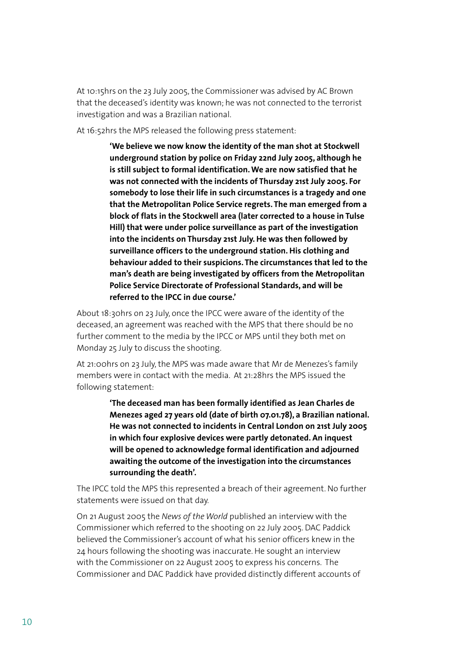At 10:15hrs on the 23 July 2005, the Commissioner was advised by AC Brown that the deceased's identity was known; he was not connected to the terrorist investigation and was a Brazilian national.

At 16:52hrs the MPS released the following press statement:

**'We believe we now know the identity of the man shot at Stockwell underground station by police on Friday 22nd July 2005, although he is still subject to formal identification. We are now satisfied that he was not connected with the incidents of Thursday 21st July 2005. For somebody to lose their life in such circumstances is a tragedy and one that the Metropolitan Police Service regrets. The man emerged from a block of flats in the Stockwell area (later corrected to a house in Tulse Hill) that were under police surveillance as part of the investigation into the incidents on Thursday 21st July. He was then followed by surveillance officers to the underground station. His clothing and behaviour added to their suspicions. The circumstances that led to the man's death are being investigated by officers from the Metropolitan Police Service Directorate of Professional Standards, and will be referred to the IPCC in due course.'**

About 18:30hrs on 23 July, once the IPCC were aware of the identity of the deceased, an agreement was reached with the MPS that there should be no further comment to the media by the IPCC or MPS until they both met on Monday 25 July to discuss the shooting.

At 21:00hrs on 23 July, the MPS was made aware that Mr de Menezes's family members were in contact with the media. At 21:28hrs the MPS issued the following statement:

> **'The deceased man has been formally identified as Jean Charles de Menezes aged 27 years old (date of birth 07.01.78), a Brazilian national. He was not connected to incidents in Central London on 21st July 2005 in which four explosive devices were partly detonated. An inquest will be opened to acknowledge formal identification and adjourned awaiting the outcome of the investigation into the circumstances surrounding the death'.**

The IPCC told the MPS this represented a breach of their agreement. No further statements were issued on that day.

On 21 August 2005 the *News of the World* published an interview with the Commissioner which referred to the shooting on 22 July 2005. DAC Paddick believed the Commissioner's account of what his senior officers knew in the 24 hours following the shooting was inaccurate. He sought an interview with the Commissioner on 22 August 2005 to express his concerns. The Commissioner and DAC Paddick have provided distinctly different accounts of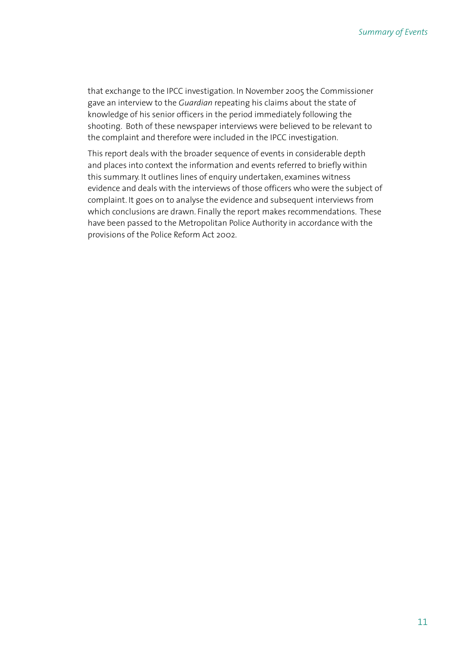that exchange to the IPCC investigation. In November 2005 the Commissioner gave an interview to the *Guardian* repeating his claims about the state of knowledge of his senior officers in the period immediately following the shooting. Both of these newspaper interviews were believed to be relevant to the complaint and therefore were included in the IPCC investigation.

This report deals with the broader sequence of events in considerable depth and places into context the information and events referred to briefly within this summary. It outlines lines of enquiry undertaken, examines witness evidence and deals with the interviews of those officers who were the subject of complaint. It goes on to analyse the evidence and subsequent interviews from which conclusions are drawn. Finally the report makes recommendations. These have been passed to the Metropolitan Police Authority in accordance with the provisions of the Police Reform Act 2002.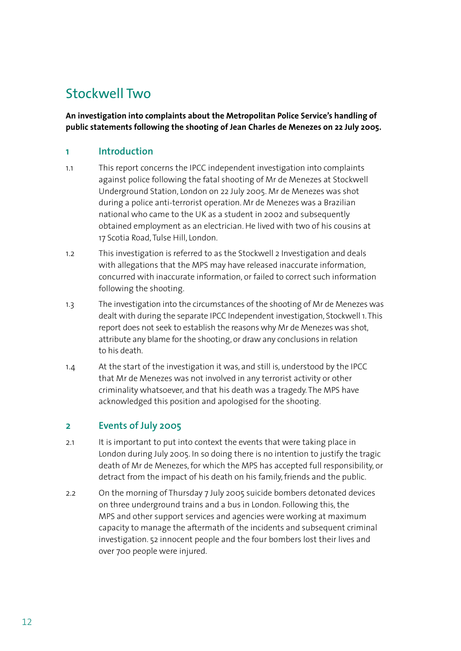# Stockwell Two

**An investigation into complaints about the Metropolitan Police Service's handling of public statements following the shooting of Jean Charles de Menezes on 22 July 2005.**

# **1 Introduction**

- 1.1 This report concerns the IPCC independent investigation into complaints against police following the fatal shooting of Mr de Menezes at Stockwell Underground Station, London on 22 July 2005. Mr de Menezes was shot during a police anti-terrorist operation. Mr de Menezes was a Brazilian national who came to the UK as a student in 2002 and subsequently obtained employment as an electrician. He lived with two of his cousins at 17 Scotia Road, Tulse Hill, London.
- 1.2 This investigation is referred to as the Stockwell 2 Investigation and deals with allegations that the MPS may have released inaccurate information, concurred with inaccurate information, or failed to correct such information following the shooting.
- 1.3 The investigation into the circumstances of the shooting of Mr de Menezes was dealt with during the separate IPCC Independent investigation, Stockwell 1. This report does not seek to establish the reasons why Mr de Menezes was shot, attribute any blame for the shooting, or draw any conclusions in relation to his death.
- 1.4 At the start of the investigation it was, and still is, understood by the IPCC that Mr de Menezes was not involved in any terrorist activity or other criminality whatsoever, and that his death was a tragedy. The MPS have acknowledged this position and apologised for the shooting.

# **2 Events of July 2005**

- 2.1 It is important to put into context the events that were taking place in London during July 2005. In so doing there is no intention to justify the tragic death of Mr de Menezes, for which the MPS has accepted full responsibility, or detract from the impact of his death on his family, friends and the public.
- 2.2 On the morning of Thursday 7 July 2005 suicide bombers detonated devices on three underground trains and a bus in London. Following this, the MPS and other support services and agencies were working at maximum capacity to manage the aftermath of the incidents and subsequent criminal investigation. 52 innocent people and the four bombers lost their lives and over 700 people were injured.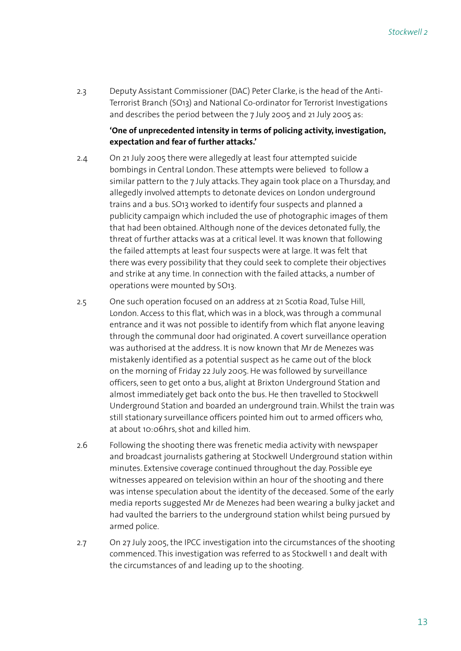2.3 Deputy Assistant Commissioner (DAC) Peter Clarke, is the head of the Anti-Terrorist Branch (SO13) and National Co-ordinator for Terrorist Investigations and describes the period between the 7 July 2005 and 21 July 2005 as:

### **'One of unprecedented intensity in terms of policing activity, investigation, expectation and fear of further attacks.'**

- 2.4 On 21 July 2005 there were allegedly at least four attempted suicide bombings in Central London. These attempts were believed to follow a similar pattern to the 7 July attacks. They again took place on a Thursday, and allegedly involved attempts to detonate devices on London underground trains and a bus. SO13 worked to identify four suspects and planned a publicity campaign which included the use of photographic images of them that had been obtained. Although none of the devices detonated fully, the threat of further attacks was at a critical level. It was known that following the failed attempts at least four suspects were at large. It was felt that there was every possibility that they could seek to complete their objectives and strike at any time. In connection with the failed attacks, a number of operations were mounted by SO13.
- 2.5 One such operation focused on an address at 21 Scotia Road, Tulse Hill, London. Access to this flat, which was in a block, was through a communal entrance and it was not possible to identify from which flat anyone leaving through the communal door had originated. A covert surveillance operation was authorised at the address. It is now known that Mr de Menezes was mistakenly identified as a potential suspect as he came out of the block on the morning of Friday 22 July 2005. He was followed by surveillance officers, seen to get onto a bus, alight at Brixton Underground Station and almost immediately get back onto the bus. He then travelled to Stockwell Underground Station and boarded an underground train. Whilst the train was still stationary surveillance officers pointed him out to armed officers who, at about 10:06hrs, shot and killed him.
- 2.6 Following the shooting there was frenetic media activity with newspaper and broadcast journalists gathering at Stockwell Underground station within minutes. Extensive coverage continued throughout the day. Possible eye witnesses appeared on television within an hour of the shooting and there was intense speculation about the identity of the deceased. Some of the early media reports suggested Mr de Menezes had been wearing a bulky jacket and had vaulted the barriers to the underground station whilst being pursued by armed police.
- 2.7 On 27 July 2005, the IPCC investigation into the circumstances of the shooting commenced. This investigation was referred to as Stockwell 1 and dealt with the circumstances of and leading up to the shooting.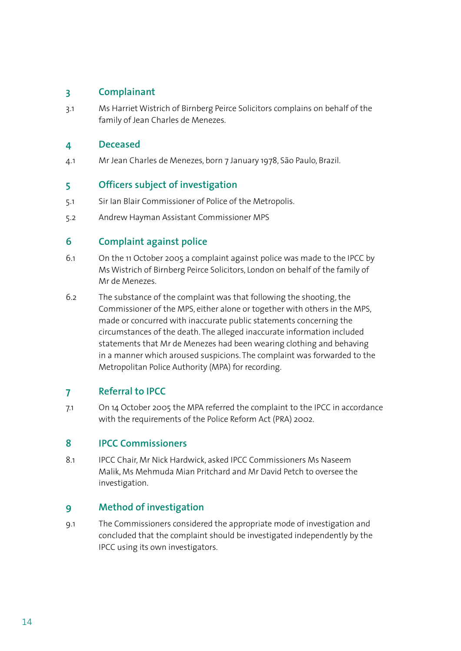# **3 Complainant**

3.1 Ms Harriet Wistrich of Birnberg Peirce Solicitors complains on behalf of the family of Jean Charles de Menezes.

# **4 Deceased**

4.1 Mr Jean Charles de Menezes, born 7 January 1978, São Paulo, Brazil.

# **5 Officers subject of investigation**

- 5.1 Sir Ian Blair Commissioner of Police of the Metropolis.
- 5.2 Andrew Hayman Assistant Commissioner MPS

# **6 Complaint against police**

- 6.1 On the 11 October 2005 a complaint against police was made to the IPCC by Ms Wistrich of Birnberg Peirce Solicitors, London on behalf of the family of Mr de Menezes.
- 6.2 The substance of the complaint was that following the shooting, the Commissioner of the MPS, either alone or together with others in the MPS, made or concurred with inaccurate public statements concerning the circumstances of the death. The alleged inaccurate information included statements that Mr de Menezes had been wearing clothing and behaving in a manner which aroused suspicions. The complaint was forwarded to the Metropolitan Police Authority (MPA) for recording.

# **7 Referral to IPCC**

7.1 On 14 October 2005 the MPA referred the complaint to the IPCC in accordance with the requirements of the Police Reform Act (PRA) 2002.

# **8 IPCC Commissioners**

8.1 IPCC Chair, Mr Nick Hardwick, asked IPCC Commissioners Ms Naseem Malik, Ms Mehmuda Mian Pritchard and Mr David Petch to oversee the investigation.

# **9 Method of investigation**

9.1 The Commissioners considered the appropriate mode of investigation and concluded that the complaint should be investigated independently by the IPCC using its own investigators.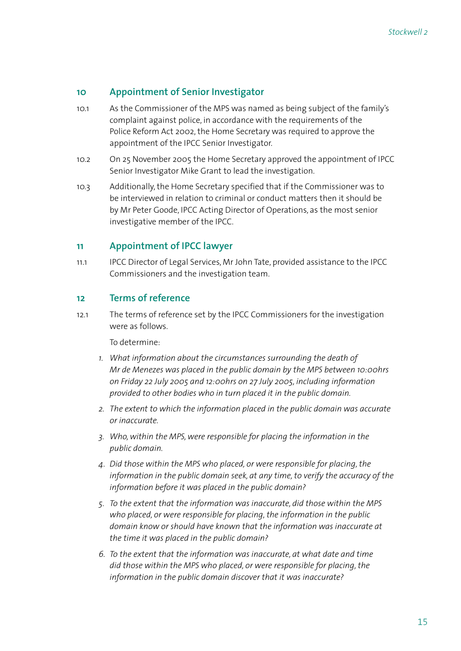# **10 Appointment of Senior Investigator**

- 10.1 As the Commissioner of the MPS was named as being subject of the family's complaint against police, in accordance with the requirements of the Police Reform Act 2002, the Home Secretary was required to approve the appointment of the IPCC Senior Investigator.
- 10.2 On 25 November 2005 the Home Secretary approved the appointment of IPCC Senior Investigator Mike Grant to lead the investigation.
- 10.3 Additionally, the Home Secretary specified that if the Commissioner was to be interviewed in relation to criminal or conduct matters then it should be by Mr Peter Goode, IPCC Acting Director of Operations, as the most senior investigative member of the IPCC.

# **11 Appointment of IPCC lawyer**

11.1 IPCC Director of Legal Services, Mr John Tate, provided assistance to the IPCC Commissioners and the investigation team.

# **12 Terms of reference**

12.1 The terms of reference set by the IPCC Commissioners for the investigation were as follows.

To determine:

- *1. What information about the circumstances surrounding the death of Mr de Menezes was placed in the public domain by the MPS between 10:00hrs on Friday 22 July 2005 and 12:00hrs on 27 July 2005, including information provided to other bodies who in turn placed it in the public domain.*
- *2. The extent to which the information placed in the public domain was accurate or inaccurate.*
- *3. Who, within the MPS, were responsible for placing the information in the public domain.*
- *4. Did those within the MPS who placed, or were responsible for placing, the information in the public domain seek, at any time, to verify the accuracy of the information before it was placed in the public domain?*
- *5. To the extent that the information was inaccurate, did those within the MPS who placed, or were responsible for placing, the information in the public domain know or should have known that the information was inaccurate at the time it was placed in the public domain?*
- *6. To the extent that the information was inaccurate, at what date and time did those within the MPS who placed, or were responsible for placing, the information in the public domain discover that it was inaccurate?*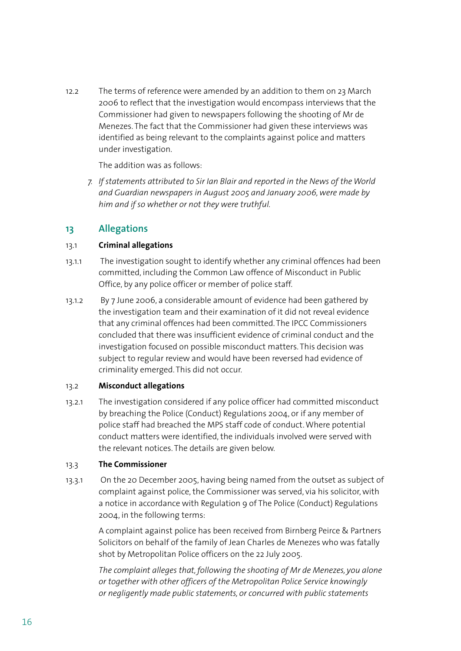12.2 The terms of reference were amended by an addition to them on 23 March 2006 to reflect that the investigation would encompass interviews that the Commissioner had given to newspapers following the shooting of Mr de Menezes. The fact that the Commissioner had given these interviews was identified as being relevant to the complaints against police and matters under investigation.

The addition was as follows:

*7. If statements attributed to Sir Ian Blair and reported in the News of the World and Guardian newspapers in August 2005 and January 2006, were made by him and if so whether or not they were truthful.* 

# **13 Allegations**

# 13.1 **Criminal allegations**

- 13.1.1 The investigation sought to identify whether any criminal offences had been committed, including the Common Law offence of Misconduct in Public Office, by any police officer or member of police staff.
- 13.1.2 By 7 June 2006, a considerable amount of evidence had been gathered by the investigation team and their examination of it did not reveal evidence that any criminal offences had been committed. The IPCC Commissioners concluded that there was insufficient evidence of criminal conduct and the investigation focused on possible misconduct matters. This decision was subject to regular review and would have been reversed had evidence of criminality emerged. This did not occur.

# 13.2 **Misconduct allegations**

13.2.1 The investigation considered if any police officer had committed misconduct by breaching the Police (Conduct) Regulations 2004, or if any member of police staff had breached the MPS staff code of conduct. Where potential conduct matters were identified, the individuals involved were served with the relevant notices. The details are given below.

# 13.3 **The Commissioner**

13.3.1 On the 20 December 2005, having being named from the outset as subject of complaint against police, the Commissioner was served, via his solicitor, with a notice in accordance with Regulation 9 of The Police (Conduct) Regulations 2004, in the following terms:

> A complaint against police has been received from Birnberg Peirce & Partners Solicitors on behalf of the family of Jean Charles de Menezes who was fatally shot by Metropolitan Police officers on the 22 July 2005.

> *The complaint alleges that, following the shooting of Mr de Menezes, you alone or together with other officers of the Metropolitan Police Service knowingly or negligently made public statements, or concurred with public statements*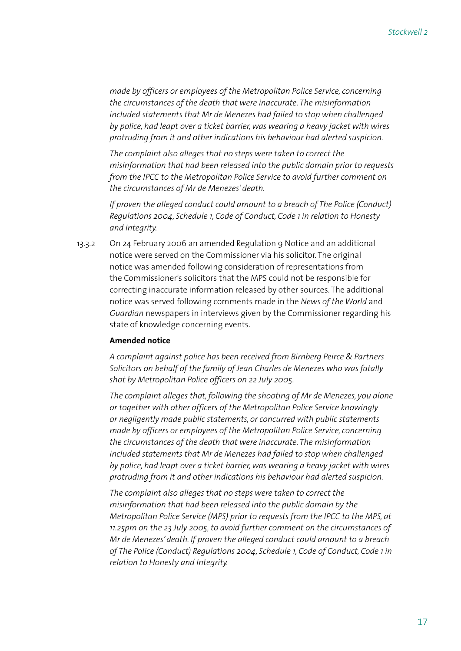*made by officers or employees of the Metropolitan Police Service, concerning the circumstances of the death that were inaccurate. The misinformation included statements that Mr de Menezes had failed to stop when challenged by police, had leapt over a ticket barrier, was wearing a heavy jacket with wires protruding from it and other indications his behaviour had alerted suspicion.*

 *The complaint also alleges that no steps were taken to correct the misinformation that had been released into the public domain prior to requests from the IPCC to the Metropolitan Police Service to avoid further comment on the circumstances of Mr de Menezes' death.*

 *If proven the alleged conduct could amount to a breach of The Police (Conduct) Regulations 2004, Schedule 1, Code of Conduct, Code 1 in relation to Honesty and Integrity.*

13.3.2 On 24 February 2006 an amended Regulation 9 Notice and an additional notice were served on the Commissioner via his solicitor. The original notice was amended following consideration of representations from the Commissioner's solicitors that the MPS could not be responsible for correcting inaccurate information released by other sources. The additional notice was served following comments made in the *News of the World* and *Guardian* newspapers in interviews given by the Commissioner regarding his state of knowledge concerning events.

#### **Amended notice**

*A complaint against police has been received from Birnberg Peirce & Partners Solicitors on behalf of the family of Jean Charles de Menezes who was fatally shot by Metropolitan Police officers on 22 July 2005.*

 *The complaint alleges that, following the shooting of Mr de Menezes, you alone or together with other officers of the Metropolitan Police Service knowingly or negligently made public statements, or concurred with public statements made by officers or employees of the Metropolitan Police Service, concerning the circumstances of the death that were inaccurate. The misinformation included statements that Mr de Menezes had failed to stop when challenged by police, had leapt over a ticket barrier, was wearing a heavy jacket with wires protruding from it and other indications his behaviour had alerted suspicion.*

 *The complaint also alleges that no steps were taken to correct the misinformation that had been released into the public domain by the Metropolitan Police Service (MPS) prior to requests from the IPCC to the MPS, at 11.25pm on the 23 July 2005, to avoid further comment on the circumstances of Mr de Menezes' death. If proven the alleged conduct could amount to a breach of The Police (Conduct) Regulations 2004, Schedule 1, Code of Conduct, Code 1 in relation to Honesty and Integrity.*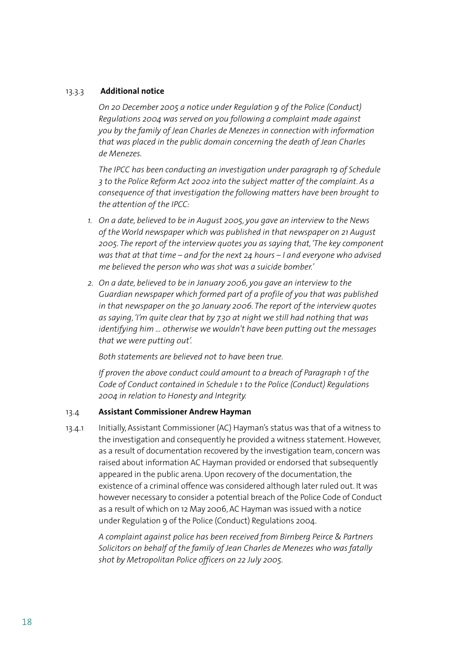#### 13.3.3 **Additional notice**

*On 20 December 2005 a notice under Regulation 9 of the Police (Conduct) Regulations 2004 was served on you following a complaint made against you by the family of Jean Charles de Menezes in connection with information that was placed in the public domain concerning the death of Jean Charles de Menezes.* 

 *The IPCC has been conducting an investigation under paragraph 19 of Schedule 3 to the Police Reform Act 2002 into the subject matter of the complaint. As a consequence of that investigation the following matters have been brought to the attention of the IPCC:*

- *1. On a date, believed to be in August 2005, you gave an interview to the News of the World newspaper which was published in that newspaper on 21 August 2005. The report of the interview quotes you as saying that, 'The key component was that at that time – and for the next 24 hours – I and everyone who advised me believed the person who was shot was a suicide bomber.'*
- *2. On a date, believed to be in January 2006, you gave an interview to the Guardian newspaper which formed part of a profile of you that was published in that newspaper on the 30 January 2006. The report of the interview quotes as saying, 'I'm quite clear that by 7.30 at night we still had nothing that was identifying him … otherwise we wouldn't have been putting out the messages that we were putting out'.*

 *Both statements are believed not to have been true.* 

 *If proven the above conduct could amount to a breach of Paragraph 1 of the Code of Conduct contained in Schedule 1 to the Police (Conduct) Regulations 2004 in relation to Honesty and Integrity.* 

#### 13.4 **Assistant Commissioner Andrew Hayman**

13.4.1 Initially, Assistant Commissioner (AC) Hayman's status was that of a witness to the investigation and consequently he provided a witness statement. However, as a result of documentation recovered by the investigation team, concern was raised about information AC Hayman provided or endorsed that subsequently appeared in the public arena. Upon recovery of the documentation, the existence of a criminal offence was considered although later ruled out. It was however necessary to consider a potential breach of the Police Code of Conduct as a result of which on 12 May 2006, AC Hayman was issued with a notice under Regulation 9 of the Police (Conduct) Regulations 2004.

> *A complaint against police has been received from Birnberg Peirce & Partners Solicitors on behalf of the family of Jean Charles de Menezes who was fatally shot by Metropolitan Police officers on 22 July 2005.*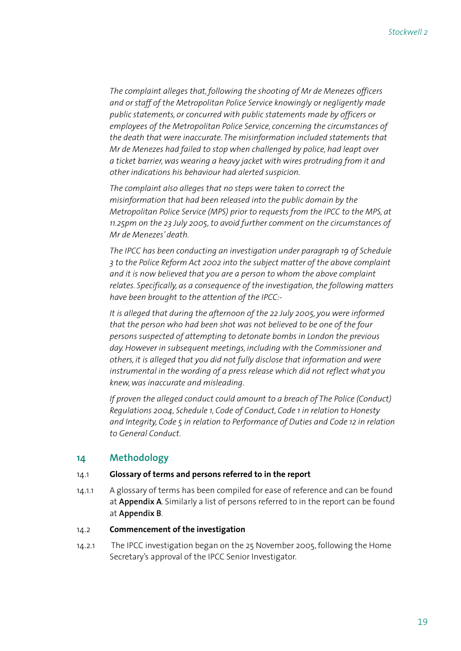*The complaint alleges that, following the shooting of Mr de Menezes officers and or staff of the Metropolitan Police Service knowingly or negligently made public statements, or concurred with public statements made by officers or employees of the Metropolitan Police Service, concerning the circumstances of the death that were inaccurate. The misinformation included statements that Mr de Menezes had failed to stop when challenged by police, had leapt over a ticket barrier, was wearing a heavy jacket with wires protruding from it and other indications his behaviour had alerted suspicion.*

 *The complaint also alleges that no steps were taken to correct the misinformation that had been released into the public domain by the Metropolitan Police Service (MPS) prior to requests from the IPCC to the MPS, at 11.25pm on the 23 July 2005, to avoid further comment on the circumstances of Mr de Menezes' death.*

 *The IPCC has been conducting an investigation under paragraph 19 of Schedule 3 to the Police Reform Act 2002 into the subject matter of the above complaint and it is now believed that you are a person to whom the above complaint relates. Specifically, as a consequence of the investigation, the following matters have been brought to the attention of the IPCC:-*

 *It is alleged that during the afternoon of the 22 July 2005, you were informed that the person who had been shot was not believed to be one of the four persons suspected of attempting to detonate bombs in London the previous day. However in subsequent meetings, including with the Commissioner and others, it is alleged that you did not fully disclose that information and were instrumental in the wording of a press release which did not reflect what you knew, was inaccurate and misleading.* 

 *If proven the alleged conduct could amount to a breach of The Police (Conduct) Regulations 2004, Schedule 1, Code of Conduct, Code 1 in relation to Honesty and Integrity, Code 5 in relation to Performance of Duties and Code 12 in relation to General Conduct.*

# **14 Methodology**

#### 14.1 **Glossary of terms and persons referred to in the report**

14.1.1 A glossary of terms has been compiled for ease of reference and can be found at **Appendix A**. Similarly a list of persons referred to in the report can be found at **Appendix B**.

# 14.2 **Commencement of the investigation**

14.2.1 The IPCC investigation began on the 25 November 2005, following the Home Secretary's approval of the IPCC Senior Investigator.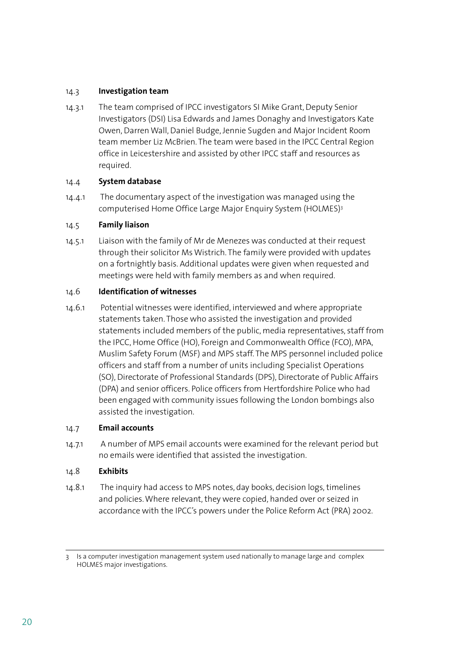### 14.3 **Investigation team**

14.3.1 The team comprised of IPCC investigators SI Mike Grant, Deputy Senior Investigators (DSI) Lisa Edwards and James Donaghy and Investigators Kate Owen, Darren Wall, Daniel Budge, Jennie Sugden and Major Incident Room team member Liz McBrien. The team were based in the IPCC Central Region office in Leicestershire and assisted by other IPCC staff and resources as required.

#### 14.4 **System database**

14.4.1 The documentary aspect of the investigation was managed using the computerised Home Office Large Major Enquiry System (HOLMES)3

#### 14.5 **Family liaison**

14.5.1 Liaison with the family of Mr de Menezes was conducted at their request through their solicitor Ms Wistrich. The family were provided with updates on a fortnightly basis. Additional updates were given when requested and meetings were held with family members as and when required.

#### 14.6 **Identification of witnesses**

14.6.1 Potential witnesses were identified, interviewed and where appropriate statements taken. Those who assisted the investigation and provided statements included members of the public, media representatives, staff from the IPCC, Home Office (HO), Foreign and Commonwealth Office (FCO), MPA, Muslim Safety Forum (MSF) and MPS staff. The MPS personnel included police officers and staff from a number of units including Specialist Operations (SO), Directorate of Professional Standards (DPS), Directorate of Public Affairs (DPA) and senior officers. Police officers from Hertfordshire Police who had been engaged with community issues following the London bombings also assisted the investigation.

#### 14.7 **Email accounts**

14.7.1 A number of MPS email accounts were examined for the relevant period but no emails were identified that assisted the investigation.

#### 14.8 **Exhibits**

14.8.1 The inquiry had access to MPS notes, day books, decision logs, timelines and policies. Where relevant, they were copied, handed over or seized in accordance with the IPCC's powers under the Police Reform Act (PRA) 2002.

<sup>3</sup> Is a computer investigation management system used nationally to manage large and complex HOLMES major investigations.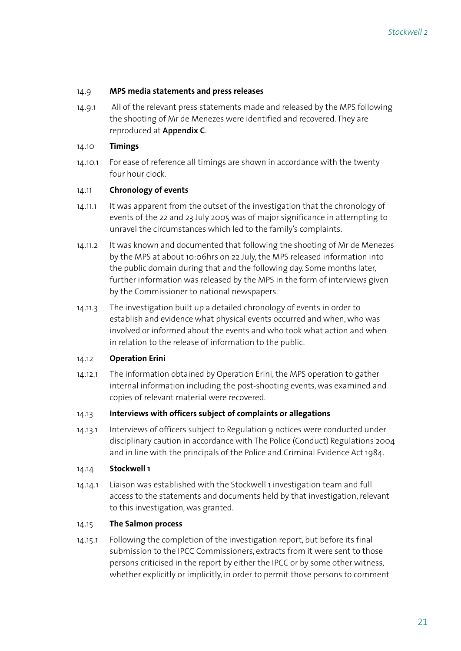#### 14.9 **MPS media statements and press releases**

14.9.1 All of the relevant press statements made and released by the MPS following the shooting of Mr de Menezes were identified and recovered. They are reproduced at **Appendix C**.

#### 14.10 **Timings**

14.10.1 For ease of reference all timings are shown in accordance with the twenty four hour clock.

#### 14.11 **Chronology of events**

- 14.11.1 It was apparent from the outset of the investigation that the chronology of events of the 22 and 23 July 2005 was of major significance in attempting to unravel the circumstances which led to the family's complaints.
- 14.11.2 It was known and documented that following the shooting of Mr de Menezes by the MPS at about 10:06hrs on 22 July, the MPS released information into the public domain during that and the following day. Some months later, further information was released by the MPS in the form of interviews given by the Commissioner to national newspapers.
- 14.11.3 The investigation built up a detailed chronology of events in order to establish and evidence what physical events occurred and when, who was involved or informed about the events and who took what action and when in relation to the release of information to the public.

#### 14.12 **Operation Erini**

14.12.1 The information obtained by Operation Erini, the MPS operation to gather internal information including the post-shooting events, was examined and copies of relevant material were recovered.

#### 14.13 **Interviews with officers subject of complaints or allegations**

14.13.1 Interviews of officers subject to Regulation 9 notices were conducted under disciplinary caution in accordance with The Police (Conduct) Regulations 2004 and in line with the principals of the Police and Criminal Evidence Act 1984.

#### 14.14 **Stockwell 1**

14.14.1 Liaison was established with the Stockwell 1 investigation team and full access to the statements and documents held by that investigation, relevant to this investigation, was granted.

# 14.15 **The Salmon process**

14.15.1 Following the completion of the investigation report, but before its final submission to the IPCC Commissioners, extracts from it were sent to those persons criticised in the report by either the IPCC or by some other witness, whether explicitly or implicitly, in order to permit those persons to comment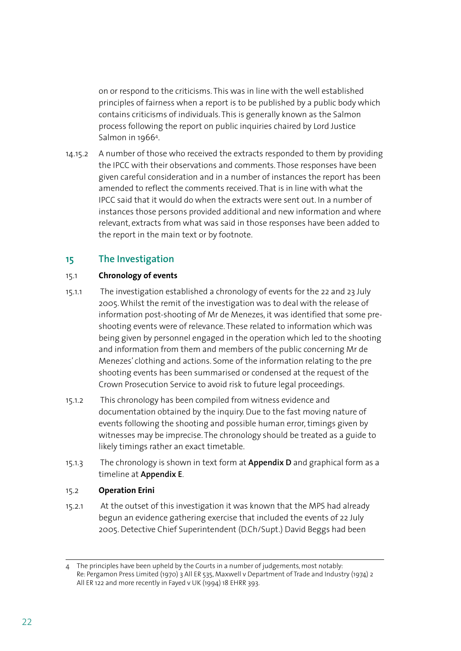on or respond to the criticisms. This was in line with the well established principles of fairness when a report is to be published by a public body which contains criticisms of individuals. This is generally known as the Salmon process following the report on public inquiries chaired by Lord Justice Salmon in 19664.

14.15.2 A number of those who received the extracts responded to them by providing the IPCC with their observations and comments. Those responses have been given careful consideration and in a number of instances the report has been amended to reflect the comments received. That is in line with what the IPCC said that it would do when the extracts were sent out. In a number of instances those persons provided additional and new information and where relevant, extracts from what was said in those responses have been added to the report in the main text or by footnote.

# **15 The Investigation**

# 15.1 **Chronology of events**

- 15.1.1 The investigation established a chronology of events for the 22 and 23 July 2005. Whilst the remit of the investigation was to deal with the release of information post-shooting of Mr de Menezes, it was identified that some preshooting events were of relevance. These related to information which was being given by personnel engaged in the operation which led to the shooting and information from them and members of the public concerning Mr de Menezes' clothing and actions. Some of the information relating to the pre shooting events has been summarised or condensed at the request of the Crown Prosecution Service to avoid risk to future legal proceedings.
- 15.1.2 This chronology has been compiled from witness evidence and documentation obtained by the inquiry. Due to the fast moving nature of events following the shooting and possible human error, timings given by witnesses may be imprecise. The chronology should be treated as a guide to likely timings rather an exact timetable.
- 15.1.3 The chronology is shown in text form at **Appendix D** and graphical form as a timeline at **Appendix E**.

#### 15.2 **Operation Erini**

15.2.1 At the outset of this investigation it was known that the MPS had already begun an evidence gathering exercise that included the events of 22 July 2005. Detective Chief Superintendent (D.Ch/Supt.) David Beggs had been

<sup>4</sup> The principles have been upheld by the Courts in a number of judgements, most notably: Re: Pergamon Press Limited (1970) 3 All ER 535, Maxwell v Department of Trade and Industry (1974) 2 All ER 122 and more recently in Fayed v UK (1994) 18 EHRR 393.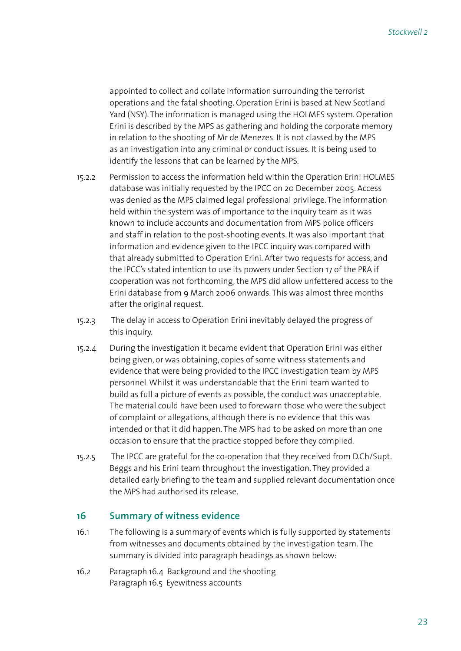appointed to collect and collate information surrounding the terrorist operations and the fatal shooting. Operation Erini is based at New Scotland Yard (NSY). The information is managed using the HOLMES system. Operation Erini is described by the MPS as gathering and holding the corporate memory in relation to the shooting of Mr de Menezes. It is not classed by the MPS as an investigation into any criminal or conduct issues. It is being used to identify the lessons that can be learned by the MPS.

- 15.2.2 Permission to access the information held within the Operation Erini HOLMES database was initially requested by the IPCC on 20 December 2005. Access was denied as the MPS claimed legal professional privilege. The information held within the system was of importance to the inquiry team as it was known to include accounts and documentation from MPS police officers and staff in relation to the post-shooting events. It was also important that information and evidence given to the IPCC inquiry was compared with that already submitted to Operation Erini. After two requests for access, and the IPCC's stated intention to use its powers under Section 17 of the PRA if cooperation was not forthcoming, the MPS did allow unfettered access to the Erini database from 9 March 2006 onwards. This was almost three months after the original request.
- 15.2.3 The delay in access to Operation Erini inevitably delayed the progress of this inquiry.
- 15.2.4 During the investigation it became evident that Operation Erini was either being given, or was obtaining, copies of some witness statements and evidence that were being provided to the IPCC investigation team by MPS personnel. Whilst it was understandable that the Erini team wanted to build as full a picture of events as possible, the conduct was unacceptable. The material could have been used to forewarn those who were the subject of complaint or allegations, although there is no evidence that this was intended or that it did happen. The MPS had to be asked on more than one occasion to ensure that the practice stopped before they complied.
- 15.2.5 The IPCC are grateful for the co-operation that they received from D.Ch/Supt. Beggs and his Erini team throughout the investigation. They provided a detailed early briefing to the team and supplied relevant documentation once the MPS had authorised its release.

# **16 Summary of witness evidence**

- 16.1 The following is a summary of events which is fully supported by statements from witnesses and documents obtained by the investigation team. The summary is divided into paragraph headings as shown below:
- 16.2 Paragraph 16.4 Background and the shooting Paragraph 16.5 Eyewitness accounts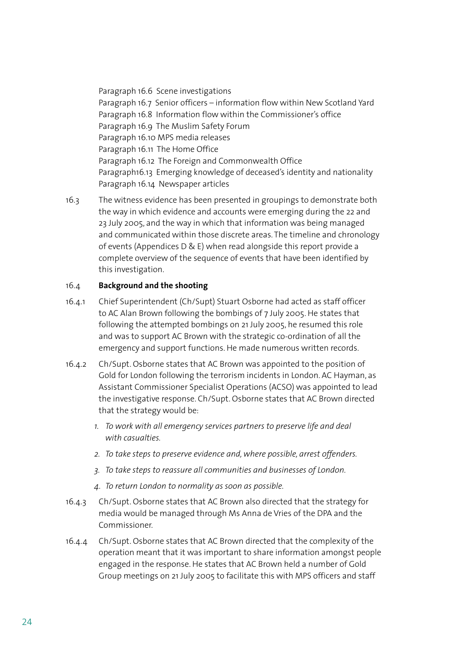Paragraph 16.6 Scene investigations Paragraph 16.7 Senior officers – information flow within New Scotland Yard Paragraph 16.8 Information flow within the Commissioner's office Paragraph 16.9 The Muslim Safety Forum Paragraph 16.10 MPS media releases Paragraph 16.11 The Home Office Paragraph 16.12 The Foreign and Commonwealth Office Paragraph16.13 Emerging knowledge of deceased's identity and nationality Paragraph 16.14 Newspaper articles

16.3 The witness evidence has been presented in groupings to demonstrate both the way in which evidence and accounts were emerging during the 22 and 23 July 2005, and the way in which that information was being managed and communicated within those discrete areas. The timeline and chronology of events (Appendices D & E) when read alongside this report provide a complete overview of the sequence of events that have been identified by this investigation.

#### 16.4 **Background and the shooting**

- 16.4.1 Chief Superintendent (Ch/Supt) Stuart Osborne had acted as staff officer to AC Alan Brown following the bombings of 7 July 2005. He states that following the attempted bombings on 21 July 2005, he resumed this role and was to support AC Brown with the strategic co-ordination of all the emergency and support functions. He made numerous written records.
- 16.4.2 Ch/Supt. Osborne states that AC Brown was appointed to the position of Gold for London following the terrorism incidents in London. AC Hayman, as Assistant Commissioner Specialist Operations (ACSO) was appointed to lead the investigative response. Ch/Supt. Osborne states that AC Brown directed that the strategy would be:
	- *1. To work with all emergency services partners to preserve life and deal with casualties.*
	- *2. To take steps to preserve evidence and, where possible, arrest offenders.*
	- *3. To take steps to reassure all communities and businesses of London.*
	- *4. To return London to normality as soon as possible.*
- 16.4.3 Ch/Supt. Osborne states that AC Brown also directed that the strategy for media would be managed through Ms Anna de Vries of the DPA and the Commissioner.
- 16.4.4 Ch/Supt. Osborne states that AC Brown directed that the complexity of the operation meant that it was important to share information amongst people engaged in the response. He states that AC Brown held a number of Gold Group meetings on 21 July 2005 to facilitate this with MPS officers and staff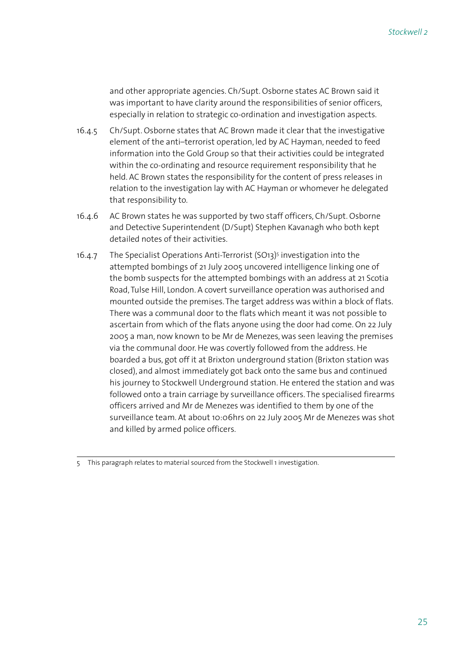and other appropriate agencies. Ch/Supt. Osborne states AC Brown said it was important to have clarity around the responsibilities of senior officers, especially in relation to strategic co-ordination and investigation aspects.

- 16.4.5 Ch/Supt. Osborne states that AC Brown made it clear that the investigative element of the anti–terrorist operation, led by AC Hayman, needed to feed information into the Gold Group so that their activities could be integrated within the co-ordinating and resource requirement responsibility that he held. AC Brown states the responsibility for the content of press releases in relation to the investigation lay with AC Hayman or whomever he delegated that responsibility to.
- 16.4.6 AC Brown states he was supported by two staff officers, Ch/Supt. Osborne and Detective Superintendent (D/Supt) Stephen Kavanagh who both kept detailed notes of their activities.
- 16.4.7 The Specialist Operations Anti-Terrorist (SO13)5 investigation into the attempted bombings of 21 July 2005 uncovered intelligence linking one of the bomb suspects for the attempted bombings with an address at 21 Scotia Road, Tulse Hill, London. A covert surveillance operation was authorised and mounted outside the premises. The target address was within a block of flats. There was a communal door to the flats which meant it was not possible to ascertain from which of the flats anyone using the door had come. On 22 July 2005 a man, now known to be Mr de Menezes, was seen leaving the premises via the communal door. He was covertly followed from the address. He boarded a bus, got off it at Brixton underground station (Brixton station was closed), and almost immediately got back onto the same bus and continued his journey to Stockwell Underground station. He entered the station and was followed onto a train carriage by surveillance officers. The specialised firearms officers arrived and Mr de Menezes was identified to them by one of the surveillance team. At about 10:06hrs on 22 July 2005 Mr de Menezes was shot and killed by armed police officers.

<sup>5</sup> This paragraph relates to material sourced from the Stockwell 1 investigation.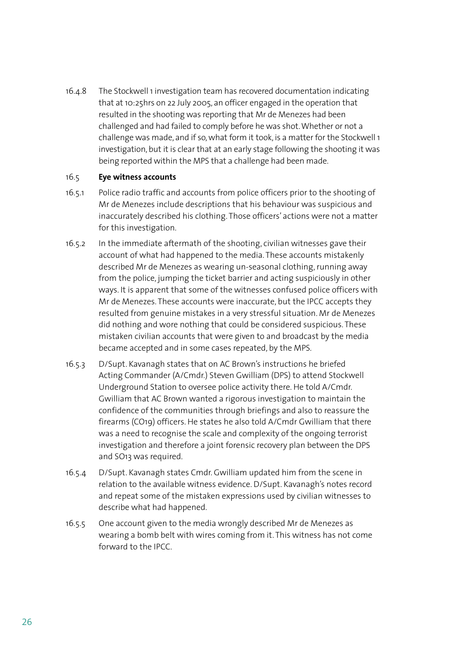16.4.8 The Stockwell 1 investigation team has recovered documentation indicating that at 10:25hrs on 22 July 2005, an officer engaged in the operation that resulted in the shooting was reporting that Mr de Menezes had been challenged and had failed to comply before he was shot. Whether or not a challenge was made, and if so, what form it took, is a matter for the Stockwell 1 investigation, but it is clear that at an early stage following the shooting it was being reported within the MPS that a challenge had been made.

#### 16.5 **Eye witness accounts**

- 16.5.1 Police radio traffic and accounts from police officers prior to the shooting of Mr de Menezes include descriptions that his behaviour was suspicious and inaccurately described his clothing. Those officers' actions were not a matter for this investigation.
- 16.5.2 In the immediate aftermath of the shooting, civilian witnesses gave their account of what had happened to the media. These accounts mistakenly described Mr de Menezes as wearing un-seasonal clothing, running away from the police, jumping the ticket barrier and acting suspiciously in other ways. It is apparent that some of the witnesses confused police officers with Mr de Menezes. These accounts were inaccurate, but the IPCC accepts they resulted from genuine mistakes in a very stressful situation. Mr de Menezes did nothing and wore nothing that could be considered suspicious. These mistaken civilian accounts that were given to and broadcast by the media became accepted and in some cases repeated, by the MPS.
- 16.5.3 D/Supt. Kavanagh states that on AC Brown's instructions he briefed Acting Commander (A/Cmdr.) Steven Gwilliam (DPS) to attend Stockwell Underground Station to oversee police activity there. He told A/Cmdr. Gwilliam that AC Brown wanted a rigorous investigation to maintain the confidence of the communities through briefings and also to reassure the firearms (CO19) officers. He states he also told A/Cmdr Gwilliam that there was a need to recognise the scale and complexity of the ongoing terrorist investigation and therefore a joint forensic recovery plan between the DPS and SO13 was required.
- 16.5.4 D/Supt. Kavanagh states Cmdr. Gwilliam updated him from the scene in relation to the available witness evidence. D/Supt. Kavanagh's notes record and repeat some of the mistaken expressions used by civilian witnesses to describe what had happened.
- 16.5.5 One account given to the media wrongly described Mr de Menezes as wearing a bomb belt with wires coming from it. This witness has not come forward to the IPCC.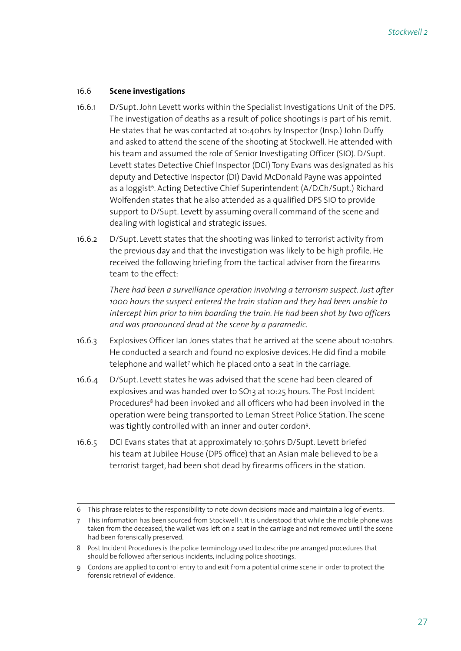#### 16.6 **Scene investigations**

- 16.6.1 D/Supt. John Levett works within the Specialist Investigations Unit of the DPS. The investigation of deaths as a result of police shootings is part of his remit. He states that he was contacted at 10:40hrs by Inspector (Insp.) John Duffy and asked to attend the scene of the shooting at Stockwell. He attended with his team and assumed the role of Senior Investigating Officer (SIO). D/Supt. Levett states Detective Chief Inspector (DCI) Tony Evans was designated as his deputy and Detective Inspector (DI) David McDonald Payne was appointed as a loggist<sup>6</sup>. Acting Detective Chief Superintendent (A/D.Ch/Supt.) Richard Wolfenden states that he also attended as a qualified DPS SIO to provide support to D/Supt. Levett by assuming overall command of the scene and dealing with logistical and strategic issues.
- 16.6.2 D/Supt. Levett states that the shooting was linked to terrorist activity from the previous day and that the investigation was likely to be high profile. He received the following briefing from the tactical adviser from the firearms team to the effect:

*There had been a surveillance operation involving a terrorism suspect. Just after 1000 hours the suspect entered the train station and they had been unable to intercept him prior to him boarding the train. He had been shot by two officers and was pronounced dead at the scene by a paramedic.* 

- 16.6.3 Explosives Officer Ian Jones states that he arrived at the scene about 10:10hrs. He conducted a search and found no explosive devices. He did find a mobile telephone and wallet7 which he placed onto a seat in the carriage.
- 16.6.4 D/Supt. Levett states he was advised that the scene had been cleared of explosives and was handed over to SO13 at 10:25 hours. The Post Incident Procedures<sup>8</sup> had been invoked and all officers who had been involved in the operation were being transported to Leman Street Police Station. The scene was tightly controlled with an inner and outer cordon9.
- 16.6.5 DCI Evans states that at approximately 10:50hrs D/Supt. Levett briefed his team at Jubilee House (DPS office) that an Asian male believed to be a terrorist target, had been shot dead by firearms officers in the station.

<sup>6</sup> This phrase relates to the responsibility to note down decisions made and maintain a log of events.

<sup>7</sup> This information has been sourced from Stockwell 1. It is understood that while the mobile phone was taken from the deceased, the wallet was left on a seat in the carriage and not removed until the scene had been forensically preserved.

<sup>8</sup> Post Incident Procedures is the police terminology used to describe pre arranged procedures that should be followed after serious incidents, including police shootings.

<sup>9</sup> Cordons are applied to control entry to and exit from a potential crime scene in order to protect the forensic retrieval of evidence.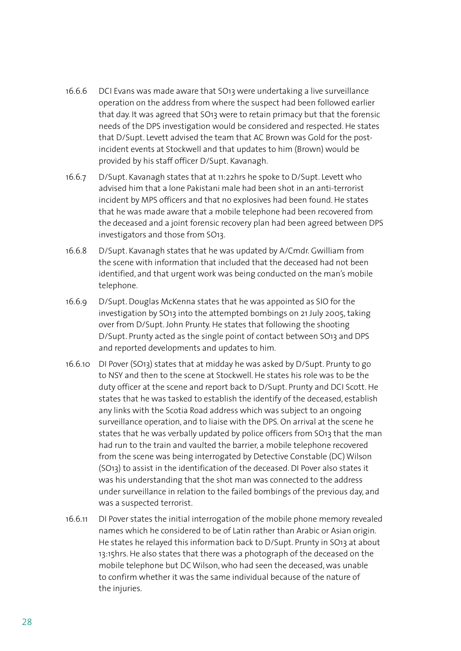- 16.6.6 DCI Evans was made aware that SO13 were undertaking a live surveillance operation on the address from where the suspect had been followed earlier that day. It was agreed that SO13 were to retain primacy but that the forensic needs of the DPS investigation would be considered and respected. He states that D/Supt. Levett advised the team that AC Brown was Gold for the postincident events at Stockwell and that updates to him (Brown) would be provided by his staff officer D/Supt. Kavanagh.
- 16.6.7 D/Supt. Kavanagh states that at 11:22hrs he spoke to D/Supt. Levett who advised him that a lone Pakistani male had been shot in an anti-terrorist incident by MPS officers and that no explosives had been found. He states that he was made aware that a mobile telephone had been recovered from the deceased and a joint forensic recovery plan had been agreed between DPS investigators and those from SO13.
- 16.6.8 D/Supt. Kavanagh states that he was updated by A/Cmdr. Gwilliam from the scene with information that included that the deceased had not been identified, and that urgent work was being conducted on the man's mobile telephone.
- 16.6.9 D/Supt. Douglas McKenna states that he was appointed as SIO for the investigation by SO13 into the attempted bombings on 21 July 2005, taking over from D/Supt. John Prunty. He states that following the shooting D/Supt. Prunty acted as the single point of contact between SO13 and DPS and reported developments and updates to him.
- 16.6.10 DI Pover (SO13) states that at midday he was asked by D/Supt. Prunty to go to NSY and then to the scene at Stockwell. He states his role was to be the duty officer at the scene and report back to D/Supt. Prunty and DCI Scott. He states that he was tasked to establish the identify of the deceased, establish any links with the Scotia Road address which was subject to an ongoing surveillance operation, and to liaise with the DPS. On arrival at the scene he states that he was verbally updated by police officers from SO13 that the man had run to the train and vaulted the barrier, a mobile telephone recovered from the scene was being interrogated by Detective Constable (DC) Wilson (SO13) to assist in the identification of the deceased. DI Pover also states it was his understanding that the shot man was connected to the address under surveillance in relation to the failed bombings of the previous day, and was a suspected terrorist.
- 16.6.11 DI Pover states the initial interrogation of the mobile phone memory revealed names which he considered to be of Latin rather than Arabic or Asian origin. He states he relayed this information back to D/Supt. Prunty in SO13 at about 13:15hrs. He also states that there was a photograph of the deceased on the mobile telephone but DC Wilson, who had seen the deceased, was unable to confirm whether it was the same individual because of the nature of the injuries.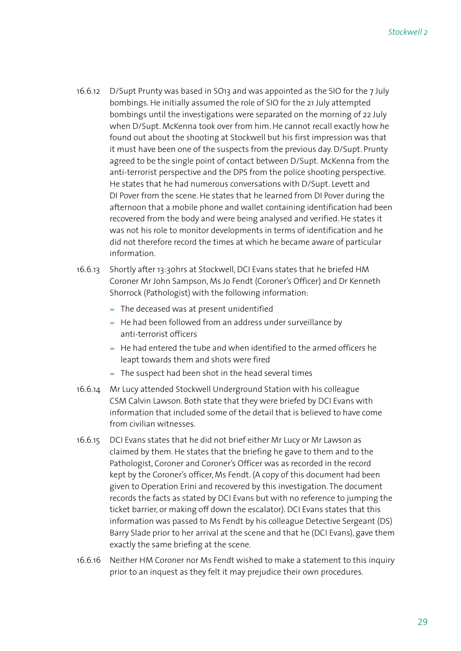- 16.6.12 D/Supt Prunty was based in SO13 and was appointed as the SIO for the 7 July bombings. He initially assumed the role of SIO for the 21 July attempted bombings until the investigations were separated on the morning of 22 July when D/Supt. McKenna took over from him. He cannot recall exactly how he found out about the shooting at Stockwell but his first impression was that it must have been one of the suspects from the previous day. D/Supt. Prunty agreed to be the single point of contact between D/Supt. McKenna from the anti-terrorist perspective and the DPS from the police shooting perspective. He states that he had numerous conversations with D/Supt. Levett and DI Pover from the scene. He states that he learned from DI Pover during the afternoon that a mobile phone and wallet containing identification had been recovered from the body and were being analysed and verified. He states it was not his role to monitor developments in terms of identification and he did not therefore record the times at which he became aware of particular information.
- 16.6.13 Shortly after 13:30hrs at Stockwell, DCI Evans states that he briefed HM Coroner Mr John Sampson, Ms Jo Fendt (Coroner's Officer) and Dr Kenneth Shorrock (Pathologist) with the following information:
	- = The deceased was at present unidentified
	- $=$  He had been followed from an address under surveillance by anti-terrorist officers
	- $=$  He had entered the tube and when identified to the armed officers he leapt towards them and shots were fired
	- = The suspect had been shot in the head several times
- 16.6.14 Mr Lucy attended Stockwell Underground Station with his colleague CSM Calvin Lawson. Both state that they were briefed by DCI Evans with information that included some of the detail that is believed to have come from civilian witnesses.
- 16.6.15 DCI Evans states that he did not brief either Mr Lucy or Mr Lawson as claimed by them. He states that the briefing he gave to them and to the Pathologist, Coroner and Coroner's Officer was as recorded in the record kept by the Coroner's officer, Ms Fendt. (A copy of this document had been given to Operation Erini and recovered by this investigation. The document records the facts as stated by DCI Evans but with no reference to jumping the ticket barrier, or making off down the escalator). DCI Evans states that this information was passed to Ms Fendt by his colleague Detective Sergeant (DS) Barry Slade prior to her arrival at the scene and that he (DCI Evans), gave them exactly the same briefing at the scene.
- 16.6.16 Neither HM Coroner nor Ms Fendt wished to make a statement to this inquiry prior to an inquest as they felt it may prejudice their own procedures.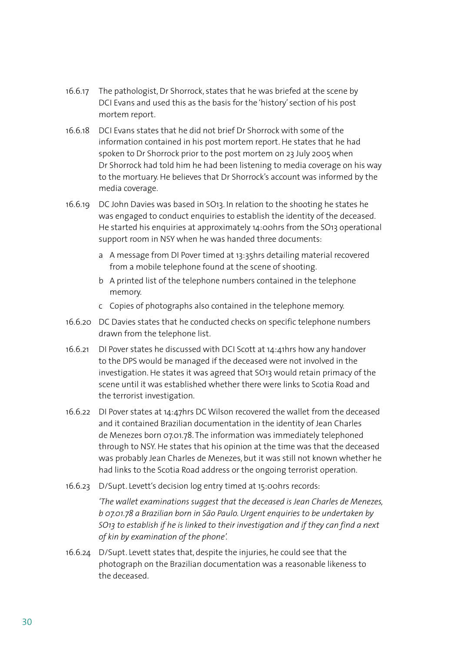- 16.6.17 The pathologist, Dr Shorrock, states that he was briefed at the scene by DCI Evans and used this as the basis for the 'history' section of his post mortem report.
- 16.6.18 DCI Evans states that he did not brief Dr Shorrock with some of the information contained in his post mortem report. He states that he had spoken to Dr Shorrock prior to the post mortem on 23 July 2005 when Dr Shorrock had told him he had been listening to media coverage on his way to the mortuary. He believes that Dr Shorrock's account was informed by the media coverage.
- 16.6.19 DC John Davies was based in SO13. In relation to the shooting he states he was engaged to conduct enquiries to establish the identity of the deceased. He started his enquiries at approximately 14:00hrs from the SO13 operational support room in NSY when he was handed three documents:
	- a A message from DI Pover timed at 13:35hrs detailing material recovered from a mobile telephone found at the scene of shooting.
	- b A printed list of the telephone numbers contained in the telephone memory.
	- c Copies of photographs also contained in the telephone memory.
- 16.6.20 DC Davies states that he conducted checks on specific telephone numbers drawn from the telephone list.
- 16.6.21 DI Pover states he discussed with DCI Scott at 14:41hrs how any handover to the DPS would be managed if the deceased were not involved in the investigation. He states it was agreed that SO13 would retain primacy of the scene until it was established whether there were links to Scotia Road and the terrorist investigation.
- 16.6.22 DI Pover states at 14:47hrs DC Wilson recovered the wallet from the deceased and it contained Brazilian documentation in the identity of Jean Charles de Menezes born 07.01.78. The information was immediately telephoned through to NSY. He states that his opinion at the time was that the deceased was probably Jean Charles de Menezes, but it was still not known whether he had links to the Scotia Road address or the ongoing terrorist operation.
- 16.6.23 D/Supt. Levett's decision log entry timed at 15:00hrs records:

*'The wallet examinations suggest that the deceased is Jean Charles de Menezes, b 07.01.78 a Brazilian born in São Paulo. Urgent enquiries to be undertaken by SO13 to establish if he is linked to their investigation and if they can find a next of kin by examination of the phone'.*

16.6.24 D/Supt. Levett states that, despite the injuries, he could see that the photograph on the Brazilian documentation was a reasonable likeness to the deceased.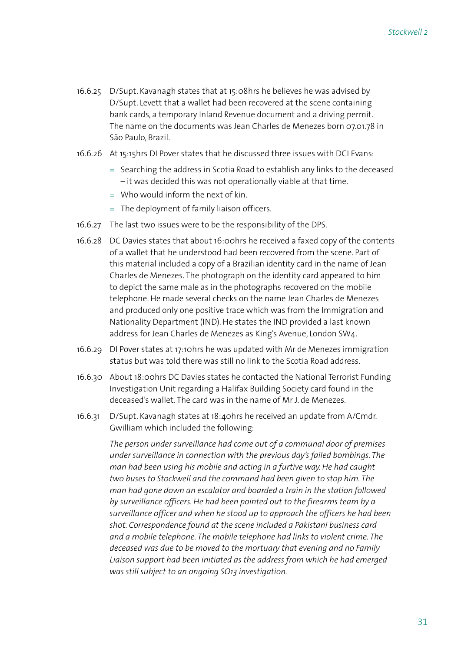- 16.6.25 D/Supt. Kavanagh states that at 15:08hrs he believes he was advised by D/Supt. Levett that a wallet had been recovered at the scene containing bank cards, a temporary Inland Revenue document and a driving permit. The name on the documents was Jean Charles de Menezes born 07.01.78 in São Paulo, Brazil.
- 16.6.26 At 15:15hrs DI Pover states that he discussed three issues with DCI Evans:
	- = Searching the address in Scotia Road to establish any links to the deceased – it was decided this was not operationally viable at that time.
	- $=$  Who would inform the next of kin.
	- The deployment of family liaison officers. =
- 16.6.27 The last two issues were to be the responsibility of the DPS.
- 16.6.28 DC Davies states that about 16:00hrs he received a faxed copy of the contents of a wallet that he understood had been recovered from the scene. Part of this material included a copy of a Brazilian identity card in the name of Jean Charles de Menezes. The photograph on the identity card appeared to him to depict the same male as in the photographs recovered on the mobile telephone. He made several checks on the name Jean Charles de Menezes and produced only one positive trace which was from the Immigration and Nationality Department (IND). He states the IND provided a last known address for Jean Charles de Menezes as King's Avenue, London SW4.
- 16.6.29 DI Pover states at 17:10hrs he was updated with Mr de Menezes immigration status but was told there was still no link to the Scotia Road address.
- 16.6.30 About 18:00hrs DC Davies states he contacted the National Terrorist Funding Investigation Unit regarding a Halifax Building Society card found in the deceased's wallet. The card was in the name of Mr J. de Menezes.
- 16.6.31 D/Supt. Kavanagh states at 18:40hrs he received an update from A/Cmdr. Gwilliam which included the following:

*The person under surveillance had come out of a communal door of premises under surveillance in connection with the previous day's failed bombings. The man had been using his mobile and acting in a furtive way. He had caught two buses to Stockwell and the command had been given to stop him. The man had gone down an escalator and boarded a train in the station followed by surveillance officers. He had been pointed out to the firearms team by a surveillance officer and when he stood up to approach the officers he had been shot. Correspondence found at the scene included a Pakistani business card and a mobile telephone. The mobile telephone had links to violent crime. The deceased was due to be moved to the mortuary that evening and no Family Liaison support had been initiated as the address from which he had emerged was still subject to an ongoing SO13 investigation.*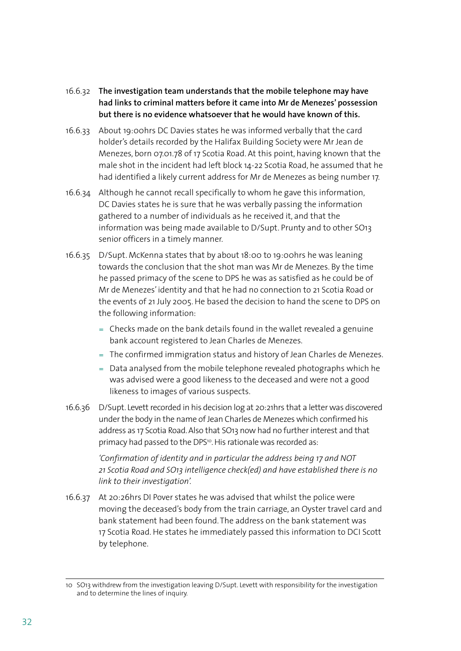- 16.6.32 **The investigation team understands that the mobile telephone may have had links to criminal matters before it came into Mr de Menezes' possession but there is no evidence whatsoever that he would have known of this.**
- 16.6.33 About 19:00hrs DC Davies states he was informed verbally that the card holder's details recorded by the Halifax Building Society were Mr Jean de Menezes, born 07.01.78 of 17 Scotia Road. At this point, having known that the male shot in the incident had left block 14-22 Scotia Road, he assumed that he had identified a likely current address for Mr de Menezes as being number 17.
- 16.6.34 Although he cannot recall specifically to whom he gave this information, DC Davies states he is sure that he was verbally passing the information gathered to a number of individuals as he received it, and that the information was being made available to D/Supt. Prunty and to other SO13 senior officers in a timely manner.
- 16.6.35 D/Supt. McKenna states that by about 18:00 to 19:00hrs he was leaning towards the conclusion that the shot man was Mr de Menezes. By the time he passed primacy of the scene to DPS he was as satisfied as he could be of Mr de Menezes' identity and that he had no connection to 21 Scotia Road or the events of 21 July 2005. He based the decision to hand the scene to DPS on the following information:
	- Checks made on the bank details found in the wallet revealed a genuine = bank account registered to Jean Charles de Menezes.
	- The confirmed immigration status and history of Jean Charles de Menezes. =
	- $=$  Data analysed from the mobile telephone revealed photographs which he was advised were a good likeness to the deceased and were not a good likeness to images of various suspects.
- 16.6.36 D/Supt. Levett recorded in his decision log at 20:21hrs that a letter was discovered under the body in the name of Jean Charles de Menezes which confirmed his address as 17 Scotia Road. Also that SO13 now had no further interest and that primacy had passed to the DPS<sup>10</sup>. His rationale was recorded as:

 *'Confirmation of identity and in particular the address being 17 and NOT 21 Scotia Road and SO13 intelligence check(ed) and have established there is no link to their investigation'.*

16.6.37 At 20:26hrs DI Pover states he was advised that whilst the police were moving the deceased's body from the train carriage, an Oyster travel card and bank statement had been found. The address on the bank statement was 17 Scotia Road. He states he immediately passed this information to DCI Scott by telephone.

<sup>10</sup> SO13 withdrew from the investigation leaving D/Supt. Levett with responsibility for the investigation and to determine the lines of inquiry.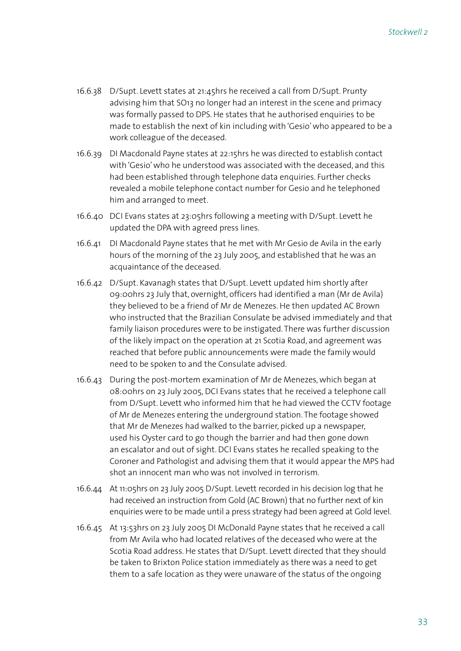- 16.6.38 D/Supt. Levett states at 21:45hrs he received a call from D/Supt. Prunty advising him that SO13 no longer had an interest in the scene and primacy was formally passed to DPS. He states that he authorised enquiries to be made to establish the next of kin including with 'Gesio' who appeared to be a work colleague of the deceased.
- 16.6.39 DI Macdonald Payne states at 22:15hrs he was directed to establish contact with 'Gesio' who he understood was associated with the deceased, and this had been established through telephone data enquiries. Further checks revealed a mobile telephone contact number for Gesio and he telephoned him and arranged to meet.
- 16.6.40 DCI Evans states at 23:05hrs following a meeting with D/Supt. Levett he updated the DPA with agreed press lines.
- 16.6.41 DI Macdonald Payne states that he met with Mr Gesio de Avila in the early hours of the morning of the 23 July 2005, and established that he was an acquaintance of the deceased.
- 16.6.42 D/Supt. Kavanagh states that D/Supt. Levett updated him shortly after 09:00hrs 23 July that, overnight, officers had identified a man (Mr de Avila) they believed to be a friend of Mr de Menezes. He then updated AC Brown who instructed that the Brazilian Consulate be advised immediately and that family liaison procedures were to be instigated. There was further discussion of the likely impact on the operation at 21 Scotia Road, and agreement was reached that before public announcements were made the family would need to be spoken to and the Consulate advised.
- 16.6.43 During the post-mortem examination of Mr de Menezes, which began at 08:00hrs on 23 July 2005, DCI Evans states that he received a telephone call from D/Supt. Levett who informed him that he had viewed the CCTV footage of Mr de Menezes entering the underground station. The footage showed that Mr de Menezes had walked to the barrier, picked up a newspaper, used his Oyster card to go though the barrier and had then gone down an escalator and out of sight. DCI Evans states he recalled speaking to the Coroner and Pathologist and advising them that it would appear the MPS had shot an innocent man who was not involved in terrorism.
- 16.6.44 At 11:05hrs on 23 July 2005 D/Supt. Levett recorded in his decision log that he had received an instruction from Gold (AC Brown) that no further next of kin enquiries were to be made until a press strategy had been agreed at Gold level.
- 16.6.45 At 13:53hrs on 23 July 2005 DI McDonald Payne states that he received a call from Mr Avila who had located relatives of the deceased who were at the Scotia Road address. He states that D/Supt. Levett directed that they should be taken to Brixton Police station immediately as there was a need to get them to a safe location as they were unaware of the status of the ongoing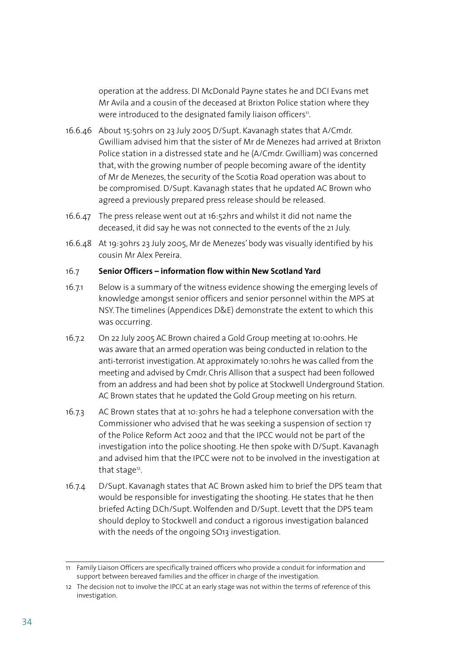operation at the address. DI McDonald Payne states he and DCI Evans met Mr Avila and a cousin of the deceased at Brixton Police station where they were introduced to the designated family liaison officers<sup>11</sup>.

- 16.6.46 About 15:50hrs on 23 July 2005 D/Supt. Kavanagh states that A/Cmdr. Gwilliam advised him that the sister of Mr de Menezes had arrived at Brixton Police station in a distressed state and he (A/Cmdr. Gwilliam) was concerned that, with the growing number of people becoming aware of the identity of Mr de Menezes, the security of the Scotia Road operation was about to be compromised. D/Supt. Kavanagh states that he updated AC Brown who agreed a previously prepared press release should be released.
- 16.6.47 The press release went out at  $16:52$ hrs and whilst it did not name the deceased, it did say he was not connected to the events of the 21 July.
- 16.6.48 At 19:30hrs 23 July 2005, Mr de Menezes' body was visually identified by his cousin Mr Alex Pereira.

#### 16.7 **Senior Officers – information flow within New Scotland Yard**

- 16.7.1 Below is a summary of the witness evidence showing the emerging levels of knowledge amongst senior officers and senior personnel within the MPS at NSY. The timelines (Appendices D&E) demonstrate the extent to which this was occurring.
- 16.7.2 On 22 July 2005 AC Brown chaired a Gold Group meeting at 10:00hrs. He was aware that an armed operation was being conducted in relation to the anti-terrorist investigation. At approximately 10:10hrs he was called from the meeting and advised by Cmdr. Chris Allison that a suspect had been followed from an address and had been shot by police at Stockwell Underground Station. AC Brown states that he updated the Gold Group meeting on his return.
- 16.7.3 AC Brown states that at 10:30hrs he had a telephone conversation with the Commissioner who advised that he was seeking a suspension of section 17 of the Police Reform Act 2002 and that the IPCC would not be part of the investigation into the police shooting. He then spoke with D/Supt. Kavanagh and advised him that the IPCC were not to be involved in the investigation at that stage<sup>12</sup>.
- 16.7.4 D/Supt. Kavanagh states that AC Brown asked him to brief the DPS team that would be responsible for investigating the shooting. He states that he then briefed Acting D.Ch/Supt. Wolfenden and D/Supt. Levett that the DPS team should deploy to Stockwell and conduct a rigorous investigation balanced with the needs of the ongoing SO13 investigation.

<sup>11</sup> Family Liaison Officers are specifically trained officers who provide a conduit for information and support between bereaved families and the officer in charge of the investigation.

<sup>12</sup> The decision not to involve the IPCC at an early stage was not within the terms of reference of this investigation.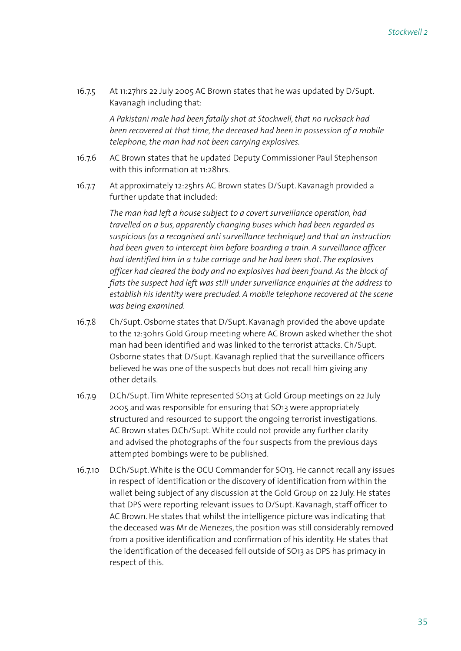16.7.5 At 11:27hrs 22 July 2005 AC Brown states that he was updated by D/Supt. Kavanagh including that:

> *A Pakistani male had been fatally shot at Stockwell, that no rucksack had been recovered at that time, the deceased had been in possession of a mobile telephone, the man had not been carrying explosives.*

- 16.7.6 AC Brown states that he updated Deputy Commissioner Paul Stephenson with this information at 11:28hrs.
- 16.7.7 At approximately 12:25hrs AC Brown states D/Supt. Kavanagh provided a further update that included:

*The man had left a house subject to a covert surveillance operation, had travelled on a bus, apparently changing buses which had been regarded as suspicious (as a recognised anti surveillance technique) and that an instruction had been given to intercept him before boarding a train. A surveillance officer had identified him in a tube carriage and he had been shot. The explosives officer had cleared the body and no explosives had been found. As the block of flats the suspect had left was still under surveillance enquiries at the address to establish his identity were precluded. A mobile telephone recovered at the scene was being examined.* 

- 16.7.8 Ch/Supt. Osborne states that D/Supt. Kavanagh provided the above update to the 12:30hrs Gold Group meeting where AC Brown asked whether the shot man had been identified and was linked to the terrorist attacks. Ch/Supt. Osborne states that D/Supt. Kavanagh replied that the surveillance officers believed he was one of the suspects but does not recall him giving any other details.
- 16.7.9 D.Ch/Supt. Tim White represented SO13 at Gold Group meetings on 22 July 2005 and was responsible for ensuring that SO13 were appropriately structured and resourced to support the ongoing terrorist investigations. AC Brown states D.Ch/Supt. White could not provide any further clarity and advised the photographs of the four suspects from the previous days attempted bombings were to be published.
- 16.7.10 D.Ch/Supt. White is the OCU Commander for SO13. He cannot recall any issues in respect of identification or the discovery of identification from within the wallet being subject of any discussion at the Gold Group on 22 July. He states that DPS were reporting relevant issues to D/Supt. Kavanagh, staff officer to AC Brown. He states that whilst the intelligence picture was indicating that the deceased was Mr de Menezes, the position was still considerably removed from a positive identification and confirmation of his identity. He states that the identification of the deceased fell outside of SO13 as DPS has primacy in respect of this.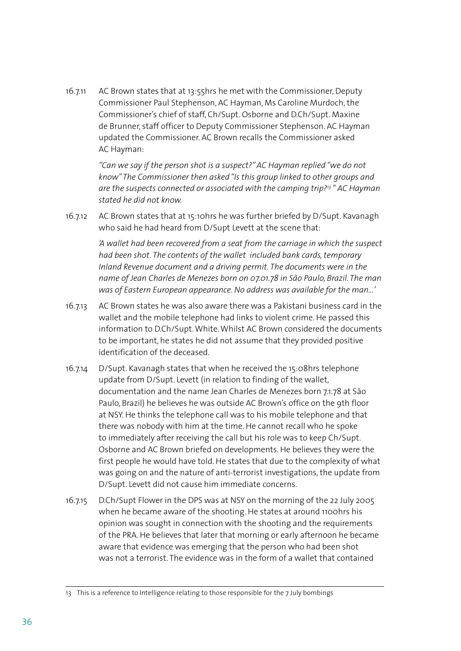16.7.11 AC Brown states that at 13:55hrs he met with the Commissioner, Deputy Commissioner Paul Stephenson, AC Hayman, Ms Caroline Murdoch, the Commissioner's chief of staff, Ch/Supt. Osborne and D.Ch/Supt. Maxine de Brunner, staff officer to Deputy Commissioner Stephenson. AC Hayman updated the Commissioner. AC Brown recalls the Commissioner asked AC Hayman:

> *"Can we say if the person shot is a suspect?" AC Hayman replied "we do not know" The Commissioner then asked "Is this group linked to other groups and are the suspects connected or associated with the camping trip?13 " AC Hayman stated he did not know.*

16.7.12 AC Brown states that at 15:10hrs he was further briefed by D/Supt. Kavanagh who said he had heard from D/Supt Levett at the scene that:

> *'A wallet had been recovered from a seat from the carriage in which the suspect had been shot. The contents of the wallet included bank cards, temporary Inland Revenue document and a driving permit. The documents were in the name of Jean Charles de Menezes born on 07.01.78 in São Paulo, Brazil. The man was of Eastern European appearance. No address was available for the man…'*

- 16.7.13 AC Brown states he was also aware there was a Pakistani business card in the wallet and the mobile telephone had links to violent crime. He passed this information to D.Ch/Supt. White. Whilst AC Brown considered the documents to be important, he states he did not assume that they provided positive identification of the deceased.
- 16.7.14 D/Supt. Kavanagh states that when he received the 15:08hrs telephone update from D/Supt. Levett (in relation to finding of the wallet, documentation and the name Jean Charles de Menezes born 7.1.78 at São Paulo, Brazil) he believes he was outside AC Brown's office on the 9th floor at NSY. He thinks the telephone call was to his mobile telephone and that there was nobody with him at the time. He cannot recall who he spoke to immediately after receiving the call but his role was to keep Ch/Supt. Osborne and AC Brown briefed on developments. He believes they were the first people he would have told. He states that due to the complexity of what was going on and the nature of anti-terrorist investigations, the update from D/Supt. Levett did not cause him immediate concerns.
- 16.7.15 D.Ch/Supt Flower in the DPS was at NSY on the morning of the 22 July 2005 when he became aware of the shooting. He states at around 1100hrs his opinion was sought in connection with the shooting and the requirements of the PRA. He believes that later that morning or early afternoon he became aware that evidence was emerging that the person who had been shot was not a terrorist. The evidence was in the form of a wallet that contained

<sup>13</sup> This is a reference to Intelligence relating to those responsible for the 7 July bombings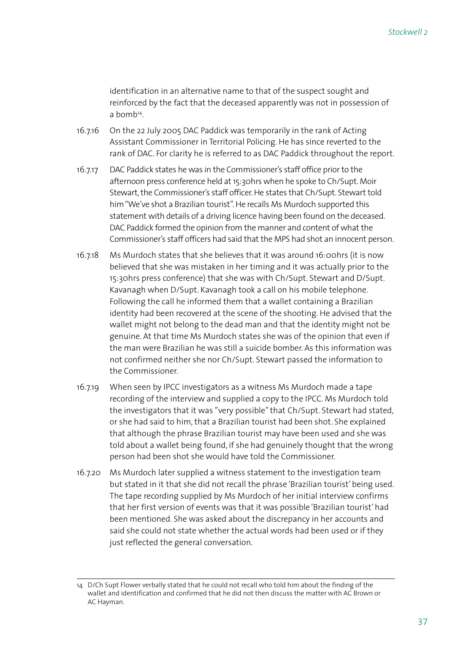identification in an alternative name to that of the suspect sought and reinforced by the fact that the deceased apparently was not in possession of a bomb14.

- 16.7.16 On the 22 July 2005 DAC Paddick was temporarily in the rank of Acting Assistant Commissioner in Territorial Policing. He has since reverted to the rank of DAC. For clarity he is referred to as DAC Paddick throughout the report.
- 16.7.17 DAC Paddick states he was in the Commissioner's staff office prior to the afternoon press conference held at 15:30hrs when he spoke to Ch/Supt. Moir Stewart, the Commissioner's staff officer. He states that Ch/Supt. Stewart told him "We've shot a Brazilian tourist". He recalls Ms Murdoch supported this statement with details of a driving licence having been found on the deceased. DAC Paddick formed the opinion from the manner and content of what the Commissioner's staff officers had said that the MPS had shot an innocent person.
- 16.7.18 Ms Murdoch states that she believes that it was around 16:00hrs (it is now believed that she was mistaken in her timing and it was actually prior to the 15:30hrs press conference) that she was with Ch/Supt. Stewart and D/Supt. Kavanagh when D/Supt. Kavanagh took a call on his mobile telephone. Following the call he informed them that a wallet containing a Brazilian identity had been recovered at the scene of the shooting. He advised that the wallet might not belong to the dead man and that the identity might not be genuine. At that time Ms Murdoch states she was of the opinion that even if the man were Brazilian he was still a suicide bomber. As this information was not confirmed neither she nor Ch/Supt. Stewart passed the information to the Commissioner.
- 16.7.19 When seen by IPCC investigators as a witness Ms Murdoch made a tape recording of the interview and supplied a copy to the IPCC. Ms Murdoch told the investigators that it was "very possible" that Ch/Supt. Stewart had stated, or she had said to him, that a Brazilian tourist had been shot. She explained that although the phrase Brazilian tourist may have been used and she was told about a wallet being found, if she had genuinely thought that the wrong person had been shot she would have told the Commissioner.
- 16.7.20 Ms Murdoch later supplied a witness statement to the investigation team but stated in it that she did not recall the phrase 'Brazilian tourist' being used. The tape recording supplied by Ms Murdoch of her initial interview confirms that her first version of events was that it was possible 'Brazilian tourist' had been mentioned. She was asked about the discrepancy in her accounts and said she could not state whether the actual words had been used or if they just reflected the general conversation.

<sup>14</sup> D/Ch Supt Flower verbally stated that he could not recall who told him about the finding of the wallet and identification and confirmed that he did not then discuss the matter with AC Brown or AC Hayman.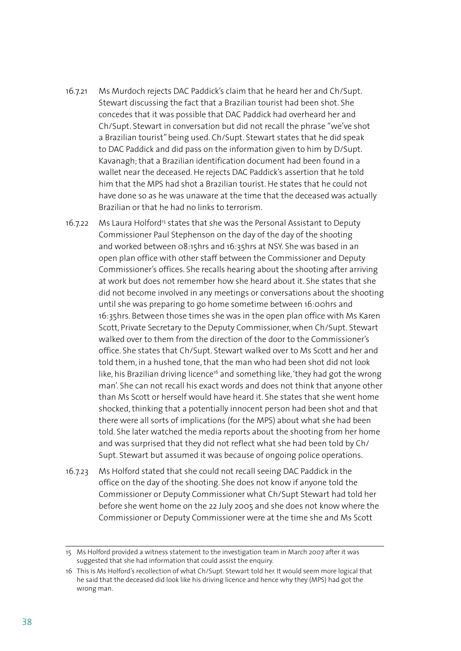- 16.7.21 Ms Murdoch rejects DAC Paddick's claim that he heard her and Ch/Supt. Stewart discussing the fact that a Brazilian tourist had been shot. She concedes that it was possible that DAC Paddick had overheard her and Ch/Supt. Stewart in conversation but did not recall the phrase "we've shot a Brazilian tourist" being used. Ch/Supt. Stewart states that he did speak to DAC Paddick and did pass on the information given to him by D/Supt. Kavanagh; that a Brazilian identification document had been found in a wallet near the deceased. He rejects DAC Paddick's assertion that he told him that the MPS had shot a Brazilian tourist. He states that he could not have done so as he was unaware at the time that the deceased was actually Brazilian or that he had no links to terrorism.
- 16.7.22 Ms Laura Holford<sup>15</sup> states that she was the Personal Assistant to Deputy Commissioner Paul Stephenson on the day of the day of the shooting and worked between 08:15hrs and 16:35hrs at NSY. She was based in an open plan office with other staff between the Commissioner and Deputy Commissioner's offices. She recalls hearing about the shooting after arriving at work but does not remember how she heard about it. She states that she did not become involved in any meetings or conversations about the shooting until she was preparing to go home sometime between 16:00hrs and 16:35hrs. Between those times she was in the open plan office with Ms Karen Scott, Private Secretary to the Deputy Commissioner, when Ch/Supt. Stewart walked over to them from the direction of the door to the Commissioner's office. She states that Ch/Supt. Stewart walked over to Ms Scott and her and told them, in a hushed tone, that the man who had been shot did not look like, his Brazilian driving licence<sup>16</sup> and something like, 'they had got the wrong man'. She can not recall his exact words and does not think that anyone other than Ms Scott or herself would have heard it. She states that she went home shocked, thinking that a potentially innocent person had been shot and that there were all sorts of implications (for the MPS) about what she had been told. She later watched the media reports about the shooting from her home and was surprised that they did not reflect what she had been told by Ch/ Supt. Stewart but assumed it was because of ongoing police operations.
- 16.7.23 Ms Holford stated that she could not recall seeing DAC Paddick in the office on the day of the shooting. She does not know if anyone told the Commissioner or Deputy Commissioner what Ch/Supt Stewart had told her before she went home on the 22 July 2005 and she does not know where the Commissioner or Deputy Commissioner were at the time she and Ms Scott

<sup>15</sup> Ms Holford provided a witness statement to the investigation team in March 2007 after it was suggested that she had information that could assist the enquiry.

<sup>16</sup> This is Ms Holford's recollection of what Ch/Supt. Stewart told her. It would seem more logical that he said that the deceased did look like his driving licence and hence why they (MPS) had got the wrong man.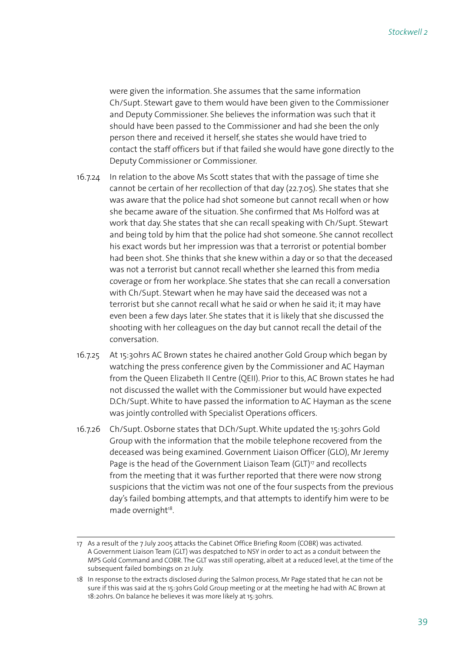were given the information. She assumes that the same information Ch/Supt. Stewart gave to them would have been given to the Commissioner and Deputy Commissioner. She believes the information was such that it should have been passed to the Commissioner and had she been the only person there and received it herself, she states she would have tried to contact the staff officers but if that failed she would have gone directly to the Deputy Commissioner or Commissioner.

- 16.7.24 In relation to the above Ms Scott states that with the passage of time she cannot be certain of her recollection of that day (22.7.05). She states that she was aware that the police had shot someone but cannot recall when or how she became aware of the situation. She confirmed that Ms Holford was at work that day. She states that she can recall speaking with Ch/Supt. Stewart and being told by him that the police had shot someone. She cannot recollect his exact words but her impression was that a terrorist or potential bomber had been shot. She thinks that she knew within a day or so that the deceased was not a terrorist but cannot recall whether she learned this from media coverage or from her workplace. She states that she can recall a conversation with Ch/Supt. Stewart when he may have said the deceased was not a terrorist but she cannot recall what he said or when he said it; it may have even been a few days later. She states that it is likely that she discussed the shooting with her colleagues on the day but cannot recall the detail of the conversation.
- 16.7.25 At 15:30hrs AC Brown states he chaired another Gold Group which began by watching the press conference given by the Commissioner and AC Hayman from the Queen Elizabeth II Centre (QEII). Prior to this, AC Brown states he had not discussed the wallet with the Commissioner but would have expected D.Ch/Supt. White to have passed the information to AC Hayman as the scene was jointly controlled with Specialist Operations officers.
- 16.7.26 Ch/Supt. Osborne states that D.Ch/Supt. White updated the 15:30hrs Gold Group with the information that the mobile telephone recovered from the deceased was being examined. Government Liaison Officer (GLO), Mr Jeremy Page is the head of the Government Liaison Team (GLT)<sup>17</sup> and recollects from the meeting that it was further reported that there were now strong suspicions that the victim was not one of the four suspects from the previous day's failed bombing attempts, and that attempts to identify him were to be made overnight<sup>18</sup>.

<sup>17</sup> As a result of the 7 July 2005 attacks the Cabinet Office Briefing Room (COBR) was activated. A Government Liaison Team (GLT) was despatched to NSY in order to act as a conduit between the MPS Gold Command and COBR. The GLT was still operating, albeit at a reduced level, at the time of the subsequent failed bombings on 21 July.

<sup>18</sup> In response to the extracts disclosed during the Salmon process, Mr Page stated that he can not be sure if this was said at the 15:30hrs Gold Group meeting or at the meeting he had with AC Brown at 18:20hrs. On balance he believes it was more likely at 15:30hrs.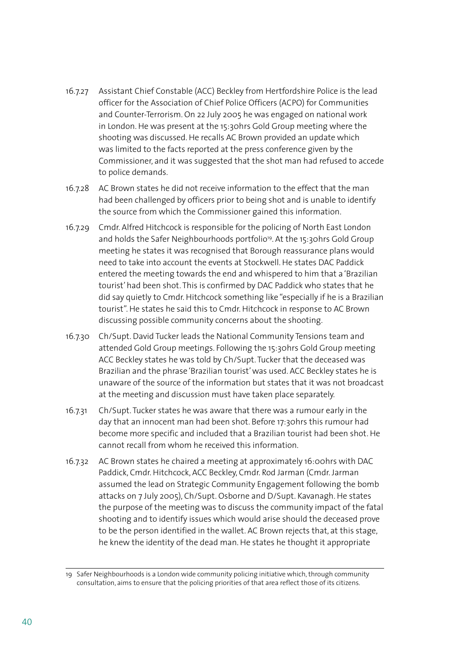- 16.7.27 Assistant Chief Constable (ACC) Beckley from Hertfordshire Police is the lead officer for the Association of Chief Police Officers (ACPO) for Communities and Counter-Terrorism. On 22 July 2005 he was engaged on national work in London. He was present at the 15:30hrs Gold Group meeting where the shooting was discussed. He recalls AC Brown provided an update which was limited to the facts reported at the press conference given by the Commissioner, and it was suggested that the shot man had refused to accede to police demands.
- 16.7.28 AC Brown states he did not receive information to the effect that the man had been challenged by officers prior to being shot and is unable to identify the source from which the Commissioner gained this information.
- 16.7.29 Cmdr. Alfred Hitchcock is responsible for the policing of North East London and holds the Safer Neighbourhoods portfolio<sup>19</sup>. At the 15:30hrs Gold Group meeting he states it was recognised that Borough reassurance plans would need to take into account the events at Stockwell. He states DAC Paddick entered the meeting towards the end and whispered to him that a 'Brazilian tourist' had been shot. This is confirmed by DAC Paddick who states that he did say quietly to Cmdr. Hitchcock something like "especially if he is a Brazilian tourist". He states he said this to Cmdr. Hitchcock in response to AC Brown discussing possible community concerns about the shooting.
- 16.7.30 Ch/Supt. David Tucker leads the National Community Tensions team and attended Gold Group meetings. Following the 15:30hrs Gold Group meeting ACC Beckley states he was told by Ch/Supt. Tucker that the deceased was Brazilian and the phrase 'Brazilian tourist' was used. ACC Beckley states he is unaware of the source of the information but states that it was not broadcast at the meeting and discussion must have taken place separately.
- 16.7.31 Ch/Supt. Tucker states he was aware that there was a rumour early in the day that an innocent man had been shot. Before 17:30hrs this rumour had become more specific and included that a Brazilian tourist had been shot. He cannot recall from whom he received this information.
- 16.7.32 AC Brown states he chaired a meeting at approximately 16:00hrs with DAC Paddick, Cmdr. Hitchcock, ACC Beckley, Cmdr. Rod Jarman (Cmdr. Jarman assumed the lead on Strategic Community Engagement following the bomb attacks on 7 July 2005), Ch/Supt. Osborne and D/Supt. Kavanagh. He states the purpose of the meeting was to discuss the community impact of the fatal shooting and to identify issues which would arise should the deceased prove to be the person identified in the wallet. AC Brown rejects that, at this stage, he knew the identity of the dead man. He states he thought it appropriate

<sup>19</sup> Safer Neighbourhoods is a London wide community policing initiative which, through community consultation, aims to ensure that the policing priorities of that area reflect those of its citizens.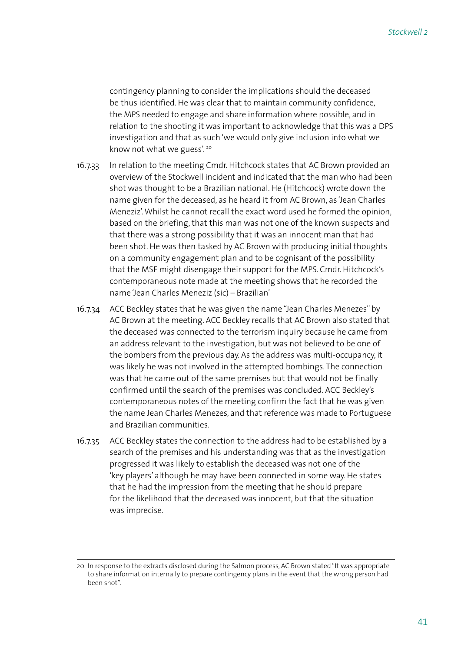contingency planning to consider the implications should the deceased be thus identified. He was clear that to maintain community confidence, the MPS needed to engage and share information where possible, and in relation to the shooting it was important to acknowledge that this was a DPS investigation and that as such 'we would only give inclusion into what we know not what we guess'. 20

- 16.7.33 In relation to the meeting Cmdr. Hitchcock states that AC Brown provided an overview of the Stockwell incident and indicated that the man who had been shot was thought to be a Brazilian national. He (Hitchcock) wrote down the name given for the deceased, as he heard it from AC Brown, as 'Jean Charles Meneziz'. Whilst he cannot recall the exact word used he formed the opinion, based on the briefing, that this man was not one of the known suspects and that there was a strong possibility that it was an innocent man that had been shot. He was then tasked by AC Brown with producing initial thoughts on a community engagement plan and to be cognisant of the possibility that the MSF might disengage their support for the MPS. Cmdr. Hitchcock's contemporaneous note made at the meeting shows that he recorded the name 'Jean Charles Meneziz (sic) – Brazilian'
- 16.7.34 ACC Beckley states that he was given the name "Jean Charles Menezes" by AC Brown at the meeting. ACC Beckley recalls that AC Brown also stated that the deceased was connected to the terrorism inquiry because he came from an address relevant to the investigation, but was not believed to be one of the bombers from the previous day. As the address was multi-occupancy, it was likely he was not involved in the attempted bombings. The connection was that he came out of the same premises but that would not be finally confirmed until the search of the premises was concluded. ACC Beckley's contemporaneous notes of the meeting confirm the fact that he was given the name Jean Charles Menezes, and that reference was made to Portuguese and Brazilian communities.
- 16.7.35 ACC Beckley states the connection to the address had to be established by a search of the premises and his understanding was that as the investigation progressed it was likely to establish the deceased was not one of the 'key players' although he may have been connected in some way. He states that he had the impression from the meeting that he should prepare for the likelihood that the deceased was innocent, but that the situation was imprecise.

<sup>20</sup> In response to the extracts disclosed during the Salmon process, AC Brown stated "It was appropriate to share information internally to prepare contingency plans in the event that the wrong person had been shot".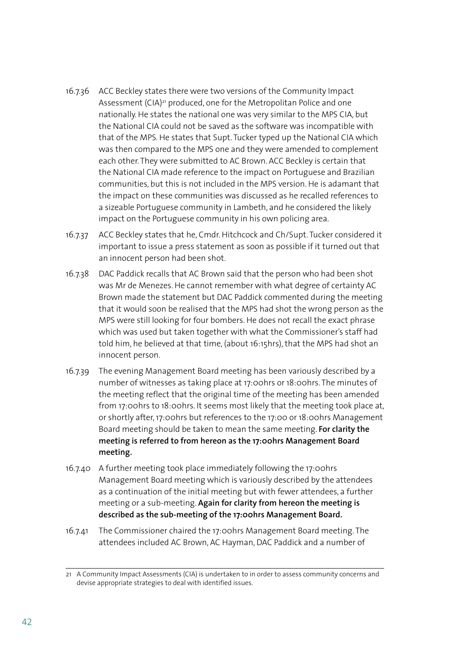- 16.7.36 ACC Beckley states there were two versions of the Community Impact Assessment (CIA)<sup>21</sup> produced, one for the Metropolitan Police and one nationally. He states the national one was very similar to the MPS CIA, but the National CIA could not be saved as the software was incompatible with that of the MPS. He states that Supt. Tucker typed up the National CIA which was then compared to the MPS one and they were amended to complement each other. They were submitted to AC Brown. ACC Beckley is certain that the National CIA made reference to the impact on Portuguese and Brazilian communities, but this is not included in the MPS version. He is adamant that the impact on these communities was discussed as he recalled references to a sizeable Portuguese community in Lambeth, and he considered the likely impact on the Portuguese community in his own policing area.
- 16.7.37 ACC Beckley states that he, Cmdr. Hitchcock and Ch/Supt. Tucker considered it important to issue a press statement as soon as possible if it turned out that an innocent person had been shot.
- 16.7.38 DAC Paddick recalls that AC Brown said that the person who had been shot was Mr de Menezes. He cannot remember with what degree of certainty AC Brown made the statement but DAC Paddick commented during the meeting that it would soon be realised that the MPS had shot the wrong person as the MPS were still looking for four bombers. He does not recall the exact phrase which was used but taken together with what the Commissioner's staff had told him, he believed at that time, (about 16:15hrs), that the MPS had shot an innocent person.
- 16.7.39 The evening Management Board meeting has been variously described by a number of witnesses as taking place at 17:00hrs or 18:00hrs. The minutes of the meeting reflect that the original time of the meeting has been amended from 17:00hrs to 18:00hrs. It seems most likely that the meeting took place at, or shortly after, 17:00hrs but references to the 17:00 or 18:00hrs Management Board meeting should be taken to mean the same meeting. **For clarity the meeting is referred to from hereon as the 17:00hrs Management Board meeting.**
- 16.7.40 A further meeting took place immediately following the 17:00hrs Management Board meeting which is variously described by the attendees as a continuation of the initial meeting but with fewer attendees, a further meeting or a sub-meeting. **Again for clarity from hereon the meeting is described as the sub-meeting of the 17:00hrs Management Board.**
- 16.7.41 The Commissioner chaired the 17:00hrs Management Board meeting. The attendees included AC Brown, AC Hayman, DAC Paddick and a number of

<sup>21</sup> A Community Impact Assessments (CIA) is undertaken to in order to assess community concerns and devise appropriate strategies to deal with identified issues.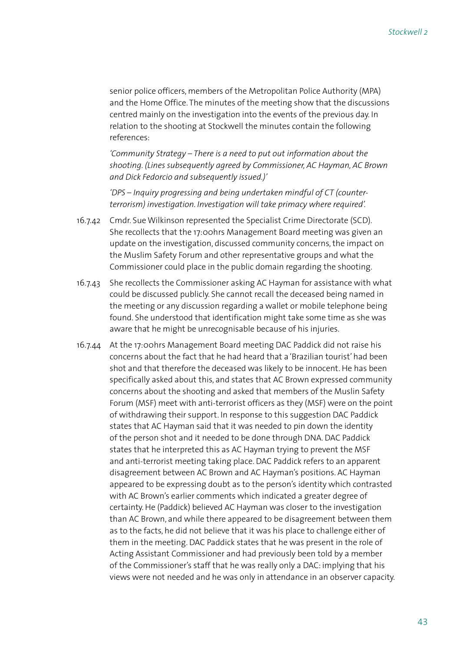senior police officers, members of the Metropolitan Police Authority (MPA) and the Home Office. The minutes of the meeting show that the discussions centred mainly on the investigation into the events of the previous day. In relation to the shooting at Stockwell the minutes contain the following references:

*'Community Strategy – There is a need to put out information about the shooting. (Lines subsequently agreed by Commissioner, AC Hayman, AC Brown and Dick Fedorcio and subsequently issued.)'*

*'DPS – Inquiry progressing and being undertaken mindful of CT (counterterrorism) investigation. Investigation will take primacy where required'.*

- 16.7.42 Cmdr. Sue Wilkinson represented the Specialist Crime Directorate (SCD). She recollects that the 17:00hrs Management Board meeting was given an update on the investigation, discussed community concerns, the impact on the Muslim Safety Forum and other representative groups and what the Commissioner could place in the public domain regarding the shooting.
- 16.7.43 She recollects the Commissioner asking AC Hayman for assistance with what could be discussed publicly. She cannot recall the deceased being named in the meeting or any discussion regarding a wallet or mobile telephone being found. She understood that identification might take some time as she was aware that he might be unrecognisable because of his injuries.
- 16.7.44 At the 17:00hrs Management Board meeting DAC Paddick did not raise his concerns about the fact that he had heard that a 'Brazilian tourist' had been shot and that therefore the deceased was likely to be innocent. He has been specifically asked about this, and states that AC Brown expressed community concerns about the shooting and asked that members of the Muslin Safety Forum (MSF) meet with anti-terrorist officers as they (MSF) were on the point of withdrawing their support. In response to this suggestion DAC Paddick states that AC Hayman said that it was needed to pin down the identity of the person shot and it needed to be done through DNA. DAC Paddick states that he interpreted this as AC Hayman trying to prevent the MSF and anti-terrorist meeting taking place. DAC Paddick refers to an apparent disagreement between AC Brown and AC Hayman's positions. AC Hayman appeared to be expressing doubt as to the person's identity which contrasted with AC Brown's earlier comments which indicated a greater degree of certainty. He (Paddick) believed AC Hayman was closer to the investigation than AC Brown, and while there appeared to be disagreement between them as to the facts, he did not believe that it was his place to challenge either of them in the meeting. DAC Paddick states that he was present in the role of Acting Assistant Commissioner and had previously been told by a member of the Commissioner's staff that he was really only a DAC: implying that his views were not needed and he was only in attendance in an observer capacity.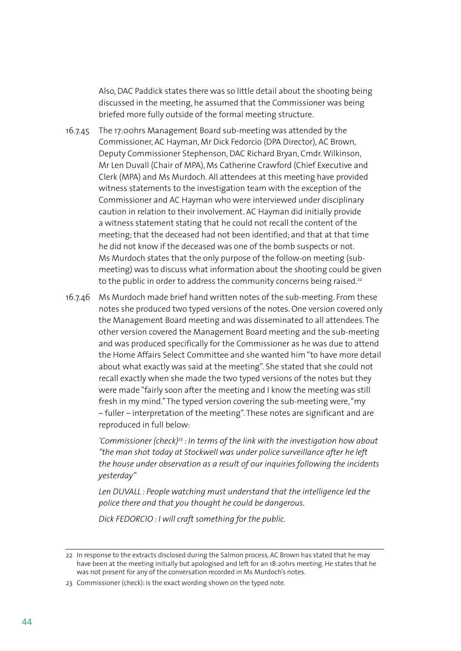Also, DAC Paddick states there was so little detail about the shooting being discussed in the meeting, he assumed that the Commissioner was being briefed more fully outside of the formal meeting structure.

- 16.7.45 The 17:00hrs Management Board sub-meeting was attended by the Commissioner, AC Hayman, Mr Dick Fedorcio (DPA Director), AC Brown, Deputy Commissioner Stephenson, DAC Richard Bryan, Cmdr. Wilkinson, Mr Len Duvall (Chair of MPA), Ms Catherine Crawford (Chief Executive and Clerk (MPA) and Ms Murdoch. All attendees at this meeting have provided witness statements to the investigation team with the exception of the Commissioner and AC Hayman who were interviewed under disciplinary caution in relation to their involvement. AC Hayman did initially provide a witness statement stating that he could not recall the content of the meeting; that the deceased had not been identified; and that at that time he did not know if the deceased was one of the bomb suspects or not. Ms Murdoch states that the only purpose of the follow-on meeting (submeeting) was to discuss what information about the shooting could be given to the public in order to address the community concerns being raised.<sup>22</sup>
- 16.7.46 Ms Murdoch made brief hand written notes of the sub-meeting. From these notes she produced two typed versions of the notes. One version covered only the Management Board meeting and was disseminated to all attendees. The other version covered the Management Board meeting and the sub-meeting and was produced specifically for the Commissioner as he was due to attend the Home Affairs Select Committee and she wanted him "to have more detail about what exactly was said at the meeting". She stated that she could not recall exactly when she made the two typed versions of the notes but they were made "fairly soon after the meeting and I know the meeting was still fresh in my mind." The typed version covering the sub-meeting were, "my – fuller – interpretation of the meeting". These notes are significant and are reproduced in full below:

 *'Commissioner (check)23 : In terms of the link with the investigation how about "the man shot today at Stockwell was under police surveillance after he left the house under observation as a result of our inquiries following the incidents yesterday"*

 *Len DUVALL : People watching must understand that the intelligence led the police there and that you thought he could be dangerous.*

 *Dick FEDORCIO : I will craft something for the public.*

<sup>22</sup> In response to the extracts disclosed during the Salmon process, AC Brown has stated that he may have been at the meeting initially but apologised and left for an 18:20hrs meeting. He states that he was not present for any of the conversation recorded in Ms Murdoch's notes.

<sup>23</sup> Commissioner (check): is the exact wording shown on the typed note.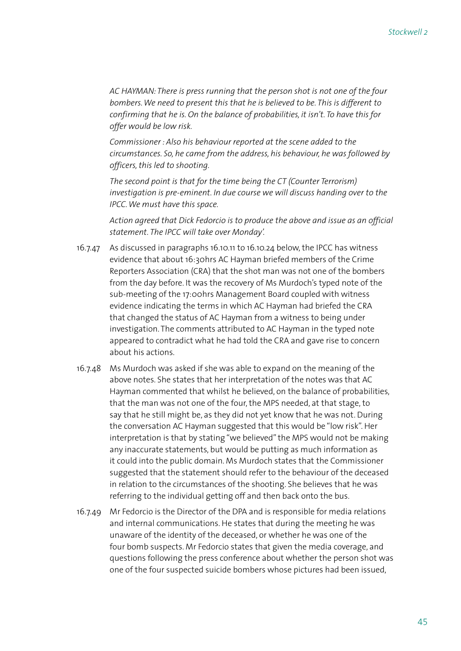*AC HAYMAN: There is press running that the person shot is not one of the four bombers. We need to present this that he is believed to be. This is different to confirming that he is. On the balance of probabilities, it isn't. To have this for offer would be low risk.*

 *Commissioner : Also his behaviour reported at the scene added to the circumstances. So, he came from the address, his behaviour, he was followed by officers, this led to shooting.* 

 *The second point is that for the time being the CT (Counter Terrorism) investigation is pre-eminent. In due course we will discuss handing over to the IPCC. We must have this space.*

 *Action agreed that Dick Fedorcio is to produce the above and issue as an official statement. The IPCC will take over Monday'.* 

- 16.7.47 As discussed in paragraphs 16.10.11 to 16.10.24 below, the IPCC has witness evidence that about 16:30hrs AC Hayman briefed members of the Crime Reporters Association (CRA) that the shot man was not one of the bombers from the day before. It was the recovery of Ms Murdoch's typed note of the sub-meeting of the 17:00hrs Management Board coupled with witness evidence indicating the terms in which AC Hayman had briefed the CRA that changed the status of AC Hayman from a witness to being under investigation. The comments attributed to AC Hayman in the typed note appeared to contradict what he had told the CRA and gave rise to concern about his actions.
- 16.7.48 Ms Murdoch was asked if she was able to expand on the meaning of the above notes. She states that her interpretation of the notes was that AC Hayman commented that whilst he believed, on the balance of probabilities, that the man was not one of the four, the MPS needed, at that stage, to say that he still might be, as they did not yet know that he was not. During the conversation AC Hayman suggested that this would be "low risk". Her interpretation is that by stating "we believed" the MPS would not be making any inaccurate statements, but would be putting as much information as it could into the public domain. Ms Murdoch states that the Commissioner suggested that the statement should refer to the behaviour of the deceased in relation to the circumstances of the shooting. She believes that he was referring to the individual getting off and then back onto the bus.
- 16.7.49 Mr Fedorcio is the Director of the DPA and is responsible for media relations and internal communications. He states that during the meeting he was unaware of the identity of the deceased, or whether he was one of the four bomb suspects. Mr Fedorcio states that given the media coverage, and questions following the press conference about whether the person shot was one of the four suspected suicide bombers whose pictures had been issued,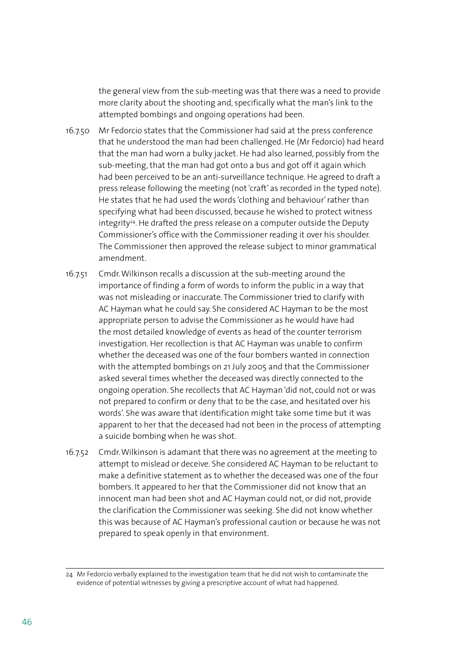the general view from the sub-meeting was that there was a need to provide more clarity about the shooting and, specifically what the man's link to the attempted bombings and ongoing operations had been.

- 16.7.50 Mr Fedorcio states that the Commissioner had said at the press conference that he understood the man had been challenged. He (Mr Fedorcio) had heard that the man had worn a bulky jacket. He had also learned, possibly from the sub-meeting, that the man had got onto a bus and got off it again which had been perceived to be an anti-surveillance technique. He agreed to draft a press release following the meeting (not 'craft' as recorded in the typed note). He states that he had used the words 'clothing and behaviour' rather than specifying what had been discussed, because he wished to protect witness integrity<sup>24</sup>. He drafted the press release on a computer outside the Deputy Commissioner's office with the Commissioner reading it over his shoulder. The Commissioner then approved the release subject to minor grammatical amendment.
- 16.7.51 Cmdr. Wilkinson recalls a discussion at the sub-meeting around the importance of finding a form of words to inform the public in a way that was not misleading or inaccurate. The Commissioner tried to clarify with AC Hayman what he could say. She considered AC Hayman to be the most appropriate person to advise the Commissioner as he would have had the most detailed knowledge of events as head of the counter terrorism investigation. Her recollection is that AC Hayman was unable to confirm whether the deceased was one of the four bombers wanted in connection with the attempted bombings on 21 July 2005 and that the Commissioner asked several times whether the deceased was directly connected to the ongoing operation. She recollects that AC Hayman 'did not, could not or was not prepared to confirm or deny that to be the case, and hesitated over his words'. She was aware that identification might take some time but it was apparent to her that the deceased had not been in the process of attempting a suicide bombing when he was shot.
- 16.7.52 Cmdr. Wilkinson is adamant that there was no agreement at the meeting to attempt to mislead or deceive. She considered AC Hayman to be reluctant to make a definitive statement as to whether the deceased was one of the four bombers. It appeared to her that the Commissioner did not know that an innocent man had been shot and AC Hayman could not, or did not, provide the clarification the Commissioner was seeking. She did not know whether this was because of AC Hayman's professional caution or because he was not prepared to speak openly in that environment.

<sup>24</sup> Mr Fedorcio verbally explained to the investigation team that he did not wish to contaminate the evidence of potential witnesses by giving a prescriptive account of what had happened.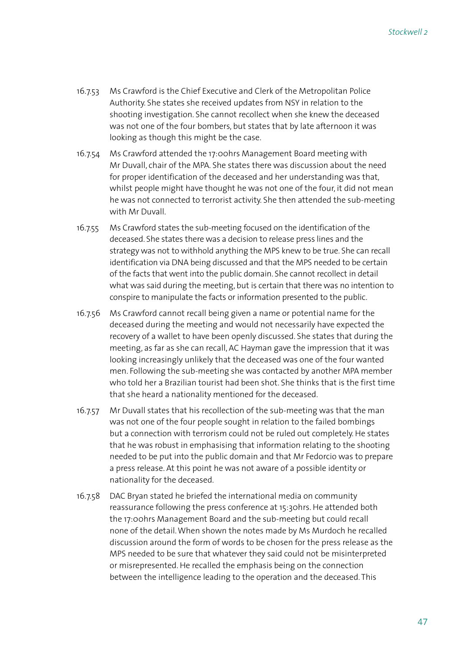- 16.7.53 Ms Crawford is the Chief Executive and Clerk of the Metropolitan Police Authority. She states she received updates from NSY in relation to the shooting investigation. She cannot recollect when she knew the deceased was not one of the four bombers, but states that by late afternoon it was looking as though this might be the case.
- 16.7.54 Ms Crawford attended the 17:00hrs Management Board meeting with Mr Duvall, chair of the MPA. She states there was discussion about the need for proper identification of the deceased and her understanding was that, whilst people might have thought he was not one of the four, it did not mean he was not connected to terrorist activity. She then attended the sub-meeting with Mr Duvall.
- 16.7.55 Ms Crawford states the sub-meeting focused on the identification of the deceased. She states there was a decision to release press lines and the strategy was not to withhold anything the MPS knew to be true. She can recall identification via DNA being discussed and that the MPS needed to be certain of the facts that went into the public domain. She cannot recollect in detail what was said during the meeting, but is certain that there was no intention to conspire to manipulate the facts or information presented to the public.
- 16.7.56 Ms Crawford cannot recall being given a name or potential name for the deceased during the meeting and would not necessarily have expected the recovery of a wallet to have been openly discussed. She states that during the meeting, as far as she can recall, AC Hayman gave the impression that it was looking increasingly unlikely that the deceased was one of the four wanted men. Following the sub-meeting she was contacted by another MPA member who told her a Brazilian tourist had been shot. She thinks that is the first time that she heard a nationality mentioned for the deceased.
- 16.7.57 Mr Duvall states that his recollection of the sub-meeting was that the man was not one of the four people sought in relation to the failed bombings but a connection with terrorism could not be ruled out completely. He states that he was robust in emphasising that information relating to the shooting needed to be put into the public domain and that Mr Fedorcio was to prepare a press release. At this point he was not aware of a possible identity or nationality for the deceased.
- 16.7.58 DAC Bryan stated he briefed the international media on community reassurance following the press conference at 15:30hrs. He attended both the 17:00hrs Management Board and the sub-meeting but could recall none of the detail. When shown the notes made by Ms Murdoch he recalled discussion around the form of words to be chosen for the press release as the MPS needed to be sure that whatever they said could not be misinterpreted or misrepresented. He recalled the emphasis being on the connection between the intelligence leading to the operation and the deceased. This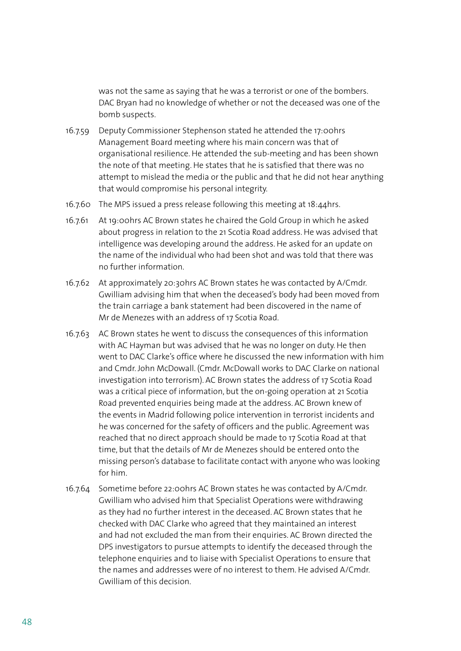was not the same as saying that he was a terrorist or one of the bombers. DAC Bryan had no knowledge of whether or not the deceased was one of the bomb suspects.

- 16.7.59 Deputy Commissioner Stephenson stated he attended the 17:00hrs Management Board meeting where his main concern was that of organisational resilience. He attended the sub-meeting and has been shown the note of that meeting. He states that he is satisfied that there was no attempt to mislead the media or the public and that he did not hear anything that would compromise his personal integrity.
- 16.7.60 The MPS issued a press release following this meeting at 18:44hrs.
- 16.7.61 At 19:00hrs AC Brown states he chaired the Gold Group in which he asked about progress in relation to the 21 Scotia Road address. He was advised that intelligence was developing around the address. He asked for an update on the name of the individual who had been shot and was told that there was no further information.
- 16.7.62 At approximately 20:30hrs AC Brown states he was contacted by A/Cmdr. Gwilliam advising him that when the deceased's body had been moved from the train carriage a bank statement had been discovered in the name of Mr de Menezes with an address of 17 Scotia Road.
- 16.7.63 AC Brown states he went to discuss the consequences of this information with AC Hayman but was advised that he was no longer on duty. He then went to DAC Clarke's office where he discussed the new information with him and Cmdr. John McDowall. (Cmdr. McDowall works to DAC Clarke on national investigation into terrorism). AC Brown states the address of 17 Scotia Road was a critical piece of information, but the on-going operation at 21 Scotia Road prevented enquiries being made at the address. AC Brown knew of the events in Madrid following police intervention in terrorist incidents and he was concerned for the safety of officers and the public. Agreement was reached that no direct approach should be made to 17 Scotia Road at that time, but that the details of Mr de Menezes should be entered onto the missing person's database to facilitate contact with anyone who was looking for him.
- 16.7.64 Sometime before 22:00hrs AC Brown states he was contacted by A/Cmdr. Gwilliam who advised him that Specialist Operations were withdrawing as they had no further interest in the deceased. AC Brown states that he checked with DAC Clarke who agreed that they maintained an interest and had not excluded the man from their enquiries. AC Brown directed the DPS investigators to pursue attempts to identify the deceased through the telephone enquiries and to liaise with Specialist Operations to ensure that the names and addresses were of no interest to them. He advised A/Cmdr. Gwilliam of this decision.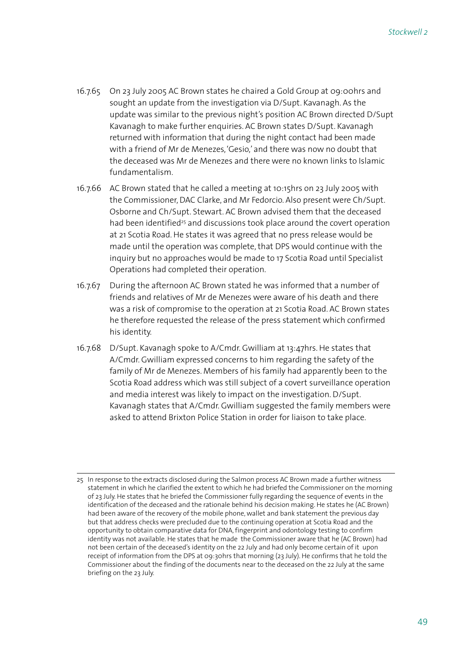- 16.7.65 On 23 July 2005 AC Brown states he chaired a Gold Group at 09:00hrs and sought an update from the investigation via D/Supt. Kavanagh. As the update was similar to the previous night's position AC Brown directed D/Supt Kavanagh to make further enquiries. AC Brown states D/Supt. Kavanagh returned with information that during the night contact had been made with a friend of Mr de Menezes, 'Gesio,' and there was now no doubt that the deceased was Mr de Menezes and there were no known links to Islamic fundamentalism.
- 16.7.66 AC Brown stated that he called a meeting at 10:15hrs on 23 July 2005 with the Commissioner, DAC Clarke, and Mr Fedorcio. Also present were Ch/Supt. Osborne and Ch/Supt. Stewart. AC Brown advised them that the deceased had been identified<sup>25</sup> and discussions took place around the covert operation at 21 Scotia Road. He states it was agreed that no press release would be made until the operation was complete, that DPS would continue with the inquiry but no approaches would be made to 17 Scotia Road until Specialist Operations had completed their operation.
- 16.7.67 During the afternoon AC Brown stated he was informed that a number of friends and relatives of Mr de Menezes were aware of his death and there was a risk of compromise to the operation at 21 Scotia Road. AC Brown states he therefore requested the release of the press statement which confirmed his identity.
- 16.7.68 D/Supt. Kavanagh spoke to A/Cmdr. Gwilliam at 13:47hrs. He states that A/Cmdr. Gwilliam expressed concerns to him regarding the safety of the family of Mr de Menezes. Members of his family had apparently been to the Scotia Road address which was still subject of a covert surveillance operation and media interest was likely to impact on the investigation. D/Supt. Kavanagh states that A/Cmdr. Gwilliam suggested the family members were asked to attend Brixton Police Station in order for liaison to take place.

<sup>25</sup> In response to the extracts disclosed during the Salmon process AC Brown made a further witness statement in which he clarified the extent to which he had briefed the Commissioner on the morning of 23 July. He states that he briefed the Commissioner fully regarding the sequence of events in the identification of the deceased and the rationale behind his decision making. He states he (AC Brown) had been aware of the recovery of the mobile phone, wallet and bank statement the previous day but that address checks were precluded due to the continuing operation at Scotia Road and the opportunity to obtain comparative data for DNA, fingerprint and odontology testing to confirm identity was not available. He states that he made the Commissioner aware that he (AC Brown) had not been certain of the deceased's identity on the 22 July and had only become certain of it upon receipt of information from the DPS at 09:30hrs that morning (23 July). He confirms that he told the Commissioner about the finding of the documents near to the deceased on the 22 July at the same briefing on the 23 July.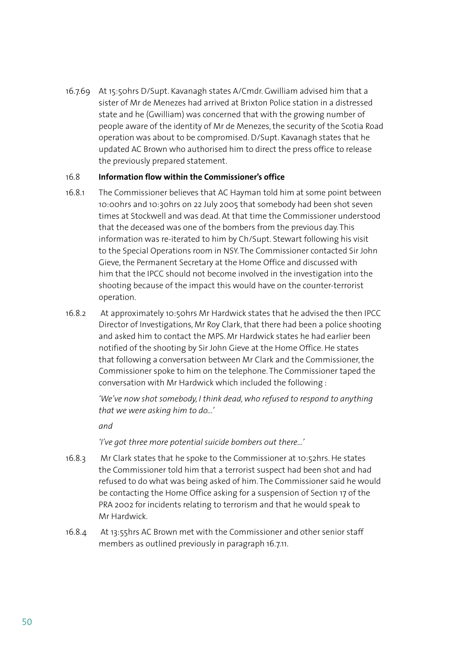16.7.69 At 15:50hrs D/Supt. Kavanagh states A/Cmdr. Gwilliam advised him that a sister of Mr de Menezes had arrived at Brixton Police station in a distressed state and he (Gwilliam) was concerned that with the growing number of people aware of the identity of Mr de Menezes, the security of the Scotia Road operation was about to be compromised. D/Supt. Kavanagh states that he updated AC Brown who authorised him to direct the press office to release the previously prepared statement.

## 16.8 **Information flow within the Commissioner's office**

- 16.8.1 The Commissioner believes that AC Hayman told him at some point between 10:00hrs and 10:30hrs on 22 July 2005 that somebody had been shot seven times at Stockwell and was dead. At that time the Commissioner understood that the deceased was one of the bombers from the previous day. This information was re-iterated to him by Ch/Supt. Stewart following his visit to the Special Operations room in NSY. The Commissioner contacted Sir John Gieve, the Permanent Secretary at the Home Office and discussed with him that the IPCC should not become involved in the investigation into the shooting because of the impact this would have on the counter-terrorist operation.
- 16.8.2 At approximately 10:50hrs Mr Hardwick states that he advised the then IPCC Director of Investigations, Mr Roy Clark, that there had been a police shooting and asked him to contact the MPS. Mr Hardwick states he had earlier been notified of the shooting by Sir John Gieve at the Home Office. He states that following a conversation between Mr Clark and the Commissioner, the Commissioner spoke to him on the telephone. The Commissioner taped the conversation with Mr Hardwick which included the following :

*'We've now shot somebody, I think dead, who refused to respond to anything that we were asking him to do...'*

*and* 

 *'I've got three more potential suicide bombers out there...'*

- 16.8.3 Mr Clark states that he spoke to the Commissioner at 10:52hrs. He states the Commissioner told him that a terrorist suspect had been shot and had refused to do what was being asked of him. The Commissioner said he would be contacting the Home Office asking for a suspension of Section 17 of the PRA 2002 for incidents relating to terrorism and that he would speak to Mr Hardwick.
- 16.8.4 At 13:55hrs AC Brown met with the Commissioner and other senior staff members as outlined previously in paragraph 16.7.11.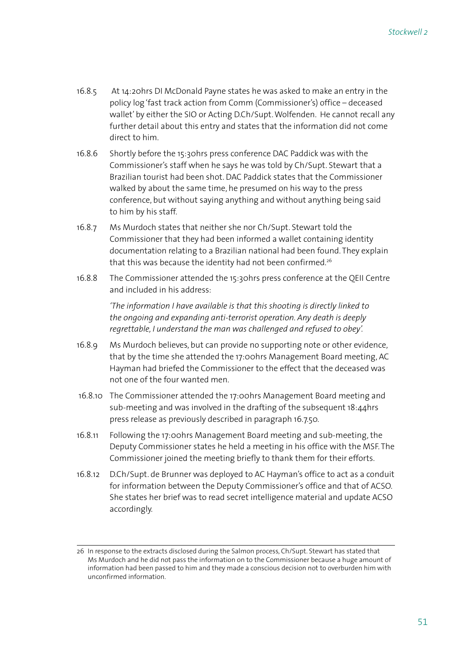- 16.8.5 At 14:20hrs DI McDonald Payne states he was asked to make an entry in the policy log 'fast track action from Comm (Commissioner's) office – deceased wallet' by either the SIO or Acting D.Ch/Supt. Wolfenden. He cannot recall any further detail about this entry and states that the information did not come direct to him.
- 16.8.6 Shortly before the 15:30hrs press conference DAC Paddick was with the Commissioner's staff when he says he was told by Ch/Supt. Stewart that a Brazilian tourist had been shot. DAC Paddick states that the Commissioner walked by about the same time, he presumed on his way to the press conference, but without saying anything and without anything being said to him by his staff.
- 16.8.7 Ms Murdoch states that neither she nor Ch/Supt. Stewart told the Commissioner that they had been informed a wallet containing identity documentation relating to a Brazilian national had been found. They explain that this was because the identity had not been confirmed.<sup>26</sup>
- 16.8.8 The Commissioner attended the 15:30hrs press conference at the QEII Centre and included in his address:

*'The information I have available is that this shooting is directly linked to the ongoing and expanding anti-terrorist operation. Any death is deeply regrettable, I understand the man was challenged and refused to obey'.*

- 16.8.9 Ms Murdoch believes, but can provide no supporting note or other evidence, that by the time she attended the 17:00hrs Management Board meeting, AC Hayman had briefed the Commissioner to the effect that the deceased was not one of the four wanted men.
- 16.8.10 The Commissioner attended the 17:00hrs Management Board meeting and sub-meeting and was involved in the drafting of the subsequent 18:44hrs press release as previously described in paragraph 16.7.50.
- 16.8.11 Following the 17:00hrs Management Board meeting and sub-meeting, the Deputy Commissioner states he held a meeting in his office with the MSF. The Commissioner joined the meeting briefly to thank them for their efforts.
- 16.8.12 D.Ch/Supt. de Brunner was deployed to AC Hayman's office to act as a conduit for information between the Deputy Commissioner's office and that of ACSO. She states her brief was to read secret intelligence material and update ACSO accordingly.

<sup>26</sup> In response to the extracts disclosed during the Salmon process, Ch/Supt. Stewart has stated that Ms Murdoch and he did not pass the information on to the Commissioner because a huge amount of information had been passed to him and they made a conscious decision not to overburden him with unconfirmed information.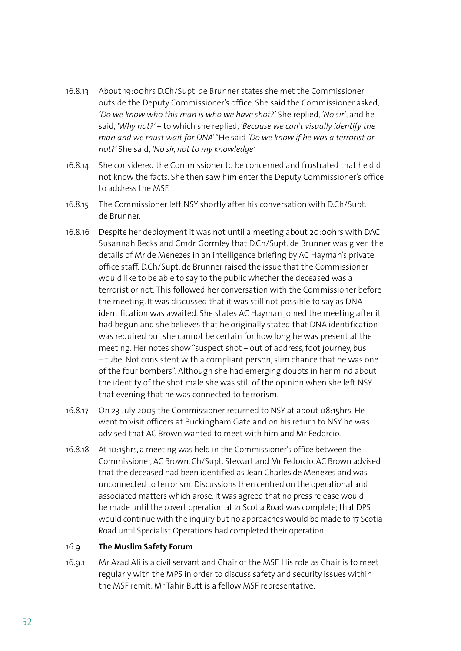- 16.8.13 About 19:00hrs D.Ch/Supt. de Brunner states she met the Commissioner outside the Deputy Commissioner's office. She said the Commissioner asked, *'Do we know who this man is who we have shot?'* She replied, *'No sir'*, and he said, *'Why not?'* – to which she replied, *'Because we can't visually identify the man and we must wait for DNA'* "He said *'Do we know if he was a terrorist or not?'* She said, *'No sir, not to my knowledge'.*
- 16.8.14 She considered the Commissioner to be concerned and frustrated that he did not know the facts. She then saw him enter the Deputy Commissioner's office to address the MSF.
- 16.8.15 The Commissioner left NSY shortly after his conversation with D.Ch/Supt. de Brunner.
- 16.8.16 Despite her deployment it was not until a meeting about 20:00hrs with DAC Susannah Becks and Cmdr. Gormley that D.Ch/Supt. de Brunner was given the details of Mr de Menezes in an intelligence briefing by AC Hayman's private office staff. D.Ch/Supt. de Brunner raised the issue that the Commissioner would like to be able to say to the public whether the deceased was a terrorist or not. This followed her conversation with the Commissioner before the meeting. It was discussed that it was still not possible to say as DNA identification was awaited. She states AC Hayman joined the meeting after it had begun and she believes that he originally stated that DNA identification was required but she cannot be certain for how long he was present at the meeting. Her notes show "suspect shot – out of address, foot journey, bus – tube. Not consistent with a compliant person, slim chance that he was one of the four bombers". Although she had emerging doubts in her mind about the identity of the shot male she was still of the opinion when she left NSY that evening that he was connected to terrorism.
- 16.8.17 On 23 July 2005 the Commissioner returned to NSY at about 08:15hrs. He went to visit officers at Buckingham Gate and on his return to NSY he was advised that AC Brown wanted to meet with him and Mr Fedorcio.
- 16.8.18 At 10:15hrs, a meeting was held in the Commissioner's office between the Commissioner, AC Brown, Ch/Supt. Stewart and Mr Fedorcio. AC Brown advised that the deceased had been identified as Jean Charles de Menezes and was unconnected to terrorism. Discussions then centred on the operational and associated matters which arose. It was agreed that no press release would be made until the covert operation at 21 Scotia Road was complete; that DPS would continue with the inquiry but no approaches would be made to 17 Scotia Road until Specialist Operations had completed their operation.

#### 16.9 **The Muslim Safety Forum**

16.9.1 Mr Azad Ali is a civil servant and Chair of the MSF. His role as Chair is to meet regularly with the MPS in order to discuss safety and security issues within the MSF remit. Mr Tahir Butt is a fellow MSF representative.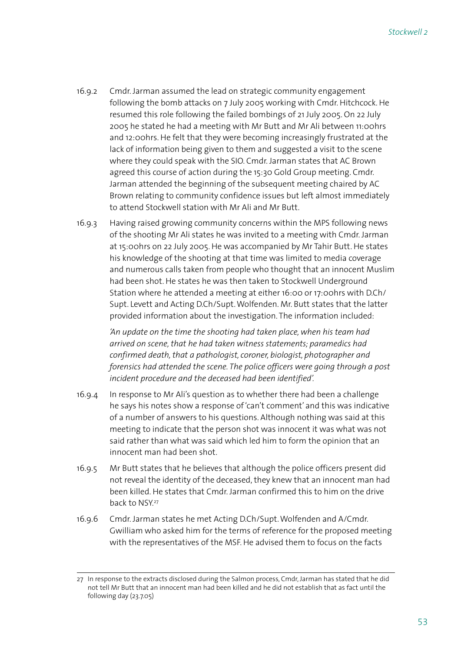- 16.9.2 Cmdr. Jarman assumed the lead on strategic community engagement following the bomb attacks on 7 July 2005 working with Cmdr. Hitchcock. He resumed this role following the failed bombings of 21 July 2005. On 22 July 2005 he stated he had a meeting with Mr Butt and Mr Ali between 11:00hrs and 12:00hrs. He felt that they were becoming increasingly frustrated at the lack of information being given to them and suggested a visit to the scene where they could speak with the SIO. Cmdr. Jarman states that AC Brown agreed this course of action during the 15:30 Gold Group meeting. Cmdr. Jarman attended the beginning of the subsequent meeting chaired by AC Brown relating to community confidence issues but left almost immediately to attend Stockwell station with Mr Ali and Mr Butt.
- 16.9.3 Having raised growing community concerns within the MPS following news of the shooting Mr Ali states he was invited to a meeting with Cmdr. Jarman at 15:00hrs on 22 July 2005. He was accompanied by Mr Tahir Butt. He states his knowledge of the shooting at that time was limited to media coverage and numerous calls taken from people who thought that an innocent Muslim had been shot. He states he was then taken to Stockwell Underground Station where he attended a meeting at either 16:00 or 17:00hrs with D.Ch/ Supt. Levett and Acting D.Ch/Supt. Wolfenden. Mr. Butt states that the latter provided information about the investigation. The information included:

*'An update on the time the shooting had taken place, when his team had arrived on scene, that he had taken witness statements; paramedics had confirmed death, that a pathologist, coroner, biologist, photographer and forensics had attended the scene. The police officers were going through a post incident procedure and the deceased had been identified'.* 

- 16.9.4 In response to Mr Ali's question as to whether there had been a challenge he says his notes show a response of 'can't comment' and this was indicative of a number of answers to his questions. Although nothing was said at this meeting to indicate that the person shot was innocent it was what was not said rather than what was said which led him to form the opinion that an innocent man had been shot.
- 16.9.5 Mr Butt states that he believes that although the police officers present did not reveal the identity of the deceased, they knew that an innocent man had been killed. He states that Cmdr. Jarman confirmed this to him on the drive back to NSY.<sup>27</sup>
- 16.9.6 Cmdr. Jarman states he met Acting D.Ch/Supt. Wolfenden and A/Cmdr. Gwilliam who asked him for the terms of reference for the proposed meeting with the representatives of the MSF. He advised them to focus on the facts

<sup>27</sup> In response to the extracts disclosed during the Salmon process, Cmdr, Jarman has stated that he did not tell Mr Butt that an innocent man had been killed and he did not establish that as fact until the following day (23.7.05)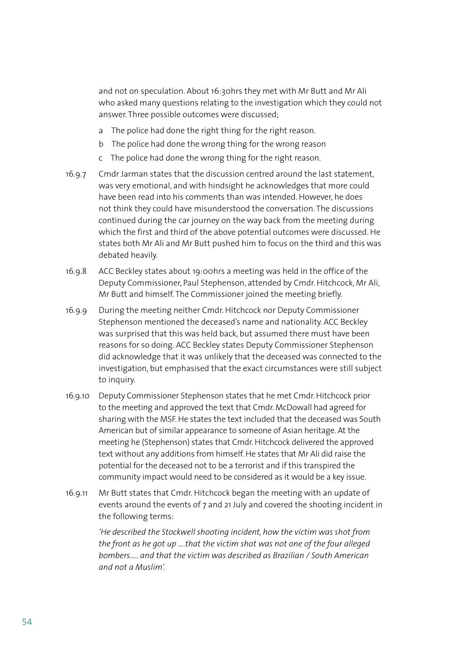and not on speculation. About 16:30hrs they met with Mr Butt and Mr Ali who asked many questions relating to the investigation which they could not answer. Three possible outcomes were discussed;

- a The police had done the right thing for the right reason.
- b The police had done the wrong thing for the wrong reason
- c The police had done the wrong thing for the right reason.
- 16.9.7 Cmdr Jarman states that the discussion centred around the last statement, was very emotional, and with hindsight he acknowledges that more could have been read into his comments than was intended. However, he does not think they could have misunderstood the conversation. The discussions continued during the car journey on the way back from the meeting during which the first and third of the above potential outcomes were discussed. He states both Mr Ali and Mr Butt pushed him to focus on the third and this was debated heavily.
- 16.9.8 ACC Beckley states about 19:00hrs a meeting was held in the office of the Deputy Commissioner, Paul Stephenson, attended by Cmdr. Hitchcock, Mr Ali, Mr Butt and himself. The Commissioner joined the meeting briefly.
- 16.9.9 During the meeting neither Cmdr. Hitchcock nor Deputy Commissioner Stephenson mentioned the deceased's name and nationality. ACC Beckley was surprised that this was held back, but assumed there must have been reasons for so doing. ACC Beckley states Deputy Commissioner Stephenson did acknowledge that it was unlikely that the deceased was connected to the investigation, but emphasised that the exact circumstances were still subject to inquiry.
- 16.9.10 Deputy Commissioner Stephenson states that he met Cmdr. Hitchcock prior to the meeting and approved the text that Cmdr. McDowall had agreed for sharing with the MSF. He states the text included that the deceased was South American but of similar appearance to someone of Asian heritage. At the meeting he (Stephenson) states that Cmdr. Hitchcock delivered the approved text without any additions from himself. He states that Mr Ali did raise the potential for the deceased not to be a terrorist and if this transpired the community impact would need to be considered as it would be a key issue.
- 16.9.11 Mr Butt states that Cmdr. Hitchcock began the meeting with an update of events around the events of 7 and 21 July and covered the shooting incident in the following terms:

*'He described the Stockwell shooting incident, how the victim was shot from the front as he got up ….that the victim shot was not one of the four alleged bombers….. and that the victim was described as Brazilian / South American and not a Muslim'.*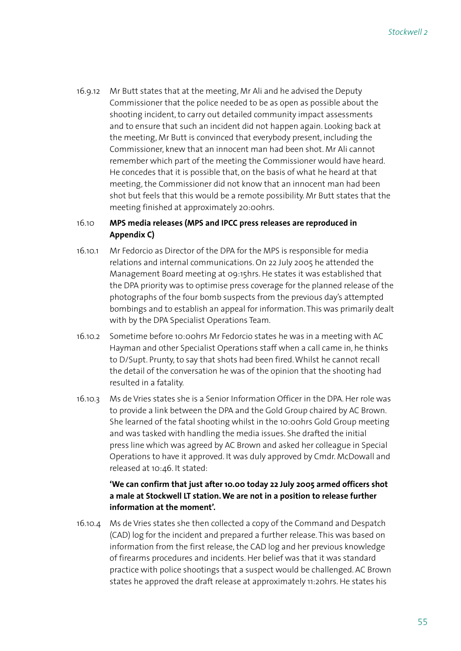16.9.12 Mr Butt states that at the meeting, Mr Ali and he advised the Deputy Commissioner that the police needed to be as open as possible about the shooting incident, to carry out detailed community impact assessments and to ensure that such an incident did not happen again. Looking back at the meeting, Mr Butt is convinced that everybody present, including the Commissioner, knew that an innocent man had been shot. Mr Ali cannot remember which part of the meeting the Commissioner would have heard. He concedes that it is possible that, on the basis of what he heard at that meeting, the Commissioner did not know that an innocent man had been shot but feels that this would be a remote possibility. Mr Butt states that the meeting finished at approximately 20:00hrs.

## 16.10 **MPS media releases (MPS and IPCC press releases are reproduced in Appendix C)**

- 16.10.1 Mr Fedorcio as Director of the DPA for the MPS is responsible for media relations and internal communications. On 22 July 2005 he attended the Management Board meeting at 09:15hrs. He states it was established that the DPA priority was to optimise press coverage for the planned release of the photographs of the four bomb suspects from the previous day's attempted bombings and to establish an appeal for information. This was primarily dealt with by the DPA Specialist Operations Team.
- 16.10.2 Sometime before 10:00hrs Mr Fedorcio states he was in a meeting with AC Hayman and other Specialist Operations staff when a call came in, he thinks to D/Supt. Prunty, to say that shots had been fired. Whilst he cannot recall the detail of the conversation he was of the opinion that the shooting had resulted in a fatality.
- 16.10.3 Ms de Vries states she is a Senior Information Officer in the DPA. Her role was to provide a link between the DPA and the Gold Group chaired by AC Brown. She learned of the fatal shooting whilst in the 10:00hrs Gold Group meeting and was tasked with handling the media issues. She drafted the initial press line which was agreed by AC Brown and asked her colleague in Special Operations to have it approved. It was duly approved by Cmdr. McDowall and released at 10:46. It stated:

# **'We can confirm that just after 10.00 today 22 July 2005 armed officers shot a male at Stockwell LT station. We are not in a position to release further information at the moment'.**

16.10.4 Ms de Vries states she then collected a copy of the Command and Despatch (CAD) log for the incident and prepared a further release. This was based on information from the first release, the CAD log and her previous knowledge of firearms procedures and incidents. Her belief was that it was standard practice with police shootings that a suspect would be challenged. AC Brown states he approved the draft release at approximately 11:20hrs. He states his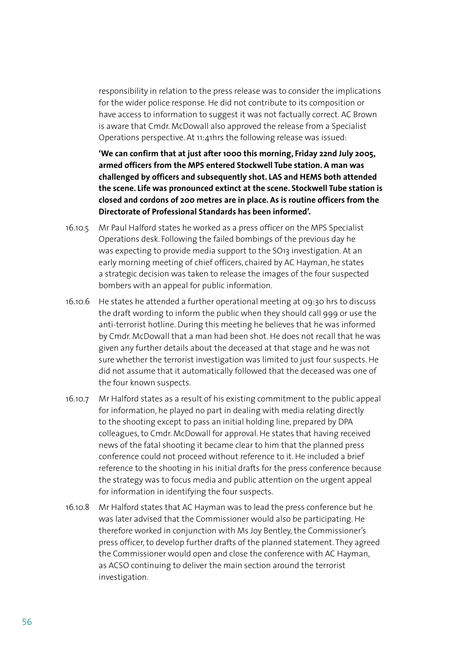responsibility in relation to the press release was to consider the implications for the wider police response. He did not contribute to its composition or have access to information to suggest it was not factually correct. AC Brown is aware that Cmdr. McDowall also approved the release from a Specialist Operations perspective. At 11:41hrs the following release was issued:

**'We can confirm that at just after 1000 this morning, Friday 22nd July 2005, armed officers from the MPS entered Stockwell Tube station. A man was challenged by officers and subsequently shot. LAS and HEMS both attended the scene. Life was pronounced extinct at the scene. Stockwell Tube station is closed and cordons of 200 metres are in place. As is routine officers from the Directorate of Professional Standards has been informed'.**

- 16.10.5 Mr Paul Halford states he worked as a press officer on the MPS Specialist Operations desk. Following the failed bombings of the previous day he was expecting to provide media support to the SO13 investigation. At an early morning meeting of chief officers, chaired by AC Hayman, he states a strategic decision was taken to release the images of the four suspected bombers with an appeal for public information.
- 16.10.6 He states he attended a further operational meeting at 09:30 hrs to discuss the draft wording to inform the public when they should call 999 or use the anti-terrorist hotline. During this meeting he believes that he was informed by Cmdr. McDowall that a man had been shot. He does not recall that he was given any further details about the deceased at that stage and he was not sure whether the terrorist investigation was limited to just four suspects. He did not assume that it automatically followed that the deceased was one of the four known suspects.
- 16.10.7 Mr Halford states as a result of his existing commitment to the public appeal for information, he played no part in dealing with media relating directly to the shooting except to pass an initial holding line, prepared by DPA colleagues, to Cmdr. McDowall for approval. He states that having received news of the fatal shooting it became clear to him that the planned press conference could not proceed without reference to it. He included a brief reference to the shooting in his initial drafts for the press conference because the strategy was to focus media and public attention on the urgent appeal for information in identifying the four suspects.
- 16.10.8 Mr Halford states that AC Hayman was to lead the press conference but he was later advised that the Commissioner would also be participating. He therefore worked in conjunction with Ms Joy Bentley, the Commissioner's press officer, to develop further drafts of the planned statement. They agreed the Commissioner would open and close the conference with AC Hayman, as ACSO continuing to deliver the main section around the terrorist investigation.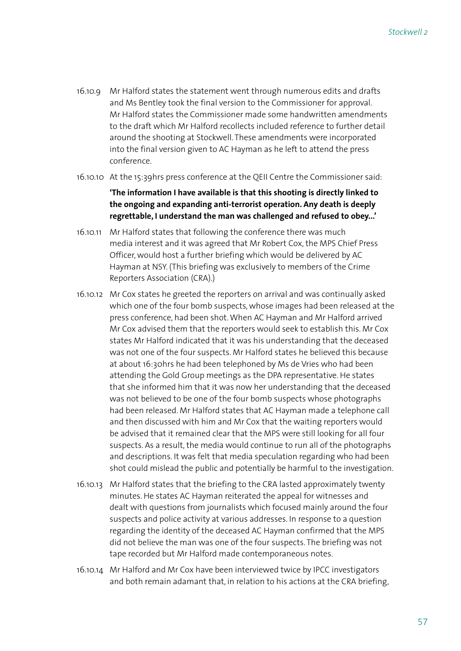- 16.10.9 Mr Halford states the statement went through numerous edits and drafts and Ms Bentley took the final version to the Commissioner for approval. Mr Halford states the Commissioner made some handwritten amendments to the draft which Mr Halford recollects included reference to further detail around the shooting at Stockwell. These amendments were incorporated into the final version given to AC Hayman as he left to attend the press conference.
- 16.10.10 At the 15:39hrs press conference at the QEII Centre the Commissioner said:

## **'The information I have available is that this shooting is directly linked to the ongoing and expanding anti-terrorist operation. Any death is deeply regrettable, I understand the man was challenged and refused to obey...'**

- 16.10.11 Mr Halford states that following the conference there was much media interest and it was agreed that Mr Robert Cox, the MPS Chief Press Officer, would host a further briefing which would be delivered by AC Hayman at NSY. (This briefing was exclusively to members of the Crime Reporters Association (CRA).)
- 16.10.12 Mr Cox states he greeted the reporters on arrival and was continually asked which one of the four bomb suspects, whose images had been released at the press conference, had been shot. When AC Hayman and Mr Halford arrived Mr Cox advised them that the reporters would seek to establish this. Mr Cox states Mr Halford indicated that it was his understanding that the deceased was not one of the four suspects. Mr Halford states he believed this because at about 16:30hrs he had been telephoned by Ms de Vries who had been attending the Gold Group meetings as the DPA representative. He states that she informed him that it was now her understanding that the deceased was not believed to be one of the four bomb suspects whose photographs had been released. Mr Halford states that AC Hayman made a telephone call and then discussed with him and Mr Cox that the waiting reporters would be advised that it remained clear that the MPS were still looking for all four suspects. As a result, the media would continue to run all of the photographs and descriptions. It was felt that media speculation regarding who had been shot could mislead the public and potentially be harmful to the investigation.
- 16.10.13 Mr Halford states that the briefing to the CRA lasted approximately twenty minutes. He states AC Hayman reiterated the appeal for witnesses and dealt with questions from journalists which focused mainly around the four suspects and police activity at various addresses. In response to a question regarding the identity of the deceased AC Hayman confirmed that the MPS did not believe the man was one of the four suspects. The briefing was not tape recorded but Mr Halford made contemporaneous notes.
- 16.10.14 Mr Halford and Mr Cox have been interviewed twice by IPCC investigators and both remain adamant that, in relation to his actions at the CRA briefing,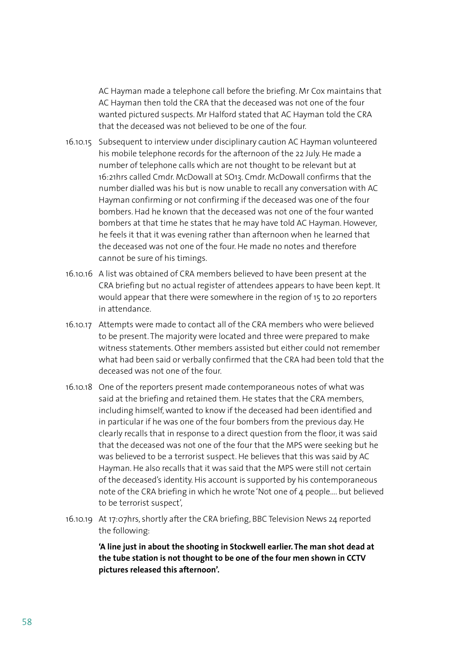AC Hayman made a telephone call before the briefing. Mr Cox maintains that AC Hayman then told the CRA that the deceased was not one of the four wanted pictured suspects. Mr Halford stated that AC Hayman told the CRA that the deceased was not believed to be one of the four.

- 16.10.15 Subsequent to interview under disciplinary caution AC Hayman volunteered his mobile telephone records for the afternoon of the 22 July. He made a number of telephone calls which are not thought to be relevant but at 16:21hrs called Cmdr. McDowall at SO13. Cmdr. McDowall confirms that the number dialled was his but is now unable to recall any conversation with AC Hayman confirming or not confirming if the deceased was one of the four bombers. Had he known that the deceased was not one of the four wanted bombers at that time he states that he may have told AC Hayman. However, he feels it that it was evening rather than afternoon when he learned that the deceased was not one of the four. He made no notes and therefore cannot be sure of his timings.
- 16.10.16 A list was obtained of CRA members believed to have been present at the CRA briefing but no actual register of attendees appears to have been kept. It would appear that there were somewhere in the region of 15 to 20 reporters in attendance.
- 16.10.17 Attempts were made to contact all of the CRA members who were believed to be present. The majority were located and three were prepared to make witness statements. Other members assisted but either could not remember what had been said or verbally confirmed that the CRA had been told that the deceased was not one of the four.
- 16.10.18 One of the reporters present made contemporaneous notes of what was said at the briefing and retained them. He states that the CRA members, including himself, wanted to know if the deceased had been identified and in particular if he was one of the four bombers from the previous day. He clearly recalls that in response to a direct question from the floor, it was said that the deceased was not one of the four that the MPS were seeking but he was believed to be a terrorist suspect. He believes that this was said by AC Hayman. He also recalls that it was said that the MPS were still not certain of the deceased's identity. His account is supported by his contemporaneous note of the CRA briefing in which he wrote 'Not one of 4 people…. but believed to be terrorist suspect',
- 16.10.19 At 17:07hrs, shortly after the CRA briefing, BBC Television News 24 reported the following:

**'A line just in about the shooting in Stockwell earlier. The man shot dead at the tube station is not thought to be one of the four men shown in CCTV pictures released this afternoon'.**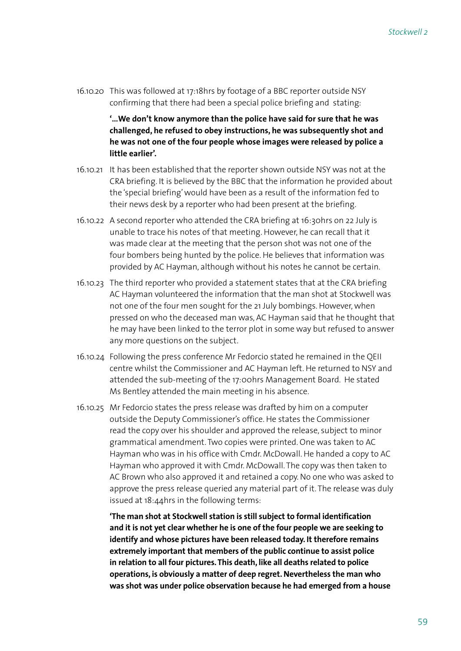16.10.20 This was followed at 17:18hrs by footage of a BBC reporter outside NSY confirming that there had been a special police briefing and stating:

> **'…We don't know anymore than the police have said for sure that he was challenged, he refused to obey instructions, he was subsequently shot and he was not one of the four people whose images were released by police a little earlier'.**

- 16.10.21 It has been established that the reporter shown outside NSY was not at the CRA briefing. It is believed by the BBC that the information he provided about the 'special briefing' would have been as a result of the information fed to their news desk by a reporter who had been present at the briefing.
- 16.10.22 A second reporter who attended the CRA briefing at 16:30hrs on 22 July is unable to trace his notes of that meeting. However, he can recall that it was made clear at the meeting that the person shot was not one of the four bombers being hunted by the police. He believes that information was provided by AC Hayman, although without his notes he cannot be certain.
- 16.10.23 The third reporter who provided a statement states that at the CRA briefing AC Hayman volunteered the information that the man shot at Stockwell was not one of the four men sought for the 21 July bombings. However, when pressed on who the deceased man was, AC Hayman said that he thought that he may have been linked to the terror plot in some way but refused to answer any more questions on the subject.
- 16.10.24 Following the press conference Mr Fedorcio stated he remained in the QEII centre whilst the Commissioner and AC Hayman left. He returned to NSY and attended the sub-meeting of the 17:00hrs Management Board. He stated Ms Bentley attended the main meeting in his absence.
- 16.10.25 Mr Fedorcio states the press release was drafted by him on a computer outside the Deputy Commissioner's office. He states the Commissioner read the copy over his shoulder and approved the release, subject to minor grammatical amendment. Two copies were printed. One was taken to AC Hayman who was in his office with Cmdr. McDowall. He handed a copy to AC Hayman who approved it with Cmdr. McDowall. The copy was then taken to AC Brown who also approved it and retained a copy. No one who was asked to approve the press release queried any material part of it. The release was duly issued at 18:44hrs in the following terms:

**'The man shot at Stockwell station is still subject to formal identification and it is not yet clear whether he is one of the four people we are seeking to identify and whose pictures have been released today. It therefore remains extremely important that members of the public continue to assist police in relation to all four pictures. This death, like all deaths related to police operations, is obviously a matter of deep regret. Nevertheless the man who was shot was under police observation because he had emerged from a house**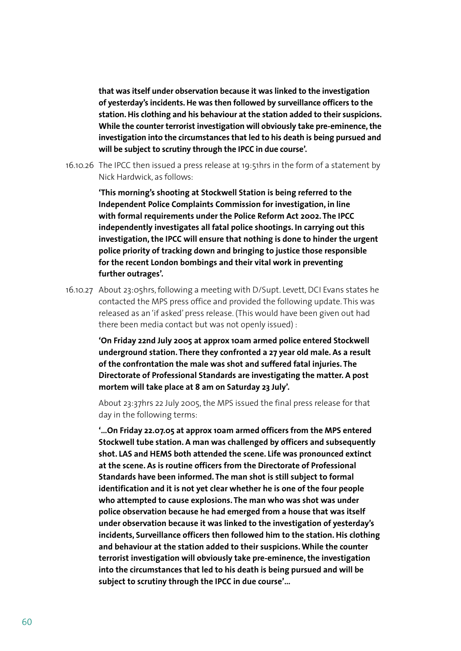**that was itself under observation because it was linked to the investigation of yesterday's incidents. He was then followed by surveillance officers to the station. His clothing and his behaviour at the station added to their suspicions. While the counter terrorist investigation will obviously take pre-eminence, the investigation into the circumstances that led to his death is being pursued and will be subject to scrutiny through the IPCC in due course'.**

16.10.26 The IPCC then issued a press release at 19:51hrs in the form of a statement by Nick Hardwick, as follows:

> **'This morning's shooting at Stockwell Station is being referred to the Independent Police Complaints Commission for investigation, in line with formal requirements under the Police Reform Act 2002. The IPCC independently investigates all fatal police shootings. In carrying out this investigation, the IPCC will ensure that nothing is done to hinder the urgent police priority of tracking down and bringing to justice those responsible for the recent London bombings and their vital work in preventing further outrages'.**

16.10.27 About 23:05hrs, following a meeting with D/Supt. Levett, DCI Evans states he contacted the MPS press office and provided the following update. This was released as an 'if asked' press release. (This would have been given out had there been media contact but was not openly issued) :

> **'On Friday 22nd July 2005 at approx 10am armed police entered Stockwell underground station. There they confronted a 27 year old male. As a result of the confrontation the male was shot and suffered fatal injuries. The Directorate of Professional Standards are investigating the matter. A post mortem will take place at 8 am on Saturday 23 July'.**

> About 23:37hrs 22 July 2005, the MPS issued the final press release for that day in the following terms:

**'…On Friday 22.07.05 at approx 10am armed officers from the MPS entered Stockwell tube station. A man was challenged by officers and subsequently shot. LAS and HEMS both attended the scene. Life was pronounced extinct at the scene. As is routine officers from the Directorate of Professional Standards have been informed. The man shot is still subject to formal identification and it is not yet clear whether he is one of the four people who attempted to cause explosions. The man who was shot was under police observation because he had emerged from a house that was itself under observation because it was linked to the investigation of yesterday's incidents, Surveillance officers then followed him to the station. His clothing and behaviour at the station added to their suspicions. While the counter terrorist investigation will obviously take pre-eminence, the investigation into the circumstances that led to his death is being pursued and will be subject to scrutiny through the IPCC in due course'…**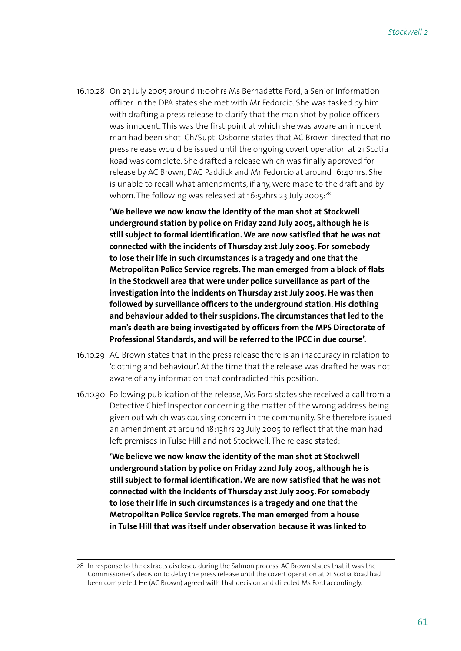16.10.28 On 23 July 2005 around 11:00hrs Ms Bernadette Ford, a Senior Information officer in the DPA states she met with Mr Fedorcio. She was tasked by him with drafting a press release to clarify that the man shot by police officers was innocent. This was the first point at which she was aware an innocent man had been shot. Ch/Supt. Osborne states that AC Brown directed that no press release would be issued until the ongoing covert operation at 21 Scotia Road was complete. She drafted a release which was finally approved for release by AC Brown, DAC Paddick and Mr Fedorcio at around 16:40hrs. She is unable to recall what amendments, if any, were made to the draft and by whom. The following was released at 16:52hrs 23 July 2005:<sup>28</sup>

> **'We believe we now know the identity of the man shot at Stockwell underground station by police on Friday 22nd July 2005, although he is still subject to formal identification. We are now satisfied that he was not connected with the incidents of Thursday 21st July 2005. For somebody to lose their life in such circumstances is a tragedy and one that the Metropolitan Police Service regrets. The man emerged from a block of flats in the Stockwell area that were under police surveillance as part of the investigation into the incidents on Thursday 21st July 2005. He was then followed by surveillance officers to the underground station. His clothing and behaviour added to their suspicions. The circumstances that led to the man's death are being investigated by officers from the MPS Directorate of Professional Standards, and will be referred to the IPCC in due course'.**

- 16.10.29 AC Brown states that in the press release there is an inaccuracy in relation to 'clothing and behaviour'. At the time that the release was drafted he was not aware of any information that contradicted this position.
- 16.10.30 Following publication of the release, Ms Ford states she received a call from a Detective Chief Inspector concerning the matter of the wrong address being given out which was causing concern in the community. She therefore issued an amendment at around 18:13hrs 23 July 2005 to reflect that the man had left premises in Tulse Hill and not Stockwell. The release stated:

**'We believe we now know the identity of the man shot at Stockwell underground station by police on Friday 22nd July 2005, although he is still subject to formal identification. We are now satisfied that he was not connected with the incidents of Thursday 21st July 2005. For somebody to lose their life in such circumstances is a tragedy and one that the Metropolitan Police Service regrets. The man emerged from a house in Tulse Hill that was itself under observation because it was linked to** 

<sup>28</sup> In response to the extracts disclosed during the Salmon process, AC Brown states that it was the Commissioner's decision to delay the press release until the covert operation at 21 Scotia Road had been completed. He (AC Brown) agreed with that decision and directed Ms Ford accordingly.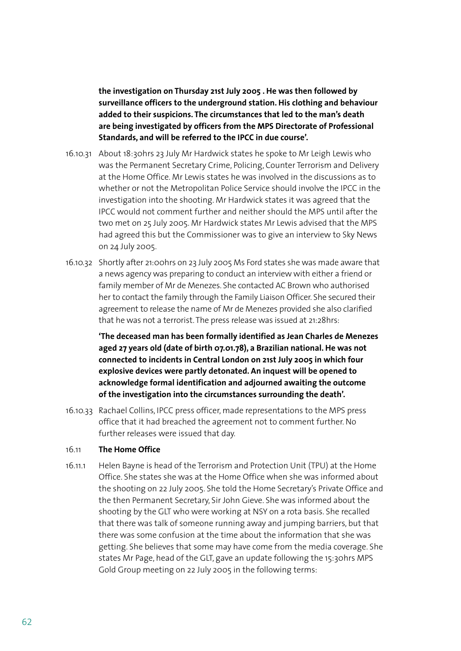**the investigation on Thursday 21st July 2005 . He was then followed by surveillance officers to the underground station. His clothing and behaviour added to their suspicions. The circumstances that led to the man's death are being investigated by officers from the MPS Directorate of Professional Standards, and will be referred to the IPCC in due course'.**

- 16.10.31 About 18:30hrs 23 July Mr Hardwick states he spoke to Mr Leigh Lewis who was the Permanent Secretary Crime, Policing, Counter Terrorism and Delivery at the Home Office. Mr Lewis states he was involved in the discussions as to whether or not the Metropolitan Police Service should involve the IPCC in the investigation into the shooting. Mr Hardwick states it was agreed that the IPCC would not comment further and neither should the MPS until after the two met on 25 July 2005. Mr Hardwick states Mr Lewis advised that the MPS had agreed this but the Commissioner was to give an interview to Sky News on 24 July 2005.
- 16.10.32 Shortly after 21:00hrs on 23 July 2005 Ms Ford states she was made aware that a news agency was preparing to conduct an interview with either a friend or family member of Mr de Menezes. She contacted AC Brown who authorised her to contact the family through the Family Liaison Officer. She secured their agreement to release the name of Mr de Menezes provided she also clarified that he was not a terrorist. The press release was issued at 21:28hrs:

**'The deceased man has been formally identified as Jean Charles de Menezes aged 27 years old (date of birth 07.01.78), a Brazilian national. He was not connected to incidents in Central London on 21st July 2005 in which four explosive devices were partly detonated. An inquest will be opened to acknowledge formal identification and adjourned awaiting the outcome of the investigation into the circumstances surrounding the death'.**

16.10.33 Rachael Collins, IPCC press officer, made representations to the MPS press office that it had breached the agreement not to comment further. No further releases were issued that day.

#### 16.11 **The Home Office**

16.11.1 Helen Bayne is head of the Terrorism and Protection Unit (TPU) at the Home Office. She states she was at the Home Office when she was informed about the shooting on 22 July 2005. She told the Home Secretary's Private Office and the then Permanent Secretary, Sir John Gieve. She was informed about the shooting by the GLT who were working at NSY on a rota basis. She recalled that there was talk of someone running away and jumping barriers, but that there was some confusion at the time about the information that she was getting. She believes that some may have come from the media coverage. She states Mr Page, head of the GLT, gave an update following the 15:30hrs MPS Gold Group meeting on 22 July 2005 in the following terms: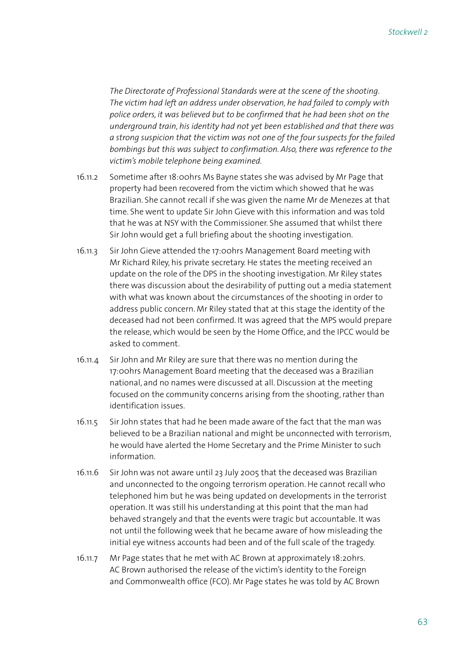*The Directorate of Professional Standards were at the scene of the shooting. The victim had left an address under observation, he had failed to comply with police orders, it was believed but to be confirmed that he had been shot on the underground train, his identity had not yet been established and that there was a strong suspicion that the victim was not one of the four suspects for the failed bombings but this was subject to confirmation. Also, there was reference to the victim's mobile telephone being examined.*

- 16.11.2 Sometime after 18:00hrs Ms Bayne states she was advised by Mr Page that property had been recovered from the victim which showed that he was Brazilian. She cannot recall if she was given the name Mr de Menezes at that time. She went to update Sir John Gieve with this information and was told that he was at NSY with the Commissioner. She assumed that whilst there Sir John would get a full briefing about the shooting investigation.
- 16.11.3 Sir John Gieve attended the 17:00hrs Management Board meeting with Mr Richard Riley, his private secretary. He states the meeting received an update on the role of the DPS in the shooting investigation. Mr Riley states there was discussion about the desirability of putting out a media statement with what was known about the circumstances of the shooting in order to address public concern. Mr Riley stated that at this stage the identity of the deceased had not been confirmed. It was agreed that the MPS would prepare the release, which would be seen by the Home Office, and the IPCC would be asked to comment.
- 16.11.4 Sir John and Mr Riley are sure that there was no mention during the 17:00hrs Management Board meeting that the deceased was a Brazilian national, and no names were discussed at all. Discussion at the meeting focused on the community concerns arising from the shooting, rather than identification issues.
- 16.11.5 Sir John states that had he been made aware of the fact that the man was believed to be a Brazilian national and might be unconnected with terrorism, he would have alerted the Home Secretary and the Prime Minister to such information.
- 16.11.6 Sir John was not aware until 23 July 2005 that the deceased was Brazilian and unconnected to the ongoing terrorism operation. He cannot recall who telephoned him but he was being updated on developments in the terrorist operation. It was still his understanding at this point that the man had behaved strangely and that the events were tragic but accountable. It was not until the following week that he became aware of how misleading the initial eye witness accounts had been and of the full scale of the tragedy.
- 16.11.7 Mr Page states that he met with AC Brown at approximately 18:20hrs. AC Brown authorised the release of the victim's identity to the Foreign and Commonwealth office (FCO). Mr Page states he was told by AC Brown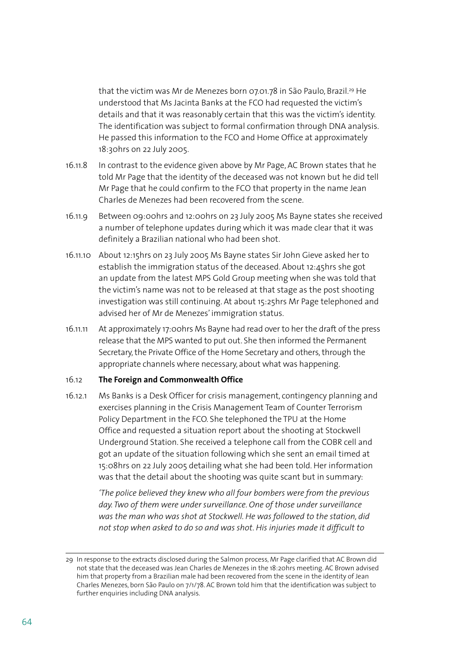that the victim was Mr de Menezes born 07.01.78 in São Paulo, Brazil.<sup>29</sup> He understood that Ms Jacinta Banks at the FCO had requested the victim's details and that it was reasonably certain that this was the victim's identity. The identification was subject to formal confirmation through DNA analysis. He passed this information to the FCO and Home Office at approximately 18:30hrs on 22 July 2005.

- 16.11.8 In contrast to the evidence given above by Mr Page, AC Brown states that he told Mr Page that the identity of the deceased was not known but he did tell Mr Page that he could confirm to the FCO that property in the name Jean Charles de Menezes had been recovered from the scene.
- 16.11.9 Between 09:00hrs and 12:00hrs on 23 July 2005 Ms Bayne states she received a number of telephone updates during which it was made clear that it was definitely a Brazilian national who had been shot.
- 16.11.10 About 12:15hrs on 23 July 2005 Ms Bayne states Sir John Gieve asked her to establish the immigration status of the deceased. About 12:45hrs she got an update from the latest MPS Gold Group meeting when she was told that the victim's name was not to be released at that stage as the post shooting investigation was still continuing. At about 15:25hrs Mr Page telephoned and advised her of Mr de Menezes' immigration status.
- 16.11.11 At approximately 17:00hrs Ms Bayne had read over to her the draft of the press release that the MPS wanted to put out. She then informed the Permanent Secretary, the Private Office of the Home Secretary and others, through the appropriate channels where necessary, about what was happening.

#### 16.12 **The Foreign and Commonwealth Office**

16.12.1 Ms Banks is a Desk Officer for crisis management, contingency planning and exercises planning in the Crisis Management Team of Counter Terrorism Policy Department in the FCO. She telephoned the TPU at the Home Office and requested a situation report about the shooting at Stockwell Underground Station. She received a telephone call from the COBR cell and got an update of the situation following which she sent an email timed at 15:08hrs on 22 July 2005 detailing what she had been told. Her information was that the detail about the shooting was quite scant but in summary:

> *'The police believed they knew who all four bombers were from the previous day. Two of them were under surveillance. One of those under surveillance was the man who was shot at Stockwell. He was followed to the station, did not stop when asked to do so and was shot. His injuries made it difficult to*

<sup>29</sup> In response to the extracts disclosed during the Salmon process, Mr Page clarified that AC Brown did not state that the deceased was Jean Charles de Menezes in the 18:20hrs meeting. AC Brown advised him that property from a Brazilian male had been recovered from the scene in the identity of Jean Charles Menezes, born São Paulo on 7/1/78. AC Brown told him that the identification was subject to further enquiries including DNA analysis.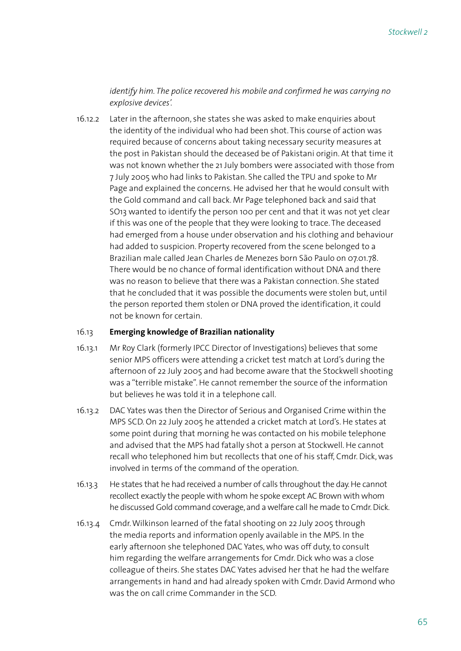## *identify him. The police recovered his mobile and confirmed he was carrying no explosive devices'.*

16.12.2 Later in the afternoon, she states she was asked to make enquiries about the identity of the individual who had been shot. This course of action was required because of concerns about taking necessary security measures at the post in Pakistan should the deceased be of Pakistani origin. At that time it was not known whether the 21 July bombers were associated with those from 7 July 2005 who had links to Pakistan. She called the TPU and spoke to Mr Page and explained the concerns. He advised her that he would consult with the Gold command and call back. Mr Page telephoned back and said that SO13 wanted to identify the person 100 per cent and that it was not yet clear if this was one of the people that they were looking to trace. The deceased had emerged from a house under observation and his clothing and behaviour had added to suspicion. Property recovered from the scene belonged to a Brazilian male called Jean Charles de Menezes born São Paulo on 07.01.78. There would be no chance of formal identification without DNA and there was no reason to believe that there was a Pakistan connection. She stated that he concluded that it was possible the documents were stolen but, until the person reported them stolen or DNA proved the identification, it could not be known for certain.

## 16.13 **Emerging knowledge of Brazilian nationality**

- 16.13.1 Mr Roy Clark (formerly IPCC Director of Investigations) believes that some senior MPS officers were attending a cricket test match at Lord's during the afternoon of 22 July 2005 and had become aware that the Stockwell shooting was a "terrible mistake". He cannot remember the source of the information but believes he was told it in a telephone call.
- 16.13.2 DAC Yates was then the Director of Serious and Organised Crime within the MPS SCD. On 22 July 2005 he attended a cricket match at Lord's. He states at some point during that morning he was contacted on his mobile telephone and advised that the MPS had fatally shot a person at Stockwell. He cannot recall who telephoned him but recollects that one of his staff, Cmdr. Dick, was involved in terms of the command of the operation.
- 16.13.3 He states that he had received a number of calls throughout the day. He cannot recollect exactly the people with whom he spoke except AC Brown with whom he discussed Gold command coverage, and a welfare call he made to Cmdr. Dick.
- 16.13.4 Cmdr. Wilkinson learned of the fatal shooting on 22 July 2005 through the media reports and information openly available in the MPS. In the early afternoon she telephoned DAC Yates, who was off duty, to consult him regarding the welfare arrangements for Cmdr. Dick who was a close colleague of theirs. She states DAC Yates advised her that he had the welfare arrangements in hand and had already spoken with Cmdr. David Armond who was the on call crime Commander in the SCD.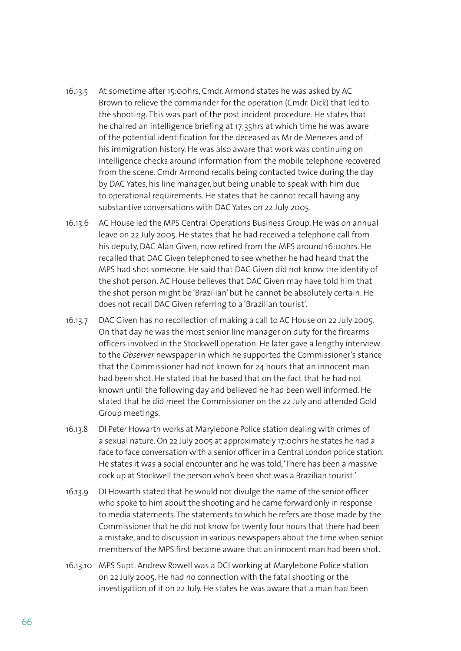- 16.13.5 At sometime after 15:00hrs, Cmdr. Armond states he was asked by AC Brown to relieve the commander for the operation (Cmdr. Dick) that led to the shooting. This was part of the post incident procedure. He states that he chaired an intelligence briefing at 17:35hrs at which time he was aware of the potential identification for the deceased as Mr de Menezes and of his immigration history. He was also aware that work was continuing on intelligence checks around information from the mobile telephone recovered from the scene. Cmdr Armond recalls being contacted twice during the day by DAC Yates, his line manager, but being unable to speak with him due to operational requirements. He states that he cannot recall having any substantive conversations with DAC Yates on 22 July 2005.
- 16.13.6 AC House led the MPS Central Operations Business Group. He was on annual leave on 22 July 2005. He states that he had received a telephone call from his deputy, DAC Alan Given, now retired from the MPS around 16:00hrs. He recalled that DAC Given telephoned to see whether he had heard that the MPS had shot someone. He said that DAC Given did not know the identity of the shot person. AC House believes that DAC Given may have told him that the shot person might be 'Brazilian' but he cannot be absolutely certain. He does not recall DAC Given referring to a 'Brazilian tourist'.
- 16.13.7 DAC Given has no recollection of making a call to AC House on 22 July 2005. On that day he was the most senior line manager on duty for the firearms officers involved in the Stockwell operation. He later gave a lengthy interview to the *Observer* newspaper in which he supported the Commissioner's stance that the Commissioner had not known for 24 hours that an innocent man had been shot. He stated that he based that on the fact that he had not known until the following day and believed he had been well informed. He stated that he did meet the Commissioner on the 22 July and attended Gold Group meetings.
- 16.13.8 DI Peter Howarth works at Marylebone Police station dealing with crimes of a sexual nature. On 22 July 2005 at approximately 17:00hrs he states he had a face to face conversation with a senior officer in a Central London police station. He states it was a social encounter and he was told, 'There has been a massive cock up at Stockwell the person who's been shot was a Brazilian tourist.'
- 16.13.9 DI Howarth stated that he would not divulge the name of the senior officer who spoke to him about the shooting and he came forward only in response to media statements. The statements to which he refers are those made by the Commissioner that he did not know for twenty four hours that there had been a mistake, and to discussion in various newspapers about the time when senior members of the MPS first became aware that an innocent man had been shot.
- 16.13.10 MPS Supt. Andrew Rowell was a DCI working at Marylebone Police station on 22 July 2005. He had no connection with the fatal shooting or the investigation of it on 22 July. He states he was aware that a man had been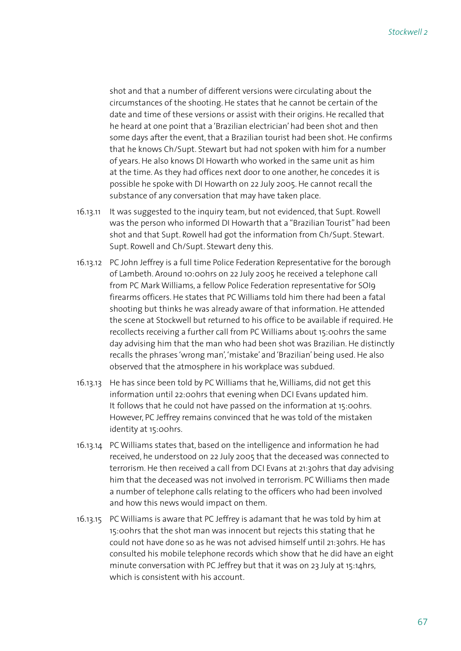shot and that a number of different versions were circulating about the circumstances of the shooting. He states that he cannot be certain of the date and time of these versions or assist with their origins. He recalled that he heard at one point that a 'Brazilian electrician' had been shot and then some days after the event, that a Brazilian tourist had been shot. He confirms that he knows Ch/Supt. Stewart but had not spoken with him for a number of years. He also knows DI Howarth who worked in the same unit as him at the time. As they had offices next door to one another, he concedes it is possible he spoke with DI Howarth on 22 July 2005. He cannot recall the substance of any conversation that may have taken place.

- 16.13.11 It was suggested to the inquiry team, but not evidenced, that Supt. Rowell was the person who informed DI Howarth that a "Brazilian Tourist" had been shot and that Supt. Rowell had got the information from Ch/Supt. Stewart. Supt. Rowell and Ch/Supt. Stewart deny this.
- 16.13.12 PC John Jeffrey is a full time Police Federation Representative for the borough of Lambeth. Around 10:00hrs on 22 July 2005 he received a telephone call from PC Mark Williams, a fellow Police Federation representative for SOI9 firearms officers. He states that PC Williams told him there had been a fatal shooting but thinks he was already aware of that information. He attended the scene at Stockwell but returned to his office to be available if required. He recollects receiving a further call from PC Williams about 15:00hrs the same day advising him that the man who had been shot was Brazilian. He distinctly recalls the phrases 'wrong man', 'mistake' and 'Brazilian' being used. He also observed that the atmosphere in his workplace was subdued.
- 16.13.13 He has since been told by PC Williams that he, Williams, did not get this information until 22:00hrs that evening when DCI Evans updated him. It follows that he could not have passed on the information at 15:00hrs. However, PC Jeffrey remains convinced that he was told of the mistaken identity at 15:00hrs.
- 16.13.14 PC Williams states that, based on the intelligence and information he had received, he understood on 22 July 2005 that the deceased was connected to terrorism. He then received a call from DCI Evans at 21:30hrs that day advising him that the deceased was not involved in terrorism. PC Williams then made a number of telephone calls relating to the officers who had been involved and how this news would impact on them.
- 16.13.15 PC Williams is aware that PC Jeffrey is adamant that he was told by him at 15:00hrs that the shot man was innocent but rejects this stating that he could not have done so as he was not advised himself until 21:30hrs. He has consulted his mobile telephone records which show that he did have an eight minute conversation with PC Jeffrey but that it was on 23 July at 15:14hrs, which is consistent with his account.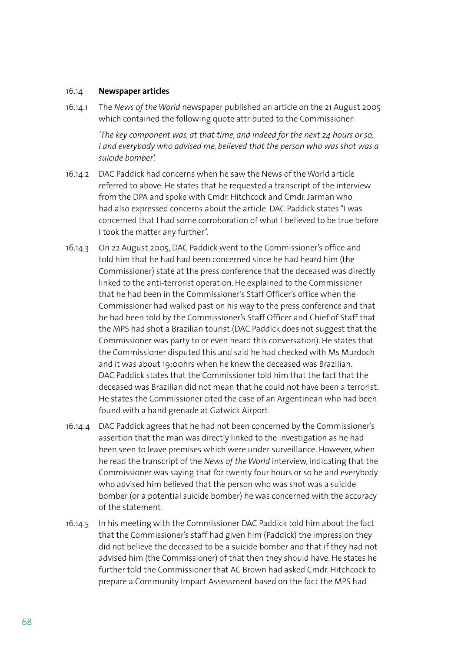#### 16.14 **Newspaper articles**

16.14.1 The *News of the World* newspaper published an article on the 21 August 2005 which contained the following quote attributed to the Commissioner:

> *'The key component was, at that time, and indeed for the next 24 hours or so, I and everybody who advised me, believed that the person who was shot was a suicide bomber'.*

- 16.14.2 DAC Paddick had concerns when he saw the News of the World article referred to above. He states that he requested a transcript of the interview from the DPA and spoke with Cmdr. Hitchcock and Cmdr. Jarman who had also expressed concerns about the article. DAC Paddick states "I was concerned that I had some corroboration of what I believed to be true before I took the matter any further".
- 16.14.3 On 22 August 2005, DAC Paddick went to the Commissioner's office and told him that he had had been concerned since he had heard him (the Commissioner) state at the press conference that the deceased was directly linked to the anti-terrorist operation. He explained to the Commissioner that he had been in the Commissioner's Staff Officer's office when the Commissioner had walked past on his way to the press conference and that he had been told by the Commissioner's Staff Officer and Chief of Staff that the MPS had shot a Brazilian tourist (DAC Paddick does not suggest that the Commissioner was party to or even heard this conversation). He states that the Commissioner disputed this and said he had checked with Ms Murdoch and it was about 19:00hrs when he knew the deceased was Brazilian. DAC Paddick states that the Commissioner told him that the fact that the deceased was Brazilian did not mean that he could not have been a terrorist. He states the Commissioner cited the case of an Argentinean who had been found with a hand grenade at Gatwick Airport.
- 16.14.4 DAC Paddick agrees that he had not been concerned by the Commissioner's assertion that the man was directly linked to the investigation as he had been seen to leave premises which were under surveillance. However, when he read the transcript of the *News of the World* interview, indicating that the Commissioner was saying that for twenty four hours or so he and everybody who advised him believed that the person who was shot was a suicide bomber (or a potential suicide bomber) he was concerned with the accuracy of the statement.
- 16.14.5 In his meeting with the Commissioner DAC Paddick told him about the fact that the Commissioner's staff had given him (Paddick) the impression they did not believe the deceased to be a suicide bomber and that if they had not advised him (the Commissioner) of that then they should have. He states he further told the Commissioner that AC Brown had asked Cmdr. Hitchcock to prepare a Community Impact Assessment based on the fact the MPS had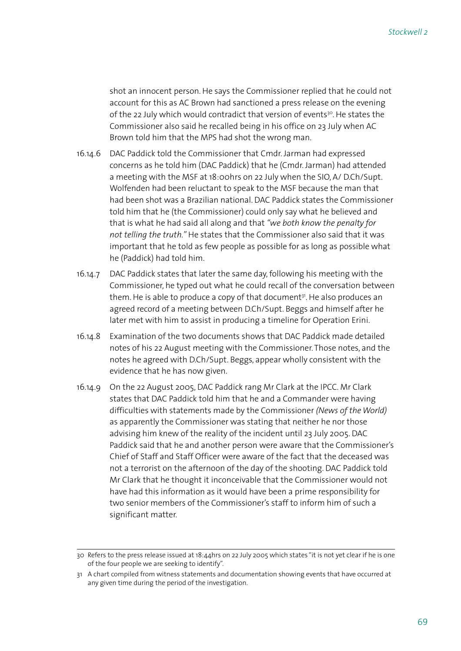shot an innocent person. He says the Commissioner replied that he could not account for this as AC Brown had sanctioned a press release on the evening of the 22 July which would contradict that version of events<sup>30</sup>. He states the Commissioner also said he recalled being in his office on 23 July when AC Brown told him that the MPS had shot the wrong man.

- 16.14.6 DAC Paddick told the Commissioner that Cmdr. Jarman had expressed concerns as he told him (DAC Paddick) that he (Cmdr. Jarman) had attended a meeting with the MSF at 18:00hrs on 22 July when the SIO, A/ D.Ch/Supt. Wolfenden had been reluctant to speak to the MSF because the man that had been shot was a Brazilian national. DAC Paddick states the Commissioner told him that he (the Commissioner) could only say what he believed and that is what he had said all along and that *"we both know the penalty for not telling the truth."* He states that the Commissioner also said that it was important that he told as few people as possible for as long as possible what he (Paddick) had told him.
- 16.14.7 DAC Paddick states that later the same day, following his meeting with the Commissioner, he typed out what he could recall of the conversation between them. He is able to produce a copy of that document<sup>31</sup>. He also produces an agreed record of a meeting between D.Ch/Supt. Beggs and himself after he later met with him to assist in producing a timeline for Operation Erini.
- 16.14.8 Examination of the two documents shows that DAC Paddick made detailed notes of his 22 August meeting with the Commissioner. Those notes, and the notes he agreed with D.Ch/Supt. Beggs, appear wholly consistent with the evidence that he has now given.
- 16.14.9 On the 22 August 2005, DAC Paddick rang Mr Clark at the IPCC. Mr Clark states that DAC Paddick told him that he and a Commander were having difficulties with statements made by the Commissioner *(News of the World)* as apparently the Commissioner was stating that neither he nor those advising him knew of the reality of the incident until 23 July 2005. DAC Paddick said that he and another person were aware that the Commissioner's Chief of Staff and Staff Officer were aware of the fact that the deceased was not a terrorist on the afternoon of the day of the shooting. DAC Paddick told Mr Clark that he thought it inconceivable that the Commissioner would not have had this information as it would have been a prime responsibility for two senior members of the Commissioner's staff to inform him of such a significant matter.

<sup>30</sup> Refers to the press release issued at 18:44hrs on 22 July 2005 which states "it is not yet clear if he is one of the four people we are seeking to identify".

<sup>31</sup> A chart compiled from witness statements and documentation showing events that have occurred at any given time during the period of the investigation.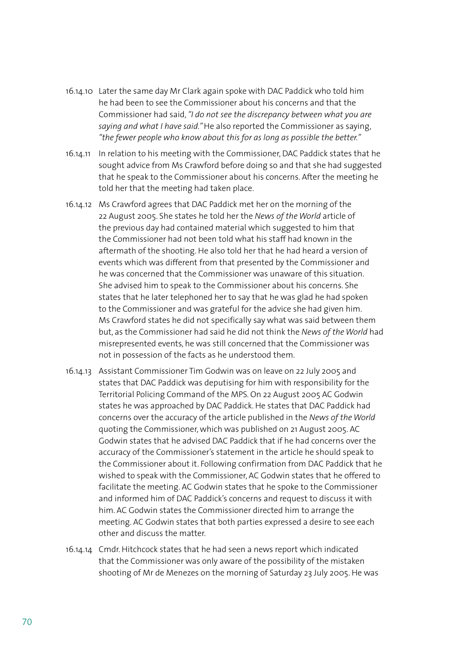- 16.14.10 Later the same day Mr Clark again spoke with DAC Paddick who told him he had been to see the Commissioner about his concerns and that the Commissioner had said, *"I do not see the discrepancy between what you are saying and what I have said."* He also reported the Commissioner as saying, *"the fewer people who know about this for as long as possible the better."*
- 16.14.11 In relation to his meeting with the Commissioner, DAC Paddick states that he sought advice from Ms Crawford before doing so and that she had suggested that he speak to the Commissioner about his concerns. After the meeting he told her that the meeting had taken place.
- 16.14.12 Ms Crawford agrees that DAC Paddick met her on the morning of the 22 August 2005. She states he told her the *News of the World* article of the previous day had contained material which suggested to him that the Commissioner had not been told what his staff had known in the aftermath of the shooting. He also told her that he had heard a version of events which was different from that presented by the Commissioner and he was concerned that the Commissioner was unaware of this situation. She advised him to speak to the Commissioner about his concerns. She states that he later telephoned her to say that he was glad he had spoken to the Commissioner and was grateful for the advice she had given him. Ms Crawford states he did not specifically say what was said between them but, as the Commissioner had said he did not think the *News of the World* had misrepresented events, he was still concerned that the Commissioner was not in possession of the facts as he understood them.
- 16.14.13 Assistant Commissioner Tim Godwin was on leave on 22 July 2005 and states that DAC Paddick was deputising for him with responsibility for the Territorial Policing Command of the MPS. On 22 August 2005 AC Godwin states he was approached by DAC Paddick. He states that DAC Paddick had concerns over the accuracy of the article published in the *News of the World* quoting the Commissioner, which was published on 21 August 2005. AC Godwin states that he advised DAC Paddick that if he had concerns over the accuracy of the Commissioner's statement in the article he should speak to the Commissioner about it. Following confirmation from DAC Paddick that he wished to speak with the Commissioner, AC Godwin states that he offered to facilitate the meeting. AC Godwin states that he spoke to the Commissioner and informed him of DAC Paddick's concerns and request to discuss it with him. AC Godwin states the Commissioner directed him to arrange the meeting. AC Godwin states that both parties expressed a desire to see each other and discuss the matter.
- 16.14.14 Cmdr. Hitchcock states that he had seen a news report which indicated that the Commissioner was only aware of the possibility of the mistaken shooting of Mr de Menezes on the morning of Saturday 23 July 2005. He was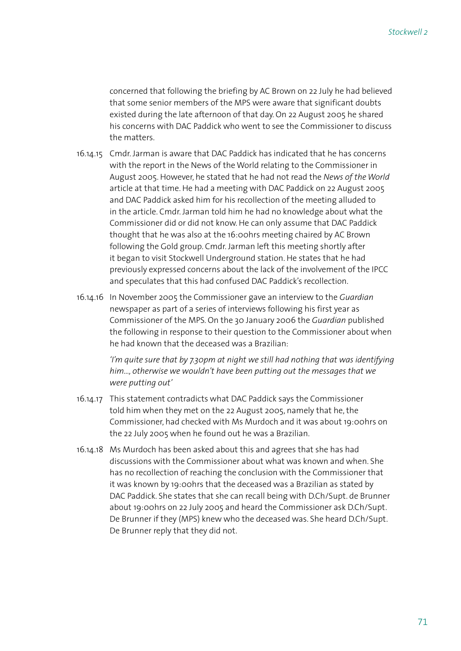concerned that following the briefing by AC Brown on 22 July he had believed that some senior members of the MPS were aware that significant doubts existed during the late afternoon of that day. On 22 August 2005 he shared his concerns with DAC Paddick who went to see the Commissioner to discuss the matters.

- 16.14.15 Cmdr. Jarman is aware that DAC Paddick has indicated that he has concerns with the report in the News of the World relating to the Commissioner in August 2005. However, he stated that he had not read the *News of the World* article at that time. He had a meeting with DAC Paddick on 22 August 2005 and DAC Paddick asked him for his recollection of the meeting alluded to in the article. Cmdr. Jarman told him he had no knowledge about what the Commissioner did or did not know. He can only assume that DAC Paddick thought that he was also at the 16:00hrs meeting chaired by AC Brown following the Gold group. Cmdr. Jarman left this meeting shortly after it began to visit Stockwell Underground station. He states that he had previously expressed concerns about the lack of the involvement of the IPCC and speculates that this had confused DAC Paddick's recollection.
- 16.14.16 In November 2005 the Commissioner gave an interview to the *Guardian* newspaper as part of a series of interviews following his first year as Commissioner of the MPS. On the 30 January 2006 the *Guardian* published the following in response to their question to the Commissioner about when he had known that the deceased was a Brazilian:

*'I'm quite sure that by 7.30pm at night we still had nothing that was identifying him…, otherwise we wouldn't have been putting out the messages that we were putting out'*

- 16.14.17 This statement contradicts what DAC Paddick says the Commissioner told him when they met on the 22 August 2005, namely that he, the Commissioner, had checked with Ms Murdoch and it was about 19:00hrs on the 22 July 2005 when he found out he was a Brazilian.
- 16.14.18 Ms Murdoch has been asked about this and agrees that she has had discussions with the Commissioner about what was known and when. She has no recollection of reaching the conclusion with the Commissioner that it was known by 19:00hrs that the deceased was a Brazilian as stated by DAC Paddick. She states that she can recall being with D.Ch/Supt. de Brunner about 19:00hrs on 22 July 2005 and heard the Commissioner ask D.Ch/Supt. De Brunner if they (MPS) knew who the deceased was. She heard D.Ch/Supt. De Brunner reply that they did not.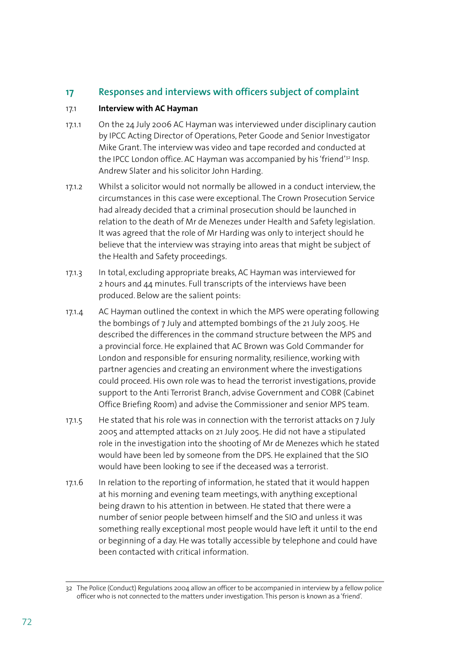# **17 Responses and interviews with officers subject of complaint**

## 17.1 **Interview with AC Hayman**

- 17.1.1 On the 24 July 2006 AC Hayman was interviewed under disciplinary caution by IPCC Acting Director of Operations, Peter Goode and Senior Investigator Mike Grant. The interview was video and tape recorded and conducted at the IPCC London office. AC Hayman was accompanied by his 'friend'32 Insp. Andrew Slater and his solicitor John Harding.
- 17.1.2 Whilst a solicitor would not normally be allowed in a conduct interview, the circumstances in this case were exceptional. The Crown Prosecution Service had already decided that a criminal prosecution should be launched in relation to the death of Mr de Menezes under Health and Safety legislation. It was agreed that the role of Mr Harding was only to interject should he believe that the interview was straying into areas that might be subject of the Health and Safety proceedings.
- 17.1.3 In total, excluding appropriate breaks, AC Hayman was interviewed for 2 hours and 44 minutes. Full transcripts of the interviews have been produced. Below are the salient points:
- 17.1.4 AC Hayman outlined the context in which the MPS were operating following the bombings of 7 July and attempted bombings of the 21 July 2005. He described the differences in the command structure between the MPS and a provincial force. He explained that AC Brown was Gold Commander for London and responsible for ensuring normality, resilience, working with partner agencies and creating an environment where the investigations could proceed. His own role was to head the terrorist investigations, provide support to the Anti Terrorist Branch, advise Government and COBR (Cabinet Office Briefing Room) and advise the Commissioner and senior MPS team.
- 17.1.5 He stated that his role was in connection with the terrorist attacks on 7 July 2005 and attempted attacks on 21 July 2005. He did not have a stipulated role in the investigation into the shooting of Mr de Menezes which he stated would have been led by someone from the DPS. He explained that the SIO would have been looking to see if the deceased was a terrorist.
- 17.1.6 In relation to the reporting of information, he stated that it would happen at his morning and evening team meetings, with anything exceptional being drawn to his attention in between. He stated that there were a number of senior people between himself and the SIO and unless it was something really exceptional most people would have left it until to the end or beginning of a day. He was totally accessible by telephone and could have been contacted with critical information.

<sup>32</sup> The Police (Conduct) Regulations 2004 allow an officer to be accompanied in interview by a fellow police officer who is not connected to the matters under investigation. This person is known as a 'friend'.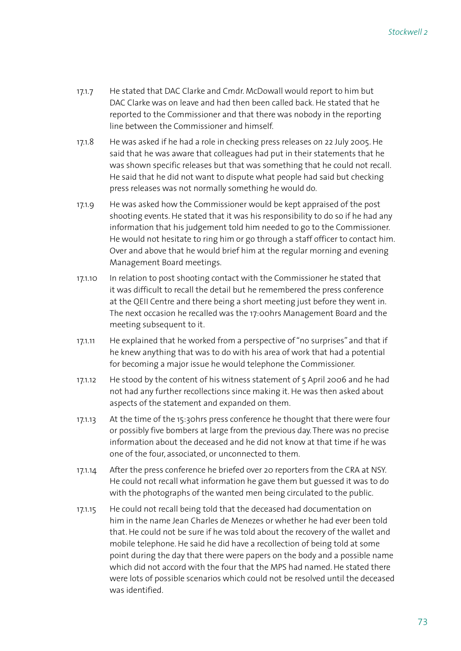- 17.1.7 He stated that DAC Clarke and Cmdr. McDowall would report to him but DAC Clarke was on leave and had then been called back. He stated that he reported to the Commissioner and that there was nobody in the reporting line between the Commissioner and himself.
- 17.1.8 He was asked if he had a role in checking press releases on 22 July 2005. He said that he was aware that colleagues had put in their statements that he was shown specific releases but that was something that he could not recall. He said that he did not want to dispute what people had said but checking press releases was not normally something he would do.
- 17.1.9 He was asked how the Commissioner would be kept appraised of the post shooting events. He stated that it was his responsibility to do so if he had any information that his judgement told him needed to go to the Commissioner. He would not hesitate to ring him or go through a staff officer to contact him. Over and above that he would brief him at the regular morning and evening Management Board meetings.
- 17.1.10 In relation to post shooting contact with the Commissioner he stated that it was difficult to recall the detail but he remembered the press conference at the QEII Centre and there being a short meeting just before they went in. The next occasion he recalled was the 17:00hrs Management Board and the meeting subsequent to it.
- 17.1.11 He explained that he worked from a perspective of "no surprises" and that if he knew anything that was to do with his area of work that had a potential for becoming a major issue he would telephone the Commissioner.
- 17.1.12 He stood by the content of his witness statement of 5 April 2006 and he had not had any further recollections since making it. He was then asked about aspects of the statement and expanded on them.
- 17.1.13 At the time of the 15:30hrs press conference he thought that there were four or possibly five bombers at large from the previous day. There was no precise information about the deceased and he did not know at that time if he was one of the four, associated, or unconnected to them.
- 17.1.14 After the press conference he briefed over 20 reporters from the CRA at NSY. He could not recall what information he gave them but guessed it was to do with the photographs of the wanted men being circulated to the public.
- 17.1.15 He could not recall being told that the deceased had documentation on him in the name Jean Charles de Menezes or whether he had ever been told that. He could not be sure if he was told about the recovery of the wallet and mobile telephone. He said he did have a recollection of being told at some point during the day that there were papers on the body and a possible name which did not accord with the four that the MPS had named. He stated there were lots of possible scenarios which could not be resolved until the deceased was identified.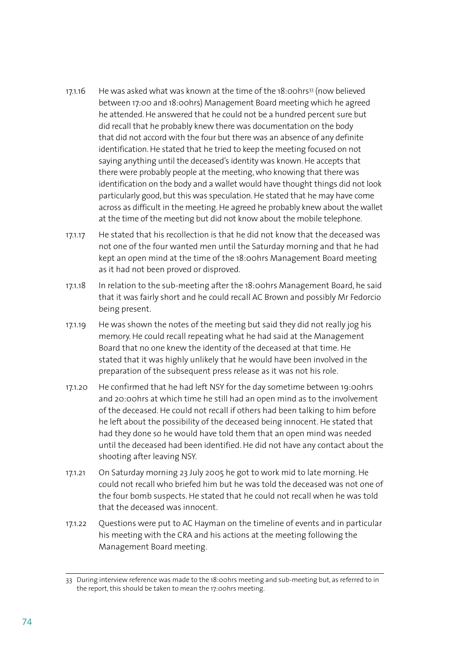- 17.1.16 He was asked what was known at the time of the 18:00hrs<sup>33</sup> (now believed between 17:00 and 18:00hrs) Management Board meeting which he agreed he attended. He answered that he could not be a hundred percent sure but did recall that he probably knew there was documentation on the body that did not accord with the four but there was an absence of any definite identification. He stated that he tried to keep the meeting focused on not saying anything until the deceased's identity was known. He accepts that there were probably people at the meeting, who knowing that there was identification on the body and a wallet would have thought things did not look particularly good, but this was speculation. He stated that he may have come across as difficult in the meeting. He agreed he probably knew about the wallet at the time of the meeting but did not know about the mobile telephone.
- 17.1.17 He stated that his recollection is that he did not know that the deceased was not one of the four wanted men until the Saturday morning and that he had kept an open mind at the time of the 18:00hrs Management Board meeting as it had not been proved or disproved.
- 17.1.18 In relation to the sub-meeting after the 18:00hrs Management Board, he said that it was fairly short and he could recall AC Brown and possibly Mr Fedorcio being present.
- 17.1.19 He was shown the notes of the meeting but said they did not really jog his memory. He could recall repeating what he had said at the Management Board that no one knew the identity of the deceased at that time. He stated that it was highly unlikely that he would have been involved in the preparation of the subsequent press release as it was not his role.
- 17.1.20 He confirmed that he had left NSY for the day sometime between 19:00hrs and 20:00hrs at which time he still had an open mind as to the involvement of the deceased. He could not recall if others had been talking to him before he left about the possibility of the deceased being innocent. He stated that had they done so he would have told them that an open mind was needed until the deceased had been identified. He did not have any contact about the shooting after leaving NSY.
- 17.1.21 On Saturday morning 23 July 2005 he got to work mid to late morning. He could not recall who briefed him but he was told the deceased was not one of the four bomb suspects. He stated that he could not recall when he was told that the deceased was innocent.
- 17.1.22 Questions were put to AC Hayman on the timeline of events and in particular his meeting with the CRA and his actions at the meeting following the Management Board meeting.

<sup>33</sup> During interview reference was made to the 18:00hrs meeting and sub-meeting but, as referred to in the report, this should be taken to mean the 17:00hrs meeting.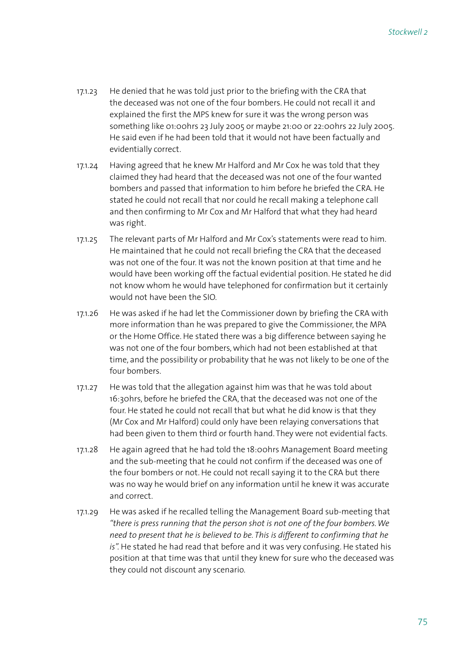- 17.1.23 He denied that he was told just prior to the briefing with the CRA that the deceased was not one of the four bombers. He could not recall it and explained the first the MPS knew for sure it was the wrong person was something like 01:00hrs 23 July 2005 or maybe 21:00 or 22:00hrs 22 July 2005. He said even if he had been told that it would not have been factually and evidentially correct.
- 17.1.24 Having agreed that he knew Mr Halford and Mr Cox he was told that they claimed they had heard that the deceased was not one of the four wanted bombers and passed that information to him before he briefed the CRA. He stated he could not recall that nor could he recall making a telephone call and then confirming to Mr Cox and Mr Halford that what they had heard was right.
- 17.1.25 The relevant parts of Mr Halford and Mr Cox's statements were read to him. He maintained that he could not recall briefing the CRA that the deceased was not one of the four. It was not the known position at that time and he would have been working off the factual evidential position. He stated he did not know whom he would have telephoned for confirmation but it certainly would not have been the SIO.
- 17.1.26 He was asked if he had let the Commissioner down by briefing the CRA with more information than he was prepared to give the Commissioner, the MPA or the Home Office. He stated there was a big difference between saying he was not one of the four bombers, which had not been established at that time, and the possibility or probability that he was not likely to be one of the four bombers.
- 17.1.27 He was told that the allegation against him was that he was told about 16:30hrs, before he briefed the CRA, that the deceased was not one of the four. He stated he could not recall that but what he did know is that they (Mr Cox and Mr Halford) could only have been relaying conversations that had been given to them third or fourth hand. They were not evidential facts.
- 17.1.28 He again agreed that he had told the 18:00hrs Management Board meeting and the sub-meeting that he could not confirm if the deceased was one of the four bombers or not. He could not recall saying it to the CRA but there was no way he would brief on any information until he knew it was accurate and correct.
- 17.1.29 He was asked if he recalled telling the Management Board sub-meeting that *"there is press running that the person shot is not one of the four bombers. We need to present that he is believed to be. This is different to confirming that he is".* He stated he had read that before and it was very confusing. He stated his position at that time was that until they knew for sure who the deceased was they could not discount any scenario.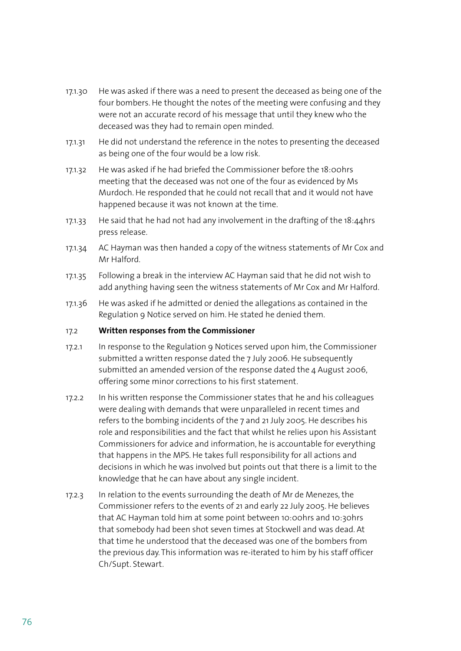- 17.1.30 He was asked if there was a need to present the deceased as being one of the four bombers. He thought the notes of the meeting were confusing and they were not an accurate record of his message that until they knew who the deceased was they had to remain open minded.
- 17.1.31 He did not understand the reference in the notes to presenting the deceased as being one of the four would be a low risk.
- 17.1.32 He was asked if he had briefed the Commissioner before the 18:00hrs meeting that the deceased was not one of the four as evidenced by Ms Murdoch. He responded that he could not recall that and it would not have happened because it was not known at the time.
- 17.1.33 He said that he had not had any involvement in the drafting of the 18:44hrs press release.
- 17.1.34 AC Hayman was then handed a copy of the witness statements of Mr Cox and Mr Halford.
- 17.1.35 Following a break in the interview AC Hayman said that he did not wish to add anything having seen the witness statements of Mr Cox and Mr Halford.
- 17.1.36 He was asked if he admitted or denied the allegations as contained in the Regulation 9 Notice served on him. He stated he denied them.

#### 17.2 **Written responses from the Commissioner**

- 17.2.1 In response to the Regulation 9 Notices served upon him, the Commissioner submitted a written response dated the 7 July 2006. He subsequently submitted an amended version of the response dated the 4 August 2006, offering some minor corrections to his first statement.
- 17.2.2 In his written response the Commissioner states that he and his colleagues were dealing with demands that were unparalleled in recent times and refers to the bombing incidents of the 7 and 21 July 2005. He describes his role and responsibilities and the fact that whilst he relies upon his Assistant Commissioners for advice and information, he is accountable for everything that happens in the MPS. He takes full responsibility for all actions and decisions in which he was involved but points out that there is a limit to the knowledge that he can have about any single incident.
- 17.2.3 In relation to the events surrounding the death of Mr de Menezes, the Commissioner refers to the events of 21 and early 22 July 2005. He believes that AC Hayman told him at some point between 10:00hrs and 10:30hrs that somebody had been shot seven times at Stockwell and was dead. At that time he understood that the deceased was one of the bombers from the previous day. This information was re-iterated to him by his staff officer Ch/Supt. Stewart.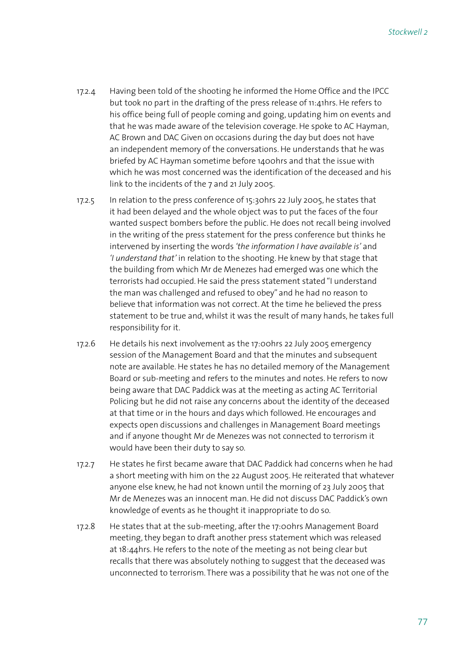- 17.2.4 Having been told of the shooting he informed the Home Office and the IPCC but took no part in the drafting of the press release of 11:41hrs. He refers to his office being full of people coming and going, updating him on events and that he was made aware of the television coverage. He spoke to AC Hayman, AC Brown and DAC Given on occasions during the day but does not have an independent memory of the conversations. He understands that he was briefed by AC Hayman sometime before 1400hrs and that the issue with which he was most concerned was the identification of the deceased and his link to the incidents of the 7 and 21 July 2005.
- 17.2.5 In relation to the press conference of 15:30hrs 22 July 2005, he states that it had been delayed and the whole object was to put the faces of the four wanted suspect bombers before the public. He does not recall being involved in the writing of the press statement for the press conference but thinks he intervened by inserting the words *'the information I have available is'* and *'I understand that'* in relation to the shooting. He knew by that stage that the building from which Mr de Menezes had emerged was one which the terrorists had occupied. He said the press statement stated "I understand the man was challenged and refused to obey" and he had no reason to believe that information was not correct. At the time he believed the press statement to be true and, whilst it was the result of many hands, he takes full responsibility for it.
- 17.2.6 He details his next involvement as the 17:00hrs 22 July 2005 emergency session of the Management Board and that the minutes and subsequent note are available. He states he has no detailed memory of the Management Board or sub-meeting and refers to the minutes and notes. He refers to now being aware that DAC Paddick was at the meeting as acting AC Territorial Policing but he did not raise any concerns about the identity of the deceased at that time or in the hours and days which followed. He encourages and expects open discussions and challenges in Management Board meetings and if anyone thought Mr de Menezes was not connected to terrorism it would have been their duty to say so.
- 17.2.7 He states he first became aware that DAC Paddick had concerns when he had a short meeting with him on the 22 August 2005. He reiterated that whatever anyone else knew, he had not known until the morning of 23 July 2005 that Mr de Menezes was an innocent man. He did not discuss DAC Paddick's own knowledge of events as he thought it inappropriate to do so.
- 17.2.8 He states that at the sub-meeting, after the 17:00hrs Management Board meeting, they began to draft another press statement which was released at 18:44hrs. He refers to the note of the meeting as not being clear but recalls that there was absolutely nothing to suggest that the deceased was unconnected to terrorism. There was a possibility that he was not one of the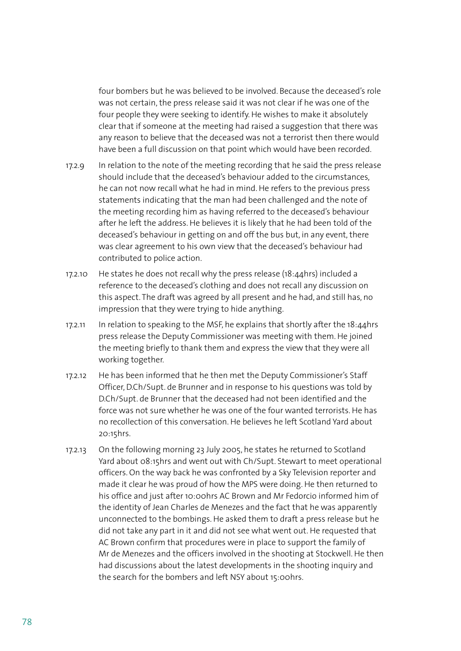four bombers but he was believed to be involved. Because the deceased's role was not certain, the press release said it was not clear if he was one of the four people they were seeking to identify. He wishes to make it absolutely clear that if someone at the meeting had raised a suggestion that there was any reason to believe that the deceased was not a terrorist then there would have been a full discussion on that point which would have been recorded.

- 17.2.9 In relation to the note of the meeting recording that he said the press release should include that the deceased's behaviour added to the circumstances, he can not now recall what he had in mind. He refers to the previous press statements indicating that the man had been challenged and the note of the meeting recording him as having referred to the deceased's behaviour after he left the address. He believes it is likely that he had been told of the deceased's behaviour in getting on and off the bus but, in any event, there was clear agreement to his own view that the deceased's behaviour had contributed to police action.
- 17.2.10 He states he does not recall why the press release (18:44hrs) included a reference to the deceased's clothing and does not recall any discussion on this aspect. The draft was agreed by all present and he had, and still has, no impression that they were trying to hide anything.
- 17.2.11 In relation to speaking to the MSF, he explains that shortly after the 18:44hrs press release the Deputy Commissioner was meeting with them. He joined the meeting briefly to thank them and express the view that they were all working together.
- 17.2.12 He has been informed that he then met the Deputy Commissioner's Staff Officer, D.Ch/Supt. de Brunner and in response to his questions was told by D.Ch/Supt. de Brunner that the deceased had not been identified and the force was not sure whether he was one of the four wanted terrorists. He has no recollection of this conversation. He believes he left Scotland Yard about 20:15hrs.
- 17.2.13 On the following morning 23 July 2005, he states he returned to Scotland Yard about 08:15hrs and went out with Ch/Supt. Stewart to meet operational officers. On the way back he was confronted by a Sky Television reporter and made it clear he was proud of how the MPS were doing. He then returned to his office and just after 10:00hrs AC Brown and Mr Fedorcio informed him of the identity of Jean Charles de Menezes and the fact that he was apparently unconnected to the bombings. He asked them to draft a press release but he did not take any part in it and did not see what went out. He requested that AC Brown confirm that procedures were in place to support the family of Mr de Menezes and the officers involved in the shooting at Stockwell. He then had discussions about the latest developments in the shooting inquiry and the search for the bombers and left NSY about 15:00hrs.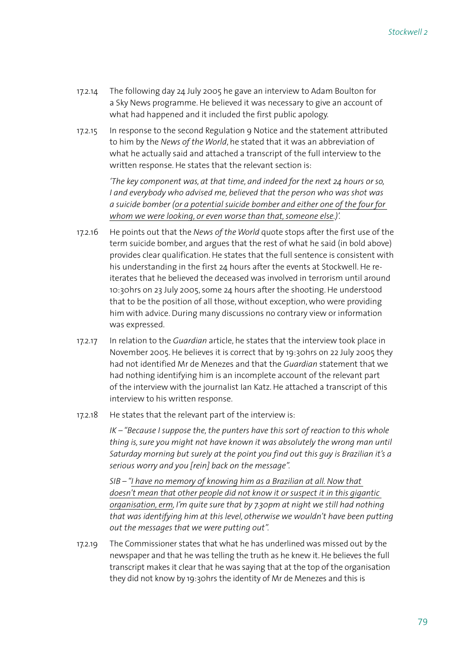- 17.2.14 The following day 24 July 2005 he gave an interview to Adam Boulton for a Sky News programme. He believed it was necessary to give an account of what had happened and it included the first public apology.
- 17.2.15 In response to the second Regulation 9 Notice and the statement attributed to him by the *News of the World*, he stated that it was an abbreviation of what he actually said and attached a transcript of the full interview to the written response. He states that the relevant section is:

*'The key component was, at that time, and indeed for the next 24 hours or so, I and everybody who advised me, believed that the person who was shot was a suicide bomber (or a potential suicide bomber and either one of the four for whom we were looking, or even worse than that, someone else.)'.*

- 17.2.16 He points out that the *News of the World* quote stops after the first use of the term suicide bomber, and argues that the rest of what he said (in bold above) provides clear qualification. He states that the full sentence is consistent with his understanding in the first 24 hours after the events at Stockwell. He reiterates that he believed the deceased was involved in terrorism until around 10:30hrs on 23 July 2005, some 24 hours after the shooting. He understood that to be the position of all those, without exception, who were providing him with advice. During many discussions no contrary view or information was expressed.
- 17.2.17 In relation to the *Guardian* article, he states that the interview took place in November 2005. He believes it is correct that by 19:30hrs on 22 July 2005 they had not identified Mr de Menezes and that the *Guardian* statement that we had nothing identifying him is an incomplete account of the relevant part of the interview with the journalist Ian Katz. He attached a transcript of this interview to his written response.
- 17.2.18 He states that the relevant part of the interview is:

*IK – "Because I suppose the, the punters have this sort of reaction to this whole thing is, sure you might not have known it was absolutely the wrong man until Saturday morning but surely at the point you find out this guy is Brazilian it's a serious worry and you [rein] back on the message".*

 *SIB – "I have no memory of knowing him as a Brazilian at all. Now that doesn't mean that other people did not know it or suspect it in this gigantic organisation, erm, I'm quite sure that by 7.30pm at night we still had nothing that was identifying him at this level, otherwise we wouldn't have been putting out the messages that we were putting out".*

17.2.19 The Commissioner states that what he has underlined was missed out by the newspaper and that he was telling the truth as he knew it. He believes the full transcript makes it clear that he was saying that at the top of the organisation they did not know by 19:30hrs the identity of Mr de Menezes and this is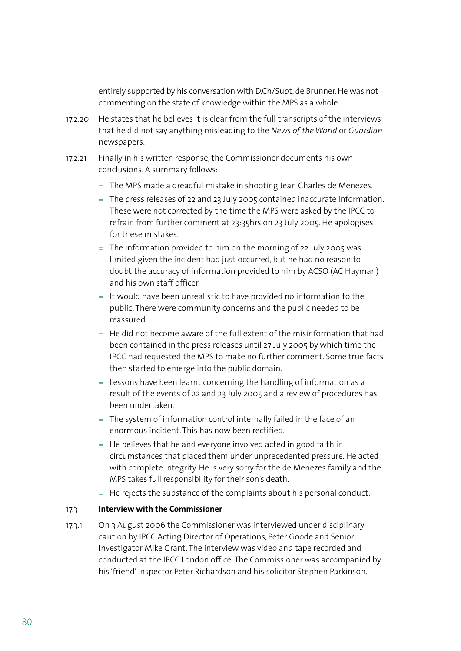entirely supported by his conversation with D.Ch/Supt. de Brunner. He was not commenting on the state of knowledge within the MPS as a whole.

- 17.2.20 He states that he believes it is clear from the full transcripts of the interviews that he did not say anything misleading to the *News of the World* or *Guardian* newspapers.
- 17.2.21 Finally in his written response, the Commissioner documents his own conclusions. A summary follows:
	- The MPS made a dreadful mistake in shooting Jean Charles de Menezes. =
	- The press releases of 22 and 23 July 2005 contained inaccurate information. = These were not corrected by the time the MPS were asked by the IPCC to refrain from further comment at 23:35hrs on 23 July 2005. He apologises for these mistakes.
	- $=$  The information provided to him on the morning of 22 July 2005 was limited given the incident had just occurred, but he had no reason to doubt the accuracy of information provided to him by ACSO (AC Hayman) and his own staff officer.
	- $=$  It would have been unrealistic to have provided no information to the public. There were community concerns and the public needed to be reassured.
	- $=$  He did not become aware of the full extent of the misinformation that had been contained in the press releases until 27 July 2005 by which time the IPCC had requested the MPS to make no further comment. Some true facts then started to emerge into the public domain.
	- $=$  Lessons have been learnt concerning the handling of information as a result of the events of 22 and 23 July 2005 and a review of procedures has been undertaken.
	- $=$  The system of information control internally failed in the face of an enormous incident. This has now been rectified.
	- $=$  He believes that he and everyone involved acted in good faith in circumstances that placed them under unprecedented pressure. He acted with complete integrity. He is very sorry for the de Menezes family and the MPS takes full responsibility for their son's death.
	- = He rejects the substance of the complaints about his personal conduct.

#### 17.3 **Interview with the Commissioner**

17.3.1 On 3 August 2006 the Commissioner was interviewed under disciplinary caution by IPCC Acting Director of Operations, Peter Goode and Senior Investigator Mike Grant. The interview was video and tape recorded and conducted at the IPCC London office. The Commissioner was accompanied by his 'friend' Inspector Peter Richardson and his solicitor Stephen Parkinson.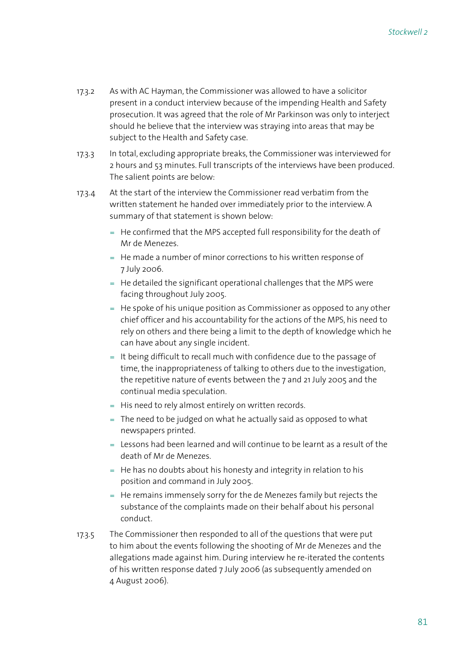- 17.3.2 As with AC Hayman, the Commissioner was allowed to have a solicitor present in a conduct interview because of the impending Health and Safety prosecution. It was agreed that the role of Mr Parkinson was only to interject should he believe that the interview was straying into areas that may be subject to the Health and Safety case.
- 17.3.3 In total, excluding appropriate breaks, the Commissioner was interviewed for 2 hours and 53 minutes. Full transcripts of the interviews have been produced. The salient points are below:
- 17.3.4 At the start of the interview the Commissioner read verbatim from the written statement he handed over immediately prior to the interview. A summary of that statement is shown below:
	- $=$  He confirmed that the MPS accepted full responsibility for the death of Mr de Menezes.
	- $=$  He made a number of minor corrections to his written response of 7 July 2006.
	- $=$  He detailed the significant operational challenges that the MPS were facing throughout July 2005.
	- $=$  He spoke of his unique position as Commissioner as opposed to any other chief officer and his accountability for the actions of the MPS, his need to rely on others and there being a limit to the depth of knowledge which he can have about any single incident.
	- $=$  It being difficult to recall much with confidence due to the passage of time, the inappropriateness of talking to others due to the investigation, the repetitive nature of events between the 7 and 21 July 2005 and the continual media speculation.
	- = His need to rely almost entirely on written records.
	- The need to be judged on what he actually said as opposed to what = newspapers printed.
	- $=$  Lessons had been learned and will continue to be learnt as a result of the death of Mr de Menezes.
	- $=$  He has no doubts about his honesty and integrity in relation to his position and command in July 2005.
	- $=$  He remains immensely sorry for the de Menezes family but rejects the substance of the complaints made on their behalf about his personal conduct.
- 17.3.5 The Commissioner then responded to all of the questions that were put to him about the events following the shooting of Mr de Menezes and the allegations made against him. During interview he re-iterated the contents of his written response dated 7 July 2006 (as subsequently amended on 4 August 2006).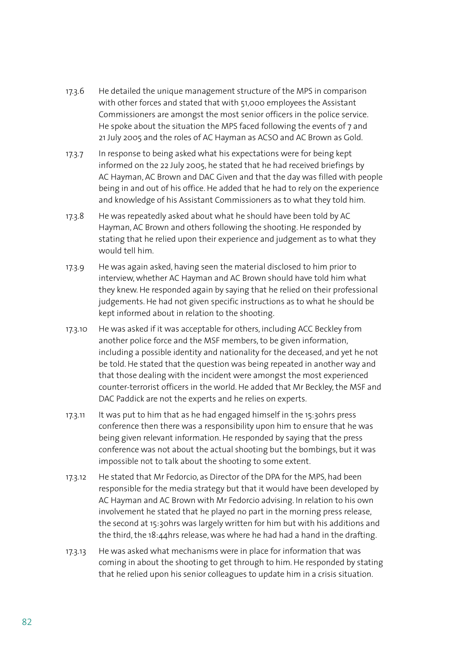- 17.3.6 He detailed the unique management structure of the MPS in comparison with other forces and stated that with 51,000 employees the Assistant Commissioners are amongst the most senior officers in the police service. He spoke about the situation the MPS faced following the events of 7 and 21 July 2005 and the roles of AC Hayman as ACSO and AC Brown as Gold.
- 17.3.7 In response to being asked what his expectations were for being kept informed on the 22 July 2005, he stated that he had received briefings by AC Hayman, AC Brown and DAC Given and that the day was filled with people being in and out of his office. He added that he had to rely on the experience and knowledge of his Assistant Commissioners as to what they told him.
- 17.3.8 He was repeatedly asked about what he should have been told by AC Hayman, AC Brown and others following the shooting. He responded by stating that he relied upon their experience and judgement as to what they would tell him.
- 17.3.9 He was again asked, having seen the material disclosed to him prior to interview, whether AC Hayman and AC Brown should have told him what they knew. He responded again by saying that he relied on their professional judgements. He had not given specific instructions as to what he should be kept informed about in relation to the shooting.
- 17.3.10 He was asked if it was acceptable for others, including ACC Beckley from another police force and the MSF members, to be given information, including a possible identity and nationality for the deceased, and yet he not be told. He stated that the question was being repeated in another way and that those dealing with the incident were amongst the most experienced counter-terrorist officers in the world. He added that Mr Beckley, the MSF and DAC Paddick are not the experts and he relies on experts.
- 17.3.11 It was put to him that as he had engaged himself in the 15:30hrs press conference then there was a responsibility upon him to ensure that he was being given relevant information. He responded by saying that the press conference was not about the actual shooting but the bombings, but it was impossible not to talk about the shooting to some extent.
- 17.3.12 He stated that Mr Fedorcio, as Director of the DPA for the MPS, had been responsible for the media strategy but that it would have been developed by AC Hayman and AC Brown with Mr Fedorcio advising. In relation to his own involvement he stated that he played no part in the morning press release, the second at 15:30hrs was largely written for him but with his additions and the third, the 18:44hrs release, was where he had had a hand in the drafting.
- 17.3.13 He was asked what mechanisms were in place for information that was coming in about the shooting to get through to him. He responded by stating that he relied upon his senior colleagues to update him in a crisis situation.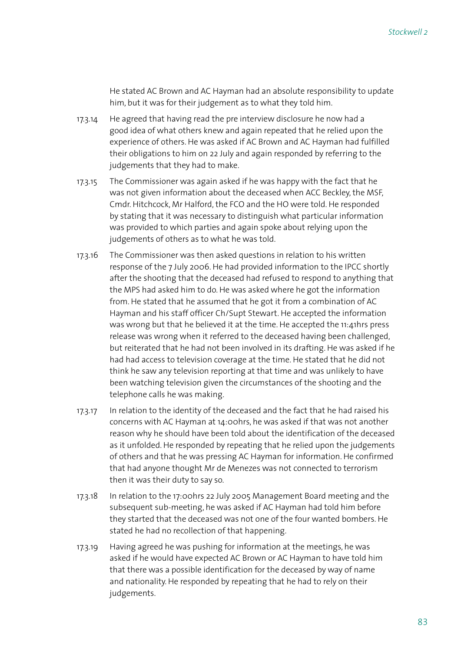He stated AC Brown and AC Hayman had an absolute responsibility to update him, but it was for their judgement as to what they told him.

- 17.3.14 He agreed that having read the pre interview disclosure he now had a good idea of what others knew and again repeated that he relied upon the experience of others. He was asked if AC Brown and AC Hayman had fulfilled their obligations to him on 22 July and again responded by referring to the judgements that they had to make.
- 17.3.15 The Commissioner was again asked if he was happy with the fact that he was not given information about the deceased when ACC Beckley, the MSF, Cmdr. Hitchcock, Mr Halford, the FCO and the HO were told. He responded by stating that it was necessary to distinguish what particular information was provided to which parties and again spoke about relying upon the judgements of others as to what he was told.
- 17.3.16 The Commissioner was then asked questions in relation to his written response of the 7 July 2006. He had provided information to the IPCC shortly after the shooting that the deceased had refused to respond to anything that the MPS had asked him to do. He was asked where he got the information from. He stated that he assumed that he got it from a combination of AC Hayman and his staff officer Ch/Supt Stewart. He accepted the information was wrong but that he believed it at the time. He accepted the 11:41hrs press release was wrong when it referred to the deceased having been challenged, but reiterated that he had not been involved in its drafting. He was asked if he had had access to television coverage at the time. He stated that he did not think he saw any television reporting at that time and was unlikely to have been watching television given the circumstances of the shooting and the telephone calls he was making.
- 17.3.17 In relation to the identity of the deceased and the fact that he had raised his concerns with AC Hayman at 14:00hrs, he was asked if that was not another reason why he should have been told about the identification of the deceased as it unfolded. He responded by repeating that he relied upon the judgements of others and that he was pressing AC Hayman for information. He confirmed that had anyone thought Mr de Menezes was not connected to terrorism then it was their duty to say so.
- 17.3.18 In relation to the 17:00hrs 22 July 2005 Management Board meeting and the subsequent sub-meeting, he was asked if AC Hayman had told him before they started that the deceased was not one of the four wanted bombers. He stated he had no recollection of that happening.
- 17.3.19 Having agreed he was pushing for information at the meetings, he was asked if he would have expected AC Brown or AC Hayman to have told him that there was a possible identification for the deceased by way of name and nationality. He responded by repeating that he had to rely on their judgements.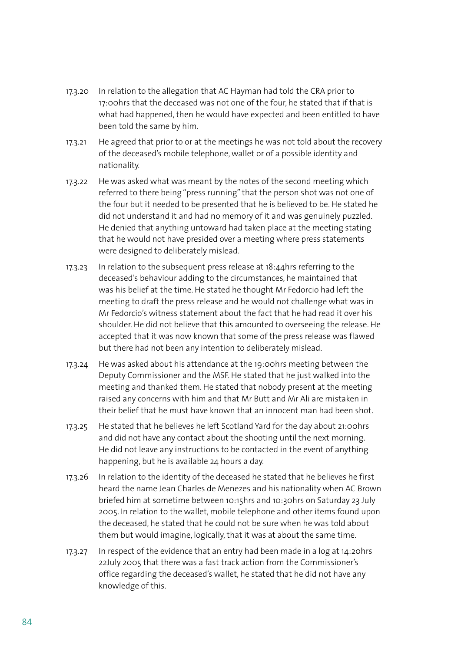- 17.3.20 In relation to the allegation that AC Hayman had told the CRA prior to 17:00hrs that the deceased was not one of the four, he stated that if that is what had happened, then he would have expected and been entitled to have been told the same by him.
- 17.3.21 He agreed that prior to or at the meetings he was not told about the recovery of the deceased's mobile telephone, wallet or of a possible identity and nationality.
- 17.3.22 He was asked what was meant by the notes of the second meeting which referred to there being "press running" that the person shot was not one of the four but it needed to be presented that he is believed to be. He stated he did not understand it and had no memory of it and was genuinely puzzled. He denied that anything untoward had taken place at the meeting stating that he would not have presided over a meeting where press statements were designed to deliberately mislead.
- 17.3.23 In relation to the subsequent press release at 18:44hrs referring to the deceased's behaviour adding to the circumstances, he maintained that was his belief at the time. He stated he thought Mr Fedorcio had left the meeting to draft the press release and he would not challenge what was in Mr Fedorcio's witness statement about the fact that he had read it over his shoulder. He did not believe that this amounted to overseeing the release. He accepted that it was now known that some of the press release was flawed but there had not been any intention to deliberately mislead.
- 17.3.24 He was asked about his attendance at the 19:00hrs meeting between the Deputy Commissioner and the MSF. He stated that he just walked into the meeting and thanked them. He stated that nobody present at the meeting raised any concerns with him and that Mr Butt and Mr Ali are mistaken in their belief that he must have known that an innocent man had been shot.
- 17.3.25 He stated that he believes he left Scotland Yard for the day about 21:00hrs and did not have any contact about the shooting until the next morning. He did not leave any instructions to be contacted in the event of anything happening, but he is available 24 hours a day.
- 17.3.26 In relation to the identity of the deceased he stated that he believes he first heard the name Jean Charles de Menezes and his nationality when AC Brown briefed him at sometime between 10:15hrs and 10:30hrs on Saturday 23 July 2005. In relation to the wallet, mobile telephone and other items found upon the deceased, he stated that he could not be sure when he was told about them but would imagine, logically, that it was at about the same time.
- 17.3.27 In respect of the evidence that an entry had been made in a log at 14:20hrs 22July 2005 that there was a fast track action from the Commissioner's office regarding the deceased's wallet, he stated that he did not have any knowledge of this.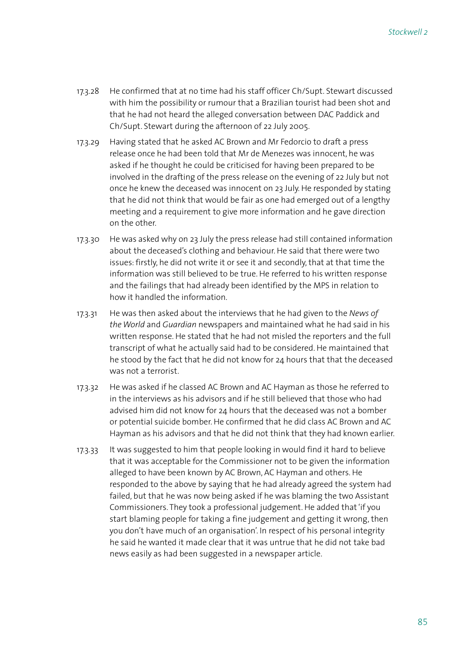- 17.3.28 He confirmed that at no time had his staff officer Ch/Supt. Stewart discussed with him the possibility or rumour that a Brazilian tourist had been shot and that he had not heard the alleged conversation between DAC Paddick and Ch/Supt. Stewart during the afternoon of 22 July 2005.
- 17.3.29 Having stated that he asked AC Brown and Mr Fedorcio to draft a press release once he had been told that Mr de Menezes was innocent, he was asked if he thought he could be criticised for having been prepared to be involved in the drafting of the press release on the evening of 22 July but not once he knew the deceased was innocent on 23 July. He responded by stating that he did not think that would be fair as one had emerged out of a lengthy meeting and a requirement to give more information and he gave direction on the other.
- 17.3.30 He was asked why on 23 July the press release had still contained information about the deceased's clothing and behaviour. He said that there were two issues: firstly, he did not write it or see it and secondly, that at that time the information was still believed to be true. He referred to his written response and the failings that had already been identified by the MPS in relation to how it handled the information.
- 17.3.31 He was then asked about the interviews that he had given to the *News of the World* and *Guardian* newspapers and maintained what he had said in his written response. He stated that he had not misled the reporters and the full transcript of what he actually said had to be considered. He maintained that he stood by the fact that he did not know for 24 hours that that the deceased was not a terrorist.
- 17.3.32 He was asked if he classed AC Brown and AC Hayman as those he referred to in the interviews as his advisors and if he still believed that those who had advised him did not know for 24 hours that the deceased was not a bomber or potential suicide bomber. He confirmed that he did class AC Brown and AC Hayman as his advisors and that he did not think that they had known earlier.
- 17.3.33 It was suggested to him that people looking in would find it hard to believe that it was acceptable for the Commissioner not to be given the information alleged to have been known by AC Brown, AC Hayman and others. He responded to the above by saying that he had already agreed the system had failed, but that he was now being asked if he was blaming the two Assistant Commissioners. They took a professional judgement. He added that 'if you start blaming people for taking a fine judgement and getting it wrong, then you don't have much of an organisation'. In respect of his personal integrity he said he wanted it made clear that it was untrue that he did not take bad news easily as had been suggested in a newspaper article.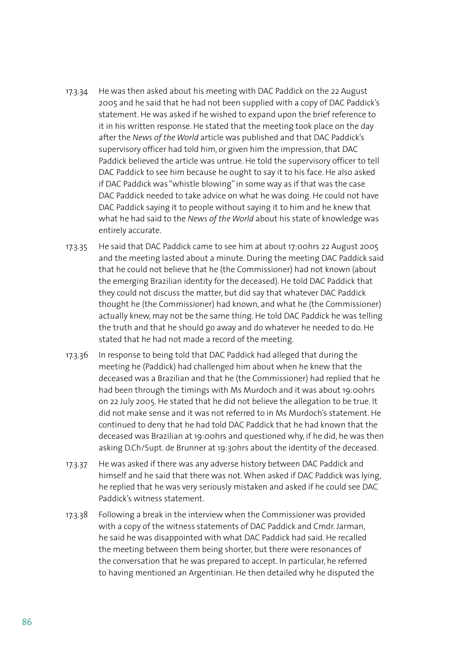- 17.3.34 He was then asked about his meeting with DAC Paddick on the 22 August 2005 and he said that he had not been supplied with a copy of DAC Paddick's statement. He was asked if he wished to expand upon the brief reference to it in his written response. He stated that the meeting took place on the day after the *News of the World* article was published and that DAC Paddick's supervisory officer had told him, or given him the impression, that DAC Paddick believed the article was untrue. He told the supervisory officer to tell DAC Paddick to see him because he ought to say it to his face. He also asked if DAC Paddick was "whistle blowing" in some way as if that was the case DAC Paddick needed to take advice on what he was doing. He could not have DAC Paddick saying it to people without saying it to him and he knew that what he had said to the *News of the World* about his state of knowledge was entirely accurate.
- 17.3.35 He said that DAC Paddick came to see him at about 17:00hrs 22 August 2005 and the meeting lasted about a minute. During the meeting DAC Paddick said that he could not believe that he (the Commissioner) had not known (about the emerging Brazilian identity for the deceased). He told DAC Paddick that they could not discuss the matter, but did say that whatever DAC Paddick thought he (the Commissioner) had known, and what he (the Commissioner) actually knew, may not be the same thing. He told DAC Paddick he was telling the truth and that he should go away and do whatever he needed to do. He stated that he had not made a record of the meeting.
- 17.3.36 In response to being told that DAC Paddick had alleged that during the meeting he (Paddick) had challenged him about when he knew that the deceased was a Brazilian and that he (the Commissioner) had replied that he had been through the timings with Ms Murdoch and it was about 19:00hrs on 22 July 2005. He stated that he did not believe the allegation to be true. It did not make sense and it was not referred to in Ms Murdoch's statement. He continued to deny that he had told DAC Paddick that he had known that the deceased was Brazilian at 19:00hrs and questioned why, if he did, he was then asking D.Ch/Supt. de Brunner at 19:30hrs about the identity of the deceased.
- 17.3.37 He was asked if there was any adverse history between DAC Paddick and himself and he said that there was not. When asked if DAC Paddick was lying, he replied that he was very seriously mistaken and asked if he could see DAC Paddick's witness statement.
- 17.3.38 Following a break in the interview when the Commissioner was provided with a copy of the witness statements of DAC Paddick and Cmdr. Jarman, he said he was disappointed with what DAC Paddick had said. He recalled the meeting between them being shorter, but there were resonances of the conversation that he was prepared to accept. In particular, he referred to having mentioned an Argentinian. He then detailed why he disputed the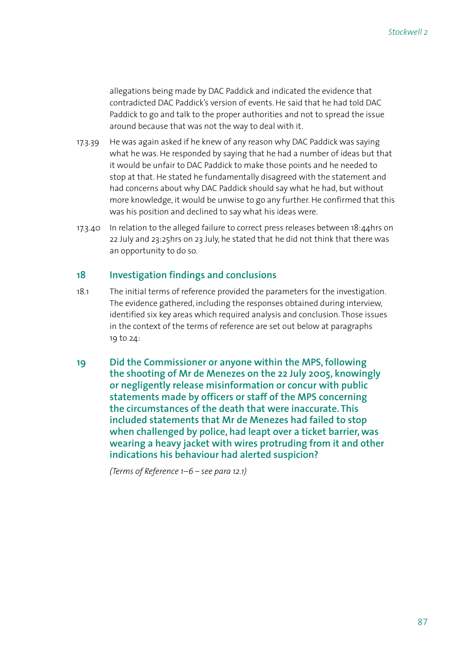allegations being made by DAC Paddick and indicated the evidence that contradicted DAC Paddick's version of events. He said that he had told DAC Paddick to go and talk to the proper authorities and not to spread the issue around because that was not the way to deal with it.

- 17.3.39 He was again asked if he knew of any reason why DAC Paddick was saying what he was. He responded by saying that he had a number of ideas but that it would be unfair to DAC Paddick to make those points and he needed to stop at that. He stated he fundamentally disagreed with the statement and had concerns about why DAC Paddick should say what he had, but without more knowledge, it would be unwise to go any further. He confirmed that this was his position and declined to say what his ideas were.
- 17.3.40 In relation to the alleged failure to correct press releases between 18:44hrs on 22 July and 23:25hrs on 23 July, he stated that he did not think that there was an opportunity to do so.

# **18 Investigation findings and conclusions**

- 18.1 The initial terms of reference provided the parameters for the investigation. The evidence gathered, including the responses obtained during interview, identified six key areas which required analysis and conclusion. Those issues in the context of the terms of reference are set out below at paragraphs 19 to 24:
- **19 Did the Commissioner or anyone within the MPS, following the shooting of Mr de Menezes on the 22 July 2005, knowingly or negligently release misinformation or concur with public statements made by officers or staff of the MPS concerning the circumstances of the death that were inaccurate. This included statements that Mr de Menezes had failed to stop when challenged by police, had leapt over a ticket barrier, was wearing a heavy jacket with wires protruding from it and other indications his behaviour had alerted suspicion?**

 *(Terms of Reference 1–6 – see para 12.1)*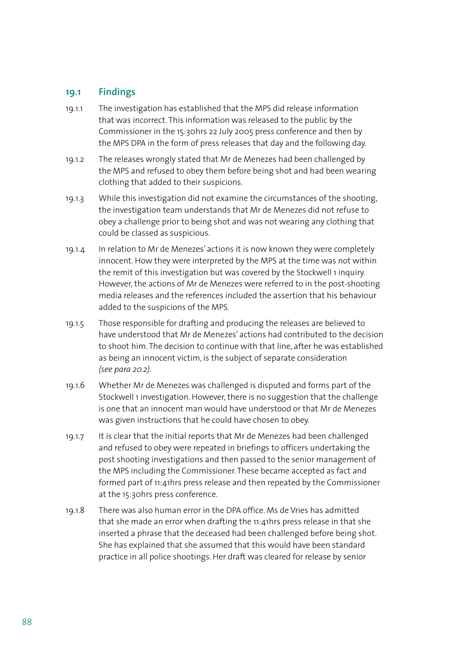# **19.1 Findings**

- 19.1.1 The investigation has established that the MPS did release information that was incorrect. This information was released to the public by the Commissioner in the 15:30hrs 22 July 2005 press conference and then by the MPS DPA in the form of press releases that day and the following day.
- 19.1.2 The releases wrongly stated that Mr de Menezes had been challenged by the MPS and refused to obey them before being shot and had been wearing clothing that added to their suspicions.
- 19.1.3 While this investigation did not examine the circumstances of the shooting, the investigation team understands that Mr de Menezes did not refuse to obey a challenge prior to being shot and was not wearing any clothing that could be classed as suspicious.
- 19.1.4 In relation to Mr de Menezes' actions it is now known they were completely innocent. How they were interpreted by the MPS at the time was not within the remit of this investigation but was covered by the Stockwell 1 inquiry. However, the actions of Mr de Menezes were referred to in the post-shooting media releases and the references included the assertion that his behaviour added to the suspicions of the MPS.
- 19.1.5 Those responsible for drafting and producing the releases are believed to have understood that Mr de Menezes' actions had contributed to the decision to shoot him. The decision to continue with that line, after he was established as being an innocent victim, is the subject of separate consideration *(see para 20.2)*.
- 19.1.6 Whether Mr de Menezes was challenged is disputed and forms part of the Stockwell 1 investigation. However, there is no suggestion that the challenge is one that an innocent man would have understood or that Mr de Menezes was given instructions that he could have chosen to obey.
- 19.1.7 It is clear that the initial reports that Mr de Menezes had been challenged and refused to obey were repeated in briefings to officers undertaking the post shooting investigations and then passed to the senior management of the MPS including the Commissioner. These became accepted as fact and formed part of 11:41hrs press release and then repeated by the Commissioner at the 15:30hrs press conference.
- 19.1.8 There was also human error in the DPA office. Ms de Vries has admitted that she made an error when drafting the 11:41hrs press release in that she inserted a phrase that the deceased had been challenged before being shot. She has explained that she assumed that this would have been standard practice in all police shootings. Her draft was cleared for release by senior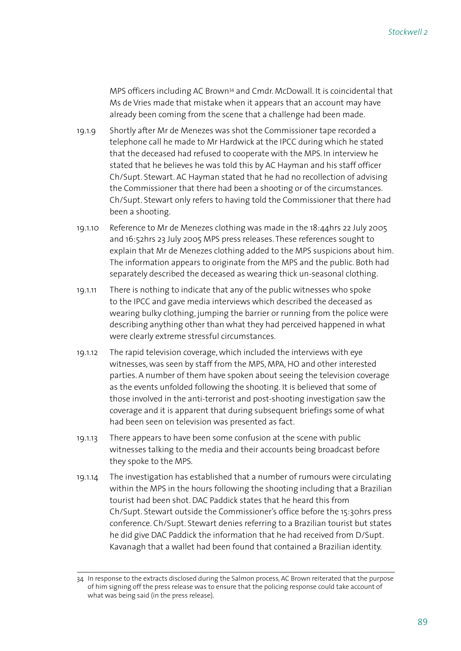MPS officers including AC Brown34 and Cmdr. McDowall. It is coincidental that Ms de Vries made that mistake when it appears that an account may have already been coming from the scene that a challenge had been made.

- 19.1.9 Shortly after Mr de Menezes was shot the Commissioner tape recorded a telephone call he made to Mr Hardwick at the IPCC during which he stated that the deceased had refused to cooperate with the MPS. In interview he stated that he believes he was told this by AC Hayman and his staff officer Ch/Supt. Stewart. AC Hayman stated that he had no recollection of advising the Commissioner that there had been a shooting or of the circumstances. Ch/Supt. Stewart only refers to having told the Commissioner that there had been a shooting.
- 19.1.10 Reference to Mr de Menezes clothing was made in the 18:44hrs 22 July 2005 and 16:52hrs 23 July 2005 MPS press releases. These references sought to explain that Mr de Menezes clothing added to the MPS suspicions about him. The information appears to originate from the MPS and the public. Both had separately described the deceased as wearing thick un-seasonal clothing.
- 19.1.11 There is nothing to indicate that any of the public witnesses who spoke to the IPCC and gave media interviews which described the deceased as wearing bulky clothing, jumping the barrier or running from the police were describing anything other than what they had perceived happened in what were clearly extreme stressful circumstances.
- 19.1.12 The rapid television coverage, which included the interviews with eye witnesses, was seen by staff from the MPS, MPA, HO and other interested parties. A number of them have spoken about seeing the television coverage as the events unfolded following the shooting. It is believed that some of those involved in the anti-terrorist and post-shooting investigation saw the coverage and it is apparent that during subsequent briefings some of what had been seen on television was presented as fact.
- 19.1.13 There appears to have been some confusion at the scene with public witnesses talking to the media and their accounts being broadcast before they spoke to the MPS.
- 19.1.14 The investigation has established that a number of rumours were circulating within the MPS in the hours following the shooting including that a Brazilian tourist had been shot. DAC Paddick states that he heard this from Ch/Supt. Stewart outside the Commissioner's office before the 15:30hrs press conference. Ch/Supt. Stewart denies referring to a Brazilian tourist but states he did give DAC Paddick the information that he had received from D/Supt. Kavanagh that a wallet had been found that contained a Brazilian identity.

<sup>34</sup> In response to the extracts disclosed during the Salmon process, AC Brown reiterated that the purpose of him signing off the press release was to ensure that the policing response could take account of what was being said (in the press release).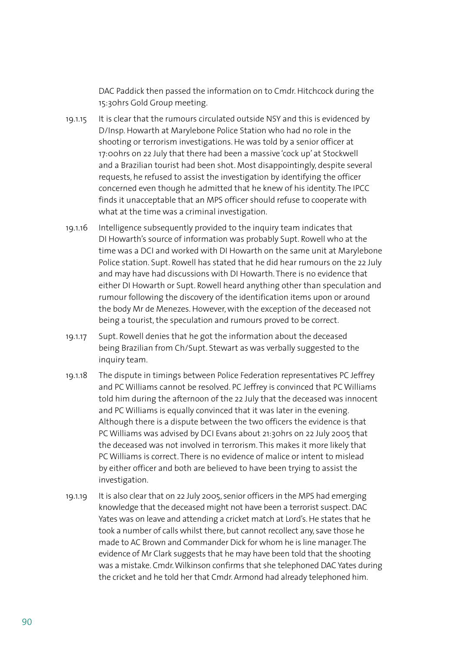DAC Paddick then passed the information on to Cmdr. Hitchcock during the 15:30hrs Gold Group meeting.

- 19.1.15 It is clear that the rumours circulated outside NSY and this is evidenced by D/Insp. Howarth at Marylebone Police Station who had no role in the shooting or terrorism investigations. He was told by a senior officer at 17:00hrs on 22 July that there had been a massive 'cock up' at Stockwell and a Brazilian tourist had been shot. Most disappointingly, despite several requests, he refused to assist the investigation by identifying the officer concerned even though he admitted that he knew of his identity. The IPCC finds it unacceptable that an MPS officer should refuse to cooperate with what at the time was a criminal investigation.
- 19.1.16 Intelligence subsequently provided to the inquiry team indicates that DI Howarth's source of information was probably Supt. Rowell who at the time was a DCI and worked with DI Howarth on the same unit at Marylebone Police station. Supt. Rowell has stated that he did hear rumours on the 22 July and may have had discussions with DI Howarth. There is no evidence that either DI Howarth or Supt. Rowell heard anything other than speculation and rumour following the discovery of the identification items upon or around the body Mr de Menezes. However, with the exception of the deceased not being a tourist, the speculation and rumours proved to be correct.
- 19.1.17 Supt. Rowell denies that he got the information about the deceased being Brazilian from Ch/Supt. Stewart as was verbally suggested to the inquiry team.
- 19.1.18 The dispute in timings between Police Federation representatives PC Jeffrey and PC Williams cannot be resolved. PC Jeffrey is convinced that PC Williams told him during the afternoon of the 22 July that the deceased was innocent and PC Williams is equally convinced that it was later in the evening. Although there is a dispute between the two officers the evidence is that PC Williams was advised by DCI Evans about 21:30hrs on 22 July 2005 that the deceased was not involved in terrorism. This makes it more likely that PC Williams is correct. There is no evidence of malice or intent to mislead by either officer and both are believed to have been trying to assist the investigation.
- 19.1.19 It is also clear that on 22 July 2005, senior officers in the MPS had emerging knowledge that the deceased might not have been a terrorist suspect. DAC Yates was on leave and attending a cricket match at Lord's. He states that he took a number of calls whilst there, but cannot recollect any, save those he made to AC Brown and Commander Dick for whom he is line manager. The evidence of Mr Clark suggests that he may have been told that the shooting was a mistake. Cmdr. Wilkinson confirms that she telephoned DAC Yates during the cricket and he told her that Cmdr. Armond had already telephoned him.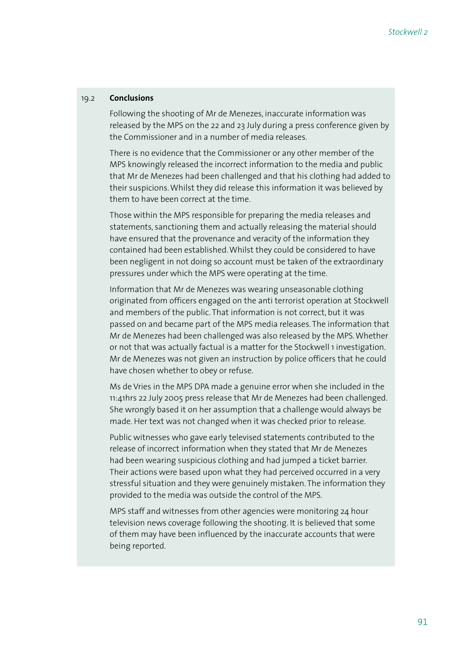#### 19.2 **Conclusions**

 Following the shooting of Mr de Menezes, inaccurate information was released by the MPS on the 22 and 23 July during a press conference given by the Commissioner and in a number of media releases.

 There is no evidence that the Commissioner or any other member of the MPS knowingly released the incorrect information to the media and public that Mr de Menezes had been challenged and that his clothing had added to their suspicions. Whilst they did release this information it was believed by them to have been correct at the time.

 Those within the MPS responsible for preparing the media releases and statements, sanctioning them and actually releasing the material should have ensured that the provenance and veracity of the information they contained had been established. Whilst they could be considered to have been negligent in not doing so account must be taken of the extraordinary pressures under which the MPS were operating at the time.

 Information that Mr de Menezes was wearing unseasonable clothing originated from officers engaged on the anti terrorist operation at Stockwell and members of the public. That information is not correct, but it was passed on and became part of the MPS media releases. The information that Mr de Menezes had been challenged was also released by the MPS. Whether or not that was actually factual is a matter for the Stockwell 1 investigation. Mr de Menezes was not given an instruction by police officers that he could have chosen whether to obey or refuse.

 Ms de Vries in the MPS DPA made a genuine error when she included in the 11:41hrs 22 July 2005 press release that Mr de Menezes had been challenged. She wrongly based it on her assumption that a challenge would always be made. Her text was not changed when it was checked prior to release.

 Public witnesses who gave early televised statements contributed to the release of incorrect information when they stated that Mr de Menezes had been wearing suspicious clothing and had jumped a ticket barrier. Their actions were based upon what they had perceived occurred in a very stressful situation and they were genuinely mistaken. The information they provided to the media was outside the control of the MPS.

 MPS staff and witnesses from other agencies were monitoring 24 hour television news coverage following the shooting. It is believed that some of them may have been influenced by the inaccurate accounts that were being reported.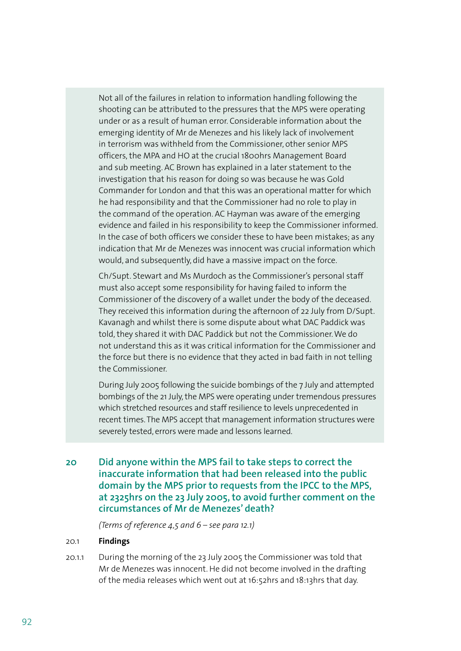Not all of the failures in relation to information handling following the shooting can be attributed to the pressures that the MPS were operating under or as a result of human error. Considerable information about the emerging identity of Mr de Menezes and his likely lack of involvement in terrorism was withheld from the Commissioner, other senior MPS officers, the MPA and HO at the crucial 1800hrs Management Board and sub meeting. AC Brown has explained in a later statement to the investigation that his reason for doing so was because he was Gold Commander for London and that this was an operational matter for which he had responsibility and that the Commissioner had no role to play in the command of the operation. AC Hayman was aware of the emerging evidence and failed in his responsibility to keep the Commissioner informed. In the case of both officers we consider these to have been mistakes; as any indication that Mr de Menezes was innocent was crucial information which would, and subsequently, did have a massive impact on the force.

 Ch/Supt. Stewart and Ms Murdoch as the Commissioner's personal staff must also accept some responsibility for having failed to inform the Commissioner of the discovery of a wallet under the body of the deceased. They received this information during the afternoon of 22 July from D/Supt. Kavanagh and whilst there is some dispute about what DAC Paddick was told, they shared it with DAC Paddick but not the Commissioner. We do not understand this as it was critical information for the Commissioner and the force but there is no evidence that they acted in bad faith in not telling the Commissioner.

 During July 2005 following the suicide bombings of the 7 July and attempted bombings of the 21 July, the MPS were operating under tremendous pressures which stretched resources and staff resilience to levels unprecedented in recent times. The MPS accept that management information structures were severely tested, errors were made and lessons learned.

**20 Did anyone within the MPS fail to take steps to correct the inaccurate information that had been released into the public domain by the MPS prior to requests from the IPCC to the MPS, at 2325hrs on the 23 July 2005, to avoid further comment on the circumstances of Mr de Menezes' death?**

 *(Terms of reference 4,5 and 6 – see para 12.1)*

#### 20.1 **Findings**

20.1.1 During the morning of the 23 July 2005 the Commissioner was told that Mr de Menezes was innocent. He did not become involved in the drafting of the media releases which went out at 16:52hrs and 18:13hrs that day.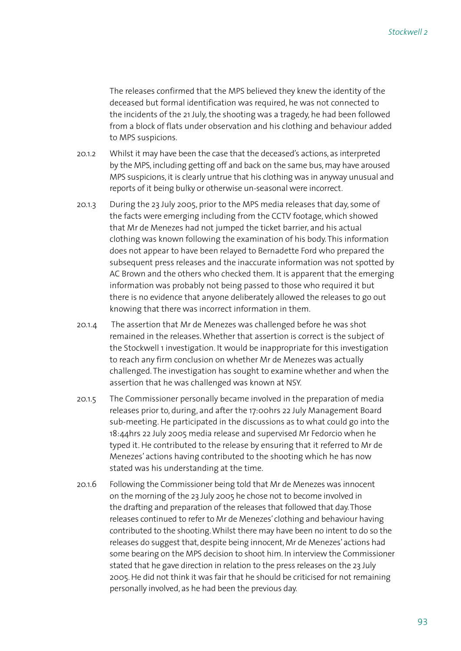The releases confirmed that the MPS believed they knew the identity of the deceased but formal identification was required, he was not connected to the incidents of the 21 July, the shooting was a tragedy, he had been followed from a block of flats under observation and his clothing and behaviour added to MPS suspicions.

- 20.1.2 Whilst it may have been the case that the deceased's actions, as interpreted by the MPS, including getting off and back on the same bus, may have aroused MPS suspicions, it is clearly untrue that his clothing was in anyway unusual and reports of it being bulky or otherwise un-seasonal were incorrect.
- 20.1.3 During the 23 July 2005, prior to the MPS media releases that day, some of the facts were emerging including from the CCTV footage, which showed that Mr de Menezes had not jumped the ticket barrier, and his actual clothing was known following the examination of his body. This information does not appear to have been relayed to Bernadette Ford who prepared the subsequent press releases and the inaccurate information was not spotted by AC Brown and the others who checked them. It is apparent that the emerging information was probably not being passed to those who required it but there is no evidence that anyone deliberately allowed the releases to go out knowing that there was incorrect information in them.
- 20.1.4 The assertion that Mr de Menezes was challenged before he was shot remained in the releases. Whether that assertion is correct is the subject of the Stockwell 1 investigation. It would be inappropriate for this investigation to reach any firm conclusion on whether Mr de Menezes was actually challenged. The investigation has sought to examine whether and when the assertion that he was challenged was known at NSY.
- 20.1.5 The Commissioner personally became involved in the preparation of media releases prior to, during, and after the 17:00hrs 22 July Management Board sub-meeting. He participated in the discussions as to what could go into the 18:44hrs 22 July 2005 media release and supervised Mr Fedorcio when he typed it. He contributed to the release by ensuring that it referred to Mr de Menezes' actions having contributed to the shooting which he has now stated was his understanding at the time.
- 20.1.6 Following the Commissioner being told that Mr de Menezes was innocent on the morning of the 23 July 2005 he chose not to become involved in the drafting and preparation of the releases that followed that day. Those releases continued to refer to Mr de Menezes' clothing and behaviour having contributed to the shooting. Whilst there may have been no intent to do so the releases do suggest that, despite being innocent, Mr de Menezes' actions had some bearing on the MPS decision to shoot him. In interview the Commissioner stated that he gave direction in relation to the press releases on the 23 July 2005. He did not think it was fair that he should be criticised for not remaining personally involved, as he had been the previous day.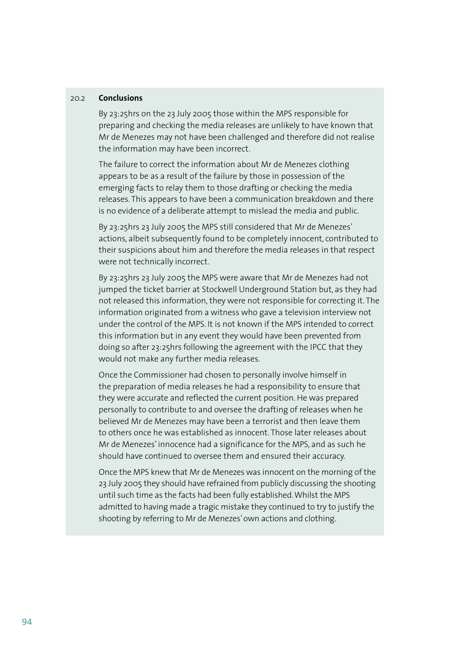#### 20.2 **Conclusions**

 By 23:25hrs on the 23 July 2005 those within the MPS responsible for preparing and checking the media releases are unlikely to have known that Mr de Menezes may not have been challenged and therefore did not realise the information may have been incorrect.

 The failure to correct the information about Mr de Menezes clothing appears to be as a result of the failure by those in possession of the emerging facts to relay them to those drafting or checking the media releases. This appears to have been a communication breakdown and there is no evidence of a deliberate attempt to mislead the media and public.

 By 23:25hrs 23 July 2005 the MPS still considered that Mr de Menezes' actions, albeit subsequently found to be completely innocent, contributed to their suspicions about him and therefore the media releases in that respect were not technically incorrect.

 By 23:25hrs 23 July 2005 the MPS were aware that Mr de Menezes had not jumped the ticket barrier at Stockwell Underground Station but, as they had not released this information, they were not responsible for correcting it. The information originated from a witness who gave a television interview not under the control of the MPS. It is not known if the MPS intended to correct this information but in any event they would have been prevented from doing so after 23:25hrs following the agreement with the IPCC that they would not make any further media releases.

 Once the Commissioner had chosen to personally involve himself in the preparation of media releases he had a responsibility to ensure that they were accurate and reflected the current position. He was prepared personally to contribute to and oversee the drafting of releases when he believed Mr de Menezes may have been a terrorist and then leave them to others once he was established as innocent. Those later releases about Mr de Menezes' innocence had a significance for the MPS, and as such he should have continued to oversee them and ensured their accuracy.

 Once the MPS knew that Mr de Menezes was innocent on the morning of the 23 July 2005 they should have refrained from publicly discussing the shooting until such time as the facts had been fully established. Whilst the MPS admitted to having made a tragic mistake they continued to try to justify the shooting by referring to Mr de Menezes' own actions and clothing.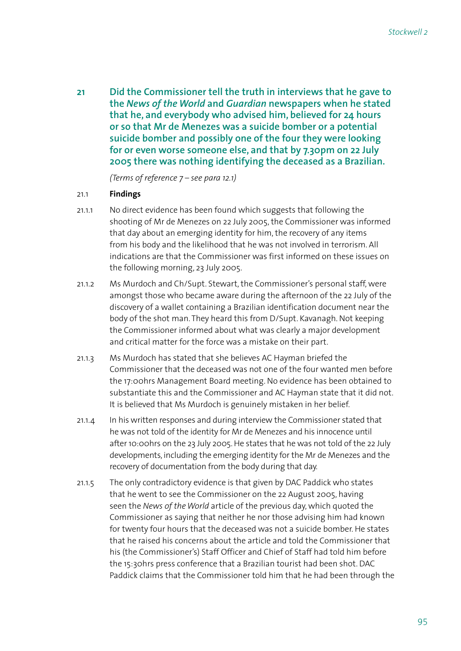**21 Did the Commissioner tell the truth in interviews that he gave to the** *News of the World* **and** *Guardian* **newspapers when he stated that he, and everybody who advised him, believed for 24 hours or so that Mr de Menezes was a suicide bomber or a potential suicide bomber and possibly one of the four they were looking for or even worse someone else, and that by 7.30pm on 22 July 2005 there was nothing identifying the deceased as a Brazilian.** 

 *(Terms of reference 7 – see para 12.1)*

#### 21.1 **Findings**

- 21.1.1 No direct evidence has been found which suggests that following the shooting of Mr de Menezes on 22 July 2005, the Commissioner was informed that day about an emerging identity for him, the recovery of any items from his body and the likelihood that he was not involved in terrorism. All indications are that the Commissioner was first informed on these issues on the following morning, 23 July 2005.
- 21.1.2 Ms Murdoch and Ch/Supt. Stewart, the Commissioner's personal staff, were amongst those who became aware during the afternoon of the 22 July of the discovery of a wallet containing a Brazilian identification document near the body of the shot man. They heard this from D/Supt. Kavanagh. Not keeping the Commissioner informed about what was clearly a major development and critical matter for the force was a mistake on their part.
- 21.1.3 Ms Murdoch has stated that she believes AC Hayman briefed the Commissioner that the deceased was not one of the four wanted men before the 17:00hrs Management Board meeting. No evidence has been obtained to substantiate this and the Commissioner and AC Hayman state that it did not. It is believed that Ms Murdoch is genuinely mistaken in her belief.
- 21.1.4 In his written responses and during interview the Commissioner stated that he was not told of the identity for Mr de Menezes and his innocence until after 10:00hrs on the 23 July 2005. He states that he was not told of the 22 July developments, including the emerging identity for the Mr de Menezes and the recovery of documentation from the body during that day.
- 21.1.5 The only contradictory evidence is that given by DAC Paddick who states that he went to see the Commissioner on the 22 August 2005, having seen the *News of the World* article of the previous day, which quoted the Commissioner as saying that neither he nor those advising him had known for twenty four hours that the deceased was not a suicide bomber. He states that he raised his concerns about the article and told the Commissioner that his (the Commissioner's) Staff Officer and Chief of Staff had told him before the 15:30hrs press conference that a Brazilian tourist had been shot. DAC Paddick claims that the Commissioner told him that he had been through the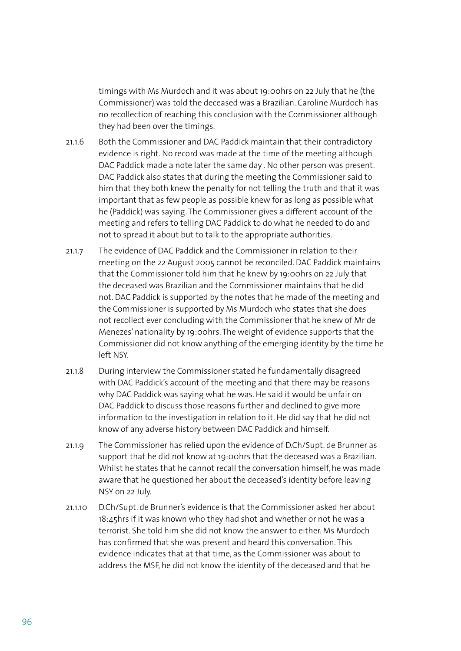timings with Ms Murdoch and it was about 19:00hrs on 22 July that he (the Commissioner) was told the deceased was a Brazilian. Caroline Murdoch has no recollection of reaching this conclusion with the Commissioner although they had been over the timings.

- 21.1.6 Both the Commissioner and DAC Paddick maintain that their contradictory evidence is right. No record was made at the time of the meeting although DAC Paddick made a note later the same day . No other person was present. DAC Paddick also states that during the meeting the Commissioner said to him that they both knew the penalty for not telling the truth and that it was important that as few people as possible knew for as long as possible what he (Paddick) was saying. The Commissioner gives a different account of the meeting and refers to telling DAC Paddick to do what he needed to do and not to spread it about but to talk to the appropriate authorities.
- 21.1.7 The evidence of DAC Paddick and the Commissioner in relation to their meeting on the 22 August 2005 cannot be reconciled. DAC Paddick maintains that the Commissioner told him that he knew by 19:00hrs on 22 July that the deceased was Brazilian and the Commissioner maintains that he did not. DAC Paddick is supported by the notes that he made of the meeting and the Commissioner is supported by Ms Murdoch who states that she does not recollect ever concluding with the Commissioner that he knew of Mr de Menezes' nationality by 19:00hrs. The weight of evidence supports that the Commissioner did not know anything of the emerging identity by the time he left NSY.
- 21.1.8 During interview the Commissioner stated he fundamentally disagreed with DAC Paddick's account of the meeting and that there may be reasons why DAC Paddick was saying what he was. He said it would be unfair on DAC Paddick to discuss those reasons further and declined to give more information to the investigation in relation to it. He did say that he did not know of any adverse history between DAC Paddick and himself.
- 21.1.9 The Commissioner has relied upon the evidence of D.Ch/Supt. de Brunner as support that he did not know at 19:00hrs that the deceased was a Brazilian. Whilst he states that he cannot recall the conversation himself, he was made aware that he questioned her about the deceased's identity before leaving NSY on 22 July.
- 21.1.10 D.Ch/Supt. de Brunner's evidence is that the Commissioner asked her about 18:45hrs if it was known who they had shot and whether or not he was a terrorist. She told him she did not know the answer to either. Ms Murdoch has confirmed that she was present and heard this conversation. This evidence indicates that at that time, as the Commissioner was about to address the MSF, he did not know the identity of the deceased and that he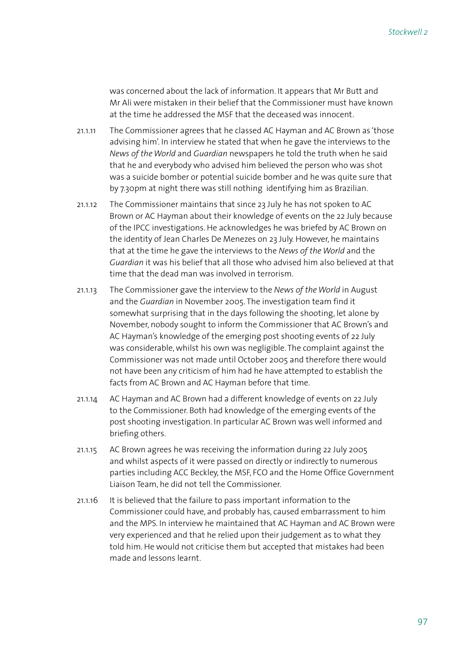was concerned about the lack of information. It appears that Mr Butt and Mr Ali were mistaken in their belief that the Commissioner must have known at the time he addressed the MSF that the deceased was innocent.

- 21.1.11 The Commissioner agrees that he classed AC Hayman and AC Brown as 'those advising him'. In interview he stated that when he gave the interviews to the *News of the World* and *Guardian* newspapers he told the truth when he said that he and everybody who advised him believed the person who was shot was a suicide bomber or potential suicide bomber and he was quite sure that by 7.30pm at night there was still nothing identifying him as Brazilian.
- 21.1.12 The Commissioner maintains that since 23 July he has not spoken to AC Brown or AC Hayman about their knowledge of events on the 22 July because of the IPCC investigations. He acknowledges he was briefed by AC Brown on the identity of Jean Charles De Menezes on 23 July. However, he maintains that at the time he gave the interviews to the *News of the World* and the *Guardian* it was his belief that all those who advised him also believed at that time that the dead man was involved in terrorism.
- 21.1.13 The Commissioner gave the interview to the *News of the World* in August and the *Guardian* in November 2005. The investigation team find it somewhat surprising that in the days following the shooting, let alone by November, nobody sought to inform the Commissioner that AC Brown's and AC Hayman's knowledge of the emerging post shooting events of 22 July was considerable, whilst his own was negligible. The complaint against the Commissioner was not made until October 2005 and therefore there would not have been any criticism of him had he have attempted to establish the facts from AC Brown and AC Hayman before that time.
- 21.1.14 AC Hayman and AC Brown had a different knowledge of events on 22 July to the Commissioner. Both had knowledge of the emerging events of the post shooting investigation. In particular AC Brown was well informed and briefing others.
- 21.1.15 AC Brown agrees he was receiving the information during 22 July 2005 and whilst aspects of it were passed on directly or indirectly to numerous parties including ACC Beckley, the MSF, FCO and the Home Office Government Liaison Team, he did not tell the Commissioner.
- 21.1.16 It is believed that the failure to pass important information to the Commissioner could have, and probably has, caused embarrassment to him and the MPS. In interview he maintained that AC Hayman and AC Brown were very experienced and that he relied upon their judgement as to what they told him. He would not criticise them but accepted that mistakes had been made and lessons learnt.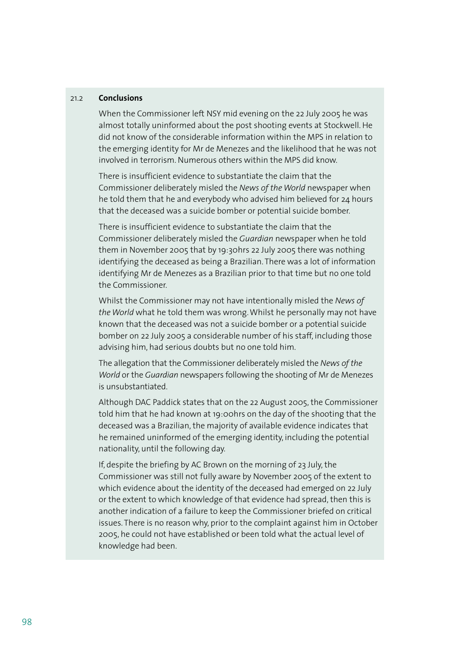#### 21.2 **Conclusions**

 When the Commissioner left NSY mid evening on the 22 July 2005 he was almost totally uninformed about the post shooting events at Stockwell. He did not know of the considerable information within the MPS in relation to the emerging identity for Mr de Menezes and the likelihood that he was not involved in terrorism. Numerous others within the MPS did know.

 There is insufficient evidence to substantiate the claim that the Commissioner deliberately misled the *News of the World* newspaper when he told them that he and everybody who advised him believed for 24 hours that the deceased was a suicide bomber or potential suicide bomber.

 There is insufficient evidence to substantiate the claim that the Commissioner deliberately misled the *Guardian* newspaper when he told them in November 2005 that by 19:30hrs 22 July 2005 there was nothing identifying the deceased as being a Brazilian. There was a lot of information identifying Mr de Menezes as a Brazilian prior to that time but no one told the Commissioner.

 Whilst the Commissioner may not have intentionally misled the *News of the World* what he told them was wrong. Whilst he personally may not have known that the deceased was not a suicide bomber or a potential suicide bomber on 22 July 2005 a considerable number of his staff, including those advising him, had serious doubts but no one told him.

 The allegation that the Commissioner deliberately misled the *News of the World* or the *Guardian* newspapers following the shooting of Mr de Menezes is unsubstantiated.

 Although DAC Paddick states that on the 22 August 2005, the Commissioner told him that he had known at 19:00hrs on the day of the shooting that the deceased was a Brazilian, the majority of available evidence indicates that he remained uninformed of the emerging identity, including the potential nationality, until the following day.

 If, despite the briefing by AC Brown on the morning of 23 July, the Commissioner was still not fully aware by November 2005 of the extent to which evidence about the identity of the deceased had emerged on 22 July or the extent to which knowledge of that evidence had spread, then this is another indication of a failure to keep the Commissioner briefed on critical issues. There is no reason why, prior to the complaint against him in October 2005, he could not have established or been told what the actual level of knowledge had been.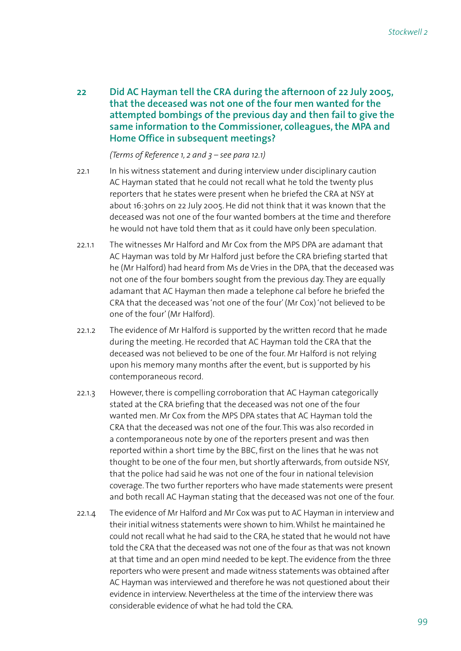**22 Did AC Hayman tell the CRA during the afternoon of 22 July 2005, that the deceased was not one of the four men wanted for the attempted bombings of the previous day and then fail to give the same information to the Commissioner, colleagues, the MPA and Home Office in subsequent meetings?**

 *(Terms of Reference 1, 2 and 3 – see para 12.1)*

- 22.1 In his witness statement and during interview under disciplinary caution AC Hayman stated that he could not recall what he told the twenty plus reporters that he states were present when he briefed the CRA at NSY at about 16:30hrs on 22 July 2005. He did not think that it was known that the deceased was not one of the four wanted bombers at the time and therefore he would not have told them that as it could have only been speculation.
- 22.1.1 The witnesses Mr Halford and Mr Cox from the MPS DPA are adamant that AC Hayman was told by Mr Halford just before the CRA briefing started that he (Mr Halford) had heard from Ms de Vries in the DPA, that the deceased was not one of the four bombers sought from the previous day. They are equally adamant that AC Hayman then made a telephone cal before he briefed the CRA that the deceased was 'not one of the four' (Mr Cox) 'not believed to be one of the four' (Mr Halford).
- 22.1.2 The evidence of Mr Halford is supported by the written record that he made during the meeting. He recorded that AC Hayman told the CRA that the deceased was not believed to be one of the four. Mr Halford is not relying upon his memory many months after the event, but is supported by his contemporaneous record.
- 22.1.3 However, there is compelling corroboration that AC Hayman categorically stated at the CRA briefing that the deceased was not one of the four wanted men. Mr Cox from the MPS DPA states that AC Hayman told the CRA that the deceased was not one of the four. This was also recorded in a contemporaneous note by one of the reporters present and was then reported within a short time by the BBC, first on the lines that he was not thought to be one of the four men, but shortly afterwards, from outside NSY, that the police had said he was not one of the four in national television coverage. The two further reporters who have made statements were present and both recall AC Hayman stating that the deceased was not one of the four.
- 22.1.4 The evidence of Mr Halford and Mr Cox was put to AC Hayman in interview and their initial witness statements were shown to him. Whilst he maintained he could not recall what he had said to the CRA, he stated that he would not have told the CRA that the deceased was not one of the four as that was not known at that time and an open mind needed to be kept. The evidence from the three reporters who were present and made witness statements was obtained after AC Hayman was interviewed and therefore he was not questioned about their evidence in interview. Nevertheless at the time of the interview there was considerable evidence of what he had told the CRA.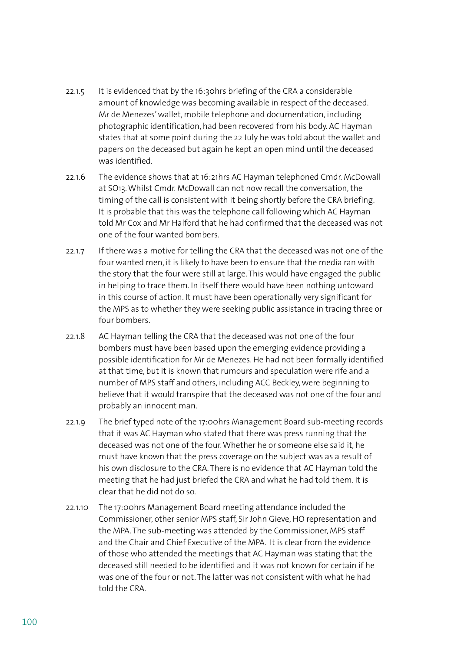- 22.1.5 It is evidenced that by the 16:30hrs briefing of the CRA a considerable amount of knowledge was becoming available in respect of the deceased. Mr de Menezes' wallet, mobile telephone and documentation, including photographic identification, had been recovered from his body. AC Hayman states that at some point during the 22 July he was told about the wallet and papers on the deceased but again he kept an open mind until the deceased was identified.
- 22.1.6 The evidence shows that at 16:21hrs AC Hayman telephoned Cmdr. McDowall at SO13. Whilst Cmdr. McDowall can not now recall the conversation, the timing of the call is consistent with it being shortly before the CRA briefing. It is probable that this was the telephone call following which AC Hayman told Mr Cox and Mr Halford that he had confirmed that the deceased was not one of the four wanted bombers.
- 22.1.7 If there was a motive for telling the CRA that the deceased was not one of the four wanted men, it is likely to have been to ensure that the media ran with the story that the four were still at large. This would have engaged the public in helping to trace them. In itself there would have been nothing untoward in this course of action. It must have been operationally very significant for the MPS as to whether they were seeking public assistance in tracing three or four bombers.
- 22.1.8 AC Hayman telling the CRA that the deceased was not one of the four bombers must have been based upon the emerging evidence providing a possible identification for Mr de Menezes. He had not been formally identified at that time, but it is known that rumours and speculation were rife and a number of MPS staff and others, including ACC Beckley, were beginning to believe that it would transpire that the deceased was not one of the four and probably an innocent man.
- 22.1.9 The brief typed note of the 17:00hrs Management Board sub-meeting records that it was AC Hayman who stated that there was press running that the deceased was not one of the four. Whether he or someone else said it, he must have known that the press coverage on the subject was as a result of his own disclosure to the CRA. There is no evidence that AC Hayman told the meeting that he had just briefed the CRA and what he had told them. It is clear that he did not do so.
- 22.1.10 The 17:00hrs Management Board meeting attendance included the Commissioner, other senior MPS staff, Sir John Gieve, HO representation and the MPA. The sub-meeting was attended by the Commissioner, MPS staff and the Chair and Chief Executive of the MPA. It is clear from the evidence of those who attended the meetings that AC Hayman was stating that the deceased still needed to be identified and it was not known for certain if he was one of the four or not. The latter was not consistent with what he had told the CRA.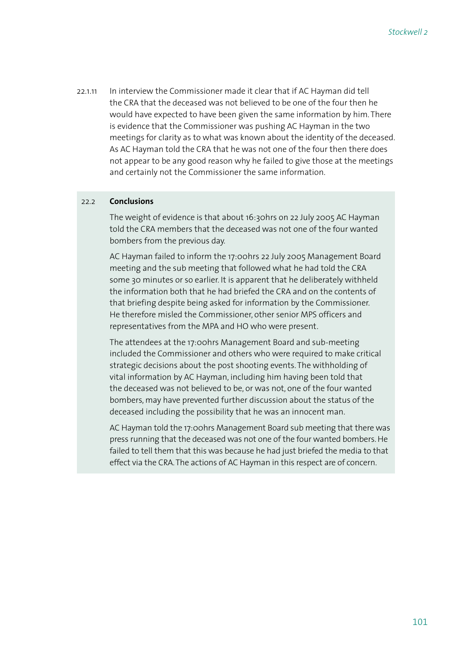22.1.11 In interview the Commissioner made it clear that if AC Hayman did tell the CRA that the deceased was not believed to be one of the four then he would have expected to have been given the same information by him. There is evidence that the Commissioner was pushing AC Hayman in the two meetings for clarity as to what was known about the identity of the deceased. As AC Hayman told the CRA that he was not one of the four then there does not appear to be any good reason why he failed to give those at the meetings and certainly not the Commissioner the same information.

#### 22.2 **Conclusions**

 The weight of evidence is that about 16:30hrs on 22 July 2005 AC Hayman told the CRA members that the deceased was not one of the four wanted bombers from the previous day.

 AC Hayman failed to inform the 17:00hrs 22 July 2005 Management Board meeting and the sub meeting that followed what he had told the CRA some 30 minutes or so earlier. It is apparent that he deliberately withheld the information both that he had briefed the CRA and on the contents of that briefing despite being asked for information by the Commissioner. He therefore misled the Commissioner, other senior MPS officers and representatives from the MPA and HO who were present.

 The attendees at the 17:00hrs Management Board and sub-meeting included the Commissioner and others who were required to make critical strategic decisions about the post shooting events. The withholding of vital information by AC Hayman, including him having been told that the deceased was not believed to be, or was not, one of the four wanted bombers, may have prevented further discussion about the status of the deceased including the possibility that he was an innocent man.

 AC Hayman told the 17:00hrs Management Board sub meeting that there was press running that the deceased was not one of the four wanted bombers. He failed to tell them that this was because he had just briefed the media to that effect via the CRA. The actions of AC Hayman in this respect are of concern.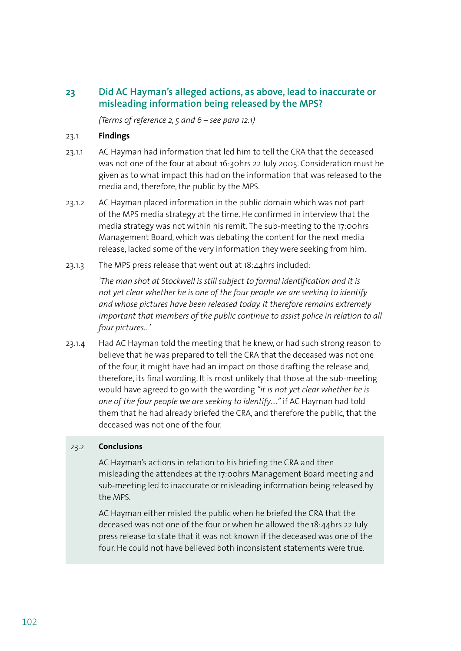# **23 Did AC Hayman's alleged actions, as above, lead to inaccurate or misleading information being released by the MPS?**

 *(Terms of reference 2, 5 and 6 – see para 12.1)*

### 23.1 **Findings**

- 23.1.1 AC Hayman had information that led him to tell the CRA that the deceased was not one of the four at about 16:30hrs 22 July 2005. Consideration must be given as to what impact this had on the information that was released to the media and, therefore, the public by the MPS.
- 23.1.2 AC Hayman placed information in the public domain which was not part of the MPS media strategy at the time. He confirmed in interview that the media strategy was not within his remit. The sub-meeting to the 17:00hrs Management Board, which was debating the content for the next media release, lacked some of the very information they were seeking from him.
- 23.1.3 The MPS press release that went out at 18:44hrs included:

*'The man shot at Stockwell is still subject to formal identification and it is not yet clear whether he is one of the four people we are seeking to identify and whose pictures have been released today. It therefore remains extremely important that members of the public continue to assist police in relation to all four pictures...'*

23.1.4 Had AC Hayman told the meeting that he knew, or had such strong reason to believe that he was prepared to tell the CRA that the deceased was not one of the four, it might have had an impact on those drafting the release and, therefore, its final wording. It is most unlikely that those at the sub-meeting would have agreed to go with the wording *"it is not yet clear whether he is one of the four people we are seeking to identify…."* if AC Hayman had told them that he had already briefed the CRA, and therefore the public, that the deceased was not one of the four.

### 23.2 **Conclusions**

 AC Hayman's actions in relation to his briefing the CRA and then misleading the attendees at the 17:00hrs Management Board meeting and sub-meeting led to inaccurate or misleading information being released by the MPS.

 AC Hayman either misled the public when he briefed the CRA that the deceased was not one of the four or when he allowed the 18:44hrs 22 July press release to state that it was not known if the deceased was one of the four. He could not have believed both inconsistent statements were true.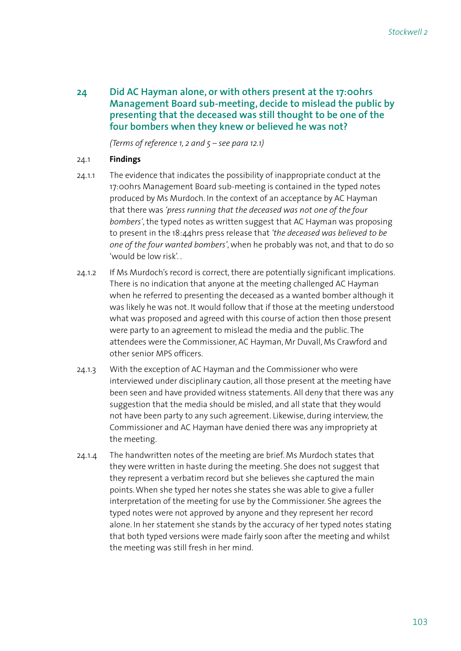**24 Did AC Hayman alone, or with others present at the 17:00hrs Management Board sub-meeting, decide to mislead the public by presenting that the deceased was still thought to be one of the four bombers when they knew or believed he was not?**

 *(Terms of reference 1, 2 and 5 – see para 12.1)*

### 24.1 **Findings**

- 24.1.1 The evidence that indicates the possibility of inappropriate conduct at the 17:00hrs Management Board sub-meeting is contained in the typed notes produced by Ms Murdoch. In the context of an acceptance by AC Hayman that there was *'press running that the deceased was not one of the four bombers'*, the typed notes as written suggest that AC Hayman was proposing to present in the 18:44hrs press release that *'the deceased was believed to be one of the four wanted bombers'*, when he probably was not, and that to do so 'would be low risk'. .
- 24.1.2 If Ms Murdoch's record is correct, there are potentially significant implications. There is no indication that anyone at the meeting challenged AC Hayman when he referred to presenting the deceased as a wanted bomber although it was likely he was not. It would follow that if those at the meeting understood what was proposed and agreed with this course of action then those present were party to an agreement to mislead the media and the public. The attendees were the Commissioner, AC Hayman, Mr Duvall, Ms Crawford and other senior MPS officers.
- 24.1.3 With the exception of AC Hayman and the Commissioner who were interviewed under disciplinary caution, all those present at the meeting have been seen and have provided witness statements. All deny that there was any suggestion that the media should be misled, and all state that they would not have been party to any such agreement. Likewise, during interview, the Commissioner and AC Hayman have denied there was any impropriety at the meeting.
- 24.1.4 The handwritten notes of the meeting are brief. Ms Murdoch states that they were written in haste during the meeting. She does not suggest that they represent a verbatim record but she believes she captured the main points. When she typed her notes she states she was able to give a fuller interpretation of the meeting for use by the Commissioner. She agrees the typed notes were not approved by anyone and they represent her record alone. In her statement she stands by the accuracy of her typed notes stating that both typed versions were made fairly soon after the meeting and whilst the meeting was still fresh in her mind.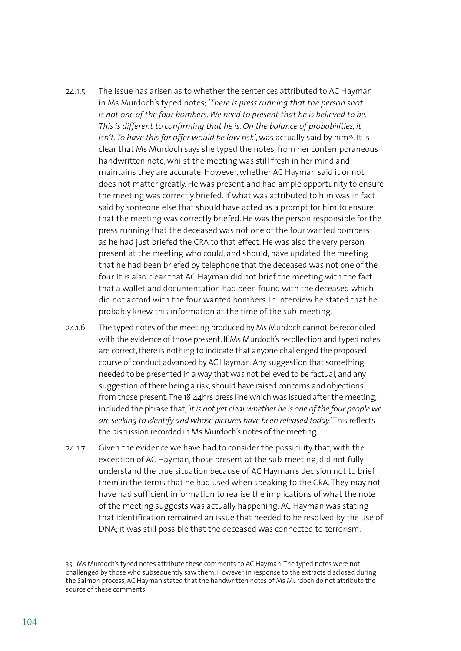- 24.1.5 The issue has arisen as to whether the sentences attributed to AC Hayman in Ms Murdoch's typed notes; *'There is press running that the person shot is not one of the four bombers. We need to present that he is believed to be. This is different to confirming that he is. On the balance of probabilities, it*  isn't. To have this for offer would be low risk', was actually said by him<sup>35</sup>. It is clear that Ms Murdoch says she typed the notes, from her contemporaneous handwritten note, whilst the meeting was still fresh in her mind and maintains they are accurate. However, whether AC Hayman said it or not, does not matter greatly. He was present and had ample opportunity to ensure the meeting was correctly briefed. If what was attributed to him was in fact said by someone else that should have acted as a prompt for him to ensure that the meeting was correctly briefed. He was the person responsible for the press running that the deceased was not one of the four wanted bombers as he had just briefed the CRA to that effect. He was also the very person present at the meeting who could, and should, have updated the meeting that he had been briefed by telephone that the deceased was not one of the four. It is also clear that AC Hayman did not brief the meeting with the fact that a wallet and documentation had been found with the deceased which did not accord with the four wanted bombers. In interview he stated that he probably knew this information at the time of the sub-meeting.
- 24.1.6 The typed notes of the meeting produced by Ms Murdoch cannot be reconciled with the evidence of those present. If Ms Murdoch's recollection and typed notes are correct, there is nothing to indicate that anyone challenged the proposed course of conduct advanced by AC Hayman. Any suggestion that something needed to be presented in a way that was not believed to be factual, and any suggestion of there being a risk, should have raised concerns and objections from those present. The 18:44hrs press line which was issued after the meeting, included the phrase that, *'it is not yet clear whether he is one of the four people we are seeking to identify and whose pictures have been released today.'* This reflects the discussion recorded in Ms Murdoch's notes of the meeting.
- 24.1.7 Given the evidence we have had to consider the possibility that, with the exception of AC Hayman, those present at the sub-meeting, did not fully understand the true situation because of AC Hayman's decision not to brief them in the terms that he had used when speaking to the CRA. They may not have had sufficient information to realise the implications of what the note of the meeting suggests was actually happening. AC Hayman was stating that identification remained an issue that needed to be resolved by the use of DNA; it was still possible that the deceased was connected to terrorism.

<sup>35</sup> Ms Murdoch's typed notes attribute these comments to AC Hayman. The typed notes were not challenged by those who subsequently saw them. However, in response to the extracts disclosed during the Salmon process, AC Hayman stated that the handwritten notes of Ms Murdoch do not attribute the source of these comments.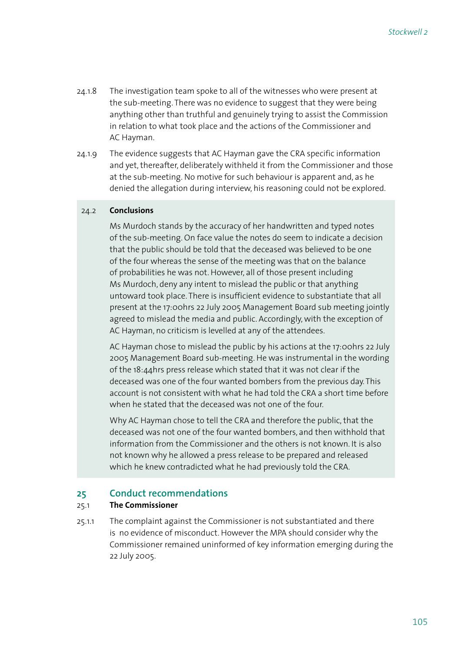- 24.1.8 The investigation team spoke to all of the witnesses who were present at the sub-meeting. There was no evidence to suggest that they were being anything other than truthful and genuinely trying to assist the Commission in relation to what took place and the actions of the Commissioner and AC Hayman.
- 24.1.9 The evidence suggests that AC Hayman gave the CRA specific information and yet, thereafter, deliberately withheld it from the Commissioner and those at the sub-meeting. No motive for such behaviour is apparent and, as he denied the allegation during interview, his reasoning could not be explored.

#### 24.2 **Conclusions**

 Ms Murdoch stands by the accuracy of her handwritten and typed notes of the sub-meeting. On face value the notes do seem to indicate a decision that the public should be told that the deceased was believed to be one of the four whereas the sense of the meeting was that on the balance of probabilities he was not. However, all of those present including Ms Murdoch, deny any intent to mislead the public or that anything untoward took place. There is insufficient evidence to substantiate that all present at the 17:00hrs 22 July 2005 Management Board sub meeting jointly agreed to mislead the media and public. Accordingly, with the exception of AC Hayman, no criticism is levelled at any of the attendees.

 AC Hayman chose to mislead the public by his actions at the 17:00hrs 22 July 2005 Management Board sub-meeting. He was instrumental in the wording of the 18:44hrs press release which stated that it was not clear if the deceased was one of the four wanted bombers from the previous day. This account is not consistent with what he had told the CRA a short time before when he stated that the deceased was not one of the four.

 Why AC Hayman chose to tell the CRA and therefore the public, that the deceased was not one of the four wanted bombers, and then withhold that information from the Commissioner and the others is not known. It is also not known why he allowed a press release to be prepared and released which he knew contradicted what he had previously told the CRA.

### **25 Conduct recommendations**

### 25.1 **The Commissioner**

25.1.1 The complaint against the Commissioner is not substantiated and there is no evidence of misconduct. However the MPA should consider why the Commissioner remained uninformed of key information emerging during the 22 July 2005.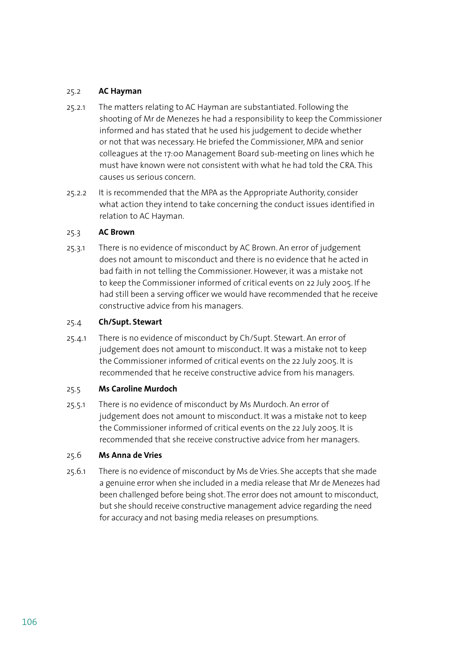#### 25.2 **AC Hayman**

- 25.2.1 The matters relating to AC Hayman are substantiated. Following the shooting of Mr de Menezes he had a responsibility to keep the Commissioner informed and has stated that he used his judgement to decide whether or not that was necessary. He briefed the Commissioner, MPA and senior colleagues at the 17:00 Management Board sub-meeting on lines which he must have known were not consistent with what he had told the CRA. This causes us serious concern.
- 25.2.2 It is recommended that the MPA as the Appropriate Authority, consider what action they intend to take concerning the conduct issues identified in relation to AC Hayman.

#### 25.3 **AC Brown**

25.3.1 There is no evidence of misconduct by AC Brown. An error of judgement does not amount to misconduct and there is no evidence that he acted in bad faith in not telling the Commissioner. However, it was a mistake not to keep the Commissioner informed of critical events on 22 July 2005. If he had still been a serving officer we would have recommended that he receive constructive advice from his managers.

#### 25.4 **Ch/Supt. Stewart**

25.4.1 There is no evidence of misconduct by Ch/Supt. Stewart. An error of judgement does not amount to misconduct. It was a mistake not to keep the Commissioner informed of critical events on the 22 July 2005. It is recommended that he receive constructive advice from his managers.

### 25.5 **Ms Caroline Murdoch**

25.5.1 There is no evidence of misconduct by Ms Murdoch. An error of judgement does not amount to misconduct. It was a mistake not to keep the Commissioner informed of critical events on the 22 July 2005. It is recommended that she receive constructive advice from her managers.

### 25.6 **Ms Anna de Vries**

25.6.1 There is no evidence of misconduct by Ms de Vries. She accepts that she made a genuine error when she included in a media release that Mr de Menezes had been challenged before being shot. The error does not amount to misconduct, but she should receive constructive management advice regarding the need for accuracy and not basing media releases on presumptions.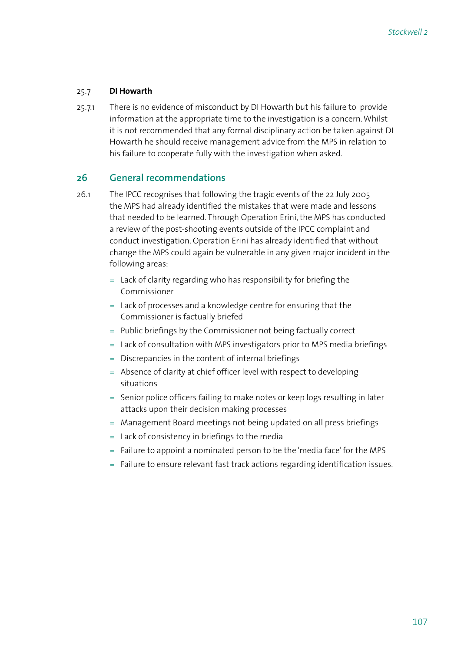### 25.7 **DI Howarth**

25.7.1 There is no evidence of misconduct by DI Howarth but his failure to provide information at the appropriate time to the investigation is a concern. Whilst it is not recommended that any formal disciplinary action be taken against DI Howarth he should receive management advice from the MPS in relation to his failure to cooperate fully with the investigation when asked.

## **26 General recommendations**

- 26.1 The IPCC recognises that following the tragic events of the 22 July 2005 the MPS had already identified the mistakes that were made and lessons that needed to be learned. Through Operation Erini, the MPS has conducted a review of the post-shooting events outside of the IPCC complaint and conduct investigation. Operation Erini has already identified that without change the MPS could again be vulnerable in any given major incident in the following areas:
	- $=$  Lack of clarity regarding who has responsibility for briefing the Commissioner
	- $=$  Lack of processes and a knowledge centre for ensuring that the Commissioner is factually briefed
	- = Public briefings by the Commissioner not being factually correct
	- = Lack of consultation with MPS investigators prior to MPS media briefings
	- Discrepancies in the content of internal briefings =
	- = Absence of clarity at chief officer level with respect to developing situations
	- = Senior police officers failing to make notes or keep logs resulting in later attacks upon their decision making processes
	- Management Board meetings not being updated on all press briefings =
	- Lack of consistency in briefings to the media =
	- = Failure to appoint a nominated person to be the 'media face' for the MPS
	- = Failure to ensure relevant fast track actions regarding identification issues.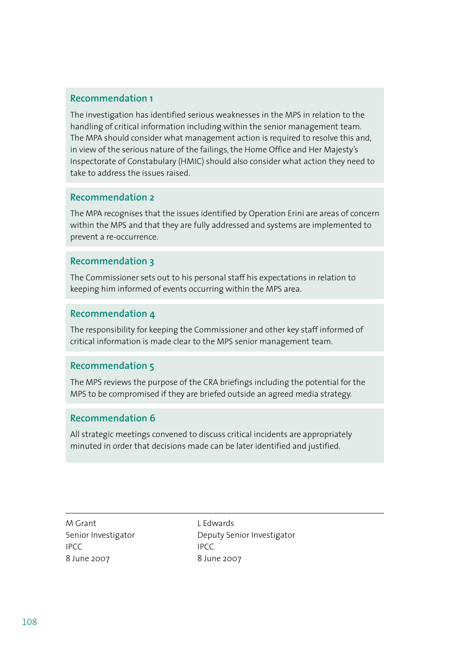# **Recommendation 1**

The investigation has identified serious weaknesses in the MPS in relation to the handling of critical information including within the senior management team. The MPA should consider what management action is required to resolve this and, in view of the serious nature of the failings, the Home Office and Her Majesty's Inspectorate of Constabulary (HMIC) should also consider what action they need to take to address the issues raised.

### **Recommendation 2**

The MPA recognises that the issues identified by Operation Erini are areas of concern within the MPS and that they are fully addressed and systems are implemented to prevent a re-occurrence.

### **Recommendation 3**

The Commissioner sets out to his personal staff his expectations in relation to keeping him informed of events occurring within the MPS area.

### **Recommendation 4**

The responsibility for keeping the Commissioner and other key staff informed of critical information is made clear to the MPS senior management team.

# **Recommendation 5**

The MPS reviews the purpose of the CRA briefings including the potential for the MPS to be compromised if they are briefed outside an agreed media strategy.

### **Recommendation 6**

All strategic meetings convened to discuss critical incidents are appropriately minuted in order that decisions made can be later identified and justified.

M Grant L Edwards IPCC IPCC IPCC 8 June 2007 8 June 2007

Senior Investigator **Deputy Senior Investigator**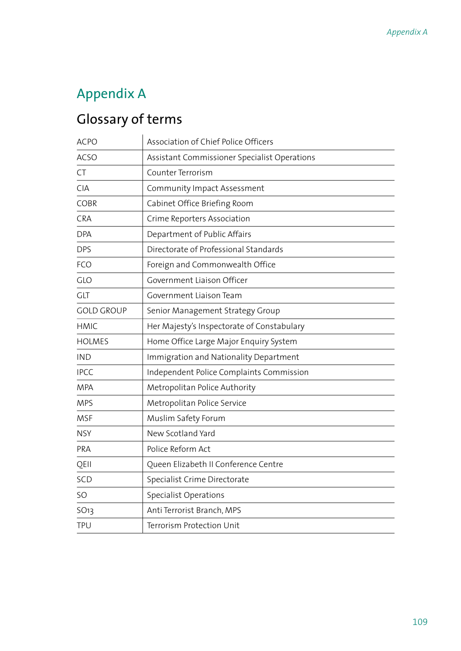## Appendix A

# Glossary of terms

| Association of Chief Police Officers         |
|----------------------------------------------|
| Assistant Commissioner Specialist Operations |
| Counter Terrorism                            |
| Community Impact Assessment                  |
| Cabinet Office Briefing Room                 |
| Crime Reporters Association                  |
| Department of Public Affairs                 |
| Directorate of Professional Standards        |
| Foreign and Commonwealth Office              |
| Government Liaison Officer                   |
| Government Liaison Team                      |
| Senior Management Strategy Group             |
| Her Majesty's Inspectorate of Constabulary   |
| Home Office Large Major Enquiry System       |
| Immigration and Nationality Department       |
| Independent Police Complaints Commission     |
| Metropolitan Police Authority                |
| Metropolitan Police Service                  |
| Muslim Safety Forum                          |
| New Scotland Yard                            |
| Police Reform Act                            |
| Queen Elizabeth II Conference Centre         |
| Specialist Crime Directorate                 |
| <b>Specialist Operations</b>                 |
| Anti Terrorist Branch, MPS                   |
| Terrorism Protection Unit                    |
|                                              |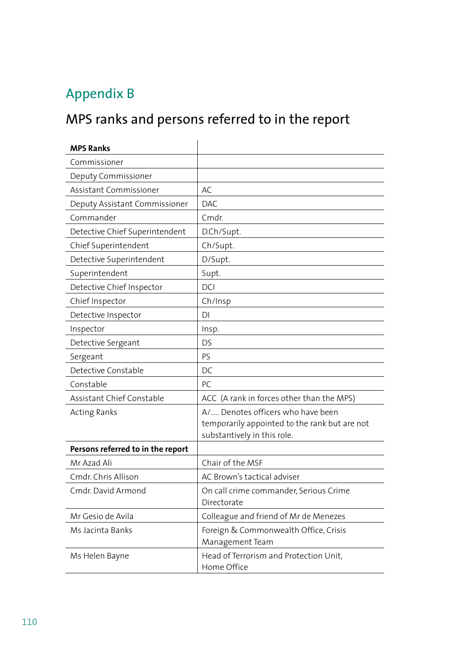## Appendix B

# MPS ranks and persons referred to in the report

| <b>MPS Ranks</b>                  |                                                                                                                   |
|-----------------------------------|-------------------------------------------------------------------------------------------------------------------|
| Commissioner                      |                                                                                                                   |
| Deputy Commissioner               |                                                                                                                   |
| Assistant Commissioner            | AC                                                                                                                |
| Deputy Assistant Commissioner     | <b>DAC</b>                                                                                                        |
| Commander                         | Cmdr.                                                                                                             |
| Detective Chief Superintendent    | D.Ch/Supt.                                                                                                        |
| Chief Superintendent              | Ch/Supt.                                                                                                          |
| Detective Superintendent          | D/Supt.                                                                                                           |
| Superintendent                    | Supt.                                                                                                             |
| Detective Chief Inspector         | <b>DCI</b>                                                                                                        |
| Chief Inspector                   | Ch/Insp                                                                                                           |
| Detective Inspector               | DI                                                                                                                |
| Inspector                         | Insp.                                                                                                             |
| Detective Sergeant                | <b>DS</b>                                                                                                         |
| Sergeant                          | PS.                                                                                                               |
| Detective Constable               | DC                                                                                                                |
| Constable                         | PC                                                                                                                |
| Assistant Chief Constable         | ACC (A rank in forces other than the MPS)                                                                         |
| <b>Acting Ranks</b>               | A/ Denotes officers who have been<br>temporarily appointed to the rank but are not<br>substantively in this role. |
| Persons referred to in the report |                                                                                                                   |
| Mr Azad Ali                       | Chair of the MSF                                                                                                  |
| Cmdr. Chris Allison               | AC Brown's tactical adviser                                                                                       |
| Cmdr. David Armond                | On call crime commander, Serious Crime<br>Directorate                                                             |
| Mr Gesio de Avila                 | Colleague and friend of Mr de Menezes                                                                             |
| Ms Jacinta Banks                  | Foreign & Commonwealth Office, Crisis<br>Management Team                                                          |
| Ms Helen Bayne                    | Head of Terrorism and Protection Unit,<br>Home Office                                                             |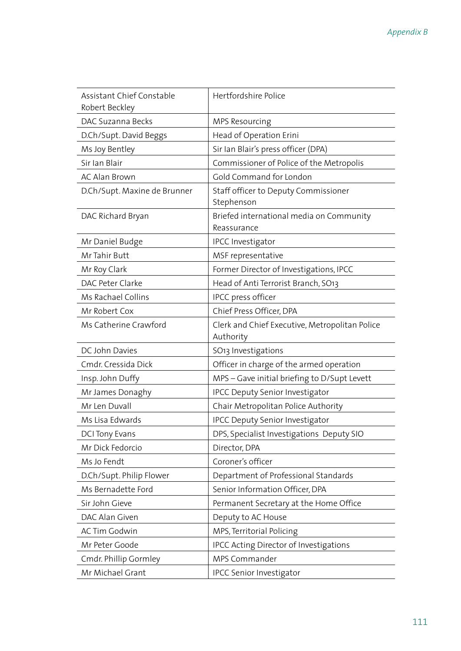| Assistant Chief Constable<br>Robert Beckley | Hertfordshire Police                                        |
|---------------------------------------------|-------------------------------------------------------------|
| DAC Suzanna Becks                           | MPS Resourcing                                              |
| D.Ch/Supt. David Beggs                      | Head of Operation Erini                                     |
| Ms Joy Bentley                              | Sir Ian Blair's press officer (DPA)                         |
| Sir Ian Blair                               | Commissioner of Police of the Metropolis                    |
| <b>AC Alan Brown</b>                        | Gold Command for London                                     |
| D.Ch/Supt. Maxine de Brunner                | Staff officer to Deputy Commissioner<br>Stephenson          |
| DAC Richard Bryan                           | Briefed international media on Community<br>Reassurance     |
| Mr Daniel Budge                             | <b>IPCC Investigator</b>                                    |
| Mr Tahir Butt                               | MSF representative                                          |
| Mr Roy Clark                                | Former Director of Investigations, IPCC                     |
| DAC Peter Clarke                            | Head of Anti Terrorist Branch, SO13                         |
| Ms Rachael Collins                          | IPCC press officer                                          |
| Mr Robert Cox                               | Chief Press Officer, DPA                                    |
| Ms Catherine Crawford                       | Clerk and Chief Executive, Metropolitan Police<br>Authority |
| DC John Davies                              | SO <sub>13</sub> Investigations                             |
| Cmdr. Cressida Dick                         | Officer in charge of the armed operation                    |
| Insp. John Duffy                            | MPS-Gave initial briefing to D/Supt Levett                  |
| Mr James Donaghy                            | <b>IPCC Deputy Senior Investigator</b>                      |
| Mr Len Duvall                               | Chair Metropolitan Police Authority                         |
| Ms Lisa Edwards                             | <b>IPCC Deputy Senior Investigator</b>                      |
| <b>DCI Tony Evans</b>                       | DPS, Specialist Investigations Deputy SIO                   |
| Mr Dick Fedorcio                            | Director, DPA                                               |
| Ms Jo Fendt                                 | Coroner's officer                                           |
| D.Ch/Supt. Philip Flower                    | Department of Professional Standards                        |
| Ms Bernadette Ford                          | Senior Information Officer, DPA                             |
| Sir John Gieve                              | Permanent Secretary at the Home Office                      |
| DAC Alan Given                              | Deputy to AC House                                          |
| <b>AC Tim Godwin</b>                        | MPS, Territorial Policing                                   |
| Mr Peter Goode                              | IPCC Acting Director of Investigations                      |
| Cmdr. Phillip Gormley                       | MPS Commander                                               |
| Mr Michael Grant                            | <b>IPCC Senior Investigator</b>                             |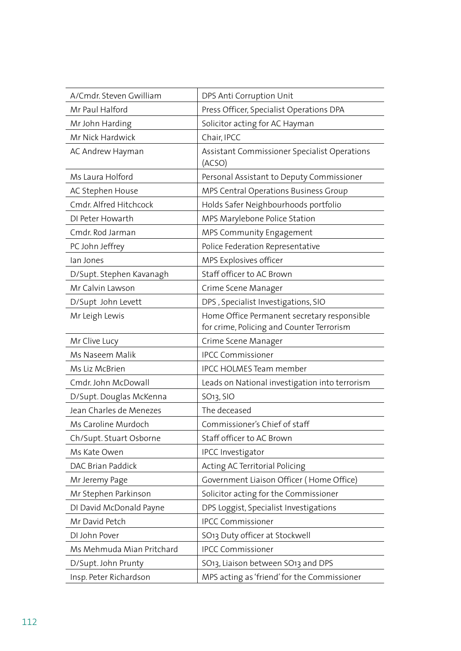| A/Cmdr. Steven Gwilliam   | DPS Anti Corruption Unit                                                                 |
|---------------------------|------------------------------------------------------------------------------------------|
| Mr Paul Halford           | Press Officer, Specialist Operations DPA                                                 |
| Mr John Harding           | Solicitor acting for AC Hayman                                                           |
| Mr Nick Hardwick          | Chair, IPCC                                                                              |
| AC Andrew Hayman          | Assistant Commissioner Specialist Operations<br>(ACSO)                                   |
| Ms Laura Holford          | Personal Assistant to Deputy Commissioner                                                |
| AC Stephen House          | MPS Central Operations Business Group                                                    |
| Cmdr. Alfred Hitchcock    | Holds Safer Neighbourhoods portfolio                                                     |
| DI Peter Howarth          | MPS Marylebone Police Station                                                            |
| Cmdr. Rod Jarman          | MPS Community Engagement                                                                 |
| PC John Jeffrey           | Police Federation Representative                                                         |
| lan Jones                 | MPS Explosives officer                                                                   |
| D/Supt. Stephen Kavanagh  | Staff officer to AC Brown                                                                |
| Mr Calvin Lawson          | Crime Scene Manager                                                                      |
| D/Supt John Levett        | DPS, Specialist Investigations, SIO                                                      |
| Mr Leigh Lewis            | Home Office Permanent secretary responsible<br>for crime, Policing and Counter Terrorism |
| Mr Clive Lucy             | Crime Scene Manager                                                                      |
| Ms Naseem Malik           | <b>IPCC Commissioner</b>                                                                 |
| Ms Liz McBrien            | <b>IPCC HOLMES Team member</b>                                                           |
| Cmdr. John McDowall       | Leads on National investigation into terrorism                                           |
| D/Supt. Douglas McKenna   | SO <sub>13</sub> , SIO                                                                   |
| Jean Charles de Menezes   | The deceased                                                                             |
| Ms Caroline Murdoch       | Commissioner's Chief of staff                                                            |
| Ch/Supt. Stuart Osborne   | Staff officer to AC Brown                                                                |
| Ms Kate Owen              | <b>IPCC Investigator</b>                                                                 |
| DAC Brian Paddick         | Acting AC Territorial Policing                                                           |
| Mr Jeremy Page            | Government Liaison Officer (Home Office)                                                 |
| Mr Stephen Parkinson      | Solicitor acting for the Commissioner                                                    |
| DI David McDonald Payne   | DPS Loggist, Specialist Investigations                                                   |
| Mr David Petch            | <b>IPCC Commissioner</b>                                                                 |
| DI John Pover             | SO13 Duty officer at Stockwell                                                           |
| Ms Mehmuda Mian Pritchard | <b>IPCC Commissioner</b>                                                                 |
| D/Supt. John Prunty       | SO13, Liaison between SO13 and DPS                                                       |
| Insp. Peter Richardson    | MPS acting as 'friend' for the Commissioner                                              |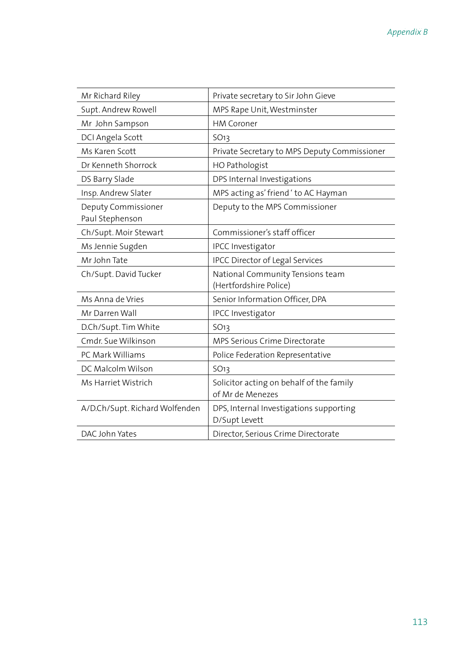| Mr Richard Riley                       | Private secretary to Sir John Gieve                          |
|----------------------------------------|--------------------------------------------------------------|
| Supt. Andrew Rowell                    | MPS Rape Unit, Westminster                                   |
| Mr John Sampson                        | <b>HM Coroner</b>                                            |
| DCI Angela Scott                       | <b>SO13</b>                                                  |
| Ms Karen Scott                         | Private Secretary to MPS Deputy Commissioner                 |
| Dr Kenneth Shorrock                    | HO Pathologist                                               |
| DS Barry Slade                         | DPS Internal Investigations                                  |
| Insp. Andrew Slater                    | MPS acting as' friend ' to AC Hayman                         |
| Deputy Commissioner<br>Paul Stephenson | Deputy to the MPS Commissioner                               |
| Ch/Supt. Moir Stewart                  | Commissioner's staff officer                                 |
| Ms Jennie Sugden                       | IPCC Investigator                                            |
| Mr John Tate                           | <b>IPCC Director of Legal Services</b>                       |
| Ch/Supt. David Tucker                  | National Community Tensions team<br>(Hertfordshire Police)   |
| Ms Anna de Vries                       | Senior Information Officer, DPA                              |
| Mr Darren Wall                         | <b>IPCC Investigator</b>                                     |
| D.Ch/Supt. Tim White                   | 5O13                                                         |
| Cmdr. Sue Wilkinson                    | <b>MPS Serious Crime Directorate</b>                         |
| PC Mark Williams                       | Police Federation Representative                             |
| DC Malcolm Wilson                      | SO <sub>13</sub>                                             |
| Ms Harriet Wistrich                    | Solicitor acting on behalf of the family<br>of Mr de Menezes |
| A/D.Ch/Supt. Richard Wolfenden         | DPS, Internal Investigations supporting<br>D/Supt Levett     |
| DAC John Yates                         | Director, Serious Crime Directorate                          |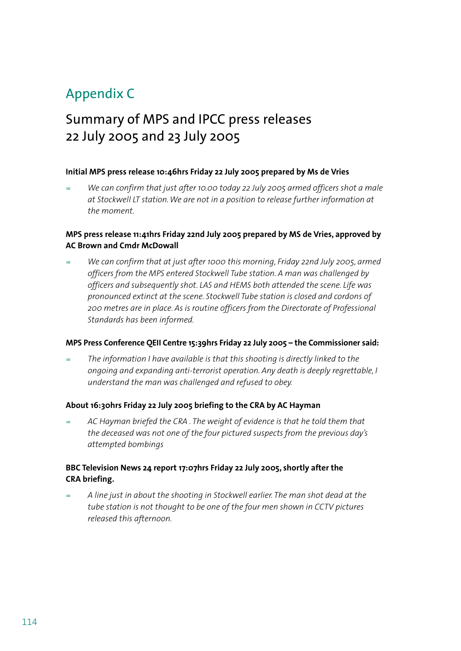### Appendix C

### Summary of MPS and IPCC press releases 22 July 2005 and 23 July 2005

#### **Initial MPS press release 10:46hrs Friday 22 July 2005 prepared by Ms de Vries**

*We can confirm that just after 10.00 today 22 July 2005 armed officers shot a male at Stockwell LT station. We are not in a position to release further information at the moment.*  =

#### **MPS press release 11:41hrs Friday 22nd July 2005 prepared by MS de Vries, approved by AC Brown and Cmdr McDowall**

*We can confirm that at just after 1000 this morning, Friday 22nd July 2005, armed officers from the MPS entered Stockwell Tube station. A man was challenged by officers and subsequently shot. LAS and HEMS both attended the scene. Life was pronounced extinct at the scene. Stockwell Tube station is closed and cordons of 200 metres are in place. As is routine officers from the Directorate of Professional Standards has been informed.* =

#### **MPS Press Conference QEII Centre 15:39hrs Friday 22 July 2005 – the Commissioner said:**

*The information I have available is that this shooting is directly linked to the ongoing and expanding anti-terrorist operation. Any death is deeply regrettable, I understand the man was challenged and refused to obey.* =

#### **About 16:30hrs Friday 22 July 2005 briefing to the CRA by AC Hayman**

*AC Hayman briefed the CRA . The weight of evidence is that he told them that the deceased was not one of the four pictured suspects from the previous day's attempted bombings* =

#### **BBC Television News 24 report 17:07hrs Friday 22 July 2005, shortly after the CRA briefing.**

*A line just in about the shooting in Stockwell earlier. The man shot dead at the tube station is not thought to be one of the four men shown in CCTV pictures released this afternoon.* =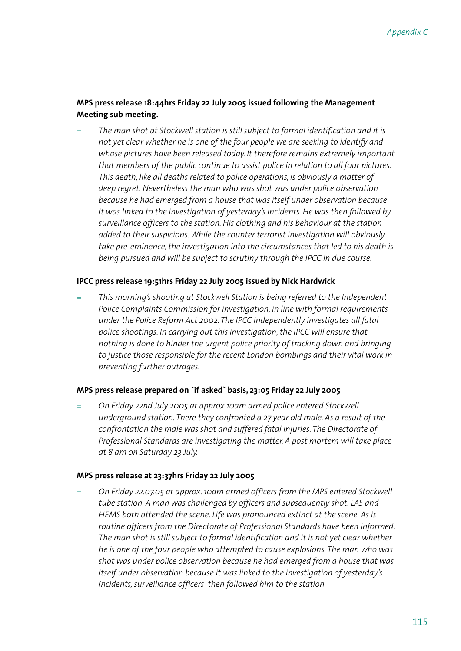#### **MPS press release 18:44hrs Friday 22 July 2005 issued following the Management Meeting sub meeting.**

*The man shot at Stockwell station is still subject to formal identification and it is not yet clear whether he is one of the four people we are seeking to identify and whose pictures have been released today. It therefore remains extremely important that members of the public continue to assist police in relation to all four pictures. This death, like all deaths related to police operations, is obviously a matter of deep regret. Nevertheless the man who was shot was under police observation because he had emerged from a house that was itself under observation because it was linked to the investigation of yesterday's incidents. He was then followed by surveillance officers to the station. His clothing and his behaviour at the station added to their suspicions. While the counter terrorist investigation will obviously take pre-eminence, the investigation into the circumstances that led to his death is being pursued and will be subject to scrutiny through the IPCC in due course.* =

#### **IPCC press release 19:51hrs Friday 22 July 2005 issued by Nick Hardwick**

*This morning's shooting at Stockwell Station is being referred to the Independent Police Complaints Commission for investigation, in line with formal requirements under the Police Reform Act 2002. The IPCC independently investigates all fatal police shootings. In carrying out this investigation, the IPCC will ensure that nothing is done to hinder the urgent police priority of tracking down and bringing to justice those responsible for the recent London bombings and their vital work in preventing further outrages.* =

#### **MPS press release prepared on `if asked` basis, 23:05 Friday 22 July 2005**

*On Friday 22nd July 2005 at approx 10am armed police entered Stockwell underground station. There they confronted a 27 year old male. As a result of the confrontation the male was shot and suffered fatal injuries. The Directorate of Professional Standards are investigating the matter. A post mortem will take place at 8 am on Saturday 23 July.* =

#### **MPS press release at 23:37hrs Friday 22 July 2005**

*On Friday 22.07.05 at approx. 10am armed officers from the MPS entered Stockwell tube station. A man was challenged by officers and subsequently shot. LAS and HEMS both attended the scene. Life was pronounced extinct at the scene. As is routine officers from the Directorate of Professional Standards have been informed. The man shot is still subject to formal identification and it is not yet clear whether he is one of the four people who attempted to cause explosions. The man who was shot was under police observation because he had emerged from a house that was itself under observation because it was linked to the investigation of yesterday's incidents, surveillance officers then followed him to the station.* =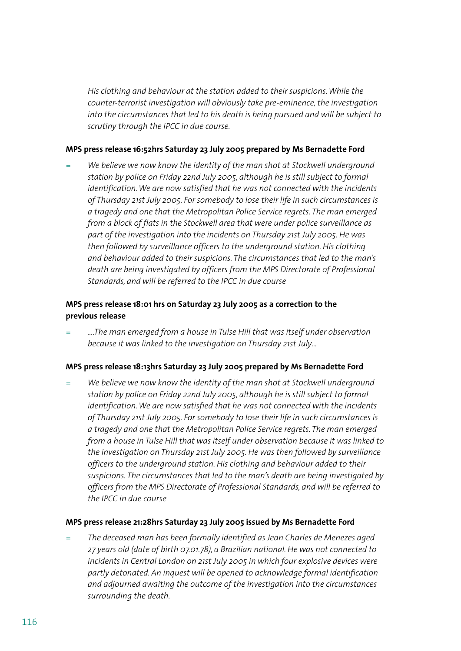*His clothing and behaviour at the station added to their suspicions. While the counter-terrorist investigation will obviously take pre-eminence, the investigation into the circumstances that led to his death is being pursued and will be subject to scrutiny through the IPCC in due course.*

#### **MPS press release 16:52hrs Saturday 23 July 2005 prepared by Ms Bernadette Ford**

*We believe we now know the identity of the man shot at Stockwell underground station by police on Friday 22nd July 2005, although he is still subject to formal identification. We are now satisfied that he was not connected with the incidents of Thursday 21st July 2005. For somebody to lose their life in such circumstances is a tragedy and one that the Metropolitan Police Service regrets. The man emerged from a block of flats in the Stockwell area that were under police surveillance as part of the investigation into the incidents on Thursday 21st July 2005. He was then followed by surveillance officers to the underground station. His clothing and behaviour added to their suspicions. The circumstances that led to the man's death are being investigated by officers from the MPS Directorate of Professional Standards, and will be referred to the IPCC in due course* =

#### **MPS press release 18:01 hrs on Saturday 23 July 2005 as a correction to the previous release**

*….The man emerged from a house in Tulse Hill that was itself under observation because it was linked to the investigation on Thursday 21st July…* =

#### **MPS press release 18:13hrs Saturday 23 July 2005 prepared by Ms Bernadette Ford**

*We believe we now know the identity of the man shot at Stockwell underground station by police on Friday 22nd July 2005, although he is still subject to formal identification. We are now satisfied that he was not connected with the incidents of Thursday 21st July 2005. For somebody to lose their life in such circumstances is a tragedy and one that the Metropolitan Police Service regrets. The man emerged from a house in Tulse Hill that was itself under observation because it was linked to the investigation on Thursday 21st July 2005. He was then followed by surveillance officers to the underground station. His clothing and behaviour added to their suspicions. The circumstances that led to the man's death are being investigated by officers from the MPS Directorate of Professional Standards, and will be referred to the IPCC in due course* =

#### **MPS press release 21:28hrs Saturday 23 July 2005 issued by Ms Bernadette Ford**

*The deceased man has been formally identified as Jean Charles de Menezes aged 27 years old (date of birth 07.01.78), a Brazilian national. He was not connected to incidents in Central London on 21st July 2005 in which four explosive devices were partly detonated. An inquest will be opened to acknowledge formal identification and adjourned awaiting the outcome of the investigation into the circumstances surrounding the death.* =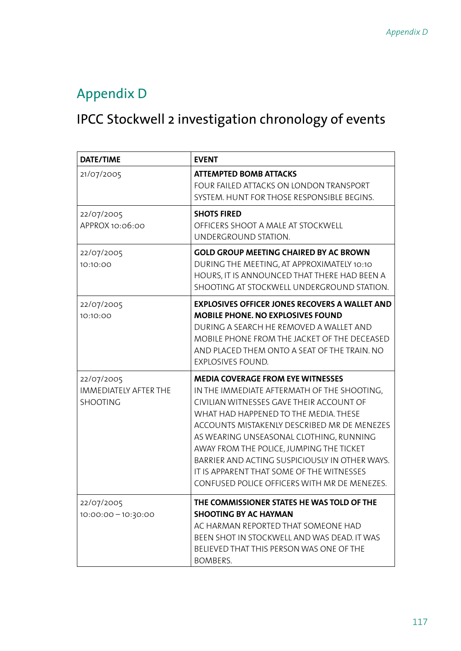### Appendix D

## IPCC Stockwell 2 investigation chronology of events

| DATE/TIME                                                     | <b>EVENT</b>                                                                                                                                                                                                                                                                                                                                                                                                                                                      |
|---------------------------------------------------------------|-------------------------------------------------------------------------------------------------------------------------------------------------------------------------------------------------------------------------------------------------------------------------------------------------------------------------------------------------------------------------------------------------------------------------------------------------------------------|
| 21/07/2005                                                    | <b>ATTEMPTED BOMB ATTACKS</b><br>FOUR FAILED ATTACKS ON LONDON TRANSPORT<br>SYSTEM. HUNT FOR THOSE RESPONSIBLE BEGINS.                                                                                                                                                                                                                                                                                                                                            |
| 22/07/2005<br>APPROX 10:06:00                                 | <b>SHOTS FIRED</b><br>OFFICERS SHOOT A MALE AT STOCKWELL<br>UNDERGROUND STATION.                                                                                                                                                                                                                                                                                                                                                                                  |
| 22/07/2005<br>10:10:00                                        | <b>GOLD GROUP MEETING CHAIRED BY AC BROWN</b><br>DURING THE MEETING, AT APPROXIMATELY 10:10<br>HOURS, IT IS ANNOUNCED THAT THERE HAD BEEN A<br>SHOOTING AT STOCKWELL UNDERGROUND STATION.                                                                                                                                                                                                                                                                         |
| 22/07/2005<br>10:10:00                                        | <b>EXPLOSIVES OFFICER JONES RECOVERS A WALLET AND</b><br><b>MOBILE PHONE. NO EXPLOSIVES FOUND</b><br>DURING A SEARCH HE REMOVED A WALLET AND<br>MOBILE PHONE FROM THE JACKET OF THE DECEASED<br>AND PLACED THEM ONTO A SEAT OF THE TRAIN. NO<br><b>EXPLOSIVES FOUND.</b>                                                                                                                                                                                          |
| 22/07/2005<br><b>IMMEDIATELY AFTER THE</b><br><b>SHOOTING</b> | <b>MEDIA COVERAGE FROM EYE WITNESSES</b><br>IN THE IMMEDIATE AFTERMATH OF THE SHOOTING,<br>CIVILIAN WITNESSES GAVE THEIR ACCOUNT OF<br>WHAT HAD HAPPENED TO THE MEDIA. THESE<br>ACCOUNTS MISTAKENLY DESCRIBED MR DE MENEZES<br>AS WEARING UNSEASONAL CLOTHING, RUNNING<br>AWAY FROM THE POLICE, JUMPING THE TICKET<br>BARRIER AND ACTING SUSPICIOUSLY IN OTHER WAYS.<br>IT IS APPARENT THAT SOME OF THE WITNESSES<br>CONFUSED POLICE OFFICERS WITH MR DE MENEZES. |
| 22/07/2005<br>$10:00:00 - 10:30:00$                           | THE COMMISSIONER STATES HE WAS TOLD OF THE<br><b>SHOOTING BY AC HAYMAN</b><br>AC HARMAN REPORTED THAT SOMEONE HAD<br>BEEN SHOT IN STOCKWELL AND WAS DEAD. IT WAS<br>BELIEVED THAT THIS PERSON WAS ONE OF THE<br>BOMBERS.                                                                                                                                                                                                                                          |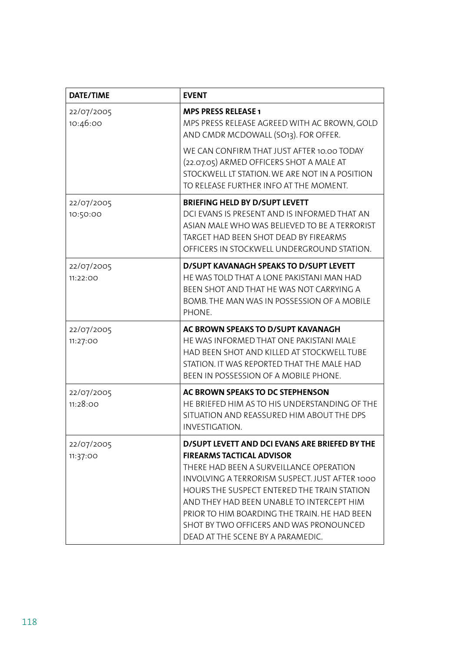| <b>DATE/TIME</b>       | <b>EVENT</b>                                                                                                                                                                                                                                                                                                                                                                                                |
|------------------------|-------------------------------------------------------------------------------------------------------------------------------------------------------------------------------------------------------------------------------------------------------------------------------------------------------------------------------------------------------------------------------------------------------------|
| 22/07/2005<br>10:46:00 | <b>MPS PRESS RELEASE 1</b><br>MPS PRESS RELEASE AGREED WITH AC BROWN, GOLD<br>AND CMDR MCDOWALL (SO13). FOR OFFER.                                                                                                                                                                                                                                                                                          |
|                        | WE CAN CONFIRM THAT JUST AFTER 10.00 TODAY<br>(22.07.05) ARMED OFFICERS SHOT A MALE AT<br>STOCKWELL LT STATION. WE ARE NOT IN A POSITION<br>TO RELEASE FURTHER INFO AT THE MOMENT.                                                                                                                                                                                                                          |
| 22/07/2005<br>10:50:00 | <b>BRIEFING HELD BY D/SUPT LEVETT</b><br>DCI EVANS IS PRESENT AND IS INFORMED THAT AN<br>ASIAN MALE WHO WAS BELIEVED TO BE A TERRORIST<br>TARGET HAD BEEN SHOT DEAD BY FIREARMS<br>OFFICERS IN STOCKWELL UNDERGROUND STATION.                                                                                                                                                                               |
| 22/07/2005<br>11:22:OO | D/SUPT KAVANAGH SPEAKS TO D/SUPT LEVETT<br>HE WAS TOLD THAT A LONE PAKISTANI MAN HAD<br>BEEN SHOT AND THAT HE WAS NOT CARRYING A<br>BOMB. THE MAN WAS IN POSSESSION OF A MOBILE<br>PHONE.                                                                                                                                                                                                                   |
| 22/07/2005<br>11:27:00 | AC BROWN SPEAKS TO D/SUPT KAVANAGH<br>HE WAS INFORMED THAT ONE PAKISTANI MALE<br>HAD BEEN SHOT AND KILLED AT STOCKWELL TUBE<br>STATION. IT WAS REPORTED THAT THE MALE HAD<br>BEEN IN POSSESSION OF A MOBILE PHONE.                                                                                                                                                                                          |
| 22/07/2005<br>11:28:00 | AC BROWN SPEAKS TO DC STEPHENSON<br>HE BRIEFED HIM AS TO HIS UNDERSTANDING OF THE<br>SITUATION AND REASSURED HIM ABOUT THE DPS<br>INVESTIGATION.                                                                                                                                                                                                                                                            |
| 22/07/2005<br>11:37:00 | D/SUPT LEVETT AND DCI EVANS ARE BRIEFED BY THE<br><b>FIREARMS TACTICAL ADVISOR</b><br>THERE HAD BEEN A SURVEILLANCE OPERATION<br>INVOLVING A TERRORISM SUSPECT. JUST AFTER 1000<br>HOURS THE SUSPECT ENTERED THE TRAIN STATION<br>AND THEY HAD BEEN UNABLE TO INTERCEPT HIM<br>PRIOR TO HIM BOARDING THE TRAIN. HE HAD BEEN<br>SHOT BY TWO OFFICERS AND WAS PRONOUNCED<br>DEAD AT THE SCENE BY A PARAMEDIC. |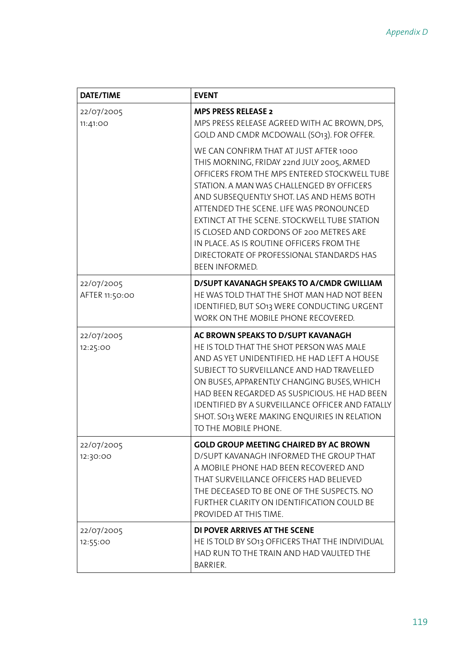| <b>DATE/TIME</b>             | <b>EVENT</b>                                                                                                                                                                                                                                                                                                                                                                                                                                                                           |
|------------------------------|----------------------------------------------------------------------------------------------------------------------------------------------------------------------------------------------------------------------------------------------------------------------------------------------------------------------------------------------------------------------------------------------------------------------------------------------------------------------------------------|
| 22/07/2005<br>11:41:00       | <b>MPS PRESS RELEASE 2</b><br>MPS PRESS RELEASE AGREED WITH AC BROWN, DPS,<br>GOLD AND CMDR MCDOWALL (SO13). FOR OFFER.                                                                                                                                                                                                                                                                                                                                                                |
|                              | WE CAN CONFIRM THAT AT JUST AFTER 1000<br>THIS MORNING, FRIDAY 22nd JULY 2005, ARMED<br>OFFICERS FROM THE MPS ENTERED STOCKWELL TUBE<br>STATION. A MAN WAS CHALLENGED BY OFFICERS<br>AND SUBSEQUENTLY SHOT. LAS AND HEMS BOTH<br>ATTENDED THE SCENE. LIFE WAS PRONOUNCED<br>EXTINCT AT THE SCENE. STOCKWELL TUBE STATION<br>IS CLOSED AND CORDONS OF 200 METRES ARE<br>IN PLACE. AS IS ROUTINE OFFICERS FROM THE<br>DIRECTORATE OF PROFESSIONAL STANDARDS HAS<br><b>BEEN INFORMED.</b> |
| 22/07/2005<br>AFTER 11:50:00 | D/SUPT KAVANAGH SPEAKS TO A/CMDR GWILLIAM<br>HE WAS TOLD THAT THE SHOT MAN HAD NOT BEEN<br>IDENTIFIED, BUT SO13 WERE CONDUCTING URGENT<br>WORK ON THE MOBILE PHONE RECOVERED.                                                                                                                                                                                                                                                                                                          |
| 22/07/2005<br>12:25:00       | AC BROWN SPEAKS TO D/SUPT KAVANAGH<br>HE IS TOLD THAT THE SHOT PERSON WAS MALE<br>AND AS YET UNIDENTIFIED. HE HAD LEFT A HOUSE<br>SUBJECT TO SURVEILLANCE AND HAD TRAVELLED<br>ON BUSES, APPARENTLY CHANGING BUSES, WHICH<br>HAD BEEN REGARDED AS SUSPICIOUS. HE HAD BEEN<br>IDENTIFIED BY A SURVEILLANCE OFFICER AND FATALLY<br>SHOT. SO13 WERE MAKING ENQUIRIES IN RELATION<br>TO THE MOBILE PHONE.                                                                                  |
| 22/07/2005<br>12:30:00       | <b>GOLD GROUP MEETING CHAIRED BY AC BROWN</b><br>D/SUPT KAVANAGH INFORMED THE GROUP THAT<br>A MOBILE PHONE HAD BEEN RECOVERED AND<br>THAT SURVEILLANCE OFFICERS HAD BELIEVED<br>THE DECEASED TO BE ONE OF THE SUSPECTS. NO<br>FURTHER CLARITY ON IDENTIFICATION COULD BE<br>PROVIDED AT THIS TIME.                                                                                                                                                                                     |
| 22/07/2005<br>12:55:00       | DI POVER ARRIVES AT THE SCENE<br>HE IS TOLD BY SO13 OFFICERS THAT THE INDIVIDUAL<br>HAD RUN TO THE TRAIN AND HAD VAULTED THE<br>BARRIER.                                                                                                                                                                                                                                                                                                                                               |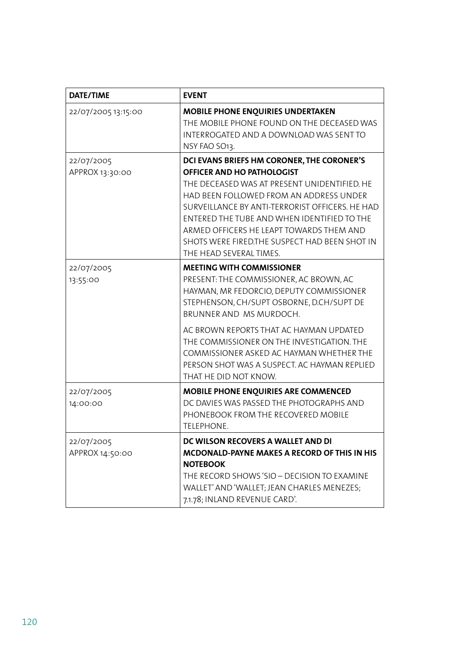| <b>DATE/TIME</b>              | <b>EVENT</b>                                                                                                                                                                                                                                                                                                                                                                                                  |
|-------------------------------|---------------------------------------------------------------------------------------------------------------------------------------------------------------------------------------------------------------------------------------------------------------------------------------------------------------------------------------------------------------------------------------------------------------|
| 22/07/2005 13:15:00           | MOBILE PHONE ENQUIRIES UNDERTAKEN<br>THE MOBILE PHONE FOUND ON THE DECEASED WAS<br>INTERROGATED AND A DOWNLOAD WAS SENT TO<br>NSY FAO SO13.                                                                                                                                                                                                                                                                   |
| 22/07/2005<br>APPROX 13:30:00 | DCI EVANS BRIEFS HM CORONER, THE CORONER'S<br>OFFICER AND HO PATHOLOGIST<br>THE DECEASED WAS AT PRESENT UNIDENTIFIED. HE<br>HAD BEEN FOLLOWED FROM AN ADDRESS UNDER<br>SURVEILLANCE BY ANTI-TERRORIST OFFICERS. HE HAD<br>ENTERED THE TUBE AND WHEN IDENTIFIED TO THE<br>ARMED OFFICERS HE LEAPT TOWARDS THEM AND<br>SHOTS WERE FIRED.THE SUSPECT HAD BEEN SHOT IN<br>THE HEAD SEVERAL TIMES.                 |
| 22/07/2005<br>13:55:00        | <b>MEETING WITH COMMISSIONER</b><br>PRESENT: THE COMMISSIONER, AC BROWN, AC<br>HAYMAN, MR FEDORCIO, DEPUTY COMMISSIONER<br>STEPHENSON, CH/SUPT OSBORNE, D.CH/SUPT DE<br>BRUNNER AND MS MURDOCH.<br>AC BROWN REPORTS THAT AC HAYMAN UPDATED<br>THE COMMISSIONER ON THE INVESTIGATION. THE<br>COMMISSIONER ASKED AC HAYMAN WHETHER THE<br>PERSON SHOT WAS A SUSPECT. AC HAYMAN REPLIED<br>THAT HE DID NOT KNOW. |
| 22/07/2005<br>14:00:00        | MOBILE PHONE ENQUIRIES ARE COMMENCED<br>DC DAVIES WAS PASSED THE PHOTOGRAPHS AND<br>PHONEBOOK FROM THE RECOVERED MOBILE<br>TELEPHONE.                                                                                                                                                                                                                                                                         |
| 22/07/2005<br>APPROX 14:50:00 | DC WILSON RECOVERS A WALLET AND DI<br>MCDONALD-PAYNE MAKES A RECORD OF THIS IN HIS<br><b>NOTEBOOK</b><br>THE RECORD SHOWS 'SIO - DECISION TO EXAMINE<br>WALLET' AND 'WALLET; JEAN CHARLES MENEZES;<br>7.1.78; INLAND REVENUE CARD'.                                                                                                                                                                           |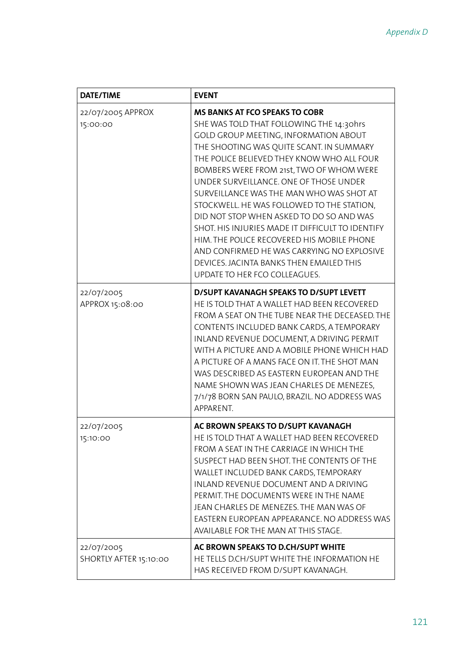| <b>DATE/TIME</b>                     | <b>EVENT</b>                                                                                                                                                                                                                                                                                                                                                                                                                                                                                                                                                                                                                                                                  |
|--------------------------------------|-------------------------------------------------------------------------------------------------------------------------------------------------------------------------------------------------------------------------------------------------------------------------------------------------------------------------------------------------------------------------------------------------------------------------------------------------------------------------------------------------------------------------------------------------------------------------------------------------------------------------------------------------------------------------------|
| 22/07/2005 APPROX<br>15:00:00        | <b>MS BANKS AT FCO SPEAKS TO COBR</b><br>SHE WAS TOLD THAT FOLLOWING THE 14:30hrs<br>GOLD GROUP MEETING, INFORMATION ABOUT<br>THE SHOOTING WAS QUITE SCANT. IN SUMMARY<br>THE POLICE BELIEVED THEY KNOW WHO ALL FOUR<br>BOMBERS WERE FROM 21st, TWO OF WHOM WERE<br>UNDER SURVEILLANCE. ONE OF THOSE UNDER<br>SURVEILLANCE WAS THE MAN WHO WAS SHOT AT<br>STOCKWELL. HE WAS FOLLOWED TO THE STATION,<br>DID NOT STOP WHEN ASKED TO DO SO AND WAS<br>SHOT. HIS INJURIES MADE IT DIFFICULT TO IDENTIFY<br>HIM. THE POLICE RECOVERED HIS MOBILE PHONE<br>AND CONFIRMED HE WAS CARRYING NO EXPLOSIVE<br>DEVICES. JACINTA BANKS THEN EMAILED THIS<br>UPDATE TO HER FCO COLLEAGUES. |
| 22/07/2005<br>APPROX 15:08:00        | <b>D/SUPT KAVANAGH SPEAKS TO D/SUPT LEVETT</b><br>HE IS TOLD THAT A WALLET HAD BEEN RECOVERED<br>FROM A SEAT ON THE TUBE NEAR THE DECEASED. THE<br>CONTENTS INCLUDED BANK CARDS, A TEMPORARY<br>INLAND REVENUE DOCUMENT, A DRIVING PERMIT<br>WITH A PICTURE AND A MOBILE PHONE WHICH HAD<br>A PICTURE OF A MANS FACE ON IT. THE SHOT MAN<br>WAS DESCRIBED AS EASTERN EUROPEAN AND THE<br>NAME SHOWN WAS JEAN CHARLES DE MENEZES,<br>7/1/78 BORN SAN PAULO, BRAZIL. NO ADDRESS WAS<br>APPARENT.                                                                                                                                                                                |
| 22/07/2005<br>15:10:00               | AC BROWN SPEAKS TO D/SUPT KAVANAGH<br>HE IS TOLD THAT A WALLET HAD BEEN RECOVERED<br>FROM A SEAT IN THE CARRIAGE IN WHICH THE<br>SUSPECT HAD BEEN SHOT. THE CONTENTS OF THE<br>WALLET INCLUDED BANK CARDS, TEMPORARY<br>INLAND REVENUE DOCUMENT AND A DRIVING<br>PERMIT. THE DOCUMENTS WERE IN THE NAME<br>JEAN CHARLES DE MENEZES. THE MAN WAS OF<br>EASTERN EUROPEAN APPEARANCE. NO ADDRESS WAS<br>AVAILABLE FOR THE MAN AT THIS STAGE.                                                                                                                                                                                                                                     |
| 22/07/2005<br>SHORTLY AFTER 15:10:00 | AC BROWN SPEAKS TO D.CH/SUPT WHITE<br>HE TELLS D.CH/SUPT WHITE THE INFORMATION HE<br>HAS RECEIVED FROM D/SUPT KAVANAGH.                                                                                                                                                                                                                                                                                                                                                                                                                                                                                                                                                       |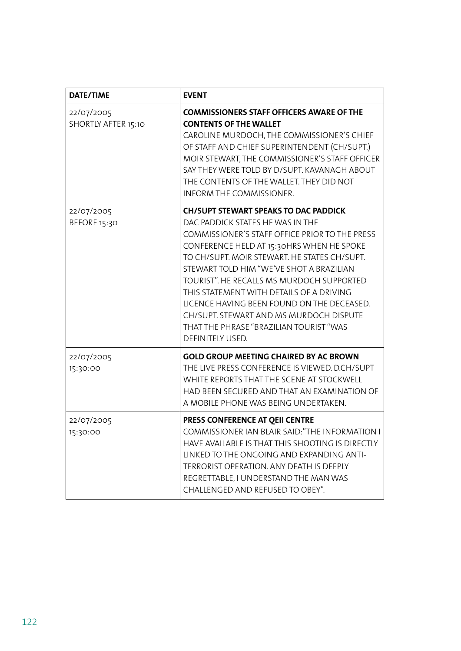| <b>DATE/TIME</b>                  | <b>EVENT</b>                                                                                                                                                                                                                                                                                                                                                                                                                                                                                                                 |
|-----------------------------------|------------------------------------------------------------------------------------------------------------------------------------------------------------------------------------------------------------------------------------------------------------------------------------------------------------------------------------------------------------------------------------------------------------------------------------------------------------------------------------------------------------------------------|
| 22/07/2005<br>SHORTLY AFTER 15:10 | <b>COMMISSIONERS STAFF OFFICERS AWARE OF THE</b><br><b>CONTENTS OF THE WALLET</b><br>CAROLINE MURDOCH, THE COMMISSIONER'S CHIEF<br>OF STAFF AND CHIEF SUPERINTENDENT (CH/SUPT.)<br>MOIR STEWART, THE COMMISSIONER'S STAFF OFFICER<br>SAY THEY WERE TOLD BY D/SUPT. KAVANAGH ABOUT<br>THE CONTENTS OF THE WALLET. THEY DID NOT<br>INFORM THE COMMISSIONER.                                                                                                                                                                    |
| 22/07/2005<br>BEFORE 15:30        | <b>CH/SUPT STEWART SPEAKS TO DAC PADDICK</b><br>DAC PADDICK STATES HE WAS IN THE<br>COMMISSIONER'S STAFF OFFICE PRIOR TO THE PRESS<br>CONFERENCE HELD AT 15:30HRS WHEN HE SPOKE<br>TO CH/SUPT. MOIR STEWART. HE STATES CH/SUPT.<br>STEWART TOLD HIM "WE'VE SHOT A BRAZILIAN<br>TOURIST". HE RECALLS MS MURDOCH SUPPORTED<br>THIS STATEMENT WITH DETAILS OF A DRIVING<br>LICENCE HAVING BEEN FOUND ON THE DECEASED.<br>CH/SUPT. STEWART AND MS MURDOCH DISPUTE<br>THAT THE PHRASE "BRAZILIAN TOURIST "WAS<br>DEFINITELY USED. |
| 22/07/2005<br>15:30:00            | <b>GOLD GROUP MEETING CHAIRED BY AC BROWN</b><br>THE LIVE PRESS CONFERENCE IS VIEWED. D.CH/SUPT<br>WHITE REPORTS THAT THE SCENE AT STOCKWELL<br>HAD BEEN SECURED AND THAT AN EXAMINATION OF<br>A MOBILE PHONE WAS BEING UNDERTAKEN.                                                                                                                                                                                                                                                                                          |
| 22/07/2005<br>15:30:00            | PRESS CONFERENCE AT QEII CENTRE<br>COMMISSIONER IAN BLAIR SAID: "THE INFORMATION I<br>HAVE AVAILABLE IS THAT THIS SHOOTING IS DIRECTLY<br>LINKED TO THE ONGOING AND EXPANDING ANTI-<br>TERRORIST OPERATION. ANY DEATH IS DEEPLY<br>REGRETTABLE, I UNDERSTAND THE MAN WAS<br>CHALLENGED AND REFUSED TO OBEY".                                                                                                                                                                                                                 |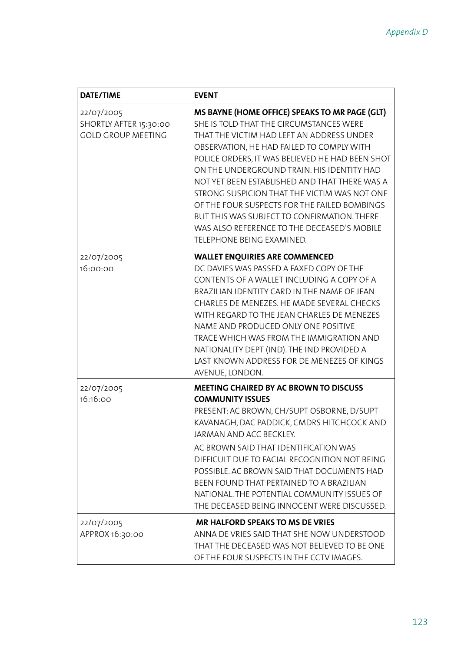| <b>DATE/TIME</b>                                                  | <b>EVENT</b>                                                                                                                                                                                                                                                                                                                                                                                                                                                                                                                                                     |
|-------------------------------------------------------------------|------------------------------------------------------------------------------------------------------------------------------------------------------------------------------------------------------------------------------------------------------------------------------------------------------------------------------------------------------------------------------------------------------------------------------------------------------------------------------------------------------------------------------------------------------------------|
| 22/07/2005<br>SHORTLY AFTER 15:30:00<br><b>GOLD GROUP MEETING</b> | MS BAYNE (HOME OFFICE) SPEAKS TO MR PAGE (GLT)<br>SHE IS TOLD THAT THE CIRCUMSTANCES WERE<br>THAT THE VICTIM HAD LEFT AN ADDRESS UNDER<br>OBSERVATION, HE HAD FAILED TO COMPLY WITH<br>POLICE ORDERS, IT WAS BELIEVED HE HAD BEEN SHOT<br>ON THE UNDERGROUND TRAIN. HIS IDENTITY HAD<br>NOT YET BEEN ESTABLISHED AND THAT THERE WAS A<br>STRONG SUSPICION THAT THE VICTIM WAS NOT ONE<br>OF THE FOUR SUSPECTS FOR THE FAILED BOMBINGS<br>BUT THIS WAS SUBJECT TO CONFIRMATION. THERE<br>WAS ALSO REFERENCE TO THE DECEASED'S MOBILE<br>TELEPHONE BEING EXAMINED. |
| 22/07/2005<br>16:00:00                                            | <b>WALLET ENQUIRIES ARE COMMENCED</b><br>DC DAVIES WAS PASSED A FAXED COPY OF THE<br>CONTENTS OF A WALLET INCLUDING A COPY OF A<br>BRAZILIAN IDENTITY CARD IN THE NAME OF JEAN<br>CHARLES DE MENEZES. HE MADE SEVERAL CHECKS<br>WITH REGARD TO THE JEAN CHARLES DE MENEZES<br>NAME AND PRODUCED ONLY ONE POSITIVE<br>TRACE WHICH WAS FROM THE IMMIGRATION AND<br>NATIONALITY DEPT (IND). THE IND PROVIDED A<br>LAST KNOWN ADDRESS FOR DE MENEZES OF KINGS<br>AVENUE, LONDON.                                                                                     |
| 22/07/2005<br>16:16:00                                            | <b>MEETING CHAIRED BY AC BROWN TO DISCUSS</b><br><b>COMMUNITY ISSUES</b><br>PRESENT: AC BROWN, CH/SUPT OSBORNE, D/SUPT<br>KAVANAGH, DAC PADDICK, CMDRS HITCHCOCK AND<br>JARMAN AND ACC BECKLEY.<br>AC BROWN SAID THAT IDENTIFICATION WAS<br>DIFFICULT DUE TO FACIAL RECOGNITION NOT BEING<br>POSSIBLE. AC BROWN SAID THAT DOCUMENTS HAD<br>BEEN FOUND THAT PERTAINED TO A BRAZILIAN<br>NATIONAL. THE POTENTIAL COMMUNITY ISSUES OF<br>THE DECEASED BEING INNOCENT WERE DISCUSSED.                                                                                |
| 22/07/2005<br>APPROX 16:30:00                                     | <b>MR HALFORD SPEAKS TO MS DE VRIES</b><br>ANNA DE VRIES SAID THAT SHE NOW UNDERSTOOD<br>THAT THE DECEASED WAS NOT BELIEVED TO BE ONE<br>OF THE FOUR SUSPECTS IN THE CCTV IMAGES.                                                                                                                                                                                                                                                                                                                                                                                |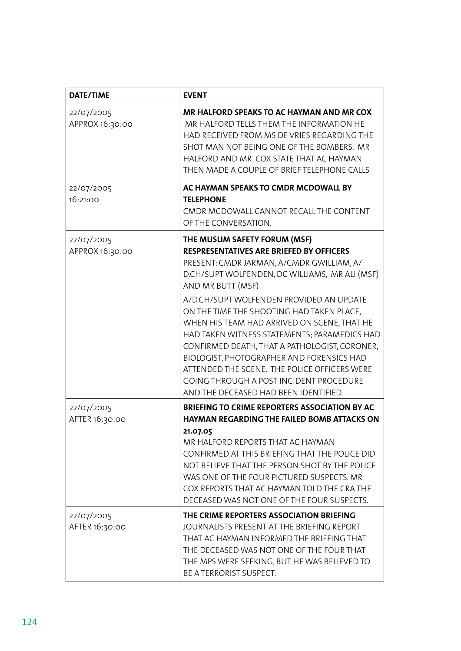| <b>DATE/TIME</b>              | <b>EVENT</b>                                                                                                                                                                                                                                                                                                                                                                                                                                                                                                                                                                                                                   |
|-------------------------------|--------------------------------------------------------------------------------------------------------------------------------------------------------------------------------------------------------------------------------------------------------------------------------------------------------------------------------------------------------------------------------------------------------------------------------------------------------------------------------------------------------------------------------------------------------------------------------------------------------------------------------|
| 22/07/2005<br>APPROX 16:30:00 | MR HALFORD SPEAKS TO AC HAYMAN AND MR COX<br>MR HALFORD TELLS THEM THE INFORMATION HE<br>HAD RECEIVED FROM MS DE VRIES REGARDING THE<br>SHOT MAN NOT BEING ONE OF THE BOMBERS. MR<br>HALFORD AND MR COX STATE THAT AC HAYMAN<br>THEN MADE A COUPLE OF BRIEF TELEPHONE CALLS                                                                                                                                                                                                                                                                                                                                                    |
| 22/07/2005<br>16:21:00        | AC HAYMAN SPEAKS TO CMDR MCDOWALL BY<br><b>TELEPHONE</b><br>CMDR MCDOWALL CANNOT RECALL THE CONTENT<br>OF THE CONVERSATION.                                                                                                                                                                                                                                                                                                                                                                                                                                                                                                    |
| 22/07/2005<br>APPROX 16:30:00 | THE MUSLIM SAFETY FORUM (MSF)<br><b>RESPRESENTATIVES ARE BRIEFED BY OFFICERS</b><br>PRESENT: CMDR JARMAN, A/CMDR GWILLIAM, A/<br>D.CH/SUPT WOLFENDEN, DC WILLIAMS, MR ALI (MSF)<br>AND MR BUTT (MSF)<br>A/D.CH/SUPT WOLFENDEN PROVIDED AN UPDATE<br>ON THE TIME THE SHOOTING HAD TAKEN PLACE,<br>WHEN HIS TEAM HAD ARRIVED ON SCENE, THAT HE<br>HAD TAKEN WITNESS STATEMENTS; PARAMEDICS HAD<br>CONFIRMED DEATH, THAT A PATHOLOGIST, CORONER,<br>BIOLOGIST, PHOTOGRAPHER AND FORENSICS HAD<br>ATTENDED THE SCENE. THE POLICE OFFICERS WERE<br>GOING THROUGH A POST INCIDENT PROCEDURE<br>AND THE DECEASED HAD BEEN IDENTIFIED. |
| 22/07/2005<br>AFTER 16:30:00  | <b>BRIEFING TO CRIME REPORTERS ASSOCIATION BY AC</b><br><b>HAYMAN REGARDING THE FAILED BOMB ATTACKS ON</b><br>21.07.05<br>MR HALFORD REPORTS THAT AC HAYMAN<br>CONFIRMED AT THIS BRIEFING THAT THE POLICE DID<br>NOT BELIEVE THAT THE PERSON SHOT BY THE POLICE<br>WAS ONE OF THE FOUR PICTURED SUSPECTS. MR<br>COX REPORTS THAT AC HAYMAN TOLD THE CRA THE<br>DECEASED WAS NOT ONE OF THE FOUR SUSPECTS.                                                                                                                                                                                                                      |
| 22/07/2005<br>AFTER 16:30:00  | THE CRIME REPORTERS ASSOCIATION BRIEFING<br>JOURNALISTS PRESENT AT THE BRIEFING REPORT<br>THAT AC HAYMAN INFORMED THE BRIEFING THAT<br>THE DECEASED WAS NOT ONE OF THE FOUR THAT<br>THE MPS WERE SEEKING, BUT HE WAS BELIEVED TO<br>BE A TERRORIST SUSPECT.                                                                                                                                                                                                                                                                                                                                                                    |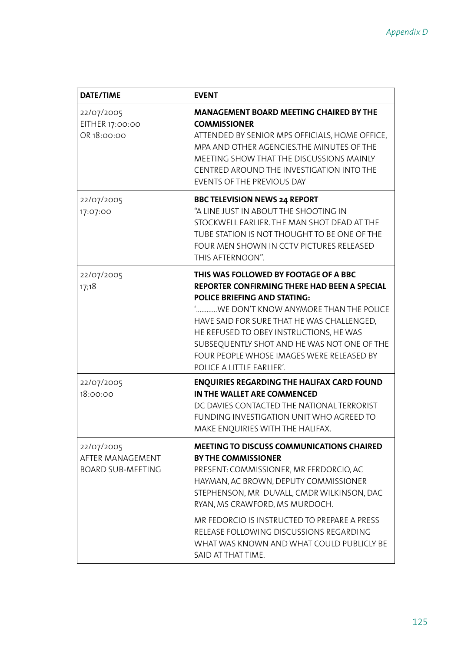| <b>DATE/TIME</b>                                           | <b>EVENT</b>                                                                                                                                                                                                                                                                                                                                                                                                     |
|------------------------------------------------------------|------------------------------------------------------------------------------------------------------------------------------------------------------------------------------------------------------------------------------------------------------------------------------------------------------------------------------------------------------------------------------------------------------------------|
| 22/07/2005<br>EITHER 17:00:00<br>OR 18:00:00               | <b>MANAGEMENT BOARD MEETING CHAIRED BY THE</b><br><b>COMMISSIONER</b><br>ATTENDED BY SENIOR MPS OFFICIALS, HOME OFFICE,<br>MPA AND OTHER AGENCIES.THE MINUTES OF THE<br>MEETING SHOW THAT THE DISCUSSIONS MAINLY<br>CENTRED AROUND THE INVESTIGATION INTO THE<br>EVENTS OF THE PREVIOUS DAY                                                                                                                      |
| 22/07/2005<br>17:07:00                                     | <b>BBC TELEVISION NEWS 24 REPORT</b><br>"A LINE JUST IN ABOUT THE SHOOTING IN<br>STOCKWELL EARLIER. THE MAN SHOT DEAD AT THE<br>TUBE STATION IS NOT THOUGHT TO BE ONE OF THE<br>FOUR MEN SHOWN IN CCTV PICTURES RELEASED<br>THIS AFTERNOON".                                                                                                                                                                     |
| 22/07/2005<br>17;18                                        | THIS WAS FOLLOWED BY FOOTAGE OF A BBC<br><b>REPORTER CONFIRMING THERE HAD BEEN A SPECIAL</b><br><b>POLICE BRIEFING AND STATING:</b><br>'WE DON'T KNOW ANYMORE THAN THE POLICE<br>HAVE SAID FOR SURE THAT HE WAS CHALLENGED,<br>HE REFUSED TO OBEY INSTRUCTIONS, HE WAS<br>SUBSEQUENTLY SHOT AND HE WAS NOT ONE OF THE<br>FOUR PEOPLE WHOSE IMAGES WERE RELEASED BY<br>POLICE A LITTLE EARLIER'.                  |
| 22/07/2005<br>18:00:00                                     | <b>ENQUIRIES REGARDING THE HALIFAX CARD FOUND</b><br>IN THE WALLET ARE COMMENCED<br>DC DAVIES CONTACTED THE NATIONAL TERRORIST<br>FUNDING INVESTIGATION UNIT WHO AGREED TO<br>MAKE ENOUIRIES WITH THE HALIFAX.                                                                                                                                                                                                   |
| 22/07/2005<br>AFTER MANAGEMENT<br><b>BOARD SUB-MEETING</b> | <b>MEETING TO DISCUSS COMMUNICATIONS CHAIRED</b><br><b>BY THE COMMISSIONER</b><br>PRESENT: COMMISSIONER, MR FERDORCIO, AC<br>HAYMAN, AC BROWN, DEPUTY COMMISSIONER<br>STEPHENSON, MR DUVALL, CMDR WILKINSON, DAC<br>RYAN, MS CRAWFORD, MS MURDOCH.<br>MR FEDORCIO IS INSTRUCTED TO PREPARE A PRESS<br>RELEASE FOLLOWING DISCUSSIONS REGARDING<br>WHAT WAS KNOWN AND WHAT COULD PUBLICLY BE<br>SAID AT THAT TIME. |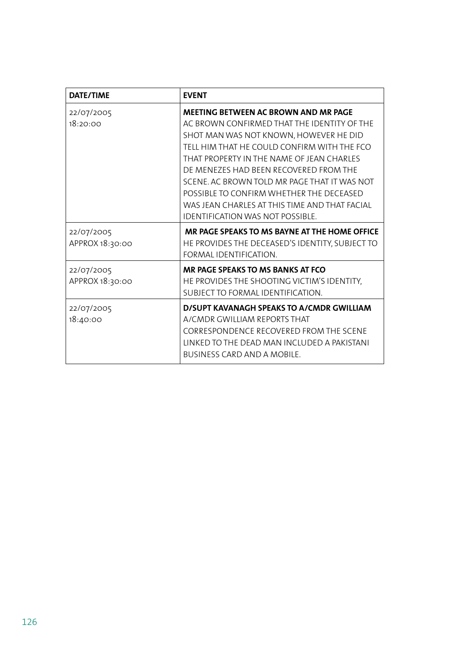| <b>DATE/TIME</b>              | <b>EVENT</b>                                                                                                                                                                                                                                                                                                                                                                                                                                                       |
|-------------------------------|--------------------------------------------------------------------------------------------------------------------------------------------------------------------------------------------------------------------------------------------------------------------------------------------------------------------------------------------------------------------------------------------------------------------------------------------------------------------|
| 22/07/2005<br>18:20:00        | <b>MEETING BETWEEN AC BROWN AND MR PAGE</b><br>AC BROWN CONFIRMED THAT THE IDENTITY OF THE<br>SHOT MAN WAS NOT KNOWN, HOWEVER HE DID<br>TELL HIM THAT HE COULD CONFIRM WITH THE FCO<br>THAT PROPERTY IN THE NAME OF JEAN CHARLES<br>DE MENEZES HAD BEEN RECOVERED FROM THE<br>SCENE. AC BROWN TOLD MR PAGE THAT IT WAS NOT<br>POSSIBLE TO CONFIRM WHETHER THE DECEASED<br>WAS JEAN CHARLES AT THIS TIME AND THAT FACIAL<br><b>IDENTIFICATION WAS NOT POSSIBLE.</b> |
| 22/07/2005<br>APPROX 18:30:00 | MR PAGE SPEAKS TO MS BAYNE AT THE HOME OFFICE<br>HE PROVIDES THE DECEASED'S IDENTITY, SUBJECT TO<br>FORMAL IDENTIFICATION.                                                                                                                                                                                                                                                                                                                                         |
| 22/07/2005<br>APPROX 18:30:00 | MR PAGE SPEAKS TO MS BANKS AT FCO<br>HE PROVIDES THE SHOOTING VICTIM'S IDENTITY,<br>SUBJECT TO FORMAL IDENTIFICATION.                                                                                                                                                                                                                                                                                                                                              |
| 22/07/2005<br>18:40:00        | D/SUPT KAVANAGH SPEAKS TO A/CMDR GWILLIAM<br>A/CMDR GWILLIAM REPORTS THAT<br>CORRESPONDENCE RECOVERED FROM THE SCENE<br>LINKED TO THE DEAD MAN INCLUDED A PAKISTANI<br><b>BUSINESS CARD AND A MOBILE.</b>                                                                                                                                                                                                                                                          |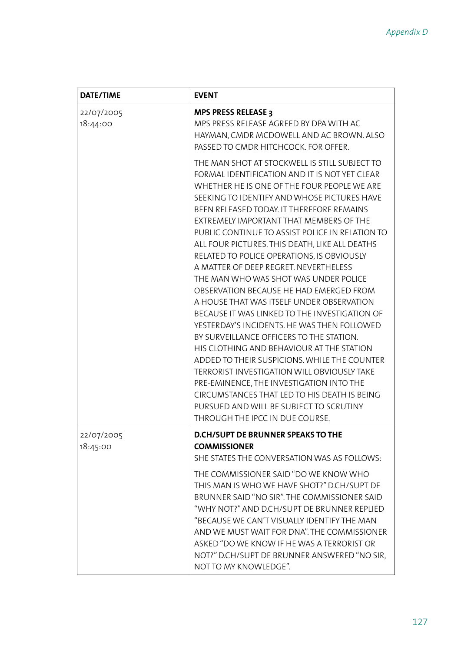| <b>DATE/TIME</b>       | <b>EVENT</b>                                                                                                                                                                                                                                                                                                                                                                                                                                                                                                                                                                                                                                                                                                                                                                                                                                                                                                                                                                                                                                                                        |
|------------------------|-------------------------------------------------------------------------------------------------------------------------------------------------------------------------------------------------------------------------------------------------------------------------------------------------------------------------------------------------------------------------------------------------------------------------------------------------------------------------------------------------------------------------------------------------------------------------------------------------------------------------------------------------------------------------------------------------------------------------------------------------------------------------------------------------------------------------------------------------------------------------------------------------------------------------------------------------------------------------------------------------------------------------------------------------------------------------------------|
| 22/07/2005<br>18:44:00 | <b>MPS PRESS RELEASE 3</b><br>MPS PRESS RELEASE AGREED BY DPA WITH AC<br>HAYMAN, CMDR MCDOWELL AND AC BROWN. ALSO<br>PASSED TO CMDR HITCHCOCK. FOR OFFER.                                                                                                                                                                                                                                                                                                                                                                                                                                                                                                                                                                                                                                                                                                                                                                                                                                                                                                                           |
|                        | THE MAN SHOT AT STOCKWELL IS STILL SUBJECT TO<br>FORMAL IDENTIFICATION AND IT IS NOT YET CLEAR<br>WHETHER HE IS ONE OF THE FOUR PEOPLE WE ARE<br>SEEKING TO IDENTIFY AND WHOSE PICTURES HAVE<br>BEEN RELEASED TODAY. IT THEREFORE REMAINS<br>EXTREMELY IMPORTANT THAT MEMBERS OF THE<br>PUBLIC CONTINUE TO ASSIST POLICE IN RELATION TO<br>ALL FOUR PICTURES. THIS DEATH, LIKE ALL DEATHS<br>RELATED TO POLICE OPERATIONS, IS OBVIOUSLY<br>A MATTER OF DEEP REGRET. NEVERTHELESS<br>THE MAN WHO WAS SHOT WAS UNDER POLICE<br>OBSERVATION BECAUSE HE HAD EMERGED FROM<br>A HOUSE THAT WAS ITSELF UNDER OBSERVATION<br>BECAUSE IT WAS LINKED TO THE INVESTIGATION OF<br>YESTERDAY'S INCIDENTS. HE WAS THEN FOLLOWED<br>BY SURVEILLANCE OFFICERS TO THE STATION.<br>HIS CLOTHING AND BEHAVIOUR AT THE STATION<br>ADDED TO THEIR SUSPICIONS. WHILE THE COUNTER<br>TERRORIST INVESTIGATION WILL OBVIOUSLY TAKE<br>PRE-EMINENCE, THE INVESTIGATION INTO THE<br>CIRCUMSTANCES THAT LED TO HIS DEATH IS BEING<br>PURSUED AND WILL BE SUBJECT TO SCRUTINY<br>THROUGH THE IPCC IN DUE COURSE. |
| 22/07/2005<br>18:45:00 | D.CH/SUPT DE BRUNNER SPEAKS TO THE<br><b>COMMISSIONER</b><br>SHE STATES THE CONVERSATION WAS AS FOLLOWS:                                                                                                                                                                                                                                                                                                                                                                                                                                                                                                                                                                                                                                                                                                                                                                                                                                                                                                                                                                            |
|                        | THE COMMISSIONER SAID "DO WE KNOW WHO<br>THIS MAN IS WHO WE HAVE SHOT?" D.CH/SUPT DE<br>BRUNNER SAID "NO SIR". THE COMMISSIONER SAID<br>"WHY NOT?" AND D.CH/SUPT DE BRUNNER REPLIED<br>"BECAUSE WE CAN'T VISUALLY IDENTIFY THE MAN<br>AND WE MUST WAIT FOR DNA". THE COMMISSIONER<br>ASKED "DO WE KNOW IF HE WAS A TERRORIST OR<br>NOT?" D.CH/SUPT DE BRUNNER ANSWERED "NO SIR,<br>NOT TO MY KNOWLEDGE".                                                                                                                                                                                                                                                                                                                                                                                                                                                                                                                                                                                                                                                                            |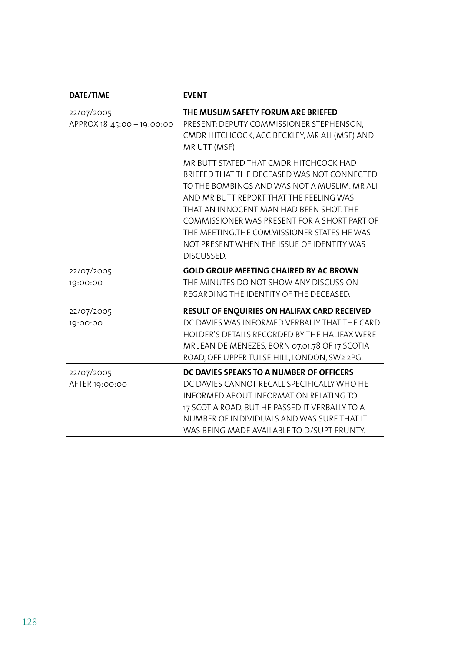| <b>DATE/TIME</b>                       | <b>EVENT</b>                                                                                                                                                                                                                                                                                                                                                                          |
|----------------------------------------|---------------------------------------------------------------------------------------------------------------------------------------------------------------------------------------------------------------------------------------------------------------------------------------------------------------------------------------------------------------------------------------|
| 22/07/2005<br>APPROX 18:45:00-19:00:00 | THE MUSLIM SAFETY FORUM ARE BRIEFED<br>PRESENT: DEPUTY COMMISSIONER STEPHENSON,<br>CMDR HITCHCOCK, ACC BECKLEY, MR ALI (MSF) AND<br>MR UTT (MSF)                                                                                                                                                                                                                                      |
|                                        | MR BUTT STATED THAT CMDR HITCHCOCK HAD<br>BRIEFED THAT THE DECEASED WAS NOT CONNECTED<br>TO THE BOMBINGS AND WAS NOT A MUSLIM. MR ALI<br>AND MR BUTT REPORT THAT THE FEELING WAS<br>THAT AN INNOCENT MAN HAD BEEN SHOT. THE<br>COMMISSIONER WAS PRESENT FOR A SHORT PART OF<br>THE MEETING.THE COMMISSIONER STATES HE WAS<br>NOT PRESENT WHEN THE ISSUE OF IDENTITY WAS<br>DISCUSSED. |
| 22/07/2005<br>19:00:00                 | <b>GOLD GROUP MEETING CHAIRED BY AC BROWN</b><br>THE MINUTES DO NOT SHOW ANY DISCUSSION<br>REGARDING THE IDENTITY OF THE DECEASED.                                                                                                                                                                                                                                                    |
| 22/07/2005<br>19:00:00                 | RESULT OF ENQUIRIES ON HALIFAX CARD RECEIVED<br>DC DAVIES WAS INFORMED VERBALLY THAT THE CARD<br>HOLDER'S DETAILS RECORDED BY THE HALIFAX WERE<br>MR JEAN DE MENEZES, BORN 07.01.78 OF 17 SCOTIA<br>ROAD, OFF UPPER TULSE HILL, LONDON, SW2 2PG.                                                                                                                                      |
| 22/07/2005<br>AFTER 19:00:00           | DC DAVIES SPEAKS TO A NUMBER OF OFFICERS<br>DC DAVIES CANNOT RECALL SPECIFICALLY WHO HE<br>INFORMED ABOUT INFORMATION RELATING TO<br>17 SCOTIA ROAD, BUT HE PASSED IT VERBALLY TO A<br>NUMBER OF INDIVIDUALS AND WAS SURE THAT IT<br>WAS BEING MADE AVAILABLE TO D/SUPT PRUNTY.                                                                                                       |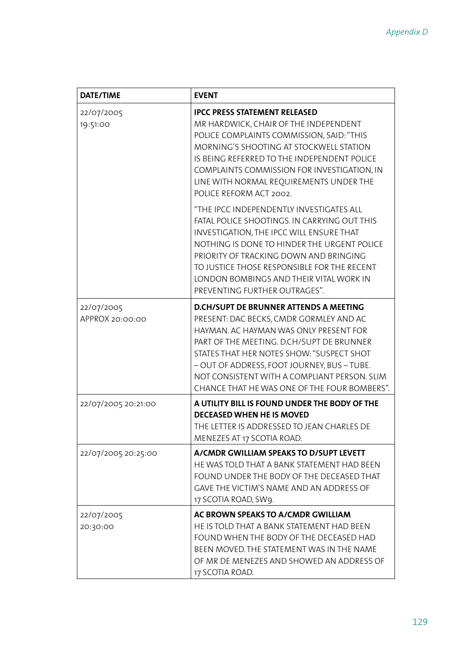| <b>DATE/TIME</b>              | <b>EVENT</b>                                                                                                                                                                                                                                                                                                                                                                |  |
|-------------------------------|-----------------------------------------------------------------------------------------------------------------------------------------------------------------------------------------------------------------------------------------------------------------------------------------------------------------------------------------------------------------------------|--|
| 22/07/2005<br>19:51:00        | <b>IPCC PRESS STATEMENT RELEASED</b><br>MR HARDWICK, CHAIR OF THE INDEPENDENT<br>POLICE COMPLAINTS COMMISSION, SAID: "THIS<br>MORNING'S SHOOTING AT STOCKWELL STATION<br>IS BEING REFERRED TO THE INDEPENDENT POLICE<br>COMPLAINTS COMMISSION FOR INVESTIGATION, IN<br>LINE WITH NORMAL REQUIREMENTS UNDER THE<br>POLICE REFORM ACT 2002.                                   |  |
|                               | "THE IPCC INDEPENDENTLY INVESTIGATES ALL<br>FATAL POLICE SHOOTINGS. IN CARRYING OUT THIS<br>INVESTIGATION, THE IPCC WILL ENSURE THAT<br>NOTHING IS DONE TO HINDER THE URGENT POLICE<br>PRIORITY OF TRACKING DOWN AND BRINGING<br>TO JUSTICE THOSE RESPONSIBLE FOR THE RECENT<br>LONDON BOMBINGS AND THEIR VITAL WORK IN<br>PREVENTING FURTHER OUTRAGES".                    |  |
| 22/07/2005<br>APPROX 20:00:00 | <b>D.CH/SUPT DE BRUNNER ATTENDS A MEETING</b><br>PRESENT: DAC BECKS, CMDR GORMLEY AND AC<br>HAYMAN. AC HAYMAN WAS ONLY PRESENT FOR<br>PART OF THE MEETING. D.CH/SUPT DE BRUNNER<br>STATES THAT HER NOTES SHOW: "SUSPECT SHOT<br>- OUT OF ADDRESS, FOOT JOURNEY, BUS - TUBE.<br>NOT CONSISTENT WITH A COMPLIANT PERSON. SLIM<br>CHANCE THAT HE WAS ONE OF THE FOUR BOMBERS". |  |
| 22/07/2005 20:21:00           | A UTILITY BILL IS FOUND UNDER THE BODY OF THE<br><b>DECEASED WHEN HE IS MOVED</b><br>THE LETTER IS ADDRESSED TO JEAN CHARLES DE<br>MENEZES AT 17 SCOTIA ROAD.                                                                                                                                                                                                               |  |
| 22/07/2005 20:25:00           | A/CMDR GWILLIAM SPEAKS TO D/SUPT LEVETT<br>HE WAS TOLD THAT A BANK STATEMENT HAD BEEN<br>FOUND UNDER THE BODY OF THE DECEASED THAT<br>GAVE THE VICTIM'S NAME AND AN ADDRESS OF<br>17 SCOTIA ROAD, SW9.                                                                                                                                                                      |  |
| 22/07/2005<br>20:30:00        | AC BROWN SPEAKS TO A/CMDR GWILLIAM<br>HE IS TOLD THAT A BANK STATEMENT HAD BEEN<br>FOUND WHEN THE BODY OF THE DECEASED HAD<br>BEEN MOVED. THE STATEMENT WAS IN THE NAME<br>OF MR DE MENEZES AND SHOWED AN ADDRESS OF<br>17 SCOTIA ROAD.                                                                                                                                     |  |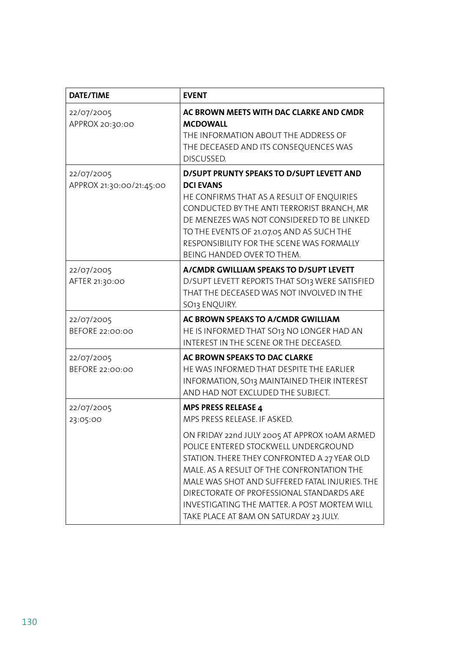| <b>DATE/TIME</b>                       | <b>EVENT</b>                                                                                                                                                                                                                                                                                                                                                                 |  |
|----------------------------------------|------------------------------------------------------------------------------------------------------------------------------------------------------------------------------------------------------------------------------------------------------------------------------------------------------------------------------------------------------------------------------|--|
| 22/07/2005<br>APPROX 20:30:00          | AC BROWN MEETS WITH DAC CLARKE AND CMDR<br><b>MCDOWALL</b><br>THE INFORMATION ABOUT THE ADDRESS OF<br>THE DECEASED AND ITS CONSEQUENCES WAS<br>DISCUSSED.                                                                                                                                                                                                                    |  |
| 22/07/2005<br>APPROX 21:30:00/21:45:00 | D/SUPT PRUNTY SPEAKS TO D/SUPT LEVETT AND<br><b>DCI EVANS</b><br>HE CONFIRMS THAT AS A RESULT OF ENQUIRIES<br>CONDUCTED BY THE ANTI TERRORIST BRANCH, MR<br>DE MENEZES WAS NOT CONSIDERED TO BE LINKED<br>TO THE EVENTS OF 21.07.05 AND AS SUCH THE<br>RESPONSIBILITY FOR THE SCENE WAS FORMALLY<br>BEING HANDED OVER TO THEM.                                               |  |
| 22/07/2005<br>AFTER 21:30:00           | A/CMDR GWILLIAM SPEAKS TO D/SUPT LEVETT<br>D/SUPT LEVETT REPORTS THAT SO13 WERE SATISFIED<br>THAT THE DECEASED WAS NOT INVOLVED IN THE<br>SO13 ENQUIRY.                                                                                                                                                                                                                      |  |
| 22/07/2005<br>BEFORE 22:00:00          | AC BROWN SPEAKS TO A/CMDR GWILLIAM<br>HE IS INFORMED THAT SO13 NO LONGER HAD AN<br>INTEREST IN THE SCENE OR THE DECEASED.                                                                                                                                                                                                                                                    |  |
| 22/07/2005<br>BEFORE 22:00:00          | AC BROWN SPEAKS TO DAC CLARKE<br>HE WAS INFORMED THAT DESPITE THE EARLIER<br>INFORMATION, SO13 MAINTAINED THEIR INTEREST<br>AND HAD NOT EXCLUDED THE SUBJECT.                                                                                                                                                                                                                |  |
| 22/07/2005<br>23:05:00                 | <b>MPS PRESS RELEASE 4</b><br>MPS PRESS RELEASE. IF ASKED.                                                                                                                                                                                                                                                                                                                   |  |
|                                        | ON FRIDAY 22nd JULY 2005 AT APPROX 10AM ARMED<br>POLICE ENTERED STOCKWELL UNDERGROUND<br>STATION. THERE THEY CONFRONTED A 27 YEAR OLD<br>MALE. AS A RESULT OF THE CONFRONTATION THE<br>MALE WAS SHOT AND SUFFERED FATAL INJURIES. THE<br>DIRECTORATE OF PROFESSIONAL STANDARDS ARE<br>INVESTIGATING THE MATTER. A POST MORTEM WILL<br>TAKE PLACE AT 8AM ON SATURDAY 23 JULY. |  |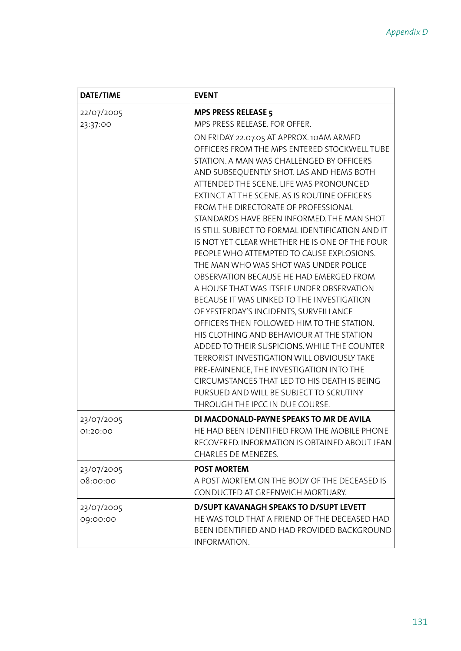| <b>DATE/TIME</b>       | <b>EVENT</b>                                                                                                                                                                                                                                                                                                                                                                                                                                                                                                                                                                                                                                                                                                                                                                                                                                                                                                                                                                        |
|------------------------|-------------------------------------------------------------------------------------------------------------------------------------------------------------------------------------------------------------------------------------------------------------------------------------------------------------------------------------------------------------------------------------------------------------------------------------------------------------------------------------------------------------------------------------------------------------------------------------------------------------------------------------------------------------------------------------------------------------------------------------------------------------------------------------------------------------------------------------------------------------------------------------------------------------------------------------------------------------------------------------|
| 22/07/2005             | <b>MPS PRESS RELEASE 5</b>                                                                                                                                                                                                                                                                                                                                                                                                                                                                                                                                                                                                                                                                                                                                                                                                                                                                                                                                                          |
| 23:37:00               | MPS PRESS RELEASE. FOR OFFER.                                                                                                                                                                                                                                                                                                                                                                                                                                                                                                                                                                                                                                                                                                                                                                                                                                                                                                                                                       |
|                        | ON FRIDAY 22.07.05 AT APPROX.10AM ARMED<br>OFFICERS FROM THE MPS ENTERED STOCKWELL TUBE<br>STATION. A MAN WAS CHALLENGED BY OFFICERS<br>AND SUBSEQUENTLY SHOT. LAS AND HEMS BOTH<br>ATTENDED THE SCENE. LIFE WAS PRONOUNCED<br>EXTINCT AT THE SCENE. AS IS ROUTINE OFFICERS<br>FROM THE DIRECTORATE OF PROFESSIONAL<br>STANDARDS HAVE BEEN INFORMED. THE MAN SHOT<br>IS STILL SUBJECT TO FORMAL IDENTIFICATION AND IT<br>IS NOT YET CLEAR WHETHER HE IS ONE OF THE FOUR<br>PEOPLE WHO ATTEMPTED TO CAUSE EXPLOSIONS.<br>THE MAN WHO WAS SHOT WAS UNDER POLICE<br>OBSERVATION BECAUSE HE HAD EMERGED FROM<br>A HOUSE THAT WAS ITSELF UNDER OBSERVATION<br>BECAUSE IT WAS LINKED TO THE INVESTIGATION<br>OF YESTERDAY'S INCIDENTS, SURVEILLANCE<br>OFFICERS THEN FOLLOWED HIM TO THE STATION.<br>HIS CLOTHING AND BEHAVIOUR AT THE STATION<br>ADDED TO THEIR SUSPICIONS. WHILE THE COUNTER<br>TERRORIST INVESTIGATION WILL OBVIOUSLY TAKE<br>PRE-EMINENCE, THE INVESTIGATION INTO THE |
|                        | CIRCUMSTANCES THAT LED TO HIS DEATH IS BEING                                                                                                                                                                                                                                                                                                                                                                                                                                                                                                                                                                                                                                                                                                                                                                                                                                                                                                                                        |
|                        | PURSUED AND WILL BE SUBJECT TO SCRUTINY                                                                                                                                                                                                                                                                                                                                                                                                                                                                                                                                                                                                                                                                                                                                                                                                                                                                                                                                             |
|                        | THROUGH THE IPCC IN DUE COURSE.                                                                                                                                                                                                                                                                                                                                                                                                                                                                                                                                                                                                                                                                                                                                                                                                                                                                                                                                                     |
| 23/07/2005<br>01:20:00 | DI MACDONALD-PAYNE SPEAKS TO MR DE AVILA<br>HE HAD BEEN IDENTIFIED FROM THE MOBILE PHONE<br>RECOVERED. INFORMATION IS OBTAINED ABOUT JEAN<br>CHARLES DE MENEZES.                                                                                                                                                                                                                                                                                                                                                                                                                                                                                                                                                                                                                                                                                                                                                                                                                    |
| 23/07/2005             | <b>POST MORTEM</b>                                                                                                                                                                                                                                                                                                                                                                                                                                                                                                                                                                                                                                                                                                                                                                                                                                                                                                                                                                  |
| 08:00:00               | A POST MORTEM ON THE BODY OF THE DECEASED IS<br>CONDUCTED AT GREENWICH MORTUARY.                                                                                                                                                                                                                                                                                                                                                                                                                                                                                                                                                                                                                                                                                                                                                                                                                                                                                                    |
| 23/07/2005             | <b>D/SUPT KAVANAGH SPEAKS TO D/SUPT LEVETT</b>                                                                                                                                                                                                                                                                                                                                                                                                                                                                                                                                                                                                                                                                                                                                                                                                                                                                                                                                      |
| 09:00:00               | HE WAS TOLD THAT A FRIEND OF THE DECEASED HAD<br>BEEN IDENTIFIED AND HAD PROVIDED BACKGROUND<br>INFORMATION.                                                                                                                                                                                                                                                                                                                                                                                                                                                                                                                                                                                                                                                                                                                                                                                                                                                                        |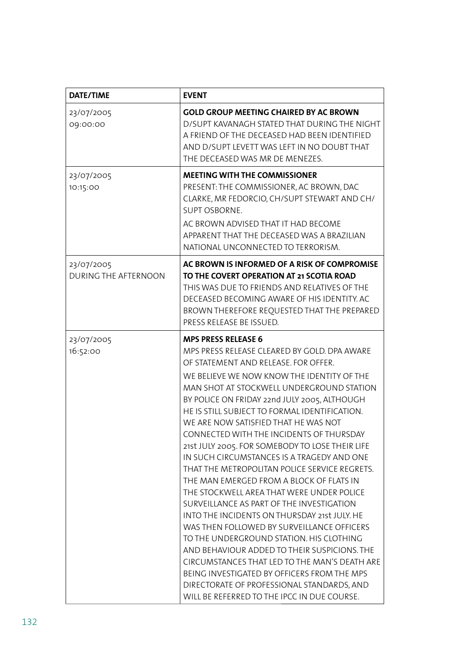| <b>DATE/TIME</b>                   | <b>EVENT</b>                                                                                                                                                                                                                                                                                                                                                                                                                                                                                                                                                                                                                                                                                                                                                                                                                                                                                                                                                                                                                                                                      |  |
|------------------------------------|-----------------------------------------------------------------------------------------------------------------------------------------------------------------------------------------------------------------------------------------------------------------------------------------------------------------------------------------------------------------------------------------------------------------------------------------------------------------------------------------------------------------------------------------------------------------------------------------------------------------------------------------------------------------------------------------------------------------------------------------------------------------------------------------------------------------------------------------------------------------------------------------------------------------------------------------------------------------------------------------------------------------------------------------------------------------------------------|--|
| 23/07/2005<br>09:00:00             | <b>GOLD GROUP MEETING CHAIRED BY AC BROWN</b><br>D/SUPT KAVANAGH STATED THAT DURING THE NIGHT<br>A FRIEND OF THE DECEASED HAD BEEN IDENTIFIED<br>AND D/SUPT LEVETT WAS LEFT IN NO DOUBT THAT<br>THE DECEASED WAS MR DE MENEZES.                                                                                                                                                                                                                                                                                                                                                                                                                                                                                                                                                                                                                                                                                                                                                                                                                                                   |  |
| 23/07/2005<br>10:15:00             | <b>MEETING WITH THE COMMISSIONER</b><br>PRESENT: THE COMMISSIONER, AC BROWN, DAC<br>CLARKE, MR FEDORCIO, CH/SUPT STEWART AND CH/<br>SUPT OSBORNE.<br>AC BROWN ADVISED THAT IT HAD BECOME<br>APPARENT THAT THE DECEASED WAS A BRAZILIAN<br>NATIONAL UNCONNECTED TO TERRORISM.                                                                                                                                                                                                                                                                                                                                                                                                                                                                                                                                                                                                                                                                                                                                                                                                      |  |
| 23/07/2005<br>DURING THE AFTERNOON | AC BROWN IS INFORMED OF A RISK OF COMPROMISE<br>TO THE COVERT OPERATION AT 21 SCOTIA ROAD<br>THIS WAS DUE TO FRIENDS AND RELATIVES OF THE<br>DECEASED BECOMING AWARE OF HIS IDENTITY. AC<br>BROWN THEREFORE REQUESTED THAT THE PREPARED<br>PRESS RELEASE BE ISSUED.                                                                                                                                                                                                                                                                                                                                                                                                                                                                                                                                                                                                                                                                                                                                                                                                               |  |
| 23/07/2005<br>16:52:00             | <b>MPS PRESS RELEASE 6</b><br>MPS PRESS RELEASE CLEARED BY GOLD. DPA AWARE<br>OF STATEMENT AND RELEASE. FOR OFFER.<br>WE BELIEVE WE NOW KNOW THE IDENTITY OF THE<br>MAN SHOT AT STOCKWELL UNDERGROUND STATION<br>BY POLICE ON FRIDAY 22nd JULY 2005, ALTHOUGH<br>HE IS STILL SUBJECT TO FORMAL IDENTIFICATION.<br>WE ARE NOW SATISFIED THAT HE WAS NOT<br>CONNECTED WITH THE INCIDENTS OF THURSDAY<br>21st JULY 2005. FOR SOMEBODY TO LOSE THEIR LIFE<br>IN SUCH CIRCUMSTANCES IS A TRAGEDY AND ONE<br>THAT THE METROPOLITAN POLICE SERVICE REGRETS.<br>THE MAN EMERGED FROM A BLOCK OF FLATS IN<br>THE STOCKWELL AREA THAT WERE UNDER POLICE<br>SURVEILLANCE AS PART OF THE INVESTIGATION<br>INTO THE INCIDENTS ON THURSDAY 21st JULY. HE<br>WAS THEN FOLLOWED BY SURVEILLANCE OFFICERS<br>TO THE UNDERGROUND STATION. HIS CLOTHING<br>AND BEHAVIOUR ADDED TO THEIR SUSPICIONS. THE<br>CIRCUMSTANCES THAT LED TO THE MAN'S DEATH ARE<br>BEING INVESTIGATED BY OFFICERS FROM THE MPS<br>DIRECTORATE OF PROFESSIONAL STANDARDS, AND<br>WILL BE REFERRED TO THE IPCC IN DUE COURSE. |  |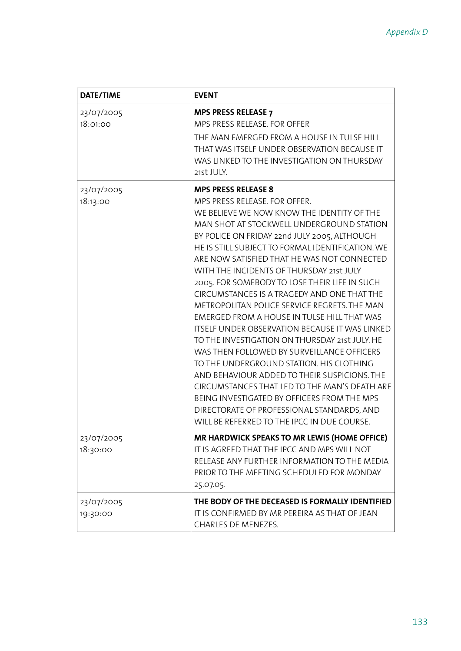| <b>DATE/TIME</b><br><b>EVENT</b> |                                                                                                                                                                                                                                                                                                                                                                                                                                                                                                                                                                                                                                                                                                                                                                                                                                                                                                                                                                                                        |
|----------------------------------|--------------------------------------------------------------------------------------------------------------------------------------------------------------------------------------------------------------------------------------------------------------------------------------------------------------------------------------------------------------------------------------------------------------------------------------------------------------------------------------------------------------------------------------------------------------------------------------------------------------------------------------------------------------------------------------------------------------------------------------------------------------------------------------------------------------------------------------------------------------------------------------------------------------------------------------------------------------------------------------------------------|
| 23/07/2005<br>18:01:00           | <b>MPS PRESS RELEASE 7</b><br>MPS PRESS RELEASE. FOR OFFER<br>THE MAN EMERGED FROM A HOUSE IN TULSE HILL<br>THAT WAS ITSELF UNDER OBSERVATION BECAUSE IT<br>WAS LINKED TO THE INVESTIGATION ON THURSDAY<br>21st JULY.                                                                                                                                                                                                                                                                                                                                                                                                                                                                                                                                                                                                                                                                                                                                                                                  |
| 23/07/2005<br>18:13:00           | <b>MPS PRESS RELEASE 8</b><br>MPS PRESS RELEASE. FOR OFFER.<br>WE BELIEVE WE NOW KNOW THE IDENTITY OF THE<br>MAN SHOT AT STOCKWELL UNDERGROUND STATION<br>BY POLICE ON FRIDAY 22nd JULY 2005, ALTHOUGH<br>HE IS STILL SUBJECT TO FORMAL IDENTIFICATION. WE<br>ARE NOW SATISFIED THAT HE WAS NOT CONNECTED<br>WITH THE INCIDENTS OF THURSDAY 21st JULY<br>2005. FOR SOMEBODY TO LOSE THEIR LIFE IN SUCH<br>CIRCUMSTANCES IS A TRAGEDY AND ONE THAT THE<br>METROPOLITAN POLICE SERVICE REGRETS. THE MAN<br>EMERGED FROM A HOUSE IN TULSE HILL THAT WAS<br><b>ITSELF UNDER OBSERVATION BECAUSE IT WAS LINKED</b><br>TO THE INVESTIGATION ON THURSDAY 21st JULY. HE<br>WAS THEN FOLLOWED BY SURVEILLANCE OFFICERS<br>TO THE UNDERGROUND STATION. HIS CLOTHING<br>AND BEHAVIOUR ADDED TO THEIR SUSPICIONS. THE<br>CIRCUMSTANCES THAT LED TO THE MAN'S DEATH ARE<br>BEING INVESTIGATED BY OFFICERS FROM THE MPS<br>DIRECTORATE OF PROFESSIONAL STANDARDS, AND<br>WILL BE REFERRED TO THE IPCC IN DUE COURSE. |
| 23/07/2005<br>18:30:00           | MR HARDWICK SPEAKS TO MR LEWIS (HOME OFFICE)<br>IT IS AGREED THAT THE IPCC AND MPS WILL NOT<br>RELEASE ANY FURTHER INFORMATION TO THE MEDIA<br>PRIOR TO THE MEETING SCHEDULED FOR MONDAY<br>25.07.05.                                                                                                                                                                                                                                                                                                                                                                                                                                                                                                                                                                                                                                                                                                                                                                                                  |
| 23/07/2005<br>19:30:00           | THE BODY OF THE DECEASED IS FORMALLY IDENTIFIED<br>IT IS CONFIRMED BY MR PEREIRA AS THAT OF JEAN<br>CHARLES DE MENEZES.                                                                                                                                                                                                                                                                                                                                                                                                                                                                                                                                                                                                                                                                                                                                                                                                                                                                                |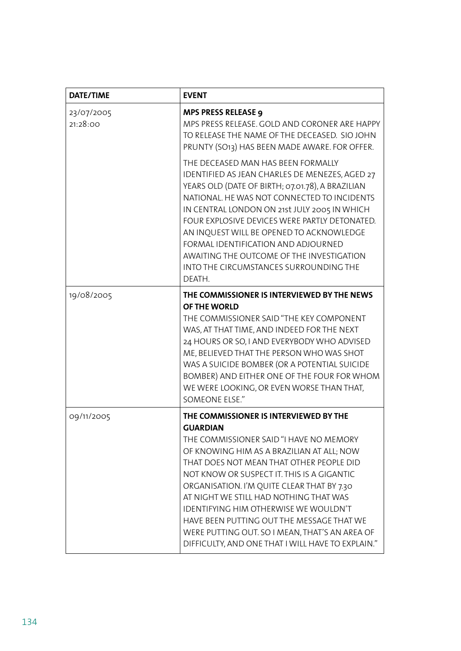| <b>DATE/TIME</b>       | <b>EVENT</b>                                                                                                                                                                                                                                                                                                                                                                                                                                                                                                                            |  |
|------------------------|-----------------------------------------------------------------------------------------------------------------------------------------------------------------------------------------------------------------------------------------------------------------------------------------------------------------------------------------------------------------------------------------------------------------------------------------------------------------------------------------------------------------------------------------|--|
| 23/07/2005<br>21:28:00 | <b>MPS PRESS RELEASE 9</b><br>MPS PRESS RELEASE, GOLD AND CORONER ARE HAPPY<br>TO RELEASE THE NAME OF THE DECEASED. SIO JOHN<br>PRUNTY (SO13) HAS BEEN MADE AWARE. FOR OFFER.                                                                                                                                                                                                                                                                                                                                                           |  |
|                        | THE DECEASED MAN HAS BEEN FORMALLY<br>IDENTIFIED AS JEAN CHARLES DE MENEZES, AGED 27<br>YEARS OLD (DATE OF BIRTH; 07.01.78), A BRAZILIAN<br>NATIONAL. HE WAS NOT CONNECTED TO INCIDENTS<br>IN CENTRAL LONDON ON 21st JULY 2005 IN WHICH<br>FOUR EXPLOSIVE DEVICES WERE PARTLY DETONATED.<br>AN INQUEST WILL BE OPENED TO ACKNOWLEDGE<br>FORMAL IDENTIFICATION AND ADJOURNED<br>AWAITING THE OUTCOME OF THE INVESTIGATION<br>INTO THE CIRCUMSTANCES SURROUNDING THE<br>DEATH.                                                            |  |
| 19/08/2005             | THE COMMISSIONER IS INTERVIEWED BY THE NEWS<br>OF THE WORLD<br>THE COMMISSIONER SAID "THE KEY COMPONENT<br>WAS, AT THAT TIME, AND INDEED FOR THE NEXT<br>24 HOURS OR SO, I AND EVERYBODY WHO ADVISED<br>ME, BELIEVED THAT THE PERSON WHO WAS SHOT<br>WAS A SUICIDE BOMBER (OR A POTENTIAL SUICIDE<br>BOMBER) AND EITHER ONE OF THE FOUR FOR WHOM<br>WE WERE LOOKING, OR EVEN WORSE THAN THAT,<br>SOMEONE ELSE."                                                                                                                         |  |
| 09/11/2005             | THE COMMISSIONER IS INTERVIEWED BY THE<br><b>GUARDIAN</b><br>THE COMMISSIONER SAID "I HAVE NO MEMORY<br>OF KNOWING HIM AS A BRAZILIAN AT ALL; NOW<br>THAT DOES NOT MEAN THAT OTHER PEOPLE DID<br>NOT KNOW OR SUSPECT IT. THIS IS A GIGANTIC<br>ORGANISATION. I'M QUITE CLEAR THAT BY 7.30<br>AT NIGHT WE STILL HAD NOTHING THAT WAS<br><b>IDENTIFYING HIM OTHERWISE WE WOULDN'T</b><br>HAVE BEEN PUTTING OUT THE MESSAGE THAT WE<br>WERE PUTTING OUT. SO I MEAN, THAT'S AN AREA OF<br>DIFFICULTY, AND ONE THAT I WILL HAVE TO EXPLAIN." |  |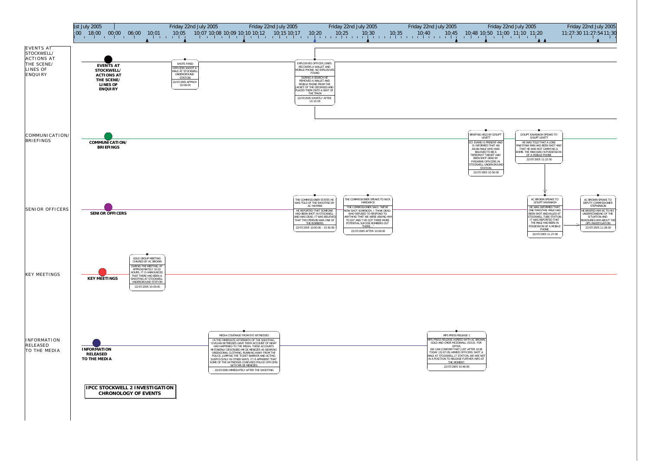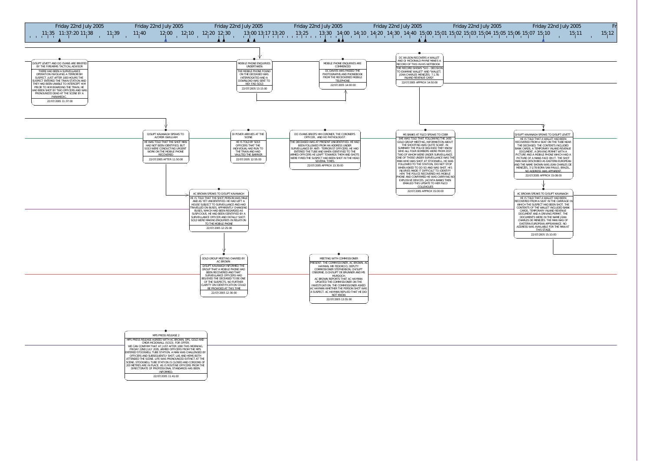

| MPS PRESS RELEASE 2                                                                                                  |
|----------------------------------------------------------------------------------------------------------------------|
| MPS PRESS RELEASE AGREED WITH AC BROWN. DPS. GOLD AND<br>CMDR MCDOWALL (SO13). FOR OFFER.                            |
| WE CAN CONFIRM THAT AT JUST AFTER 1000 THIS MORNING.<br>FRIDAY 22ND JULY 2005. ARMED OFFICERS FROM THE MPS           |
| <b>IENTERED STOCKWELL TUBE STATION. A MAN WAS CHALLENGED BY</b><br>OFFICERS AND SUBSEQUENTLY SHOT. LAS AND HEMS BOTH |
| ATTENDED THE SCENE. LIFE WAS PRONOUNCED EXTINCT AT THE<br>SCENE. STOCKWELL TUBE STATION IS CLOSED AND CORDONS OF     |
| 200 METRES ARE IN PLACE. AS IS ROUTINE OFFICERS FROM THE<br>DIRECTORATE OF PROFESSIONAL STANDARDS HAS BEEN           |
| INFORMED.                                                                                                            |
| 22/07/2005 11:41:00                                                                                                  |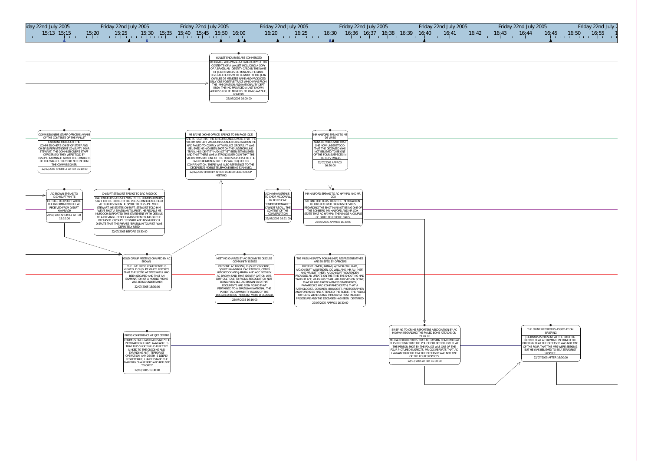

| Friday 22nd July 2005 |  |       |  |  |  | Friday 22nd July 2 |                                 |  |  |  |  |  |  |  |
|-----------------------|--|-------|--|--|--|--------------------|---------------------------------|--|--|--|--|--|--|--|
| 16,43                 |  | 16:44 |  |  |  |                    | $16:45$ $16:50$ $16:55$ $1$<br> |  |  |  |  |  |  |  |

| THE CRIME REPORTERS ASSOCIATION<br><b>BRIFFING</b>                                                                  |  |  |  |
|---------------------------------------------------------------------------------------------------------------------|--|--|--|
| JOURNALISTS PRESENT AT THE BRIEFING<br>REPORT THAT AC HAYMAN INFORMED THE<br>BRIEFING THAT THE DECEASED WAS NOT ONE |  |  |  |
| OF THE FOUR THAT THE MPS WERE SEEKING.<br>BUT HE WAS BELIEVED TO BE A TERRORIST<br>SUSPECT.                         |  |  |  |
| 22/07/2005 AFTER 16:30:00                                                                                           |  |  |  |
|                                                                                                                     |  |  |  |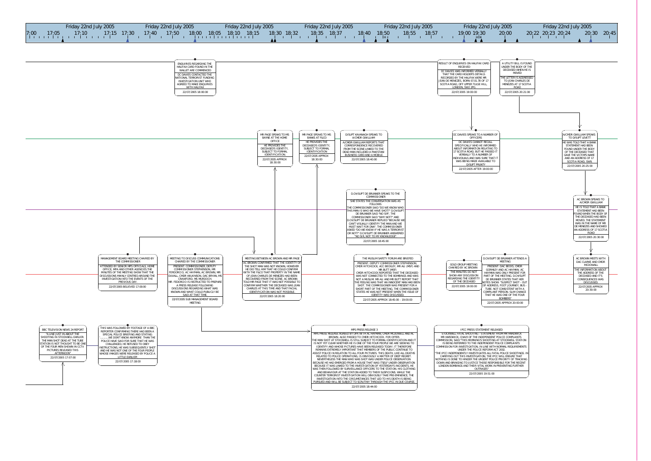22/07/2005 18:44:00

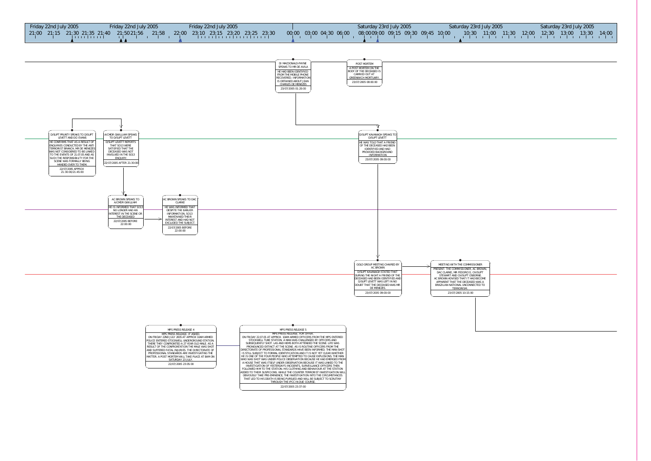

22/07/2005 23:37:00

| 2005 |  | Saturday 23rd July 2005 |  |                                        |  |
|------|--|-------------------------|--|----------------------------------------|--|
|      |  |                         |  | 00 11:30 12:00 12:30 13:00 13:30 14:00 |  |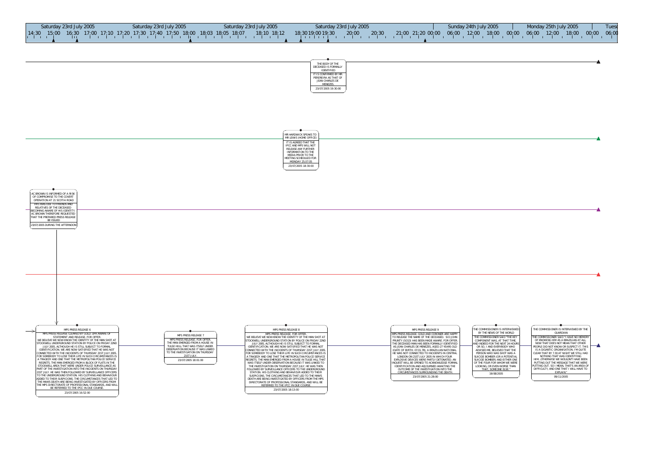THE COMMISSIONER IS INTERVIEWED BY THEGUARDIAN The commissioner said "I have no memory THE COMMISSIONER SAID "I HAVE NO MEMORY<br>OF KNOWING HIM AS A BRAZILIAN AT ALL:<br>NOW THAT DOES NOT MEAN THAT OTHER<br>PEOPLE DID NOT KNOW OR SUSPECT IT. THIS<br>IS A GIGANTIC ORGANISATION. I'M QUITE<br>IS A GIGANTIC ORGANISATION. I'M  $\blacktriangle$ EXPLAIN." 09/11/2005

| THE BODY OF THE<br>DECEASED IS FORMALLY<br><b>IDENTIFIED</b>                 |  |
|------------------------------------------------------------------------------|--|
| IT IS CONFIRMED BY MR<br>PEREREIRA AS THAT OF<br>JEAN CHARLES DE<br>MFNF7FS. |  |
| 23/07/2005 19:30:00                                                          |  |

| MR HARDWICK SPEAKS TO<br>MR LEWIS (HOME OFFICE)                              |
|------------------------------------------------------------------------------|
| IT IS AGREED THAT THE<br>IPCC AND MPS WILL NOT<br><b>RELEASE ANY FURTHER</b> |
| <b>INFORMATION TO THE</b><br>MEDIA PRIOR TO THE<br>MEETING SCHEDULED FOR     |
| MONDAY 25.07.05<br>23/07/2005 18:30:00                                       |
|                                                                              |



AC BROWN IS INFORMED OF A RISKOF COMPROMISE TO THE COVERT OPERATION AT 21 SCOTIA ROAD

| Saturday 23rd July 2005 | Saturday 23rd July 2005                                                                   | Saturday 23rd July 2005 | Saturday 23rd July 2005           |                           | Sunday 24th July 2005 | Monday 25th July 2005                              | <b>Tues</b> |
|-------------------------|-------------------------------------------------------------------------------------------|-------------------------|-----------------------------------|---------------------------|-----------------------|----------------------------------------------------|-------------|
| 14:30<br>15:00          | $(16.30 \t17.00 \t17.10 \t17.20 \t17.30 \t17.40 \t17.50 \t18.00 \t18.03 \t18.05 \t18.07)$ | $18:10$ $18:12$         | 20:30<br>20:00<br>18:3019:0019:30 | $21,00$ 21:20 00:00 06:00 | 12:00                 | 00;00<br>18;00<br>$18:00$ $00:00$ $06:00$<br>12:00 | 06;00       |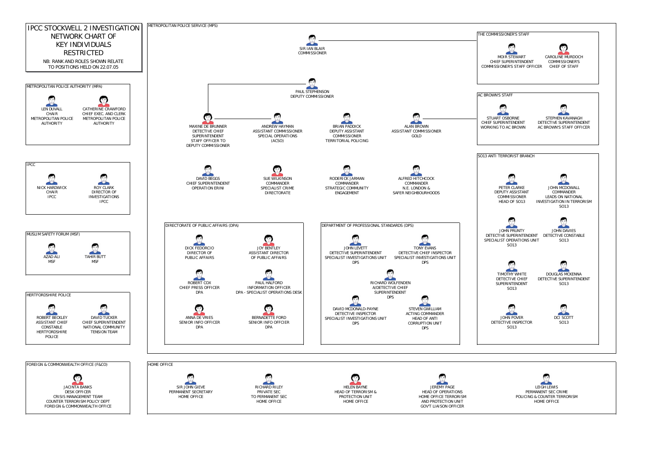